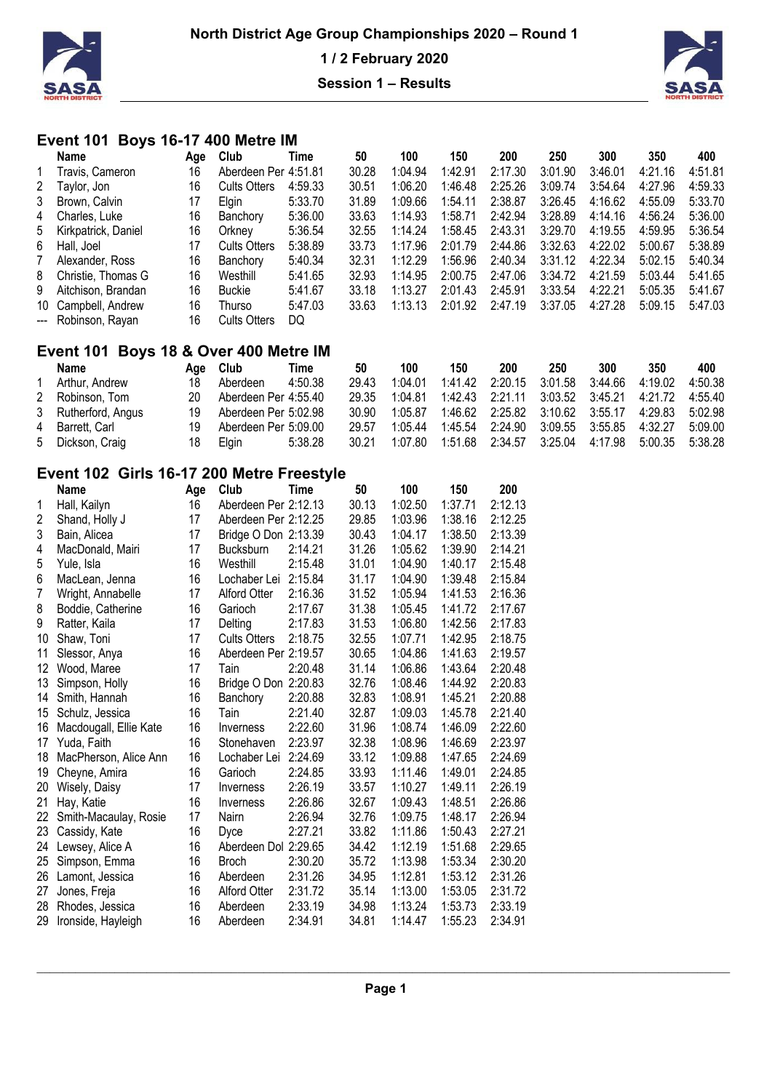



### **Event 101 Boys 16-17 400 Metre IM**

|              | Name                | Age | Club                 | Time    | 50    | 100     | 150     | 200     | 250     | 300     | 350     | 400     |
|--------------|---------------------|-----|----------------------|---------|-------|---------|---------|---------|---------|---------|---------|---------|
|              | Travis, Cameron     | 16  | Aberdeen Per 4:51.81 |         | 30.28 | 1:04.94 | 1:42.91 | 2:17.30 | 3:01.90 | 3:46.01 | 4:21.16 | 4:51.81 |
| $\mathbf{2}$ | Taylor, Jon         | 16  | <b>Cults Otters</b>  | 4:59.33 | 30.51 | 1:06.20 | 1:46.48 | 2:25.26 | 3:09.74 | 3:54.64 | 4:27.96 | 4:59.33 |
| 3            | Brown, Calvin       | 17  | Elgin                | 5:33.70 | 31.89 | 1:09.66 | 1:54.11 | 2:38.87 | 3:26.45 | 4:16.62 | 4:55.09 | 5:33.70 |
| 4            | Charles, Luke       | 16  | Banchory             | 5:36.00 | 33.63 | 1:14.93 | 1:58.71 | 2:42.94 | 3:28.89 | 4:14.16 | 4:56.24 | 5:36.00 |
| 5            | Kirkpatrick, Daniel | 16  | Orknev               | 5:36.54 | 32.55 | 1:14.24 | 1:58.45 | 2:43.31 | 3:29.70 | 4:19.55 | 4:59.95 | 5:36.54 |
| 6            | Hall, Joel          | 17  | <b>Cults Otters</b>  | 5:38.89 | 33.73 | 1:17.96 | 2:01.79 | 2:44.86 | 3:32.63 | 4:22.02 | 5:00.67 | 5:38.89 |
|              | Alexander, Ross     | 16  | Banchory             | 5:40.34 | 32.31 | 1:12.29 | 1:56.96 | 2:40.34 | 3:31.12 | 4:22.34 | 5:02.15 | 5:40.34 |
| 8            | Christie, Thomas G  | 16  | Westhill             | 5:41.65 | 32.93 | 1:14.95 | 2:00.75 | 2:47.06 | 3:34.72 | 4:21.59 | 5:03.44 | 5:41.65 |
| 9            | Aitchison, Brandan  | 16  | Buckie               | 5:41.67 | 33.18 | 1:13.27 | 2:01.43 | 2:45.91 | 3:33.54 | 4:22.21 | 5:05.35 | 5:41.67 |
|              | 10 Campbell, Andrew | 16  | Thurso               | 5:47.03 | 33.63 | 1:13.13 | 2:01.92 | 2:47.19 | 3:37.05 | 4:27.28 | 5:09.15 | 5:47.03 |
|              | --- Robinson, Rayan | 16  | <b>Cults Otters</b>  | DQ      |       |         |         |         |         |         |         |         |

### **Event 101 Boys 18 & Over 400 Metre IM**

| Name                |     | Age Club             | Time    | 50    | 100     | 150     | 200                                | 250                     | 300                     | 350     | 400     |
|---------------------|-----|----------------------|---------|-------|---------|---------|------------------------------------|-------------------------|-------------------------|---------|---------|
| Arthur, Andrew      | 18  | Aberdeen             | 4:50.38 | 29.43 | 1:04.01 | 1:41.42 |                                    | 2:20.15 3:01.58 3:44.66 |                         | 4:19.02 | 4:50.38 |
| 2 Robinson, Tom     | 20. | Aberdeen Per 4:55.40 |         | 29.35 | 1:04.81 | 1:42.43 | 2:21.11                            |                         | 3:03.52 3:45.21         | 4:21.72 | 4:55.40 |
| 3 Rutherford, Angus | 19  | Aberdeen Per 5:02.98 |         | 30.90 | 1:05.87 |         | 1:46.62  2:25.82  3:10.62  3:55.17 |                         |                         | 4:29.83 | 5:02.98 |
| 4 Barrett, Carl     | 19. | Aberdeen Per 5:09.00 |         | 29.57 | 1:05.44 | 1:45.54 | 2:24.90                            |                         | 3:09.55 3:55.85 4:32.27 |         | 5:09.00 |
| 5 Dickson, Craig    | 18  | Elain                | 5:38.28 | 30.21 | 1:07.80 |         | 1:51.68  2:34.57  3:25.04  4:17.98 |                         |                         | 5:00.35 | 5:38.28 |

### **Event 102 Girls 16-17 200 Metre Freestyle**

|    | Name                   | Age | Club                 | Time    | 50    | 100     | 150     | 200     |
|----|------------------------|-----|----------------------|---------|-------|---------|---------|---------|
| 1  | Hall, Kailyn           | 16  | Aberdeen Per 2:12.13 |         | 30.13 | 1:02.50 | 1:37.71 | 2:12.13 |
| 2  | Shand, Holly J         | 17  | Aberdeen Per 2:12.25 |         | 29.85 | 1:03.96 | 1:38.16 | 2:12.25 |
| 3  | Bain, Alicea           | 17  | Bridge O Don 2:13.39 |         | 30.43 | 1:04.17 | 1:38.50 | 2:13.39 |
| 4  | MacDonald, Mairi       | 17  | <b>Bucksburn</b>     | 2:14.21 | 31.26 | 1:05.62 | 1:39.90 | 2:14.21 |
| 5  | Yule, Isla             | 16  | Westhill             | 2:15.48 | 31.01 | 1:04.90 | 1:40.17 | 2:15.48 |
| 6  | MacLean, Jenna         | 16  | Lochaber Lei 2:15.84 |         | 31.17 | 1:04.90 | 1:39.48 | 2:15.84 |
| 7  | Wright, Annabelle      | 17  | <b>Alford Otter</b>  | 2:16.36 | 31.52 | 1:05.94 | 1:41.53 | 2:16.36 |
| 8  | Boddie, Catherine      | 16  | Garioch              | 2:17.67 | 31.38 | 1:05.45 | 1:41.72 | 2:17.67 |
| 9  | Ratter, Kaila          | 17  | Delting              | 2:17.83 | 31.53 | 1:06.80 | 1:42.56 | 2:17.83 |
| 10 | Shaw, Toni             | 17  | <b>Cults Otters</b>  | 2:18.75 | 32.55 | 1:07.71 | 1:42.95 | 2:18.75 |
| 11 | Slessor, Anya          | 16  | Aberdeen Per 2:19.57 |         | 30.65 | 1:04.86 | 1:41.63 | 2:19.57 |
| 12 | Wood, Maree            | 17  | Tain                 | 2:20.48 | 31.14 | 1:06.86 | 1:43.64 | 2:20.48 |
| 13 | Simpson, Holly         | 16  | Bridge O Don 2:20.83 |         | 32.76 | 1:08.46 | 1:44.92 | 2:20.83 |
| 14 | Smith, Hannah          | 16  | Banchory             | 2:20.88 | 32.83 | 1:08.91 | 1:45.21 | 2:20.88 |
| 15 | Schulz, Jessica        | 16  | Tain                 | 2:21.40 | 32.87 | 1:09.03 | 1:45.78 | 2:21.40 |
| 16 | Macdougall, Ellie Kate | 16  | Inverness            | 2:22.60 | 31.96 | 1:08.74 | 1:46.09 | 2:22.60 |
| 17 | Yuda, Faith            | 16  | Stonehaven           | 2:23.97 | 32.38 | 1:08.96 | 1:46.69 | 2:23.97 |
| 18 | MacPherson, Alice Ann  | 16  | Lochaber Lei         | 2:24.69 | 33.12 | 1:09.88 | 1:47.65 | 2:24.69 |
| 19 | Cheyne, Amira          | 16  | Garioch              | 2:24.85 | 33.93 | 1:11.46 | 1:49.01 | 2:24.85 |
| 20 | Wisely, Daisy          | 17  | Inverness            | 2:26.19 | 33.57 | 1:10.27 | 1:49.11 | 2:26.19 |
| 21 | Hay, Katie             | 16  | Inverness            | 2:26.86 | 32.67 | 1:09.43 | 1:48.51 | 2:26.86 |
| 22 | Smith-Macaulay, Rosie  | 17  | Nairn                | 2:26.94 | 32.76 | 1:09.75 | 1:48.17 | 2:26.94 |
| 23 | Cassidy, Kate          | 16  | Dyce                 | 2:27.21 | 33.82 | 1:11.86 | 1:50.43 | 2:27.21 |
| 24 | Lewsey, Alice A        | 16  | Aberdeen Dol 2:29.65 |         | 34.42 | 1:12.19 | 1:51.68 | 2:29.65 |
| 25 | Simpson, Emma          | 16  | <b>Broch</b>         | 2:30.20 | 35.72 | 1:13.98 | 1:53.34 | 2:30.20 |
| 26 | Lamont, Jessica        | 16  | Aberdeen             | 2:31.26 | 34.95 | 1:12.81 | 1:53.12 | 2:31.26 |
| 27 | Jones, Freja           | 16  | <b>Alford Otter</b>  | 2:31.72 | 35.14 | 1:13.00 | 1:53.05 | 2:31.72 |
| 28 | Rhodes, Jessica        | 16  | Aberdeen             | 2:33.19 | 34.98 | 1:13.24 | 1:53.73 | 2:33.19 |
| 29 | Ironside, Hayleigh     | 16  | Aberdeen             | 2:34.91 | 34.81 | 1:14.47 | 1:55.23 | 2:34.91 |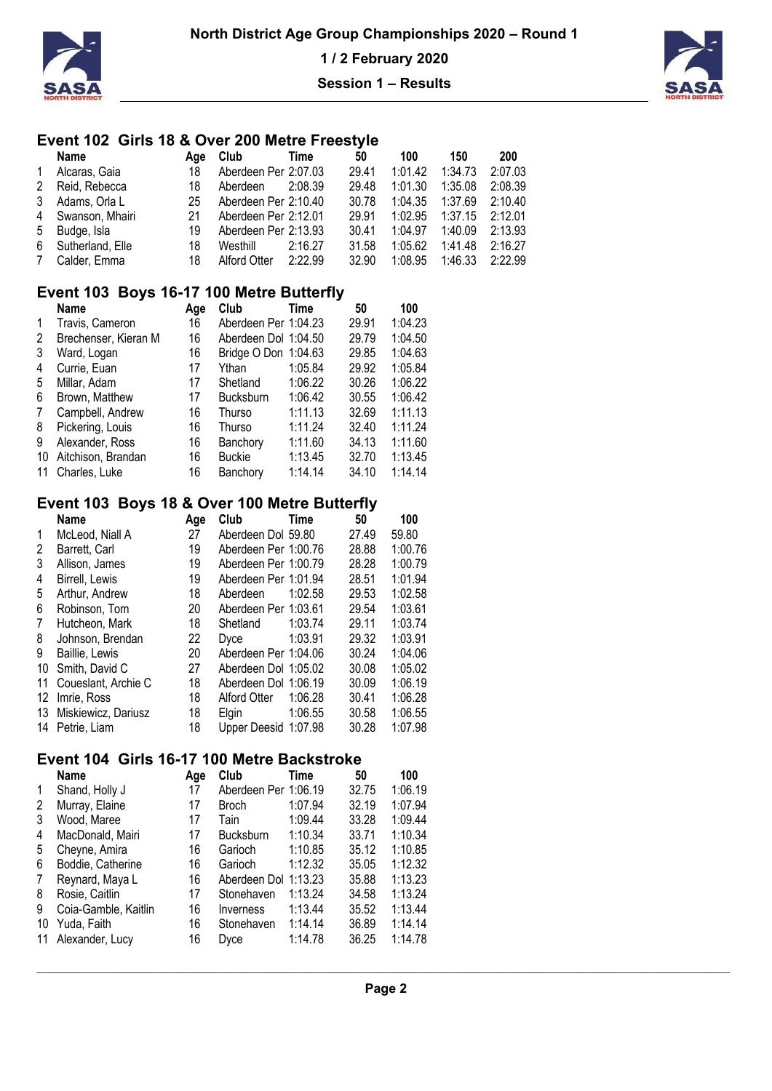



#### **Event 102 Girls 18 & Over 200 Metre Freestyle**

|   | <b>Name</b>      | Aae | Club                 | Time    | 50    | 100     | 150     | 200     |
|---|------------------|-----|----------------------|---------|-------|---------|---------|---------|
|   | Alcaras, Gaia    | 18  | Aberdeen Per 2:07.03 |         | 29.41 | 1:01.42 | 1:34.73 | 2:07.03 |
| 2 | Reid, Rebecca    | 18  | Aberdeen             | 2:08.39 | 29.48 | 1:01.30 | 1:35.08 | 2:08.39 |
| 3 | Adams, Orla L    | 25  | Aberdeen Per 2:10.40 |         | 30.78 | 1:04.35 | 1:37.69 | 2:10.40 |
| 4 | Swanson, Mhairi  | 21  | Aberdeen Per 2:12.01 |         | 29.91 | 1:02.95 | 1:37.15 | 2:12.01 |
| 5 | Budge, Isla      | 19  | Aberdeen Per 2:13.93 |         | 30.41 | 1:04.97 | 1:40.09 | 2:13.93 |
| 6 | Sutherland, Elle | 18  | Westhill             | 2:16.27 | 31.58 | 1:05.62 | 1:41.48 | 2:16.27 |
| 7 | Calder, Emma     | 18  | <b>Alford Otter</b>  | 2:22.99 | 32.90 | 1:08.95 | 1:46.33 | 2:22.99 |

#### **Event 103 Boys 16-17 100 Metre Butterfly**

|    | <b>Name</b>          | Age | Club                 | Time    | 50    | 100     |
|----|----------------------|-----|----------------------|---------|-------|---------|
| 1  | Travis, Cameron      | 16  | Aberdeen Per 1:04.23 |         | 29.91 | 1:04.23 |
| 2  | Brechenser, Kieran M | 16  | Aberdeen Dol 1:04.50 |         | 29.79 | 1:04.50 |
| 3  | Ward, Logan          | 16  | Bridge O Don 1:04.63 |         | 29.85 | 1:04.63 |
| 4  | Currie, Euan         | 17  | Ythan                | 1:05.84 | 29.92 | 1:05.84 |
| 5  | Millar, Adam         | 17  | Shetland             | 1:06.22 | 30.26 | 1:06.22 |
| 6  | Brown, Matthew       | 17  | <b>Bucksburn</b>     | 1:06.42 | 30.55 | 1:06.42 |
|    | Campbell, Andrew     | 16  | Thurso               | 1:11.13 | 32.69 | 1:11.13 |
| 8  | Pickering, Louis     | 16  | Thurso               | 1:11.24 | 32.40 | 1:11.24 |
| 9  | Alexander, Ross      | 16  | Banchory             | 1:11.60 | 34.13 | 1:11.60 |
| 10 | Aitchison, Brandan   | 16  | <b>Buckie</b>        | 1:13.45 | 32.70 | 1:13.45 |
| 11 | Charles, Luke        | 16  | Banchory             | 1:14.14 | 34.10 | 1:14.14 |

#### **Event 103 Boys 18 & Over 100 Metre Butterfly**

|                | Name                | Age | Club                 | Time    | 50    | 100     |
|----------------|---------------------|-----|----------------------|---------|-------|---------|
| 1              | McLeod. Niall A     | 27  | Aberdeen Dol 59.80   |         | 27.49 | 59.80   |
| 2              | Barrett, Carl       | 19  | Aberdeen Per 1:00.76 |         | 28.88 | 1:00.76 |
| 3              | Allison, James      | 19  | Aberdeen Per 1:00.79 |         | 28.28 | 1:00.79 |
| 4              | Birrell, Lewis      | 19  | Aberdeen Per 1:01.94 |         | 28.51 | 1:01.94 |
| 5              | Arthur, Andrew      | 18  | Aberdeen             | 1:02.58 | 29.53 | 1:02.58 |
| 6              | Robinson, Tom       | 20  | Aberdeen Per 1:03.61 |         | 29.54 | 1:03.61 |
| $\overline{7}$ | Hutcheon, Mark      | 18  | Shetland             | 1:03.74 | 29.11 | 1:03.74 |
| 8              | Johnson, Brendan    | 22  | Dyce                 | 1:03.91 | 29.32 | 1:03.91 |
| 9              | Baillie, Lewis      | 20  | Aberdeen Per 1:04.06 |         | 30.24 | 1:04.06 |
| 10             | Smith, David C      | 27  | Aberdeen Dol 1:05.02 |         | 30.08 | 1:05.02 |
| 11             | Coueslant, Archie C | 18  | Aberdeen Dol 1:06.19 |         | 30.09 | 1:06.19 |
| 12             | Imrie, Ross         | 18  | Alford Otter         | 1:06.28 | 30.41 | 1:06.28 |
| 13             | Miskiewicz, Dariusz | 18  | Elgin                | 1:06.55 | 30.58 | 1:06.55 |
| 14             | Petrie, Liam        | 18  | Upper Deesid 1:07.98 |         | 30.28 | 1:07.98 |

#### **Event 104 Girls 16-17 100 Metre Backstroke**

|              | Name                 | Age | Club                 | Time    | 50    | 100     |
|--------------|----------------------|-----|----------------------|---------|-------|---------|
| $\mathbf{1}$ | Shand, Holly J       | 17  | Aberdeen Per 1:06.19 |         | 32.75 | 1:06.19 |
| 2            | Murray, Elaine       | 17  | Broch                | 1:07.94 | 32.19 | 1:07.94 |
| 3            | Wood, Maree          | 17  | Tain                 | 1:09.44 | 33.28 | 1:09.44 |
| 4            | MacDonald, Mairi     | 17  | <b>Bucksburn</b>     | 1:10.34 | 33.71 | 1:10.34 |
| 5            | Cheyne, Amira        | 16  | Garioch              | 1:10.85 | 35.12 | 1:10.85 |
| 6            | Boddie, Catherine    | 16  | Garioch              | 1:12.32 | 35.05 | 1:12.32 |
| 7            | Reynard, Maya L      | 16  | Aberdeen Dol 1:13.23 |         | 35.88 | 1:13.23 |
| 8            | Rosie, Caitlin       | 17  | Stonehaven           | 1:13.24 | 34.58 | 1:13.24 |
| 9            | Coia-Gamble, Kaitlin | 16  | Inverness            | 1:13.44 | 35.52 | 1:13.44 |
| 10           | Yuda, Faith          | 16  | Stonehaven           | 1:14.14 | 36.89 | 1:14.14 |
| 11           | Alexander, Lucy      | 16  | Dyce                 | 1:14.78 | 36.25 | 1:14.78 |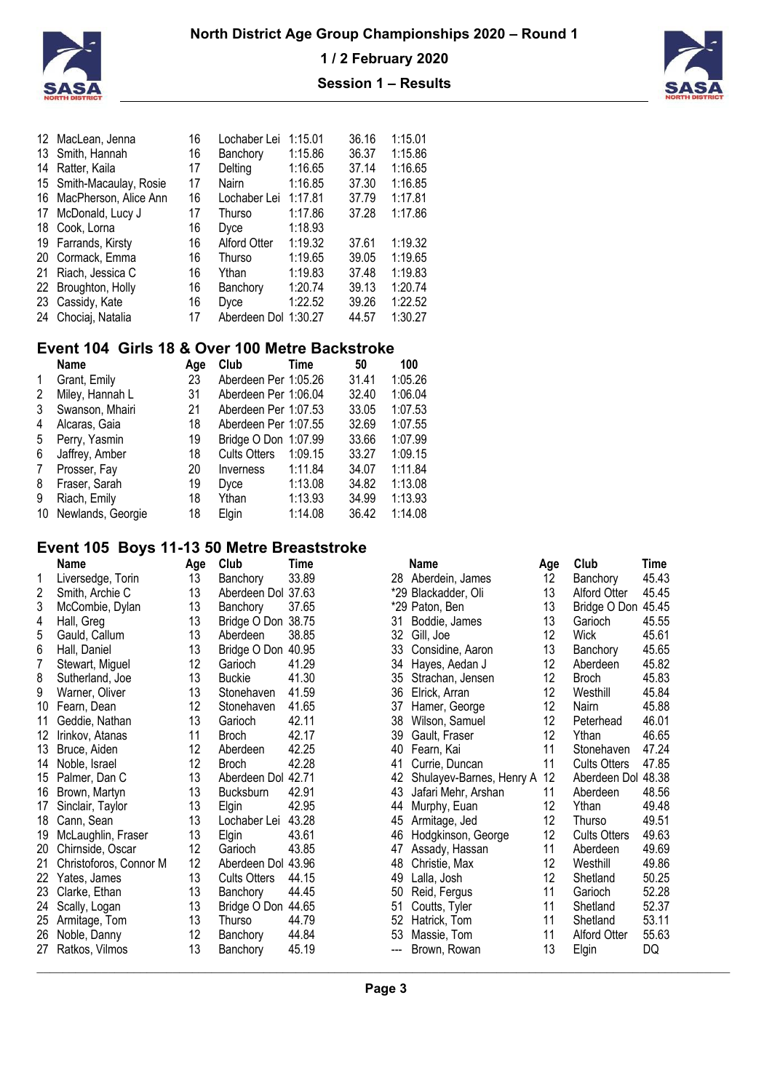**Session 1 – Results**



|    | 12 MacLean, Jenna        | 16 | Lochaber Lei         | 1:15.01 | 36.16 | 1:15.01 |
|----|--------------------------|----|----------------------|---------|-------|---------|
| 13 | Smith, Hannah            | 16 | Banchory             | 1:15.86 | 36.37 | 1:15.86 |
| 14 | Ratter, Kaila            | 17 | Delting              | 1:16.65 | 37.14 | 1:16.65 |
|    | 15 Smith-Macaulay, Rosie | 17 | Nairn                | 1:16.85 | 37.30 | 1:16.85 |
| 16 | MacPherson, Alice Ann    | 16 | Lochaber Lei         | 1:17.81 | 37.79 | 1:17.81 |
| 17 | McDonald, Lucy J         | 17 | Thurso               | 1:17.86 | 37.28 | 1:17.86 |
| 18 | Cook, Lorna              | 16 | Dyce                 | 1:18.93 |       |         |
|    | 19 Farrands, Kirsty      | 16 | <b>Alford Otter</b>  | 1:19.32 | 37.61 | 1:19.32 |
| 20 | Cormack, Emma            | 16 | Thurso               | 1:19.65 | 39.05 | 1:19.65 |
| 21 | Riach, Jessica C         | 16 | Ythan                | 1:19.83 | 37.48 | 1:19.83 |
|    | 22 Broughton, Holly      | 16 | Banchory             | 1:20.74 | 39.13 | 1:20.74 |
| 23 | Cassidy, Kate            | 16 | Dyce                 | 1:22.52 | 39.26 | 1:22.52 |
| 24 | Chociaj, Natalia         | 17 | Aberdeen Dol 1:30.27 |         | 44.57 | 1:30.27 |
|    |                          |    |                      |         |       |         |

#### **Event 104 Girls 18 & Over 100 Metre Backstroke**

|             | <b>Name</b>       | Age | Club                 | Time    | 50    | 100     |
|-------------|-------------------|-----|----------------------|---------|-------|---------|
| $\mathbf 1$ | Grant, Emily      | 23  | Aberdeen Per 1:05.26 |         | 31.41 | 1:05.26 |
| 2           | Miley, Hannah L   | 31  | Aberdeen Per 1:06.04 |         | 32.40 | 1:06.04 |
| 3           | Swanson, Mhairi   | 21  | Aberdeen Per 1:07.53 |         | 33.05 | 1:07.53 |
| 4           | Alcaras, Gaia     | 18  | Aberdeen Per 1:07.55 |         | 32.69 | 1:07.55 |
| 5           | Perry, Yasmin     | 19  | Bridge O Don 1:07.99 |         | 33.66 | 1:07.99 |
| 6           | Jaffrey, Amber    | 18  | <b>Cults Otters</b>  | 1:09.15 | 33.27 | 1:09.15 |
| 7           | Prosser, Fay      | 20  | Inverness            | 1:11.84 | 34.07 | 1:11.84 |
| 8           | Fraser, Sarah     | 19  | Dyce                 | 1:13.08 | 34.82 | 1:13.08 |
| 9           | Riach, Emily      | 18  | Ythan                | 1:13.93 | 34.99 | 1:13.93 |
| 10          | Newlands, Georgie | 18  | Elain                | 1:14.08 | 36.42 | 1:14.08 |

# **Event 105 Boys 11-13 50 Metre Breaststroke**

|                | <b>Name</b>            | Age | Club                | Time  |     | <b>Name</b>              | Age | Club                | <b>Time</b> |
|----------------|------------------------|-----|---------------------|-------|-----|--------------------------|-----|---------------------|-------------|
|                | Liversedge, Torin      | 13  | Banchory            | 33.89 | 28  | Aberdein, James          | 12  | Banchory            | 45.43       |
| $\overline{2}$ | Smith, Archie C        | 13  | Aberdeen Dol 37.63  |       |     | *29 Blackadder, Oli      | 13  | Alford Otter        | 45.45       |
| 3              | McCombie, Dylan        | 13  | Banchory            | 37.65 |     | *29 Paton, Ben           | 13  | Bridge O Don 45.45  |             |
| 4              | Hall, Greg             | 13  | Bridge O Don 38.75  |       | 31  | Boddie, James            | 13  | Garioch             | 45.55       |
| 5              | Gauld, Callum          | 13  | Aberdeen            | 38.85 | 32  | Gill, Joe                | 12  | Wick                | 45.61       |
| 6              | Hall, Daniel           | 13  | Bridge O Don 40.95  |       | 33. | Considine, Aaron         | 13  | Banchory            | 45.65       |
|                | Stewart, Miguel        | 12  | Garioch             | 41.29 | 34  | Hayes, Aedan J           | 12  | Aberdeen            | 45.82       |
| 8              | Sutherland, Joe        | 13  | <b>Buckie</b>       | 41.30 | 35  | Strachan, Jensen         | 12  | <b>Broch</b>        | 45.83       |
| 9              | Warner, Oliver         | 13  | Stonehaven          | 41.59 | 36  | Elrick, Arran            | 12  | Westhill            | 45.84       |
| 10             | Fearn, Dean            | 12  | Stonehaven          | 41.65 | 37  | Hamer, George            | 12  | Nairn               | 45.88       |
| 11             | Geddie, Nathan         | 13  | Garioch             | 42.11 | 38  | Wilson, Samuel           | 12  | Peterhead           | 46.01       |
| 12             | Irinkov, Atanas        | 11  | <b>Broch</b>        | 42.17 | 39  | Gault, Fraser            | 12  | Ythan               | 46.65       |
| 13             | Bruce, Aiden           | 12  | Aberdeen            | 42.25 | 40  | Fearn, Kai               | 11  | Stonehaven          | 47.24       |
| 14             | Noble, Israel          | 12  | <b>Broch</b>        | 42.28 | 41  | Currie, Duncan           | 11  | <b>Cults Otters</b> | 47.85       |
| 15             | Palmer, Dan C          | 13  | Aberdeen Dol 42.71  |       | 42  | Shulayev-Barnes, Henry A | 12  | Aberdeen Dol 48.38  |             |
| 16             | Brown, Martyn          | 13  | <b>Bucksburn</b>    | 42.91 | 43  | Jafari Mehr, Arshan      | 11  | Aberdeen            | 48.56       |
| 17             | Sinclair, Taylor       | 13  | Elgin               | 42.95 | 44  | Murphy, Euan             | 12  | Ythan               | 49.48       |
| 18             | Cann, Sean             | 13  | Lochaber Lei        | 43.28 | 45  | Armitage, Jed            | 12  | Thurso              | 49.51       |
| 19             | McLaughlin, Fraser     | 13  | Elgin               | 43.61 | 46  | Hodgkinson, George       | 12  | <b>Cults Otters</b> | 49.63       |
| 20             | Chirnside, Oscar       | 12  | Garioch             | 43.85 | 47  | Assady, Hassan           | 11  | Aberdeen            | 49.69       |
| 21             | Christoforos, Connor M | 12  | Aberdeen Dol 43.96  |       | 48  | Christie, Max            | 12  | Westhill            | 49.86       |
| 22             | Yates, James           | 13  | <b>Cults Otters</b> | 44.15 | 49  | Lalla, Josh              | 12  | Shetland            | 50.25       |
| 23             | Clarke, Ethan          | 13  | Banchory            | 44.45 | 50  | Reid, Fergus             | 11  | Garioch             | 52.28       |
| 24             | Scally, Logan          | 13  | Bridge O Don 44.65  |       | 51  | Coutts, Tyler            | 11  | Shetland            | 52.37       |
| 25             | Armitage, Tom          | 13  | Thurso              | 44.79 | 52  | Hatrick, Tom             | 11  | Shetland            | 53.11       |
| 26             | Noble, Danny           | 12  | Banchory            | 44.84 | 53  | Massie, Tom              | 11  | Alford Otter        | 55.63       |
| 27             | Ratkos, Vilmos         | 13  | Banchory            | 45.19 | --- | Brown, Rowan             | 13  | Elgin               | DQ          |
|                |                        |     |                     |       |     |                          |     |                     |             |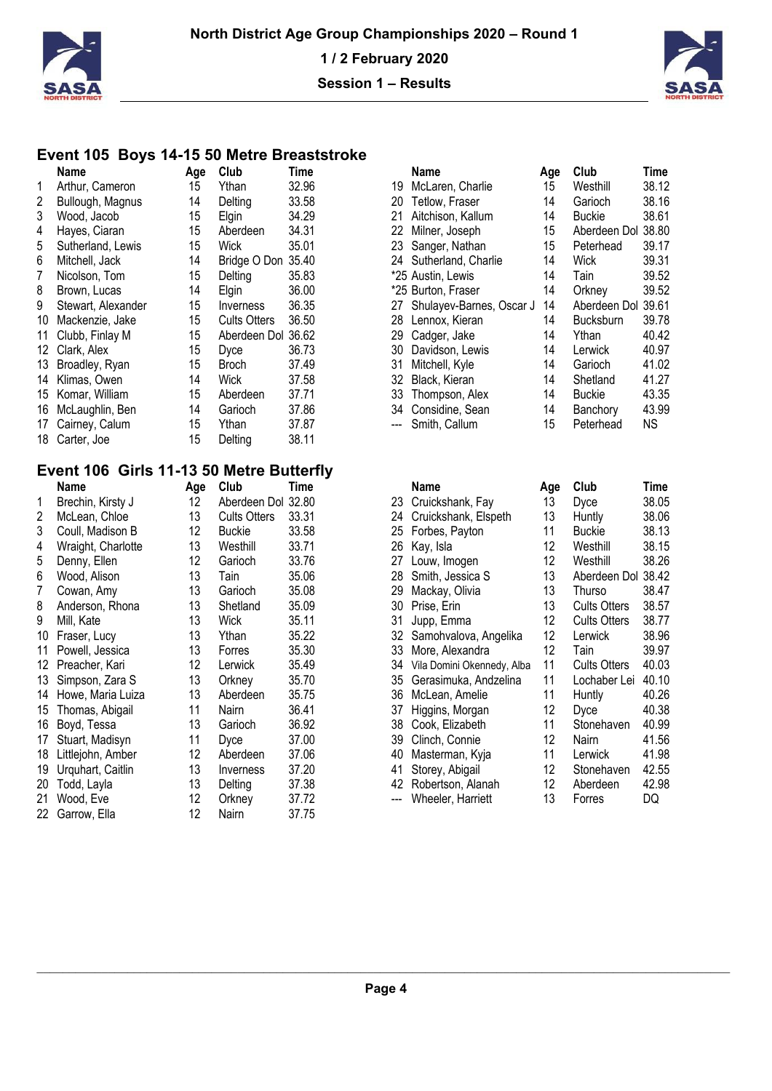



### **Event 105 Boys 14-15 50 Metre Breaststroke**

|    | <b>Name</b>        | Age | Club                | <b>Time</b> |
|----|--------------------|-----|---------------------|-------------|
| 1  | Arthur, Cameron    | 15  | Ythan               | 32.96       |
| 2  | Bullough, Magnus   | 14  | Delting             | 33.58       |
| 3  | Wood, Jacob        | 15  | Elgin               | 34.29       |
| 4  | Hayes, Ciaran      | 15  | Aberdeen            | 34.31       |
| 5  | Sutherland, Lewis  | 15  | Wick                | 35.01       |
| 6  | Mitchell, Jack     | 14  | Bridge O Don        | 35.40       |
| 7  | Nicolson, Tom      | 15  | Delting             | 35.83       |
| 8  | Brown, Lucas       | 14  | Elgin               | 36.00       |
| 9  | Stewart, Alexander | 15  | Inverness           | 36.35       |
| 10 | Mackenzie, Jake    | 15  | <b>Cults Otters</b> | 36.50       |
| 11 | Clubb, Finlay M    | 15  | Aberdeen Dol        | 36.62       |
| 12 | Clark, Alex        | 15  | Dyce                | 36.73       |
| 13 | Broadley, Ryan     | 15  | Broch               | 37.49       |
| 14 | Klimas, Owen       | 14  | Wick                | 37.58       |
| 15 | Komar, William     | 15  | Aberdeen            | 37.71       |
| 16 | McLaughlin, Ben    | 14  | Garioch             | 37.86       |
| 17 | Cairney, Calum     | 15  | Ythan               | 37.87       |
| 18 | Carter, Joe        | 15  | Delting             | 38.11       |

# **Event 106 Girls 11-13 50 Metre Butterfly**

|    | Name               | Age | Club                | Time  |
|----|--------------------|-----|---------------------|-------|
| 1  | Brechin, Kirsty J  | 12  | Aberdeen Dol        | 32.80 |
| 2  | McLean, Chloe      | 13  | <b>Cults Otters</b> | 33.31 |
| 3  | Coull, Madison B   | 12  | Buckie              | 33.58 |
| 4  | Wraight, Charlotte | 13  | Westhill            | 33.71 |
| 5  | Denny, Ellen       | 12  | Garioch             | 33.76 |
| 6  | Wood, Alison       | 13  | Tain                | 35.06 |
| 7  | Cowan, Amy         | 13  | Garioch             | 35.08 |
| 8  | Anderson, Rhona    | 13  | Shetland            | 35.09 |
| 9  | Mill, Kate         | 13  | Wick                | 35.11 |
| 10 | Fraser, Lucy       | 13  | Ythan               | 35.22 |
| 11 | Powell, Jessica    | 13  | Forres              | 35.30 |
| 12 | Preacher, Kari     | 12  | Lerwick             | 35.49 |
| 13 | Simpson, Zara S    | 13  | Orkney              | 35.70 |
| 14 | Howe, Maria Luiza  | 13  | Aberdeen            | 35.75 |
| 15 | Thomas, Abigail    | 11  | Nairn               | 36.41 |
| 16 | Boyd, Tessa        | 13  | Garioch             | 36.92 |
| 17 | Stuart, Madisyn    | 11  | Dyce                | 37.00 |
| 18 | Littlejohn, Amber  | 12  | Aberdeen            | 37.06 |
| 19 | Urquhart, Caitlin  | 13  | Inverness           | 37.20 |
| 20 | Todd, Layla        | 13  | Delting             | 37.38 |
| 21 | Wood, Eve          | 12  | Orkney              | 37.72 |
| 22 | Garrow, Ella       | 12  | Nairn               | 37.75 |

|    | Name                     | Age | Club             | <b>Time</b> |
|----|--------------------------|-----|------------------|-------------|
| 19 | McLaren, Charlie         | 15  | Westhill         | 38.12       |
| 20 | Tetlow, Fraser           | 14  | Garioch          | 38.16       |
| 21 | Aitchison, Kallum        | 14  | Buckie           | 38.61       |
| 22 | Milner, Joseph           | 15  | Aberdeen Dol     | 38.80       |
| 23 | Sanger, Nathan           | 15  | Peterhead        | 39.17       |
| 24 | Sutherland, Charlie      | 14  | Wick             | 39.31       |
|    | *25 Austin, Lewis        | 14  | Tain             | 39.52       |
|    | *25 Burton, Fraser       | 14  | Orkney           | 39.52       |
| 27 | Shulayev-Barnes, Oscar J | 14  | Aberdeen Dol     | 39.61       |
| 28 | Lennox, Kieran           | 14  | <b>Bucksburn</b> | 39.78       |
| 29 | Cadger, Jake             | 14  | Ythan            | 40.42       |
| 30 | Davidson, Lewis          | 14  | Lerwick          | 40.97       |
| 31 | Mitchell, Kyle           | 14  | Garioch          | 41.02       |
| 32 | Black, Kieran            | 14  | Shetland         | 41.27       |
| 33 | Thompson, Alex           | 14  | <b>Buckie</b>    | 43.35       |
| 34 | Considine, Sean          | 14  | Banchory         | 43.99       |
|    | Smith, Callum            | 15  | Peterhead        | ΝS          |

|     | Name                       | Age | Club                | Time  |
|-----|----------------------------|-----|---------------------|-------|
| 23  | Cruickshank, Fay           | 13  | Dyce                | 38.05 |
| 24  | Cruickshank, Elspeth       | 13  | Huntly              | 38.06 |
| 25  | Forbes, Payton             | 11  | <b>Buckie</b>       | 38.13 |
| 26  | Kay, Isla                  | 12  | Westhill            | 38.15 |
| 27  | Louw, Imogen               | 12  | Westhill            | 38.26 |
| 28  | Smith, Jessica S           | 13  | Aberdeen Dol        | 38.42 |
| 29  | Mackay, Olivia             | 13  | Thurso              | 38.47 |
| 30  | Prise, Erin                | 13  | Cults Otters        | 38.57 |
| 31  | Jupp, Emma                 | 12  | <b>Cults Otters</b> | 38.77 |
| 32  | Samohvalova, Angelika      | 12  | Lerwick             | 38.96 |
| 33  | More, Alexandra            | 12  | Tain                | 39.97 |
| 34  | Vila Domini Okennedy, Alba | 11  | Cults Otters        | 40.03 |
| 35  | Gerasimuka, Andzelina      | 11  | Lochaber Lei        | 40.10 |
| 36  | McLean, Amelie             | 11  | Huntly              | 40.26 |
| 37  | Higgins, Morgan            | 12  | Dyce                | 40.38 |
| 38  | Cook, Elizabeth            | 11  | Stonehaven          | 40.99 |
| 39  | Clinch, Connie             | 12  | Nairn               | 41.56 |
| 40  | Masterman, Kyja            | 11  | Lerwick             | 41.98 |
| 41  | Storey, Abigail            | 12  | Stonehaven          | 42.55 |
| 42  | Robertson, Alanah          | 12  | Aberdeen            | 42.98 |
| --- | Wheeler, Harriett          | 13  | Forres              | DQ    |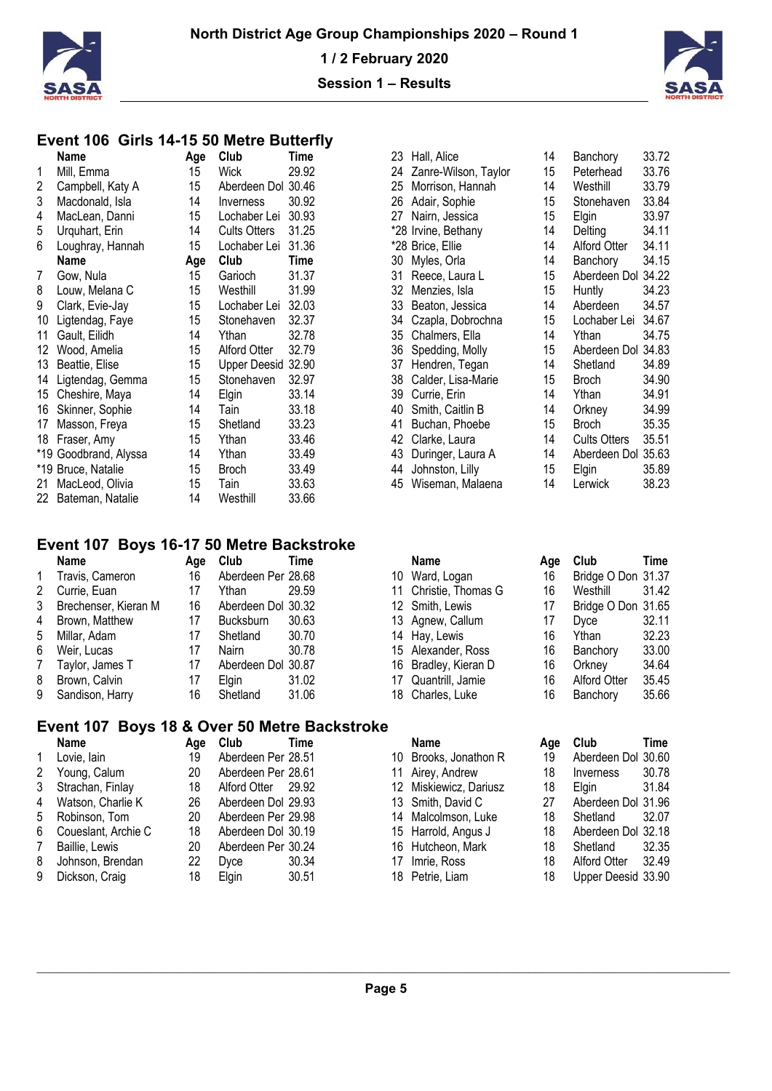



### **Event 106 Girls 14-15 50 Metre Butterfly**

|    | Name                  | Age | Club                | Time        |
|----|-----------------------|-----|---------------------|-------------|
| 1  | Mill, Emma            | 15  | Wick                | 29.92       |
| 2  | Campbell, Katy A      | 15  | Aberdeen Dol 30.46  |             |
| 3  | Macdonald, Isla       | 14  | Inverness           | 30.92       |
| 4  | MacLean, Danni        | 15  | Lochaber Lei        | 30.93       |
| 5  | Urquhart, Erin        | 14  | <b>Cults Otters</b> | 31.25       |
| 6  | Loughray, Hannah      | 15  | Lochaber Lei        | 31.36       |
|    | Name                  | Age | Club                | <b>Time</b> |
| 7  | Gow, Nula             | 15  | Garioch             | 31.37       |
| 8  | Louw, Melana C        | 15  | Westhill            | 31.99       |
| 9  | Clark, Evie-Jay       | 15  | Lochaber Lei        | 32.03       |
| 10 | Ligtendag, Faye       | 15  | Stonehaven          | 32.37       |
| 11 | Gault, Eilidh         | 14  | Ythan               | 32.78       |
| 12 | Wood, Amelia          | 15  | <b>Alford Otter</b> | 32.79       |
| 13 | Beattie, Elise        | 15  | <b>Upper Deesid</b> | 32.90       |
| 14 | Ligtendag, Gemma      | 15  | Stonehaven          | 32.97       |
| 15 | Cheshire, Maya        | 14  | Elgin               | 33.14       |
| 16 | Skinner, Sophie       | 14  | Tain                | 33.18       |
| 17 | Masson, Freya         | 15  | Shetland            | 33.23       |
| 18 | Fraser, Amy           | 15  | Ythan               | 33.46       |
|    | *19 Goodbrand, Alyssa | 14  | Ythan               | 33.49       |
|    | *19 Bruce, Natalie    | 15  | <b>Broch</b>        | 33.49       |
| 21 | MacLeod, Olivia       | 15  | Tain                | 33.63       |
| 22 | Bateman, Natalie      | 14  | Westhill            | 33.66       |

#### **Event 107 Boys 16-17 50 Metre Backstroke**

|             | <b>Name</b>          | Age | Club               | <b>Time</b> |
|-------------|----------------------|-----|--------------------|-------------|
| $\mathbf 1$ | Travis, Cameron      | 16  | Aberdeen Per 28.68 |             |
| 2           | Currie, Euan         | 17  | Ythan              | 29.59       |
| 3           | Brechenser, Kieran M | 16  | Aberdeen Dol 30.32 |             |
| 4           | Brown, Matthew       | 17  | Bucksburn          | 30.63       |
| 5           | Millar, Adam         | 17  | Shetland           | 30.70       |
| 6           | Weir, Lucas          | 17  | Nairn              | 30.78       |
| 7           | Taylor, James T      | 17  | Aberdeen Dol 30.87 |             |
| 8           | Brown, Calvin        | 17  | Elgin              | 31.02       |
| 9           | Sandison, Harry      | 16  | Shetland           | 31.06       |

### **Event 107 Boys 18 & Over 50 Metre Backstroke**

|   | <b>Name</b>         | Age | Club               | Time  |
|---|---------------------|-----|--------------------|-------|
| 1 | Lovie, lain         | 19  | Aberdeen Per 28.51 |       |
| 2 | Young, Calum        | 20  | Aberdeen Per 28.61 |       |
| 3 | Strachan, Finlay    | 18  | Alford Otter 29.92 |       |
| 4 | Watson, Charlie K   | 26  | Aberdeen Dol 29.93 |       |
| 5 | Robinson, Tom       | 20  | Aberdeen Per 29.98 |       |
| 6 | Coueslant, Archie C | 18  | Aberdeen Dol 30.19 |       |
| 7 | Baillie, Lewis      | 20  | Aberdeen Per 30.24 |       |
| 8 | Johnson, Brendan    | 22  | Dyce               | 30.34 |
| 9 | Dickson, Craig      | 18  | Elgin              | 30.51 |
|   |                     |     |                    |       |

| 23 | Hall, Alice          | 14 | Banchory            | 33.72 |
|----|----------------------|----|---------------------|-------|
| 24 | Zanre-Wilson, Taylor | 15 | Peterhead           | 33.76 |
| 25 | Morrison, Hannah     | 14 | Westhill            | 33.79 |
| 26 | Adair, Sophie        | 15 | Stonehaven          | 33.84 |
| 27 | Nairn, Jessica       | 15 | Elgin               | 33.97 |
|    | *28 Irvine, Bethany  | 14 | Delting             | 34.11 |
|    | *28 Brice, Ellie     | 14 | <b>Alford Otter</b> | 34.11 |
| 30 | Myles, Orla          | 14 | Banchory            | 34.15 |
| 31 | Reece, Laura L       | 15 | Aberdeen Dol        | 34.22 |
| 32 | Menzies, Isla        | 15 | Huntly              | 34.23 |
| 33 | Beaton, Jessica      | 14 | Aberdeen            | 34.57 |
| 34 | Czapla, Dobrochna    | 15 | Lochaber Lei        | 34.67 |
| 35 | Chalmers, Ella       | 14 | Ythan               | 34.75 |
| 36 | Spedding, Molly      | 15 | Aberdeen Dol 34.83  |       |
| 37 | Hendren, Tegan       | 14 | Shetland            | 34.89 |
| 38 | Calder, Lisa-Marie   | 15 | Broch               | 34.90 |
| 39 | Currie, Erin         | 14 | Ythan               | 34.91 |
| 40 | Smith, Caitlin B     | 14 | Orkney              | 34.99 |
| 41 | Buchan, Phoebe       | 15 | <b>Broch</b>        | 35.35 |
| 42 | Clarke, Laura        | 14 | Cults Otters        | 35.51 |
| 43 | Duringer, Laura A    | 14 | Aberdeen Dol 35.63  |       |
| 44 | Johnston, Lilly      | 15 | Elgin               | 35.89 |
| 45 | Wiseman, Malaena     | 14 | Lerwick             | 38.23 |

10 Ward, Logan 11 Christie, Thomas G 12 Smith, Lewis 13 Agnew, Callum 14 Hay, Lewis 15 Alexander, Ross 16 Bradley, Kieran D 17 Quantrill, Jamie 18 Charles, Luke

| 5 | Stonehaven          | 33.84 |
|---|---------------------|-------|
| 5 | Elgin               | 33.97 |
| 4 | Delting             | 34.11 |
| 4 | <b>Alford Otter</b> | 34.11 |
| 4 | Banchory            | 34.15 |
| 5 | Aberdeen Dol        | 34.22 |
| 5 | Huntly              | 34.23 |
| 4 | Aberdeen            | 34.57 |
| 5 | Lochaber Lei        | 34.67 |
| 4 | Ythan               | 34.75 |
| 5 | Aberdeen Dol        | 34.83 |
| 4 | Shetland            | 34.89 |
| 5 | Broch               | 34.90 |
| 4 | Ythan               | 34.91 |
| 4 | Orkney              | 34.99 |
| 5 | Broch               | 35.35 |
| 4 | <b>Cults Otters</b> | 35.51 |
| 4 | Aberdeen Dol 35.63  |       |
| c | <b>Flain</b>        | חם פפ |

| Age | Club                | Time  |
|-----|---------------------|-------|
| 16  | Bridge O Don 31.37  |       |
| 16  | Westhill            | 31.42 |
| 17  | Bridge O Don 31.65  |       |
| 17  | Dyce                | 32.11 |
| 16  | Ythan               | 32.23 |
| 16  | Banchory            | 33.00 |
| 16  | Orkney              | 34.64 |
| 16  | <b>Alford Otter</b> | 35.45 |
| 16  | Banchory            | 35.66 |
|     |                     |       |
|     |                     |       |

| Name                   | Age | Club               | Time  |
|------------------------|-----|--------------------|-------|
| 10 Brooks, Jonathon R  | 19  | Aberdeen Dol 30.60 |       |
| 11 Airey, Andrew       | 18  | Inverness          | 30.78 |
| 12 Miskiewicz, Dariusz | 18  | Elgin              | 31.84 |
| 13 Smith, David C      | 27  | Aberdeen Dol 31.96 |       |
| 14 Malcolmson, Luke    | 18  | Shetland           | 32.07 |
| 15 Harrold, Angus J    | 18  | Aberdeen Dol 32.18 |       |
| 16 Hutcheon, Mark      | 18  | Shetland           | 32.35 |
| 17 Imrie, Ross         | 18  | Alford Otter       | 32.49 |

18 Petrie, Liam 18 Upper Deesid 33.90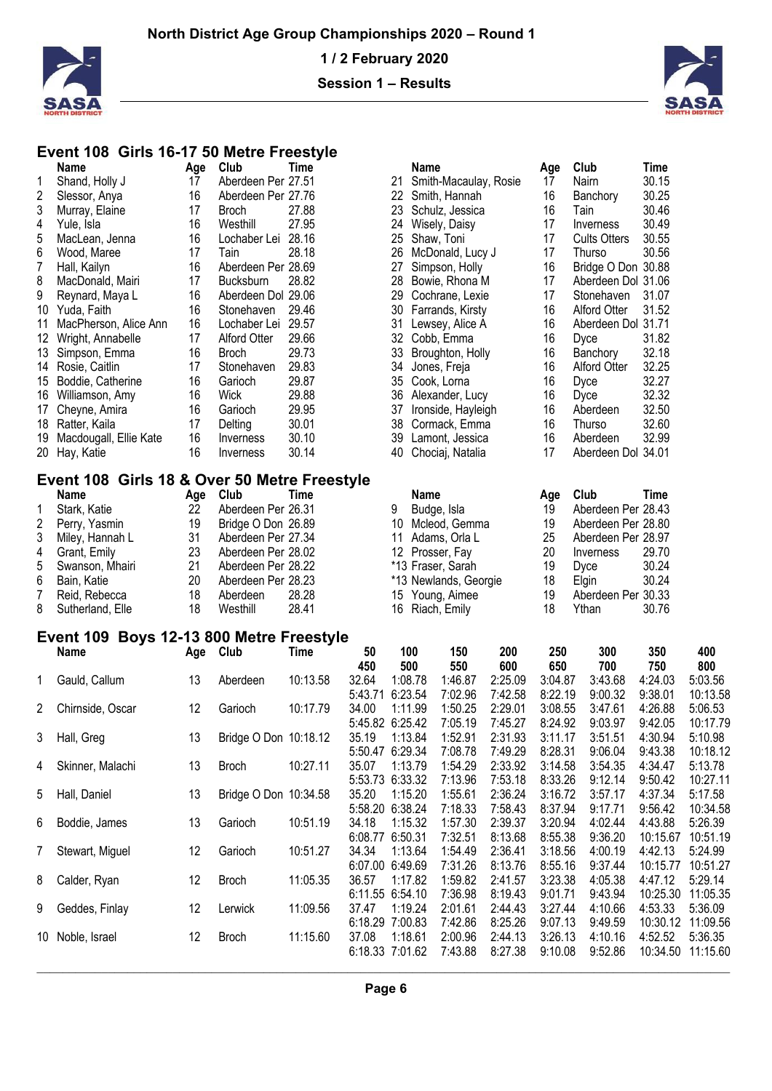

 **/ 2 February 2020 Session 1 – Results**



### **Event 108 Girls 16-17 50 Metre Freestyle**

|                 | Name                                         | Age      | Club                           | Time           |                 |         | Name    |                       |         | Age      | Club                        | Time     |                   |
|-----------------|----------------------------------------------|----------|--------------------------------|----------------|-----------------|---------|---------|-----------------------|---------|----------|-----------------------------|----------|-------------------|
| 1               | Shand, Holly J                               | 17       | Aberdeen Per 27.51             |                |                 | 21      |         | Smith-Macaulay, Rosie |         | 17       | Nairn                       | 30.15    |                   |
| 2               | Slessor, Anya                                | 16       | Aberdeen Per 27.76             |                |                 |         |         | 22 Smith, Hannah      |         | 16       | Banchory                    | 30.25    |                   |
| 3               | Murray, Elaine                               | 17       | <b>Broch</b>                   | 27.88          |                 | 23      |         | Schulz, Jessica       |         | 16       | Tain                        | 30.46    |                   |
| 4               | Yule, Isla                                   | 16       | Westhill                       | 27.95          |                 | 24      |         | Wisely, Daisy         |         | 17       | Inverness                   | 30.49    |                   |
| 5               | MacLean, Jenna                               | 16       | Lochaber Lei 28.16             |                |                 | 25      |         | Shaw, Toni            |         | 17       | <b>Cults Otters</b>         | 30.55    |                   |
| 6               | Wood, Maree                                  | 17       | Tain                           | 28.18          |                 | 26      |         | McDonald, Lucy J      |         | 17       | Thurso                      | 30.56    |                   |
| 7               | Hall, Kailyn                                 | 16       | Aberdeen Per 28.69             |                |                 | 27      |         | Simpson, Holly        |         | 16       | Bridge O Don 30.88          |          |                   |
| 8               | MacDonald, Mairi                             | 17       | <b>Bucksburn</b>               | 28.82          |                 |         |         | 28 Bowie, Rhona M     |         | 17       | Aberdeen Dol 31.06          |          |                   |
| 9               | Reynard, Maya L                              | 16       | Aberdeen Dol 29.06             |                |                 | 29      |         | Cochrane, Lexie       |         | 17       | Stonehaven                  | 31.07    |                   |
| 10              | Yuda, Faith                                  | 16       | Stonehaven                     | 29.46          |                 |         |         | 30 Farrands, Kirsty   |         | 16       | Alford Otter                | 31.52    |                   |
| 11              | MacPherson, Alice Ann                        | 16       | Lochaber Lei 29.57             |                |                 | 31      |         | Lewsey, Alice A       |         | 16       | Aberdeen Dol 31.71          |          |                   |
| 12              | Wright, Annabelle                            | 17       | <b>Alford Otter</b>            | 29.66          |                 |         |         | 32 Cobb, Emma         |         | 16       | Dyce                        | 31.82    |                   |
| 13 <sup>°</sup> | Simpson, Emma                                | 16       | <b>Broch</b>                   | 29.73          |                 | 33      |         | Broughton, Holly      |         | 16       | Banchory                    | 32.18    |                   |
|                 | 14 Rosie, Caitlin                            | 17       | Stonehaven                     | 29.83          |                 | 34      |         | Jones, Freja          |         | 16       | Alford Otter                | 32.25    |                   |
|                 | 15 Boddie, Catherine                         | 16       | Garioch                        | 29.87          |                 | 35      |         | Cook, Lorna           |         | 16       | Dyce                        | 32.27    |                   |
|                 | 16 Williamson, Amy                           | 16       | Wick                           | 29.88          |                 | 36      |         | Alexander, Lucy       |         | 16       | Dyce                        | 32.32    |                   |
| 17              | Cheyne, Amira                                | 16       | Garioch                        | 29.95          |                 | 37      |         | Ironside, Hayleigh    |         | 16       | Aberdeen                    | 32.50    |                   |
|                 | 18 Ratter, Kaila                             | 17       | Delting                        | 30.01          |                 | 38      |         | Cormack, Emma         |         | 16       | Thurso                      | 32.60    |                   |
|                 | 19 Macdougall, Ellie Kate                    | 16       | Inverness                      | 30.10          |                 |         |         | 39 Lamont, Jessica    |         | 16       | Aberdeen                    | 32.99    |                   |
|                 | 20 Hay, Katie                                | 16       | Inverness                      | 30.14          |                 | 40      |         | Chociaj, Natalia      |         | 17       | Aberdeen Dol 34.01          |          |                   |
|                 |                                              |          |                                |                |                 |         |         |                       |         |          |                             |          |                   |
|                 | Event 108 Girls 18 & Over 50 Metre Freestyle |          |                                |                |                 |         |         |                       |         |          |                             |          |                   |
|                 | Name                                         | Age      | Club<br>Aberdeen Per 26.31     | Time           |                 |         | Name    |                       |         | Age      | Club<br>Aberdeen Per 28.43  | Time     |                   |
| 1               | Stark, Katie                                 | 22       |                                |                |                 | 9       |         | Budge, Isla           |         | 19       |                             |          |                   |
| 2               | Perry, Yasmin                                | 19       | Bridge O Don 26.89             |                |                 |         |         | 10 Mcleod, Gemma      |         | 19<br>25 | Aberdeen Per 28.80          |          |                   |
| 3               | Miley, Hannah L                              | 31       | Aberdeen Per 27.34             |                |                 |         |         | 11 Adams, Orla L      |         |          | Aberdeen Per 28.97          |          |                   |
| 4               | Grant, Emily                                 | 23       | Aberdeen Per 28.02             |                |                 |         |         | 12 Prosser, Fay       |         | 20       | Inverness                   | 29.70    |                   |
| 5               | Swanson, Mhairi                              | 21       | Aberdeen Per 28.22             |                |                 |         |         | *13 Fraser, Sarah     |         | 19       | Dyce                        | 30.24    |                   |
| 6               | Bain, Katie                                  | 20       | Aberdeen Per 28.23             |                |                 |         |         | *13 Newlands, Georgie |         | 18       | Elgin                       | 30.24    |                   |
| 7<br>8          | Reid, Rebecca<br>Sutherland, Elle            | 18<br>18 | Aberdeen<br>Westhill           | 28.28<br>28.41 |                 |         |         | 15 Young, Aimee       |         | 19<br>18 | Aberdeen Per 30.33<br>Ythan | 30.76    |                   |
|                 |                                              |          |                                |                |                 |         |         | 16 Riach, Emily       |         |          |                             |          |                   |
|                 | Event 109                                    |          | Boys 12-13 800 Metre Freestyle |                |                 |         |         |                       |         |          |                             |          |                   |
|                 | Name                                         |          | Age Club                       | Time           | 50              |         | 100     | 150                   | 200     | 250      | 300                         | 350      | 400               |
|                 |                                              |          |                                |                | 450             |         | 500     | 550                   | 600     | 650      | 700                         | 750      | 800               |
| 1               | Gauld, Callum                                | 13       | Aberdeen                       | 10:13.58       | 32.64           |         | 1:08.78 | 1:46.87               | 2:25.09 | 3:04.87  | 3:43.68                     | 4:24.03  | 5:03.56           |
|                 |                                              |          |                                |                | 5:43.71         | 6:23.54 |         | 7:02.96               | 7:42.58 | 8:22.19  | 9:00.32                     | 9:38.01  | 10:13.58          |
| 2               | Chirnside, Oscar                             | 12       | Garioch                        | 10:17.79       | 34.00           |         | 1:11.99 | 1:50.25               | 2:29.01 | 3:08.55  | 3:47.61                     | 4:26.88  | 5:06.53           |
|                 |                                              |          |                                |                | 5:45.82 6:25.42 |         |         | 7:05.19               | 7:45.27 | 8:24.92  | 9:03.97                     | 9:42.05  | 10:17.79          |
| 3               | Hall, Greg                                   | 13       | Bridge O Don 10:18.12          |                | 35.19           | 1:13.84 |         | 1:52.91               | 2:31.93 | 3:11.17  | 3:51.51                     | 4:30.94  | 5:10.98           |
|                 |                                              |          |                                |                | 5:50.47 6:29.34 |         |         | 7:08.78               | 7:49.29 | 8:28.31  | 9:06.04                     | 9:43.38  | 10:18.12          |
|                 | 4 Skinner, Malachi                           | 13       | Broch                          | 10:27.11       | 35.07           |         | 1:13.79 | 1:54.29               | 2:33.92 | 3:14.58  | 3:54.35                     | 4:34.47  | 5:13.78           |
|                 |                                              |          |                                |                | 5:53.73 6:33.32 |         |         | 7:13.96               | 7:53.18 | 8:33.26  | 9:12.14                     | 9:50.42  | 10:27.11          |
| 5               | Hall, Daniel                                 | 13       | Bridge O Don 10:34.58          |                | 35.20           |         | 1:15.20 | 1:55.61               | 2:36.24 | 3:16.72  | 3:57.17                     | 4:37.34  | 5:17.58           |
|                 |                                              |          |                                |                | 5:58.20 6:38.24 |         |         | 7:18.33               | 7:58.43 | 8:37.94  | 9:17.71                     | 9:56.42  | 10:34.58          |
| 6               | Boddie, James                                | 13       | Garioch                        | 10:51.19       | 34.18           |         | 1:15.32 | 1:57.30               | 2:39.37 | 3:20.94  | 4:02.44                     | 4:43.88  | 5:26.39           |
|                 |                                              |          |                                |                | 6:08.77 6:50.31 |         |         | 7:32.51               | 8:13.68 | 8:55.38  | 9:36.20                     | 10:15.67 | 10:51.19          |
|                 | 7 Stewart, Miguel                            | 12       | Garioch                        | 10:51.27       | 34.34           |         | 1:13.64 | 1:54.49               | 2:36.41 | 3:18.56  | 4:00.19                     | 4:42.13  | 5:24.99           |
|                 |                                              |          |                                |                | 6:07.00 6:49.69 |         |         | 7:31.26               | 8:13.76 | 8:55.16  | 9:37.44                     | 10:15.77 | 10:51.27          |
| 8               | Calder, Ryan                                 | 12       | Broch                          | 11:05.35       | 36.57           |         | 1:17.82 | 1:59.82               | 2:41.57 | 3:23.38  | 4:05.38                     | 4:47.12  | 5:29.14           |
|                 |                                              |          |                                |                | 6:11.55 6:54.10 |         |         | 7:36.98               | 8:19.43 | 9:01.71  | 9:43.94                     |          | 10:25.30 11:05.35 |
|                 | 9 Geddes, Finlay                             | 12       | Lerwick                        | 11:09.56       | 37.47           | 1:19.24 |         | 2:01.61               | 2:44.43 | 3:27.44  | 4:10.66                     | 4:53.33  | 5:36.09           |
|                 |                                              |          |                                |                | 6:18.29 7:00.83 |         |         | 7:42.86               | 8:25.26 | 9:07.13  | 9:49.59                     |          | 10:30.12 11:09.56 |
|                 | 10 Noble, Israel                             | 12       | <b>Broch</b>                   | 11:15.60       | 37.08           | 1:18.61 |         | 2:00.96               | 2:44.13 | 3:26.13  | 4:10.16                     | 4:52.52  | 5:36.35           |

6:18.33 7:01.62 7:43.88 8:27.38 9:10.08 9:52.86 10:34.50 11:15.60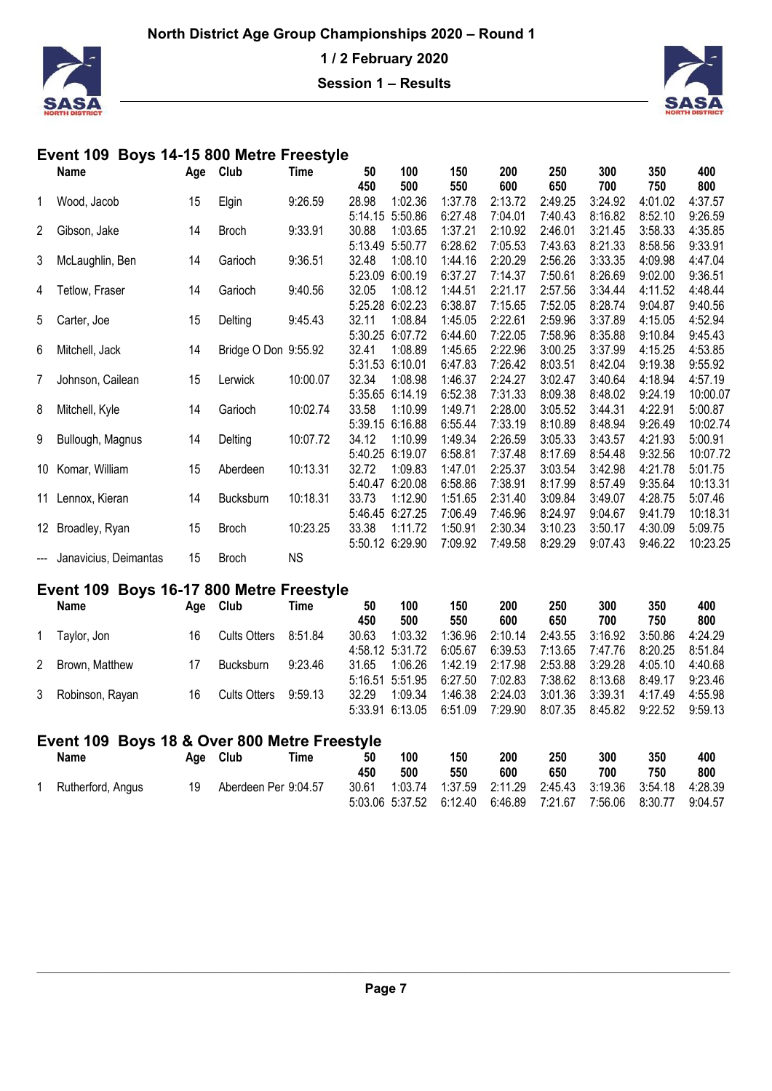

# **Event 109 Boys 14-15 800 Metre Freestyle**

|     | Name                  | Age | Club                           | Time      | 50               | 100                | 150                | 200                | 250                | 300                | 350                | 400                |
|-----|-----------------------|-----|--------------------------------|-----------|------------------|--------------------|--------------------|--------------------|--------------------|--------------------|--------------------|--------------------|
|     |                       |     |                                |           | 450              | 500                | 550                | 600                | 650                | 700                | 750                | 800                |
| 1   | Wood, Jacob           | 15  | Elgin                          | 9:26.59   | 28.98            | 1:02.36            | 1:37.78            | 2:13.72            | 2:49.25            | 3:24.92            | 4:01.02            | 4:37.57            |
|     |                       |     |                                |           | 5:14.15          | 5:50.86            | 6:27.48            | 7:04.01            | 7:40.43            | 8:16.82            | 8:52.10            | 9:26.59            |
| 2   | Gibson, Jake          | 14  | <b>Broch</b>                   | 9:33.91   | 30.88            | 1:03.65            | 1:37.21            | 2:10.92            | 2:46.01            | 3:21.45            | 3:58.33            | 4:35.85            |
|     |                       |     |                                |           | 5:13.49          | 5:50.77            | 6:28.62            | 7:05.53            | 7:43.63            | 8:21.33            | 8:58.56            | 9:33.91            |
| 3   | McLaughlin, Ben       | 14  | Garioch                        | 9:36.51   | 32.48            | 1:08.10            | 1:44.16            | 2:20.29            | 2:56.26            | 3:33.35            | 4:09.98            | 4:47.04            |
|     |                       |     |                                |           | 5:23.09          | 6:00.19            | 6:37.27            | 7:14.37            | 7:50.61            | 8:26.69            | 9:02.00            | 9:36.51            |
| 4   | Tetlow, Fraser        | 14  | Garioch                        | 9:40.56   | 32.05            | 1:08.12            | 1:44.51            | 2:21.17            | 2:57.56            | 3:34.44            | 4:11.52            | 4:48.44            |
|     |                       |     |                                |           | 5:25.28          | 6:02.23            | 6:38.87            | 7:15.65            | 7:52.05            | 8:28.74            | 9:04.87            | 9:40.56            |
| 5   | Carter, Joe           | 15  | Delting                        | 9:45.43   | 32.11<br>5:30.25 | 1:08.84            | 1:45.05            | 2:22.61            | 2:59.96            | 3:37.89            | 4:15.05            | 4:52.94            |
|     |                       | 14  |                                |           |                  | 6:07.72<br>1:08.89 | 6:44.60            | 7:22.05<br>2:22.96 | 7:58.96<br>3:00.25 | 8:35.88            | 9:10.84            | 9:45.43<br>4:53.85 |
| 6   | Mitchell, Jack        |     | Bridge O Don 9:55.92           |           | 32.41<br>5:31.53 | 6:10.01            | 1:45.65<br>6:47.83 | 7:26.42            | 8:03.51            | 3:37.99<br>8:42.04 | 4:15.25<br>9:19.38 | 9:55.92            |
| 7   | Johnson, Cailean      | 15  | Lerwick                        | 10:00.07  | 32.34            | 1:08.98            | 1:46.37            | 2:24.27            | 3:02.47            | 3:40.64            | 4:18.94            | 4:57.19            |
|     |                       |     |                                |           | 5:35.65          | 6:14.19            | 6:52.38            | 7:31.33            | 8:09.38            | 8:48.02            | 9:24.19            | 10:00.07           |
| 8   | Mitchell, Kyle        | 14  | Garioch                        | 10:02.74  | 33.58            | 1:10.99            | 1:49.71            | 2:28.00            | 3:05.52            | 3:44.31            | 4:22.91            | 5:00.87            |
|     |                       |     |                                |           | 5:39.15          | 6:16.88            | 6:55.44            | 7:33.19            | 8:10.89            | 8:48.94            | 9:26.49            | 10:02.74           |
| 9   | Bullough, Magnus      | 14  | Delting                        | 10:07.72  | 34.12            | 1:10.99            | 1:49.34            | 2:26.59            | 3:05.33            | 3:43.57            | 4:21.93            | 5:00.91            |
|     |                       |     |                                |           | 5:40.25          | 6:19.07            | 6:58.81            | 7:37.48            | 8:17.69            | 8:54.48            | 9:32.56            | 10:07.72           |
| 10  | Komar, William        | 15  | Aberdeen                       | 10:13.31  | 32.72            | 1:09.83            | 1:47.01            | 2:25.37            | 3:03.54            | 3:42.98            | 4:21.78            | 5:01.75            |
|     |                       |     |                                |           | 5:40.47          | 6:20.08            | 6:58.86            | 7:38.91            | 8:17.99            | 8:57.49            | 9:35.64            | 10:13.31           |
|     | 11 Lennox, Kieran     | 14  | Bucksburn                      | 10:18.31  | 33.73            | 1:12.90            | 1:51.65            | 2:31.40            | 3:09.84            | 3:49.07            | 4:28.75            | 5:07.46            |
|     |                       |     |                                |           | 5:46.45          | 6:27.25            | 7:06.49            | 7:46.96            | 8:24.97            | 9:04.67            | 9:41.79            | 10:18.31           |
| 12  | Broadley, Ryan        | 15  | <b>Broch</b>                   | 10:23.25  | 33.38            | 1:11.72            | 1:50.91            | 2:30.34            | 3:10.23            | 3:50.17            | 4:30.09            | 5:09.75            |
|     |                       |     |                                |           |                  | 5:50.12 6:29.90    | 7:09.92            | 7:49.58            | 8:29.29            | 9:07.43            | 9:46.22            | 10:23.25           |
| --- | Janavicius, Deimantas | 15  | <b>Broch</b>                   | <b>NS</b> |                  |                    |                    |                    |                    |                    |                    |                    |
|     | Event 109             |     | Boys 16-17 800 Metre Freestyle |           |                  |                    |                    |                    |                    |                    |                    |                    |
|     | Name                  | Age | Club                           | Time      | 50               | 100                | 150                | 200                | 250                | 300                | 350                | 400                |

|                   |    |                      |         | 450   | 500             | 550                             | 600             | 650                             | 700     | 750                                                     | 800     |
|-------------------|----|----------------------|---------|-------|-----------------|---------------------------------|-----------------|---------------------------------|---------|---------------------------------------------------------|---------|
| 1 Taylor, Jon     | 16 | Cults Otters 8:51.84 |         | 30.63 | 1:03.32         | 1:36.96                         | 2:10.14 2:43.55 |                                 | 3:16.92 | 3:50.86                                                 | 4:24.29 |
|                   |    |                      |         |       | 4:58.12 5:31.72 |                                 |                 |                                 |         | 6:05.67 6:39.53 7:13.65 7:47.76 8:20.25 8:51.84         |         |
| 2 Brown, Matthew  | 17 | Bucksburn            | 9:23.46 |       | 31.65 1:06.26   | 1:42.19                         |                 |                                 |         | 2:17.98  2:53.88  3:29.28  4:05.10  4:40.68             |         |
|                   |    |                      |         |       |                 |                                 |                 |                                 |         | 5:16.51 5:51.95 6:27.50 7:02.83 7:38.62 8:13.68 8:49.17 | 9:23.46 |
| 3 Robinson, Rayan | 16 | Cults Otters 9:59.13 |         | 32.29 | 1:09.34         | 1:46.38                         |                 | 2:24.03 3:01.36 3:39.31 4:17.49 |         |                                                         | 4:55.98 |
|                   |    |                      |         |       |                 | 5:33.91 6:13.05 6:51.09 7:29.90 |                 |                                 |         |                                                         | 9:59.13 |

# **Event 109 Boys 18 & Over 800 Metre Freestyle**

| Name              | Age | Club<br>Time         | 50<br>450 | 100<br>500 | 150<br>550              | 200<br>600                                                              | 250<br>650 | 300<br>700      | 350<br>750 | 400<br>800 |
|-------------------|-----|----------------------|-----------|------------|-------------------------|-------------------------------------------------------------------------|------------|-----------------|------------|------------|
| Rutherford, Angus | 19  | Aberdeen Per 9:04.57 | 30.61     | 1:03.74    | 5:03.06 5:37.52 6:12.40 | 1:37.59  2:11.29  2:45.43  3:19.36  3:54.18  4:28.39<br>6:46.89 7:21.67 |            | 7:56.06 8:30.77 |            | 9:04.57    |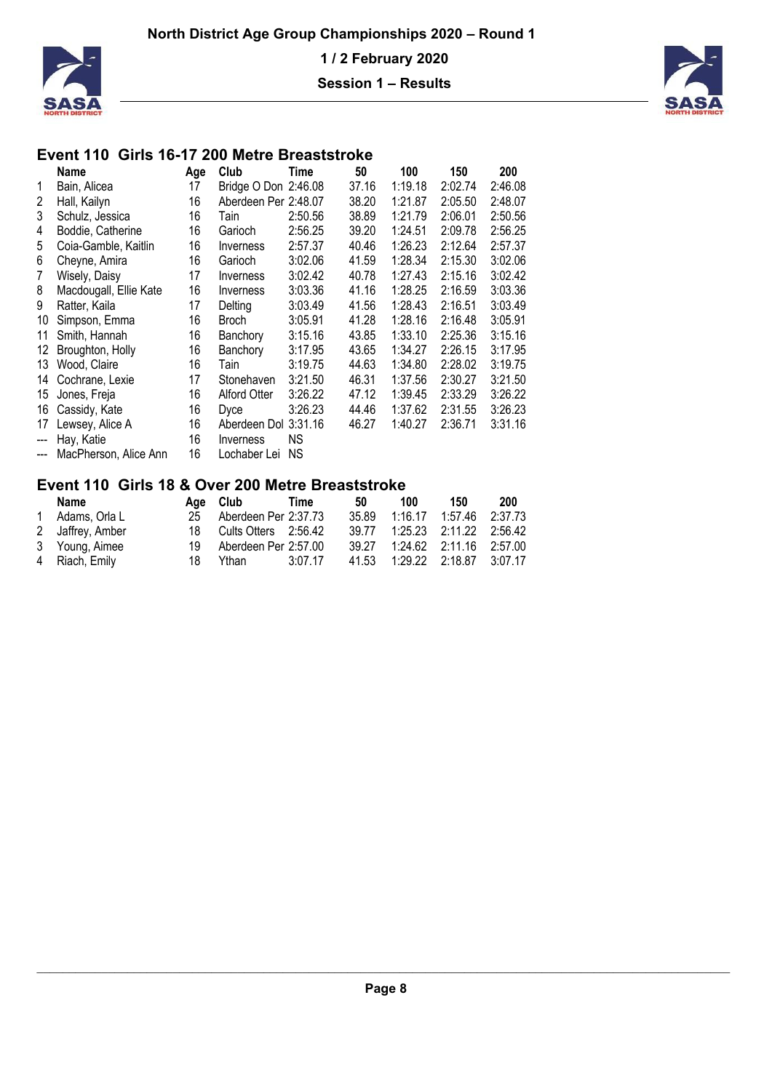



### **Event 110 Girls 16-17 200 Metre Breaststroke**

|     | Name                      | Age | Club                 | Time      | 50    | 100     | 150     | 200     |
|-----|---------------------------|-----|----------------------|-----------|-------|---------|---------|---------|
| 1   | Bain, Alicea              | 17  | Bridge O Don 2:46.08 |           | 37.16 | 1:19.18 | 2:02.74 | 2:46.08 |
| 2   | Hall, Kailyn              | 16  | Aberdeen Per 2:48.07 |           | 38.20 | 1:21.87 | 2:05.50 | 2:48.07 |
| 3   | Schulz, Jessica           | 16  | Tain                 | 2:50.56   | 38.89 | 1:21.79 | 2:06.01 | 2:50.56 |
| 4   | Boddie, Catherine         | 16  | Garioch              | 2:56.25   | 39.20 | 1:24.51 | 2:09.78 | 2:56.25 |
| 5   | Coia-Gamble, Kaitlin      | 16  | Inverness            | 2:57.37   | 40.46 | 1:26.23 | 2:12.64 | 2:57.37 |
| 6   | Cheyne, Amira             | 16  | Garioch              | 3:02.06   | 41.59 | 1:28.34 | 2:15.30 | 3:02.06 |
| 7   | Wisely, Daisy             | 17  | Inverness            | 3:02.42   | 40.78 | 1:27.43 | 2:15.16 | 3:02.42 |
| 8   | Macdougall, Ellie Kate    | 16  | Inverness            | 3:03.36   | 41.16 | 1:28.25 | 2:16.59 | 3:03.36 |
| 9   | Ratter, Kaila             | 17  | Delting              | 3:03.49   | 41.56 | 1:28.43 | 2:16.51 | 3:03.49 |
| 10  | Simpson, Emma             | 16  | <b>Broch</b>         | 3:05.91   | 41.28 | 1:28.16 | 2:16.48 | 3:05.91 |
| 11  | Smith, Hannah             | 16  | Banchory             | 3:15.16   | 43.85 | 1:33.10 | 2:25.36 | 3:15.16 |
| 12  | Broughton, Holly          | 16  | Banchory             | 3:17.95   | 43.65 | 1:34.27 | 2:26.15 | 3:17.95 |
| 13  | Wood, Claire              | 16  | Tain                 | 3:19.75   | 44.63 | 1:34.80 | 2:28.02 | 3:19.75 |
| 14  | Cochrane, Lexie           | 17  | Stonehaven           | 3:21.50   | 46.31 | 1:37.56 | 2:30.27 | 3:21.50 |
| 15  | Jones, Freja              | 16  | <b>Alford Otter</b>  | 3:26.22   | 47.12 | 1:39.45 | 2:33.29 | 3:26.22 |
| 16  | Cassidy, Kate             | 16  | <b>Dyce</b>          | 3:26.23   | 44.46 | 1:37.62 | 2:31.55 | 3:26.23 |
| 17  | Lewsey, Alice A           | 16  | Aberdeen Dol 3:31.16 |           | 46.27 | 1:40.27 | 2:36.71 | 3:31.16 |
| --- | Hay, Katie                | 16  | Inverness            | ΝS        |       |         |         |         |
|     | --- MacPherson, Alice Ann | 16  | Lochaber Lei         | <b>NS</b> |       |         |         |         |

# **Event 110 Girls 18 & Over 200 Metre Breaststroke**

| Name             |    | Age Club                | Time    | 50    | 100 | 150                           | 200 |
|------------------|----|-------------------------|---------|-------|-----|-------------------------------|-----|
| Adams, Orla L    |    | 25 Aberdeen Per 2:37.73 |         | 35.89 |     | 1:16.17  1:57.46  2:37.73     |     |
| 2 Jaffrey, Amber |    | 18 Cults Otters 2:56.42 |         | 39.77 |     | 1:25.23 2:11.22 2:56.42       |     |
| 3 Young, Aimee   |    | 19 Aberdeen Per 2:57.00 |         | 39.27 |     | 1:24.62 2:11.16 2:57.00       |     |
| 4 Riach, Emily   | 18 | Ythan                   | 3:07.17 |       |     | 41.53 1:29.22 2:18.87 3:07.17 |     |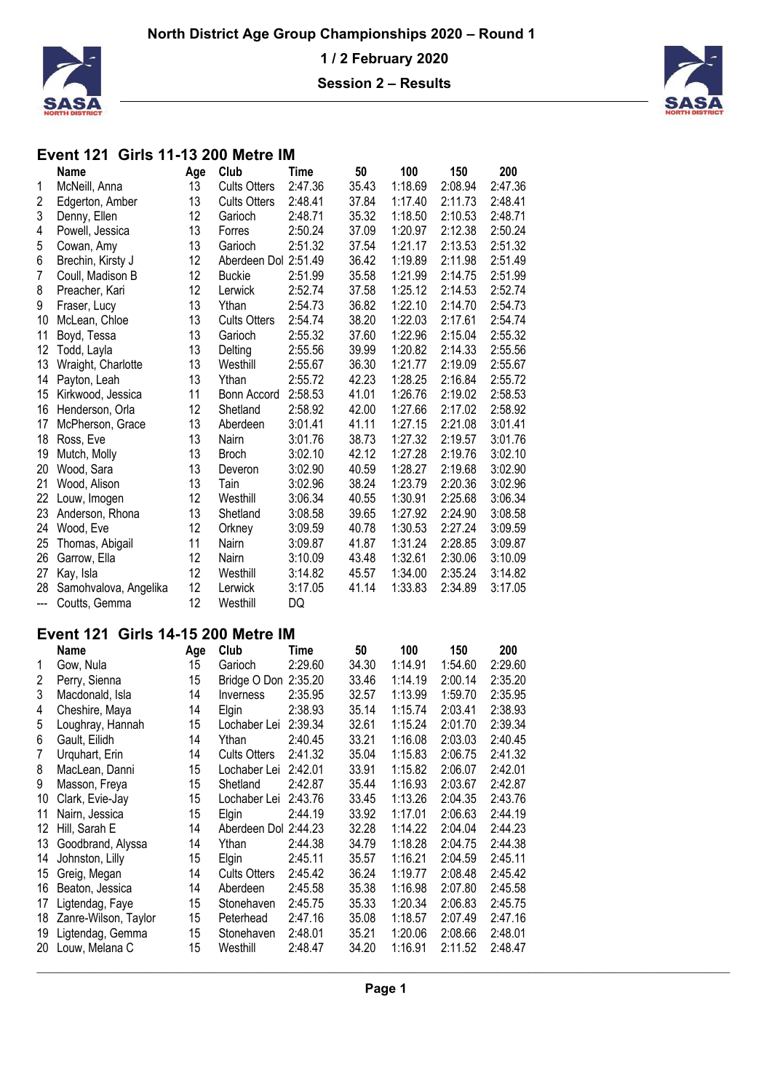



#### **Event 121 Girls 11-13 200 Metre IM**

|                | <b>Name</b>                             | Age       | Club                                        | <b>Time</b>        | 50             | 100                | 150                | 200                |
|----------------|-----------------------------------------|-----------|---------------------------------------------|--------------------|----------------|--------------------|--------------------|--------------------|
| 1              | McNeill, Anna                           | 13        | <b>Cults Otters</b>                         | 2:47.36            | 35.43          | 1:18.69            | 2:08.94            | 2:47.36            |
| $\overline{c}$ | Edgerton, Amber                         | 13        | <b>Cults Otters</b>                         | 2:48.41            | 37.84          | 1:17.40            | 2:11.73            | 2:48.41            |
| 3              | Denny, Ellen                            | 12        | Garioch                                     | 2:48.71            | 35.32          | 1:18.50            | 2:10.53            | 2:48.71            |
| 4              | Powell, Jessica                         | 13        | Forres                                      | 2:50.24            | 37.09          | 1:20.97            | 2:12.38            | 2:50.24            |
| 5              | Cowan, Amy                              | 13        | Garioch                                     | 2:51.32            | 37.54          | 1:21.17            | 2:13.53            | 2:51.32            |
| 6              | Brechin, Kirsty J                       | 12        | Aberdeen Dol 2:51.49                        |                    | 36.42          | 1:19.89            | 2:11.98            | 2:51.49            |
| 7              | Coull, Madison B                        | 12        | <b>Buckie</b>                               | 2:51.99            | 35.58          | 1:21.99            | 2:14.75            | 2:51.99            |
| 8              | Preacher, Kari                          | 12        | Lerwick                                     | 2:52.74            | 37.58          | 1:25.12            | 2:14.53            | 2:52.74            |
| 9              | Fraser, Lucy                            | 13        | Ythan                                       | 2:54.73            | 36.82          | 1:22.10            | 2:14.70            | 2:54.73            |
| 10             | McLean, Chloe                           | 13        | <b>Cults Otters</b>                         | 2:54.74            | 38.20          | 1:22.03            | 2:17.61            | 2:54.74            |
| 11             | Boyd, Tessa                             | 13        | Garioch                                     | 2:55.32            | 37.60          | 1:22.96            | 2:15.04            | 2:55.32            |
| 12             | Todd, Layla                             | 13        | Delting                                     | 2:55.56            | 39.99          | 1:20.82            | 2:14.33            | 2:55.56            |
| 13             | Wraight, Charlotte                      | 13        | Westhill                                    | 2:55.67            | 36.30          | 1:21.77            | 2:19.09            | 2:55.67            |
| 14             | Payton, Leah                            | 13        | Ythan                                       | 2:55.72            | 42.23          | 1:28.25            | 2:16.84            | 2:55.72            |
| 15             | Kirkwood, Jessica                       | 11        | Bonn Accord                                 | 2:58.53            | 41.01          | 1:26.76            | 2:19.02            | 2:58.53            |
| 16             | Henderson, Orla                         | 12        | Shetland                                    | 2:58.92            | 42.00          | 1:27.66            | 2:17.02            | 2:58.92            |
| 17             | McPherson, Grace                        | 13        | Aberdeen                                    | 3:01.41            | 41.11          | 1:27.15            | 2:21.08            | 3:01.41            |
| 18             | Ross, Eve                               | 13        | Nairn                                       | 3:01.76            | 38.73          | 1:27.32            | 2:19.57            | 3:01.76            |
| 19             | Mutch, Molly                            | 13        | <b>Broch</b>                                | 3:02.10            | 42.12          | 1:27.28            | 2:19.76            | 3:02.10            |
| 20             | Wood, Sara                              | 13        | Deveron                                     | 3:02.90            | 40.59          | 1:28.27            | 2:19.68            | 3:02.90            |
| 21             | Wood, Alison                            | 13        | Tain                                        | 3:02.96            | 38.24          | 1:23.79            | 2:20.36            | 3:02.96            |
| 22             | Louw, Imogen                            | 12        | Westhill                                    | 3:06.34            | 40.55          | 1:30.91            | 2:25.68            | 3:06.34            |
| 23             | Anderson, Rhona                         | 13        | Shetland                                    | 3:08.58            | 39.65          | 1:27.92            | 2:24.90            | 3:08.58            |
| 24             | Wood, Eve                               | 12        | Orkney                                      | 3:09.59            | 40.78          | 1:30.53            | 2:27.24            | 3:09.59            |
| 25             | Thomas, Abigail                         | 11        | Nairn                                       | 3:09.87            | 41.87          | 1:31.24            | 2:28.85            | 3:09.87            |
| 26             | Garrow, Ella                            | 12        | Nairn                                       | 3:10.09            | 43.48          | 1:32.61            | 2:30.06            | 3:10.09            |
| 27             | Kay, Isla                               | 12        | Westhill                                    | 3:14.82            | 45.57          | 1:34.00            | 2:35.24            | 3:14.82            |
| 28             | Samohvalova, Angelika                   | 12        | Lerwick                                     | 3:17.05            | 41.14          | 1:33.83            | 2:34.89            | 3:17.05            |
| ---            | Coutts, Gemma                           | 12        | Westhill                                    | DQ                 |                |                    |                    |                    |
|                | Event 121                               |           | <b>Girls 14-15 200 Metre IM</b>             |                    |                |                    |                    |                    |
|                | <b>Name</b>                             |           | Club                                        | <b>Time</b>        | 50             | 100                | 150                | 200                |
|                |                                         | Age<br>15 |                                             | 2:29.60            | 34.30          | 1:14.91            | 1:54.60            | 2:29.60            |
| 1              | Gow, Nula                               |           | Garioch                                     |                    |                |                    | 2:00.14            |                    |
| 2<br>3         | Perry, Sienna                           | 15<br>14  | Bridge O Don 2:35.20                        |                    | 33.46          | 1:14.19            |                    | 2:35.20<br>2:35.95 |
|                | Macdonald, Isla                         | 14        | Inverness                                   | 2:35.95            | 32.57<br>35.14 | 1:13.99<br>1:15.74 | 1:59.70            | 2:38.93            |
| 4<br>5         | Cheshire, Maya                          | 15        | Elgin<br>Lochaber Lei                       | 2:38.93<br>2:39.34 | 32.61          | 1:15.24            | 2:03.41<br>2:01.70 | 2:39.34            |
| 6              | Loughray, Hannah                        | 14        | Ythan                                       | 2:40.45            | 33.21          | 1:16.08            | 2:03.03            | 2:40.45            |
|                | Gault, Eilidh                           |           |                                             |                    |                |                    |                    |                    |
| 7              | Urquhart, Erin                          | 14        | <b>Cults Otters</b><br>Lochaber Lei 2:42.01 | 2:41.32            | 35.04<br>33.91 | 1:15.83            | 2:06.75            | 2:41.32            |
| 8              | MacLean, Danni                          | 15        |                                             |                    |                | 1:15.82            | 2:06.07            | 2:42.01            |
| 9              | Masson, Freya                           | 15        | Shetland                                    | 2:42.87            | 35.44          | 1:16.93<br>1:13.26 | 2:03.67            | 2:42.87            |
| 10             | Clark, Evie-Jay                         | 15        | Lochaber Lei 2:43.76                        |                    | 33.45          |                    | 2:04.35            | 2:43.76            |
| 11             | Nairn, Jessica                          | 15        | Elgin<br>Aberdeen Dol 2:44.23               | 2:44.19            | 33.92          | 1:17.01            | 2:06.63            | 2:44.19            |
| 12             | Hill, Sarah E                           | 14        |                                             |                    | 32.28          | 1:14.22            | 2:04.04            | 2:44.23            |
| 13             | Goodbrand, Alyssa                       | 14        | Ythan                                       | 2:44.38            | 34.79<br>35.57 | 1:18.28<br>1:16.21 | 2:04.75            | 2:44.38            |
| 14             | Johnston, Lilly                         | 15        | Elgin                                       | 2:45.11            |                |                    | 2:04.59<br>2:08.48 | 2:45.11            |
| 15             | Greig, Megan                            | 14        | <b>Cults Otters</b>                         | 2:45.42            | 36.24          | 1:19.77            | 2:07.80            | 2:45.42            |
| 16             | Beaton, Jessica                         | 14<br>15  | Aberdeen<br>Stonehaven                      | 2:45.58            | 35.38          | 1:16.98            |                    | 2:45.58            |
| 17<br>18       | Ligtendag, Faye<br>Zanre-Wilson, Taylor | 15        | Peterhead                                   | 2:45.75<br>2:47.16 | 35.33<br>35.08 | 1:20.34<br>1:18.57 | 2:06.83<br>2:07.49 | 2:45.75<br>2:47.16 |
| 19             | Ligtendag, Gemma                        | 15        | Stonehaven                                  | 2:48.01            | 35.21          | 1:20.06            | 2:08.66            | 2:48.01            |
|                | 20 Louw, Melana C                       | 15        | Westhill                                    | 2:48.47            | 34.20          | 1:16.91            | 2:11.52            | 2:48.47            |
|                |                                         |           |                                             |                    |                |                    |                    |                    |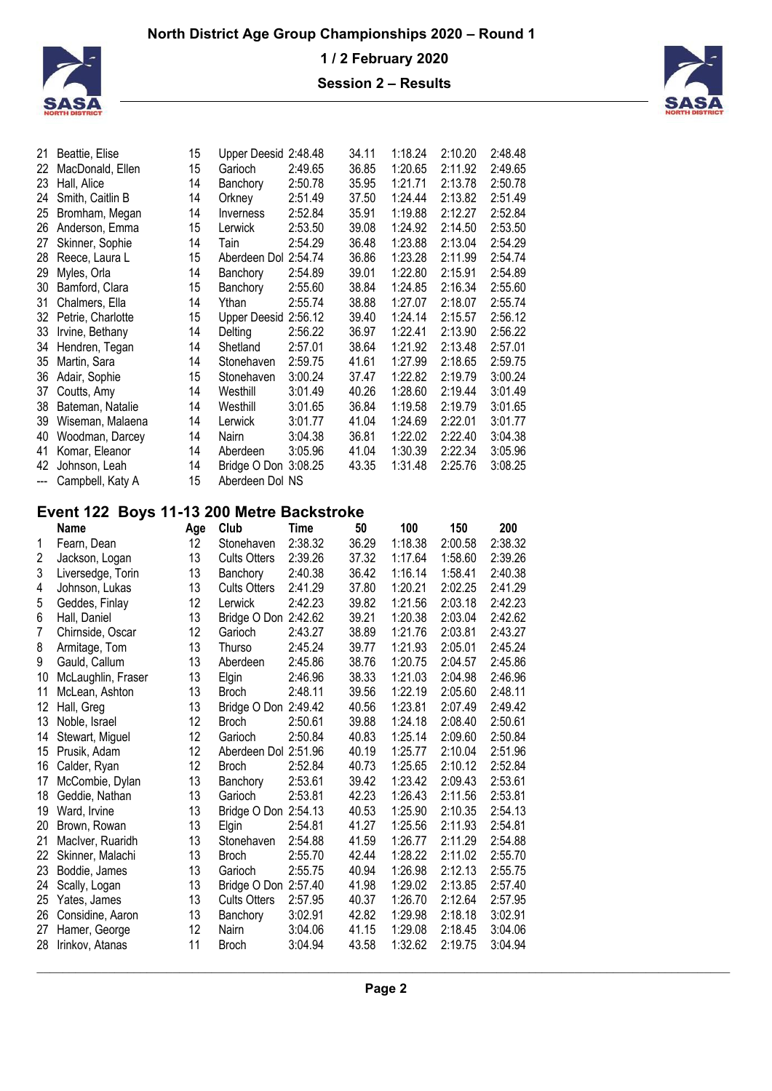

 **/ 2 February 2020 Session 2 – Results**



| 21  | Beattie, Elise    | 15 | Upper Deesid 2:48.48 |         | 34.11 | 1:18.24 | 2:10.20 | 2:48.48 |
|-----|-------------------|----|----------------------|---------|-------|---------|---------|---------|
| 22  | MacDonald, Ellen  | 15 | Garioch              | 2:49.65 | 36.85 | 1:20.65 | 2:11.92 | 2:49.65 |
| 23  | Hall, Alice       | 14 | Banchory             | 2:50.78 | 35.95 | 1:21.71 | 2:13.78 | 2:50.78 |
| 24  | Smith, Caitlin B  | 14 | Orkney               | 2:51.49 | 37.50 | 1:24.44 | 2:13.82 | 2:51.49 |
| 25  | Bromham, Megan    | 14 | Inverness            | 2:52.84 | 35.91 | 1:19.88 | 2:12.27 | 2:52.84 |
| 26  | Anderson, Emma    | 15 | Lerwick              | 2:53.50 | 39.08 | 1:24.92 | 2:14.50 | 2:53.50 |
| 27  | Skinner, Sophie   | 14 | Tain                 | 2:54.29 | 36.48 | 1:23.88 | 2:13.04 | 2:54.29 |
| 28  | Reece, Laura L    | 15 | Aberdeen Dol 2:54.74 |         | 36.86 | 1:23.28 | 2:11.99 | 2:54.74 |
| 29  | Myles, Orla       | 14 | Banchory             | 2:54.89 | 39.01 | 1:22.80 | 2:15.91 | 2:54.89 |
| 30  | Bamford, Clara    | 15 | Banchory             | 2:55.60 | 38.84 | 1:24.85 | 2:16.34 | 2:55.60 |
| 31  | Chalmers, Ella    | 14 | Ythan                | 2:55.74 | 38.88 | 1:27.07 | 2:18.07 | 2:55.74 |
| 32  | Petrie, Charlotte | 15 | Upper Deesid 2:56.12 |         | 39.40 | 1:24.14 | 2:15.57 | 2:56.12 |
| 33  | Irvine, Bethany   | 14 | Delting              | 2:56.22 | 36.97 | 1:22.41 | 2:13.90 | 2:56.22 |
| 34  | Hendren, Tegan    | 14 | Shetland             | 2:57.01 | 38.64 | 1:21.92 | 2:13.48 | 2:57.01 |
| 35  | Martin, Sara      | 14 | Stonehaven           | 2:59.75 | 41.61 | 1:27.99 | 2:18.65 | 2:59.75 |
| 36  | Adair, Sophie     | 15 | Stonehaven           | 3:00.24 | 37.47 | 1:22.82 | 2:19.79 | 3:00.24 |
| 37  | Coutts, Amy       | 14 | Westhill             | 3:01.49 | 40.26 | 1:28.60 | 2:19.44 | 3:01.49 |
| 38  | Bateman, Natalie  | 14 | Westhill             | 3:01.65 | 36.84 | 1:19.58 | 2:19.79 | 3:01.65 |
| 39  | Wiseman, Malaena  | 14 | Lerwick              | 3:01.77 | 41.04 | 1:24.69 | 2:22.01 | 3:01.77 |
| 40  | Woodman, Darcey   | 14 | Nairn                | 3:04.38 | 36.81 | 1:22.02 | 2:22.40 | 3:04.38 |
| 41  | Komar, Eleanor    | 14 | Aberdeen             | 3:05.96 | 41.04 | 1:30.39 | 2:22.34 | 3:05.96 |
| 42  | Johnson, Leah     | 14 | Bridge O Don 3:08.25 |         | 43.35 | 1:31.48 | 2:25.76 | 3:08.25 |
| --- | Campbell, Katy A  | 15 | Aberdeen Dol NS      |         |       |         |         |         |
|     |                   |    |                      |         |       |         |         |         |

# **Event 122 Boys 11-13 200 Metre Backstroke**

|    | <b>Name</b>        | Age | Club                 | <b>Time</b> | 50    | 100     | 150     | 200     |
|----|--------------------|-----|----------------------|-------------|-------|---------|---------|---------|
| 1  | Fearn, Dean        | 12  | Stonehaven           | 2:38.32     | 36.29 | 1:18.38 | 2:00.58 | 2:38.32 |
| 2  | Jackson, Logan     | 13  | <b>Cults Otters</b>  | 2:39.26     | 37.32 | 1:17.64 | 1:58.60 | 2:39.26 |
| 3  | Liversedge, Torin  | 13  | Banchory             | 2:40.38     | 36.42 | 1:16.14 | 1:58.41 | 2:40.38 |
| 4  | Johnson, Lukas     | 13  | <b>Cults Otters</b>  | 2:41.29     | 37.80 | 1:20.21 | 2:02.25 | 2:41.29 |
| 5  | Geddes, Finlay     | 12  | Lerwick              | 2:42.23     | 39.82 | 1:21.56 | 2:03.18 | 2:42.23 |
| 6  | Hall, Daniel       | 13  | Bridge O Don 2:42.62 |             | 39.21 | 1:20.38 | 2:03.04 | 2:42.62 |
| 7  | Chirnside, Oscar   | 12  | Garioch              | 2:43.27     | 38.89 | 1:21.76 | 2:03.81 | 2:43.27 |
| 8  | Armitage, Tom      | 13  | Thurso               | 2:45.24     | 39.77 | 1:21.93 | 2:05.01 | 2:45.24 |
| 9  | Gauld, Callum      | 13  | Aberdeen             | 2:45.86     | 38.76 | 1:20.75 | 2:04.57 | 2:45.86 |
| 10 | McLaughlin, Fraser | 13  | Elgin                | 2:46.96     | 38.33 | 1:21.03 | 2:04.98 | 2:46.96 |
| 11 | McLean, Ashton     | 13  | <b>Broch</b>         | 2:48.11     | 39.56 | 1:22.19 | 2:05.60 | 2:48.11 |
| 12 | Hall, Greg         | 13  | Bridge O Don 2:49.42 |             | 40.56 | 1:23.81 | 2:07.49 | 2:49.42 |
| 13 | Noble, Israel      | 12  | <b>Broch</b>         | 2:50.61     | 39.88 | 1:24.18 | 2:08.40 | 2:50.61 |
| 14 | Stewart, Miguel    | 12  | Garioch              | 2:50.84     | 40.83 | 1:25.14 | 2:09.60 | 2:50.84 |
| 15 | Prusik, Adam       | 12  | Aberdeen Dol 2:51.96 |             | 40.19 | 1:25.77 | 2:10.04 | 2:51.96 |
| 16 | Calder, Ryan       | 12  | <b>Broch</b>         | 2:52.84     | 40.73 | 1:25.65 | 2:10.12 | 2:52.84 |
| 17 | McCombie, Dylan    | 13  | Banchory             | 2:53.61     | 39.42 | 1:23.42 | 2:09.43 | 2:53.61 |
| 18 | Geddie, Nathan     | 13  | Garioch              | 2:53.81     | 42.23 | 1:26.43 | 2:11.56 | 2:53.81 |
| 19 | Ward, Irvine       | 13  | Bridge O Don 2:54.13 |             | 40.53 | 1:25.90 | 2:10.35 | 2:54.13 |
| 20 | Brown, Rowan       | 13  | Elgin                | 2:54.81     | 41.27 | 1:25.56 | 2:11.93 | 2:54.81 |
| 21 | MacIver, Ruaridh   | 13  | Stonehaven           | 2:54.88     | 41.59 | 1:26.77 | 2:11.29 | 2:54.88 |
| 22 | Skinner, Malachi   | 13  | <b>Broch</b>         | 2:55.70     | 42.44 | 1:28.22 | 2:11.02 | 2:55.70 |
| 23 | Boddie, James      | 13  | Garioch              | 2:55.75     | 40.94 | 1:26.98 | 2:12.13 | 2:55.75 |
| 24 | Scally, Logan      | 13  | Bridge O Don         | 2:57.40     | 41.98 | 1:29.02 | 2:13.85 | 2:57.40 |
| 25 | Yates, James       | 13  | <b>Cults Otters</b>  | 2:57.95     | 40.37 | 1:26.70 | 2:12.64 | 2:57.95 |
| 26 | Considine, Aaron   | 13  | Banchory             | 3:02.91     | 42.82 | 1:29.98 | 2:18.18 | 3:02.91 |
| 27 | Hamer, George      | 12  | Nairn                | 3:04.06     | 41.15 | 1:29.08 | 2:18.45 | 3:04.06 |
| 28 | Irinkov, Atanas    | 11  | Broch                | 3:04.94     | 43.58 | 1:32.62 | 2:19.75 | 3:04.94 |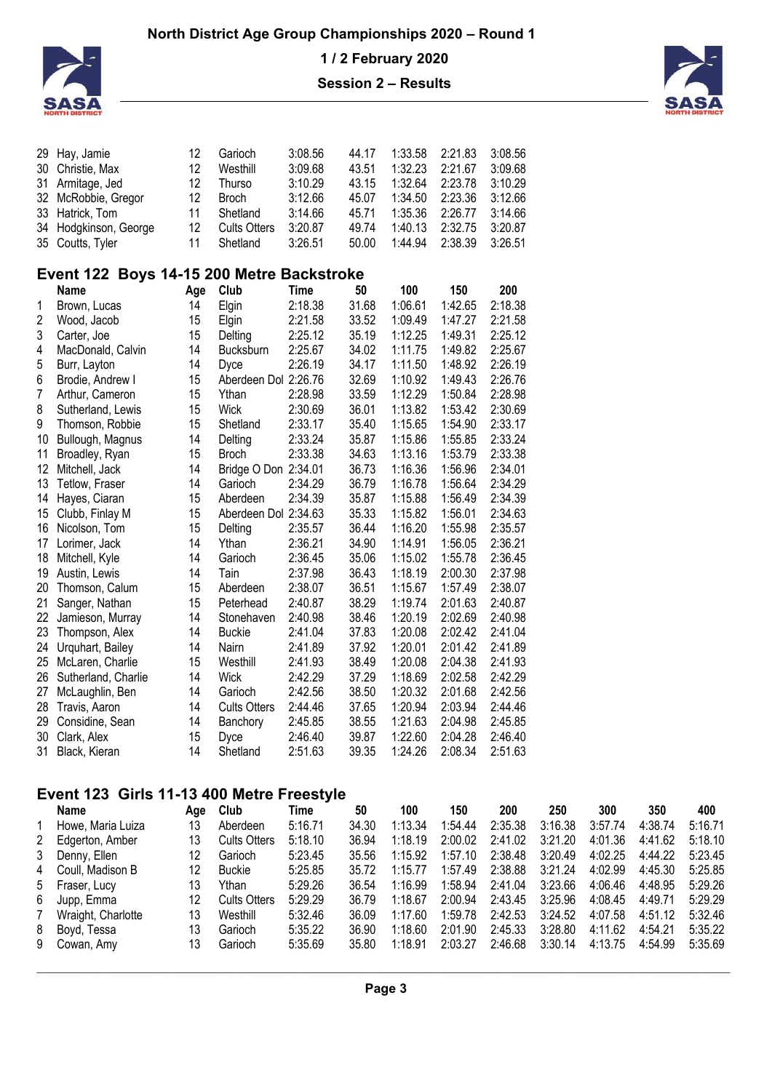



| Event 122 Boys 14-15 200 Metre Backstroke<br>Name |    | Age Club            | Time    | 50    | 100     | 150     | 200     |
|---------------------------------------------------|----|---------------------|---------|-------|---------|---------|---------|
|                                                   |    |                     |         |       |         |         |         |
| 35 Coutts, Tyler                                  | 11 | Shetland            | 3:26.51 | 50.00 | 1:44.94 | 2:38.39 | 3:26.51 |
| 34 Hodgkinson, George                             | 12 | <b>Cults Otters</b> | 3:20.87 | 49.74 | 1:40.13 | 2:32.75 | 3:20.87 |
| 33 Hatrick, Tom                                   | 11 | Shetland            | 3:14.66 | 45.71 | 1:35.36 | 2:26.77 | 3:14.66 |
| 32 McRobbie, Gregor                               | 12 | <b>Broch</b>        | 3:12.66 | 45.07 | 1:34.50 | 2:23.36 | 3:12.66 |
| 31 Armitage, Jed                                  | 12 | Thurso              | 3:10.29 | 43.15 | 1:32.64 | 2:23.78 | 3:10.29 |
| 30 Christie, Max                                  | 12 | Westhill            | 3:09.68 | 43.51 | 1:32.23 | 2:21.67 | 3:09.68 |
| 29 Hay, Jamie                                     | 12 | Garioch             | 3:08.56 | 44.17 | 1:33.58 | 2:21.83 | 3:08.56 |
|                                                   |    |                     |         |       |         |         |         |

|                | <b>Name</b>         | Age | Club                 | Time    | 50    | 100     | 150     | 200     |
|----------------|---------------------|-----|----------------------|---------|-------|---------|---------|---------|
| 1              | Brown, Lucas        | 14  | Elgin                | 2:18.38 | 31.68 | 1:06.61 | 1:42.65 | 2:18.38 |
| $\overline{c}$ | Wood, Jacob         | 15  | Elgin                | 2:21.58 | 33.52 | 1:09.49 | 1:47.27 | 2:21.58 |
| 3              | Carter, Joe         | 15  | Delting              | 2:25.12 | 35.19 | 1:12.25 | 1:49.31 | 2:25.12 |
| 4              | MacDonald, Calvin   | 14  | <b>Bucksburn</b>     | 2:25.67 | 34.02 | 1:11.75 | 1:49.82 | 2:25.67 |
| 5              | Burr, Layton        | 14  | Dyce                 | 2:26.19 | 34.17 | 1:11.50 | 1:48.92 | 2:26.19 |
| 6              | Brodie, Andrew I    | 15  | Aberdeen Dol 2:26.76 |         | 32.69 | 1:10.92 | 1:49.43 | 2:26.76 |
| 7              | Arthur, Cameron     | 15  | Ythan                | 2:28.98 | 33.59 | 1:12.29 | 1:50.84 | 2:28.98 |
| 8              | Sutherland, Lewis   | 15  | Wick                 | 2:30.69 | 36.01 | 1:13.82 | 1:53.42 | 2:30.69 |
| 9              | Thomson, Robbie     | 15  | Shetland             | 2:33.17 | 35.40 | 1:15.65 | 1:54.90 | 2:33.17 |
| 10             | Bullough, Magnus    | 14  | Delting              | 2:33.24 | 35.87 | 1:15.86 | 1:55.85 | 2:33.24 |
| 11             | Broadley, Ryan      | 15  | <b>Broch</b>         | 2:33.38 | 34.63 | 1:13.16 | 1:53.79 | 2:33.38 |
| 12             | Mitchell, Jack      | 14  | Bridge O Don 2:34.01 |         | 36.73 | 1:16.36 | 1:56.96 | 2:34.01 |
| 13             | Tetlow, Fraser      | 14  | Garioch              | 2:34.29 | 36.79 | 1:16.78 | 1:56.64 | 2:34.29 |
| 14             | Hayes, Ciaran       | 15  | Aberdeen             | 2:34.39 | 35.87 | 1:15.88 | 1:56.49 | 2:34.39 |
| 15             | Clubb, Finlay M     | 15  | Aberdeen Dol 2:34.63 |         | 35.33 | 1:15.82 | 1:56.01 | 2:34.63 |
| 16             | Nicolson, Tom       | 15  | Delting              | 2:35.57 | 36.44 | 1:16.20 | 1:55.98 | 2:35.57 |
| 17             | Lorimer, Jack       | 14  | Ythan                | 2:36.21 | 34.90 | 1:14.91 | 1:56.05 | 2:36.21 |
| 18             | Mitchell, Kyle      | 14  | Garioch              | 2:36.45 | 35.06 | 1:15.02 | 1:55.78 | 2:36.45 |
| 19             | Austin, Lewis       | 14  | Tain                 | 2:37.98 | 36.43 | 1:18.19 | 2:00.30 | 2:37.98 |
| 20             | Thomson, Calum      | 15  | Aberdeen             | 2:38.07 | 36.51 | 1:15.67 | 1:57.49 | 2:38.07 |
| 21             | Sanger, Nathan      | 15  | Peterhead            | 2:40.87 | 38.29 | 1:19.74 | 2:01.63 | 2:40.87 |
| 22             | Jamieson, Murray    | 14  | Stonehaven           | 2:40.98 | 38.46 | 1:20.19 | 2:02.69 | 2:40.98 |
| 23             | Thompson, Alex      | 14  | <b>Buckie</b>        | 2:41.04 | 37.83 | 1:20.08 | 2:02.42 | 2:41.04 |
| 24             | Urquhart, Bailey    | 14  | Nairn                | 2:41.89 | 37.92 | 1:20.01 | 2:01.42 | 2:41.89 |
| 25             | McLaren, Charlie    | 15  | Westhill             | 2:41.93 | 38.49 | 1:20.08 | 2:04.38 | 2:41.93 |
| 26             | Sutherland, Charlie | 14  | Wick                 | 2:42.29 | 37.29 | 1:18.69 | 2:02.58 | 2:42.29 |
| 27             | McLaughlin, Ben     | 14  | Garioch              | 2:42.56 | 38.50 | 1:20.32 | 2:01.68 | 2:42.56 |
| 28             | Travis, Aaron       | 14  | <b>Cults Otters</b>  | 2:44.46 | 37.65 | 1:20.94 | 2:03.94 | 2:44.46 |
| 29             | Considine, Sean     | 14  | Banchory             | 2:45.85 | 38.55 | 1:21.63 | 2:04.98 | 2:45.85 |
| 30             | Clark, Alex         | 15  | Dyce                 | 2:46.40 | 39.87 | 1:22.60 | 2:04.28 | 2:46.40 |
| 31             | Black, Kieran       | 14  | Shetland             | 2:51.63 | 39.35 | 1:24.26 | 2:08.34 | 2:51.63 |

# **Event 123 Girls 11-13 400 Metre Freestyle**

| Name                 | Aae | <b>Club</b>         | Time    | 50    | 100     | 150     | 200     | 250     | 300     | 350     | 400     |
|----------------------|-----|---------------------|---------|-------|---------|---------|---------|---------|---------|---------|---------|
| Howe, Maria Luiza    | 13  | Aberdeen            | 5:16.71 | 34.30 | 1:13.34 | 1:54.44 | 2:35.38 | 3:16.38 | 3:57.74 | 4:38.74 | 5:16.71 |
| 2 Edgerton, Amber    | 13  | <b>Cults Otters</b> | 5:18.10 | 36.94 | 1:18.19 | 2:00.02 | 2:41.02 | 3:21.20 | 4:01.36 | 4:41.62 | 5:18.10 |
| 3 Denny, Ellen       | 12  | Garioch             | 5:23.45 | 35.56 | 1:15.92 | 1:57.10 | 2:38.48 | 3:20.49 | 4:02.25 | 4:44.22 | 5:23.45 |
| 4 Coull. Madison B   | 12  | Buckie              | 5:25.85 | 35.72 | 1.1577  | 1.57.49 | 2:38.88 | 3:21.24 | 4:02.99 | 4:45.30 | 5:25.85 |
| 5 Fraser, Lucy       | 13. | Ythan               | 5:29.26 | 36.54 | 1:16.99 | 1:58.94 | 2:41.04 | 3:23.66 | 4:06:46 | 4:48.95 | 5:29.26 |
| 6 Jupp, Emma         | 12  | <b>Cults Otters</b> | 5:29.29 | 36.79 | 1:18.67 | 2:00.94 | 2:43.45 | 3:25.96 | 4:08.45 | 4:49.71 | 5:29.29 |
| 7 Wraight, Charlotte | 13  | Westhill            | 5:32.46 | 36.09 | 1:17.60 | 1:59.78 | 2:42.53 | 3:24.52 | 4:07.58 | 4:51.12 | 5:32.46 |
| 8 Boyd, Tessa        | 13  | Garioch             | 5:35.22 | 36.90 | 1:18.60 | 2:01.90 | 2:45.33 | 3:28.80 | 4:11.62 | 4:54.21 | 5:35.22 |
| 9 Cowan, Amy         | 13  | Garioch             | 5:35.69 | 35.80 | 1:18.91 | 2.03.27 | 2:46.68 | 3:30.14 | 4:13.75 | 4:54.99 | 5:35.69 |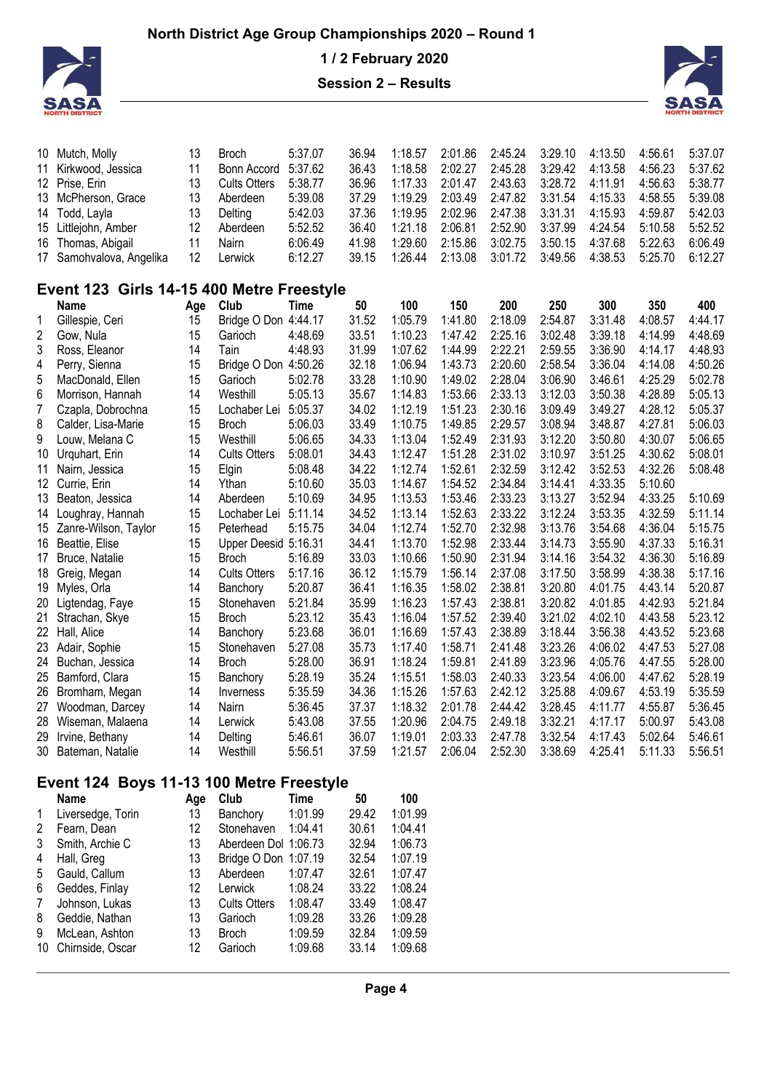



| 10              | Mutch, Molly                              | 13  | <b>Broch</b>         | 5:37.07     | 36.94 | 1:18.57 | 2:01.86 | 2:45.24 | 3:29.10 | 4:13.50 | 4:56.61 | 5:37.07 |
|-----------------|-------------------------------------------|-----|----------------------|-------------|-------|---------|---------|---------|---------|---------|---------|---------|
| 11              | Kirkwood, Jessica                         | 11  | Bonn Accord          | 5:37.62     | 36.43 | 1:18.58 | 2:02.27 | 2:45.28 | 3:29.42 | 4:13.58 | 4:56.23 | 5:37.62 |
| 12 <sup>°</sup> | Prise, Erin                               | 13  | <b>Cults Otters</b>  | 5:38.77     | 36.96 | 1:17.33 | 2:01.47 | 2:43.63 | 3:28.72 | 4:11.91 | 4:56.63 | 5:38.77 |
| 13.             | McPherson, Grace                          | 13  | Aberdeen             | 5:39.08     | 37.29 | 1:19.29 | 2:03.49 | 2:47.82 | 3:31.54 | 4:15.33 | 4:58.55 | 5:39.08 |
| 14              | Todd, Layla                               | 13  | Delting              | 5:42.03     | 37.36 | 1:19.95 | 2:02.96 | 2:47.38 | 3:31.31 | 4:15.93 | 4:59.87 | 5:42.03 |
| 15              | Littlejohn, Amber                         | 12  | Aberdeen             | 5:52.52     | 36.40 | 1:21.18 | 2:06.81 | 2:52.90 | 3:37.99 | 4:24.54 | 5:10.58 | 5:52.52 |
| 16              | Thomas, Abigail                           | 11  | Nairn                | 6:06.49     | 41.98 | 1:29.60 | 2:15.86 | 3:02.75 | 3:50.15 | 4:37.68 | 5:22.63 | 6:06.49 |
|                 | 17 Samohvalova, Angelika                  | 12  | Lerwick              | 6:12.27     | 39.15 | 1:26.44 | 2:13.08 | 3:01.72 | 3:49.56 | 4:38.53 | 5:25.70 | 6:12.27 |
|                 | Event 123 Girls 14-15 400 Metre Freestyle |     |                      |             |       |         |         |         |         |         |         |         |
|                 | Name                                      | Age | Club                 | <b>Time</b> | 50    | 100     | 150     | 200     | 250     | 300     | 350     | 400     |
| 1               | Gillespie, Ceri                           | 15  | Bridge O Don 4:44.17 |             | 31.52 | 1:05.79 | 1:41.80 | 2:18.09 | 2:54.87 | 3:31.48 | 4:08.57 | 4:44.17 |
| 2               | Gow, Nula                                 | 15  | Garioch              | 4:48.69     | 33.51 | 1:10.23 | 1:47.42 | 2:25.16 | 3:02.48 | 3:39.18 | 4:14.99 | 4:48.69 |
| 3               | Ross, Eleanor                             | 14  | Tain                 | 4:48.93     | 31.99 | 1:07.62 | 1:44.99 | 2:22.21 | 2:59.55 | 3:36.90 | 4:14.17 | 4:48.93 |
| 4               | Perry, Sienna                             | 15  | Bridge O Don 4:50.26 |             | 32.18 | 1:06.94 | 1:43.73 | 2:20.60 | 2:58.54 | 3:36.04 | 4:14.08 | 4:50.26 |
| 5               | MacDonald, Ellen                          | 15  | Garioch              | 5:02.78     | 33.28 | 1:10.90 | 1:49.02 | 2:28.04 | 3:06.90 | 3:46.61 | 4:25.29 | 5:02.78 |
| 6               | Morrison, Hannah                          | 14  | Westhill             | 5:05.13     | 35.67 | 1:14.83 | 1:53.66 | 2:33.13 | 3:12.03 | 3:50.38 | 4:28.89 | 5:05.13 |
| $\overline{7}$  | Czapla, Dobrochna                         | 15  | Lochaber Lei         | 5:05.37     | 34.02 | 1:12.19 | 1:51.23 | 2:30.16 | 3:09.49 | 3:49.27 | 4:28.12 | 5:05.37 |
| 8               | Calder, Lisa-Marie                        | 15  | <b>Broch</b>         | 5:06.03     | 33.49 | 1:10.75 | 1:49.85 | 2:29.57 | 3:08.94 | 3:48.87 | 4:27.81 | 5:06.03 |
| 9               | Louw, Melana C                            | 15  | Westhill             | 5:06.65     | 34.33 | 1:13.04 | 1:52.49 | 2:31.93 | 3:12.20 | 3:50.80 | 4:30.07 | 5:06.65 |
| 10 <sup>°</sup> | Urquhart, Erin                            | 14  | <b>Cults Otters</b>  | 5:08.01     | 34.43 | 1:12.47 | 1:51.28 | 2:31.02 | 3:10.97 | 3:51.25 | 4:30.62 | 5:08.01 |
| 11              | Nairn, Jessica                            | 15  | Elgin                | 5:08.48     | 34.22 | 1:12.74 | 1:52.61 | 2:32.59 | 3:12.42 | 3:52.53 | 4:32.26 | 5:08.48 |
| 12              | Currie, Erin                              | 14  | Ythan                | 5:10.60     | 35.03 | 1:14.67 | 1:54.52 | 2:34.84 | 3:14.41 | 4:33.35 | 5:10.60 |         |
| 13              | Beaton, Jessica                           | 14  | Aberdeen             | 5:10.69     | 34.95 | 1:13.53 | 1:53.46 | 2:33.23 | 3:13.27 | 3:52.94 | 4:33.25 | 5:10.69 |
| 14              | Loughray, Hannah                          | 15  | Lochaber Lei         | 5:11.14     | 34.52 | 1:13.14 | 1:52.63 | 2:33.22 | 3:12.24 | 3:53.35 | 4:32.59 | 5:11.14 |
| 15              | Zanre-Wilson, Taylor                      | 15  | Peterhead            | 5:15.75     | 34.04 | 1:12.74 | 1:52.70 | 2:32.98 | 3:13.76 | 3:54.68 | 4:36.04 | 5:15.75 |
| 16              | Beattie, Elise                            | 15  | Upper Deesid 5:16.31 |             | 34.41 | 1:13.70 | 1:52.98 | 2:33.44 | 3:14.73 | 3:55.90 | 4:37.33 | 5:16.31 |
| 17              | Bruce, Natalie                            | 15  | <b>Broch</b>         | 5:16.89     | 33.03 | 1:10.66 | 1:50.90 | 2:31.94 | 3:14.16 | 3:54.32 | 4:36.30 | 5:16.89 |
| 18              | Greig, Megan                              | 14  | <b>Cults Otters</b>  | 5:17.16     | 36.12 | 1:15.79 | 1:56.14 | 2:37.08 | 3:17.50 | 3:58.99 | 4:38.38 | 5:17.16 |
| 19              | Myles, Orla                               | 14  | Banchory             | 5:20.87     | 36.41 | 1:16.35 | 1:58.02 | 2:38.81 | 3:20.80 | 4:01.75 | 4:43.14 | 5:20.87 |
| 20              | Ligtendag, Faye                           | 15  | Stonehaven           | 5:21.84     | 35.99 | 1:16.23 | 1:57.43 | 2:38.81 | 3:20.82 | 4:01.85 | 4:42.93 | 5:21.84 |
| 21              | Strachan, Skye                            | 15  | <b>Broch</b>         | 5:23.12     | 35.43 | 1:16.04 | 1:57.52 | 2:39.40 | 3:21.02 | 4:02.10 | 4:43.58 | 5:23.12 |
|                 | 22 Hall, Alice                            | 14  | Banchory             | 5:23.68     | 36.01 | 1:16.69 | 1:57.43 | 2:38.89 | 3:18.44 | 3:56.38 | 4:43.52 | 5:23.68 |
| 23              | Adair, Sophie                             | 15  | Stonehaven           | 5:27.08     | 35.73 | 1:17.40 | 1:58.71 | 2:41.48 | 3:23.26 | 4:06.02 | 4:47.53 | 5:27.08 |
| 24              | Buchan, Jessica                           | 14  | <b>Broch</b>         | 5:28.00     | 36.91 | 1:18.24 | 1:59.81 | 2:41.89 | 3:23.96 | 4:05.76 | 4:47.55 | 5:28.00 |
| 25              | Bamford, Clara                            | 15  | Banchory             | 5:28.19     | 35.24 | 1:15.51 | 1:58.03 | 2:40.33 | 3:23.54 | 4:06.00 | 4:47.62 | 5:28.19 |
| 26              | Bromham, Megan                            | 14  | Inverness            | 5:35.59     | 34.36 | 1:15.26 | 1:57.63 | 2:42.12 | 3:25.88 | 4:09.67 | 4:53.19 | 5:35.59 |
| 27              | Woodman, Darcey                           | 14  | Nairn                | 5:36.45     | 37.37 | 1:18.32 | 2:01.78 | 2:44.42 | 3:28.45 | 4:11.77 | 4:55.87 | 5:36.45 |
| 28              | Wiseman, Malaena                          | 14  | Lerwick              | 5:43.08     | 37.55 | 1:20.96 | 2:04.75 | 2:49.18 | 3:32.21 | 4:17.17 | 5:00.97 | 5:43.08 |
| 29              | Irvine, Bethany                           | 14  | Delting              | 5:46.61     | 36.07 | 1:19.01 | 2:03.33 | 2:47.78 | 3:32.54 | 4:17.43 | 5:02.64 | 5:46.61 |
| 30              | Bateman, Natalie                          | 14  | Westhill             | 5:56.51     | 37.59 | 1:21.57 | 2:06.04 | 2:52.30 | 3:38.69 | 4:25.41 | 5:11.33 | 5:56.51 |

# **Event 124 Boys 11-13 100 Metre Freestyle**

| Name              | Age | Club                | Time    | 50                                           | 100     |
|-------------------|-----|---------------------|---------|----------------------------------------------|---------|
| Liversedge, Torin | 13  | Banchory            | 1:01.99 | 29.42                                        | 1:01.99 |
| Fearn, Dean       | 12  | Stonehaven          | 1:04.41 | 30.61                                        | 1:04.41 |
| Smith, Archie C   | 13  |                     |         | 32.94                                        | 1:06.73 |
| Hall, Greg        | 13  |                     |         | 32.54                                        | 1:07.19 |
| Gauld, Callum     | 13  | Aberdeen            | 1:07.47 | 32.61                                        | 1:07.47 |
| Geddes, Finlay    | 12  | Lerwick             | 1:08.24 | 33.22                                        | 1:08.24 |
| Johnson, Lukas    | 13  | <b>Cults Otters</b> | 1:08.47 | 33.49                                        | 1:08.47 |
| Geddie, Nathan    | 13  | Garioch             | 1:09.28 | 33.26                                        | 1:09.28 |
| McLean, Ashton    | 13  | <b>Broch</b>        | 1:09.59 | 32.84                                        | 1:09.59 |
| Chirnside, Oscar  | 12  | Garioch             | 1:09.68 | 33.14                                        | 1:09.68 |
|                   |     |                     |         | Aberdeen Dol 1:06.73<br>Bridge O Don 1:07.19 |         |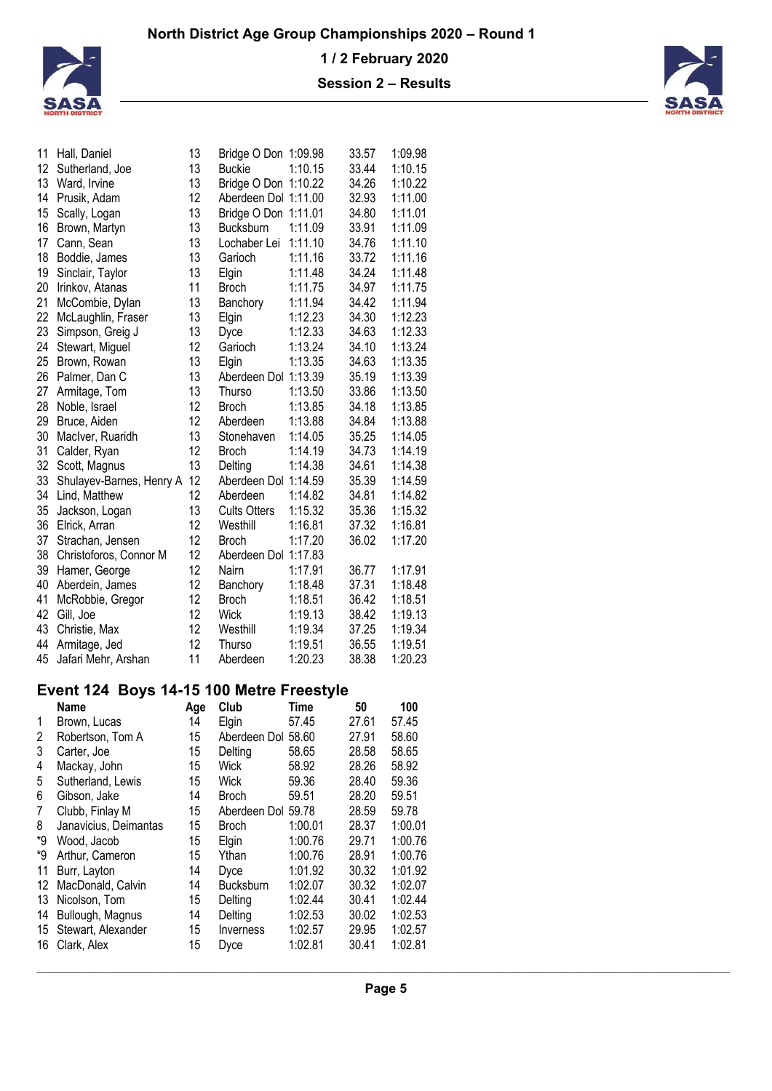



| 11 | Hall, Daniel             | 13 | Bridge O Don 1:09.98 |         | 33.57 | 1:09.98 |
|----|--------------------------|----|----------------------|---------|-------|---------|
| 12 | Sutherland, Joe          | 13 | <b>Buckie</b>        | 1:10.15 | 33.44 | 1:10.15 |
| 13 | Ward, Irvine             | 13 | Bridge O Don 1:10.22 |         | 34.26 | 1:10.22 |
| 14 | Prusik, Adam             | 12 | Aberdeen Dol 1:11.00 |         | 32.93 | 1:11.00 |
| 15 | Scally, Logan            | 13 | Bridge O Don 1:11.01 |         | 34.80 | 1:11.01 |
| 16 | Brown, Martyn            | 13 | Bucksburn            | 1:11.09 | 33.91 | 1:11.09 |
| 17 | Cann, Sean               | 13 | Lochaber Lei         | 1:11.10 | 34.76 | 1:11.10 |
| 18 | Boddie, James            | 13 | Garioch              | 1:11.16 | 33.72 | 1:11.16 |
| 19 | Sinclair, Taylor         | 13 | Elgin                | 1:11.48 | 34.24 | 1:11.48 |
| 20 | Irinkov, Atanas          | 11 | <b>Broch</b>         | 1:11.75 | 34.97 | 1:11.75 |
| 21 | McCombie, Dylan          | 13 | Banchory             | 1:11.94 | 34.42 | 1:11.94 |
| 22 | McLaughlin, Fraser       | 13 | Elgin                | 1:12.23 | 34.30 | 1:12.23 |
| 23 | Simpson, Greig J         | 13 | Dyce                 | 1:12.33 | 34.63 | 1:12.33 |
| 24 | Stewart, Miguel          | 12 | Garioch              | 1:13.24 | 34.10 | 1:13.24 |
| 25 | Brown, Rowan             | 13 | Elgin                | 1:13.35 | 34.63 | 1:13.35 |
| 26 | Palmer, Dan C            | 13 | Aberdeen Dol 1:13.39 |         | 35.19 | 1:13.39 |
| 27 | Armitage, Tom            | 13 | Thurso               | 1:13.50 | 33.86 | 1:13.50 |
| 28 | Noble, Israel            | 12 | <b>Broch</b>         | 1:13.85 | 34.18 | 1:13.85 |
| 29 | Bruce, Aiden             | 12 | Aberdeen             | 1:13.88 | 34.84 | 1:13.88 |
| 30 | MacIver, Ruaridh         | 13 | Stonehaven           | 1:14.05 | 35.25 | 1:14.05 |
| 31 | Calder, Ryan             | 12 | <b>Broch</b>         | 1:14.19 | 34.73 | 1:14.19 |
| 32 | Scott, Magnus            | 13 | Delting              | 1:14.38 | 34.61 | 1:14.38 |
| 33 | Shulayev-Barnes, Henry A | 12 | Aberdeen Dol         | 1:14.59 | 35.39 | 1:14.59 |
| 34 | Lind, Matthew            | 12 | Aberdeen             | 1:14.82 | 34.81 | 1:14.82 |
| 35 | Jackson, Logan           | 13 | <b>Cults Otters</b>  | 1:15.32 | 35.36 | 1:15.32 |
| 36 | Elrick, Arran            | 12 | Westhill             | 1:16.81 | 37.32 | 1:16.81 |
| 37 | Strachan, Jensen         | 12 | <b>Broch</b>         | 1:17.20 | 36.02 | 1:17.20 |
| 38 | Christoforos, Connor M   | 12 | Aberdeen Dol 1:17.83 |         |       |         |
| 39 | Hamer, George            | 12 | Nairn                | 1:17.91 | 36.77 | 1:17.91 |
| 40 | Aberdein, James          | 12 | Banchory             | 1:18.48 | 37.31 | 1:18.48 |
| 41 | McRobbie, Gregor         | 12 | <b>Broch</b>         | 1:18.51 | 36.42 | 1:18.51 |
| 42 | Gill, Joe                | 12 | Wick                 | 1:19.13 | 38.42 | 1:19.13 |
| 43 | Christie, Max            | 12 | Westhill             | 1:19.34 | 37.25 | 1:19.34 |
| 44 | Armitage, Jed            | 12 | Thurso               | 1:19.51 | 36.55 | 1:19.51 |
| 45 | Jafari Mehr, Arshan      | 11 | Aberdeen             | 1:20.23 | 38.38 | 1:20.23 |

# **Event 124 Boys 14-15 100 Metre Freestyle**

|    | Name                  | Age | Club             | Time    | 50    | 100     |
|----|-----------------------|-----|------------------|---------|-------|---------|
| 1  | Brown, Lucas          | 14  | Elgin            | 57.45   | 27.61 | 57.45   |
| 2  | Robertson, Tom A      | 15  | Aberdeen Dol     | 58.60   | 27.91 | 58.60   |
| 3  | Carter, Joe           | 15  | Delting          | 58.65   | 28.58 | 58.65   |
| 4  | Mackay, John          | 15  | Wick             | 58.92   | 28.26 | 58.92   |
| 5  | Sutherland, Lewis     | 15  | <b>Wick</b>      | 59.36   | 28.40 | 59.36   |
| 6  | Gibson, Jake          | 14  | Broch            | 59.51   | 28.20 | 59.51   |
| 7  | Clubb, Finlay M       | 15  | Aberdeen Dol     | 59.78   | 28.59 | 59.78   |
| 8  | Janavicius, Deimantas | 15  | Broch            | 1:00.01 | 28.37 | 1:00.01 |
| *9 | Wood, Jacob           | 15  | Elgin            | 1:00.76 | 29.71 | 1:00.76 |
| *9 | Arthur, Cameron       | 15  | Ythan            | 1:00.76 | 28.91 | 1:00.76 |
| 11 | Burr, Layton          | 14  | Dyce             | 1:01.92 | 30.32 | 1:01.92 |
| 12 | MacDonald, Calvin     | 14  | <b>Bucksburn</b> | 1:02.07 | 30.32 | 1:02.07 |
| 13 | Nicolson, Tom         | 15  | Delting          | 1:02.44 | 30.41 | 1:02.44 |
| 14 | Bullough, Magnus      | 14  | Delting          | 1:02.53 | 30.02 | 1:02.53 |
| 15 | Stewart, Alexander    | 15  | Inverness        | 1:02.57 | 29.95 | 1:02.57 |
| 16 | Clark, Alex           | 15  | Dyce             | 1:02.81 | 30.41 | 1:02.81 |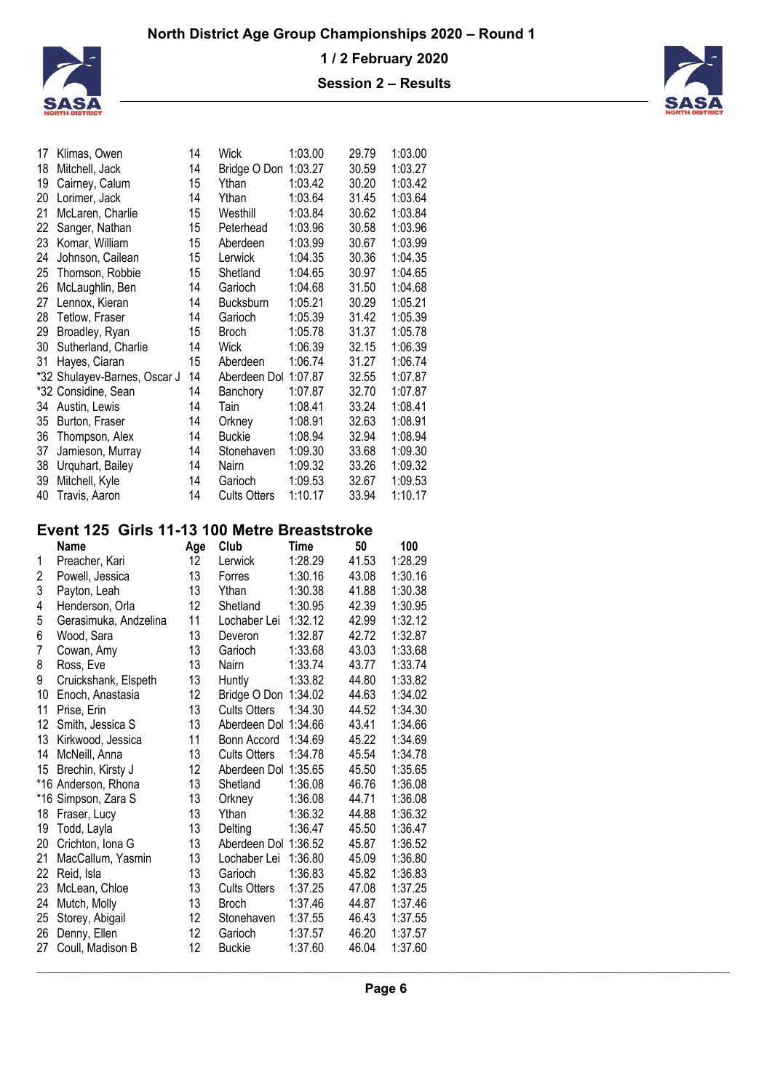



| 1:03.27<br>18<br>14<br>30.59<br>Mitchell, Jack<br>Bridge O Don<br>19<br>1:03.42<br>30.20<br>15<br>Ythan<br>Cairney, Calum<br>14<br>1:03.64<br>31.45<br>20<br>Ythan<br>Lorimer, Jack | 1:03.27<br>1:03.42<br>1:03.64<br>1:03.84<br>1:03.96 |
|-------------------------------------------------------------------------------------------------------------------------------------------------------------------------------------|-----------------------------------------------------|
|                                                                                                                                                                                     |                                                     |
|                                                                                                                                                                                     |                                                     |
|                                                                                                                                                                                     |                                                     |
| 15<br>1:03.84<br>30.62<br>21<br>Westhill<br>McLaren, Charlie                                                                                                                        |                                                     |
| 15<br>1:03.96<br>30.58<br>22<br>Sanger, Nathan<br>Peterhead                                                                                                                         |                                                     |
| 23<br>15<br>1:03.99<br>30.67<br>Komar, William<br>Aberdeen                                                                                                                          | 1:03.99                                             |
| 30.36<br>15<br>1:04.35<br>24<br>Johnson, Cailean<br>Lerwick                                                                                                                         | 1:04.35                                             |
| 1:04.65<br>30.97<br>25<br>Thomson, Robbie<br>15<br>Shetland                                                                                                                         | 1:04.65                                             |
| 14<br>1:04.68<br>31.50<br>26<br>McLaughlin, Ben<br>Garioch                                                                                                                          | 1:04.68                                             |
| 1:05.21<br>30.29<br>14<br>Bucksburn<br>27<br>Lennox, Kieran                                                                                                                         | 1:05.21                                             |
| 1:05.39<br>31.42<br>28<br>14<br>Garioch<br>Tetlow, Fraser                                                                                                                           | 1:05.39                                             |
| 31.37<br>15<br>1:05.78<br>29<br>Broadley, Ryan<br><b>Broch</b>                                                                                                                      | 1:05.78                                             |
| 32.15<br>30<br>14<br>Wick<br>1:06.39<br>Sutherland, Charlie                                                                                                                         | 1:06.39                                             |
| 15<br>1:06.74<br>31.27<br>31<br>Hayes, Ciaran<br>Aberdeen                                                                                                                           | 1:06.74                                             |
| *32 Shulayev-Barnes, Oscar J<br>14<br>1:07.87<br>32.55<br>Aberdeen Dol                                                                                                              | 1:07.87                                             |
| 1:07.87<br>32.70<br>*32 Considine, Sean<br>14<br>Banchory                                                                                                                           | 1:07.87                                             |
| 1:08.41<br>33.24<br>14<br>34<br>Austin, Lewis<br>Tain                                                                                                                               | 1:08.41                                             |
| 14<br>1:08.91<br>32.63<br>35<br>Burton, Fraser<br>Orkney                                                                                                                            | 1:08.91                                             |
| 32.94<br>14<br><b>Buckie</b><br>1:08.94<br>36<br>Thompson, Alex                                                                                                                     | 1:08.94                                             |
| Jamieson, Murray<br>14<br>1:09.30<br>33.68<br>37<br>Stonehaven                                                                                                                      | 1:09.30                                             |
| 1:09.32<br>33.26<br>Urquhart, Bailey<br>14<br>Nairn<br>38                                                                                                                           | 1:09.32                                             |
| 1:09.53<br>32.67<br>39<br>Mitchell, Kyle<br>14<br>Garioch                                                                                                                           | 1:09.53                                             |
| 40<br>1:10.17<br>33.94<br>14<br><b>Cults Otters</b><br>Travis, Aaron                                                                                                                | 1:10.17                                             |

# **Event 125 Girls 11-13 100 Metre Breaststroke**

|       | <b>Name</b>           | Age | Club                | Time    | 50    | 100     |
|-------|-----------------------|-----|---------------------|---------|-------|---------|
| 1     | Preacher, Kari        | 12  | Lerwick             | 1:28.29 | 41.53 | 1:28.29 |
| 2     | Powell, Jessica       | 13  | Forres              | 1:30.16 | 43.08 | 1:30.16 |
| 3     | Payton, Leah          | 13  | Ythan               | 1:30.38 | 41.88 | 1:30.38 |
| 4     | Henderson, Orla       | 12  | Shetland            | 1:30.95 | 42.39 | 1:30.95 |
| 5     | Gerasimuka, Andzelina | 11  | Lochaber Lei        | 1:32.12 | 42.99 | 1:32.12 |
| 6     | Wood, Sara            | 13  | Deveron             | 1:32.87 | 42.72 | 1:32.87 |
| 7     | Cowan, Amy            | 13  | Garioch             | 1:33.68 | 43.03 | 1:33.68 |
| 8     | Ross, Eve             | 13  | Nairn               | 1:33.74 | 43.77 | 1:33.74 |
| 9     | Cruickshank, Elspeth  | 13  | Huntly              | 1:33.82 | 44.80 | 1:33.82 |
| 10    | Enoch, Anastasia      | 12  | Bridge O Don        | 1:34.02 | 44.63 | 1:34.02 |
| 11    | Prise, Erin           | 13  | <b>Cults Otters</b> | 1:34.30 | 44.52 | 1:34.30 |
| 12    | Smith, Jessica S      | 13  | Aberdeen Dol        | 1:34.66 | 43.41 | 1:34.66 |
| 13    | Kirkwood, Jessica     | 11  | Bonn Accord         | 1:34.69 | 45.22 | 1:34.69 |
| 14    | McNeill, Anna         | 13  | <b>Cults Otters</b> | 1:34.78 | 45.54 | 1:34.78 |
| 15    | Brechin, Kirsty J     | 12  | Aberdeen Dol        | 1:35.65 | 45.50 | 1:35.65 |
|       | *16 Anderson, Rhona   | 13  | Shetland            | 1:36.08 | 46.76 | 1:36.08 |
| $*16$ | Simpson, Zara S       | 13  | Orkney              | 1:36.08 | 44.71 | 1:36.08 |
| 18    | Fraser, Lucy          | 13  | Ythan               | 1:36.32 | 44.88 | 1:36.32 |
| 19    | Todd, Layla           | 13  | Delting             | 1:36.47 | 45.50 | 1:36.47 |
| 20    | Crichton, Iona G      | 13  | Aberdeen Dol        | 1:36.52 | 45.87 | 1:36.52 |
| 21    | MacCallum, Yasmin     | 13  | Lochaber Lei        | 1:36.80 | 45.09 | 1:36.80 |
| 22    | Reid, Isla            | 13  | Garioch             | 1:36.83 | 45.82 | 1:36.83 |
| 23    | McLean, Chloe         | 13  | <b>Cults Otters</b> | 1:37.25 | 47.08 | 1:37.25 |
| 24    | Mutch, Molly          | 13  | <b>Broch</b>        | 1:37.46 | 44.87 | 1:37.46 |
| 25    | Storey, Abigail       | 12  | Stonehaven          | 1:37.55 | 46.43 | 1:37.55 |
| 26    | Denny, Ellen          | 12  | Garioch             | 1:37.57 | 46.20 | 1:37.57 |
| 27    | Coull, Madison B      | 12  | <b>Buckie</b>       | 1:37.60 | 46.04 | 1:37.60 |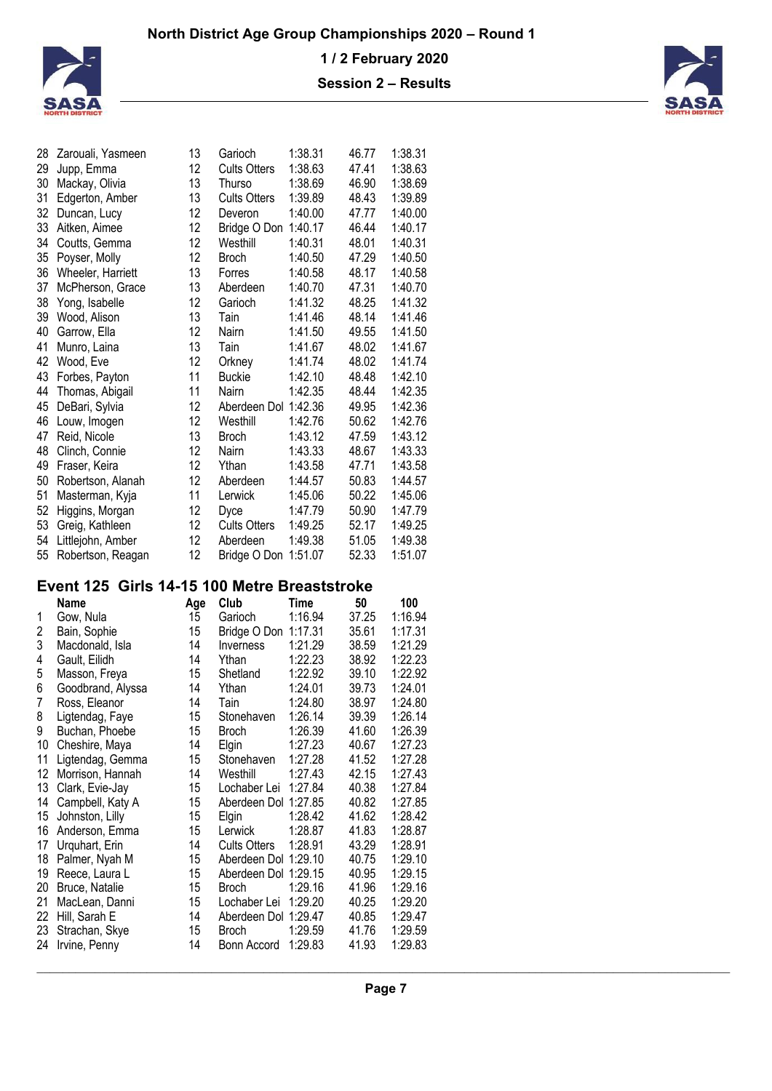



| 28 | Zarouali, Yasmeen | 13 <sup>°</sup> | Garioch              | 1:38.31 | 46.77 | 1:38.31 |
|----|-------------------|-----------------|----------------------|---------|-------|---------|
| 29 | Jupp, Emma        | 12 <sup>°</sup> | <b>Cults Otters</b>  | 1:38.63 | 47.41 | 1:38.63 |
| 30 | Mackay, Olivia    | 13              | Thurso               | 1:38.69 | 46.90 | 1:38.69 |
| 31 | Edgerton, Amber   | 13              | <b>Cults Otters</b>  | 1:39.89 | 48.43 | 1:39.89 |
| 32 | Duncan, Lucy      | 12              | Deveron              | 1:40.00 | 47.77 | 1:40.00 |
| 33 | Aitken, Aimee     | 12 <sup>°</sup> | Bridge O Don         | 1:40.17 | 46.44 | 1:40.17 |
| 34 | Coutts, Gemma     | 12 <sup>°</sup> | Westhill             | 1:40.31 | 48.01 | 1:40.31 |
| 35 | Poyser, Molly     | 12 <sup>°</sup> | <b>Broch</b>         | 1:40.50 | 47.29 | 1:40.50 |
| 36 | Wheeler, Harriett | 13              | Forres               | 1:40.58 | 48.17 | 1:40.58 |
| 37 | McPherson, Grace  | 13              | Aberdeen             | 1:40.70 | 47.31 | 1:40.70 |
| 38 | Yong, Isabelle    | 12 <sup>°</sup> | Garioch              | 1:41.32 | 48.25 | 1:41.32 |
| 39 | Wood, Alison      | 13              | Tain                 | 1:41.46 | 48.14 | 1:41.46 |
| 40 | Garrow, Ella      | 12              | Nairn                | 1:41.50 | 49.55 | 1:41.50 |
| 41 | Munro, Laina      | 13              | Tain                 | 1:41.67 | 48.02 | 1:41.67 |
| 42 | Wood, Eve         | 12 <sup>°</sup> | Orkney               | 1:41.74 | 48.02 | 1:41.74 |
| 43 | Forbes, Payton    | 11              | Buckie               | 1:42.10 | 48.48 | 1:42.10 |
| 44 | Thomas, Abigail   | 11              | Nairn                | 1:42.35 | 48.44 | 1:42.35 |
| 45 | DeBari, Sylvia    | 12              | Aberdeen Dol 1:42.36 |         | 49.95 | 1:42.36 |
| 46 | Louw, Imogen      | 12 <sup>°</sup> | Westhill             | 1:42.76 | 50.62 | 1:42.76 |
| 47 | Reid, Nicole      | 13              | <b>Broch</b>         | 1:43.12 | 47.59 | 1:43.12 |
| 48 | Clinch, Connie    | 12              | Nairn                | 1:43.33 | 48.67 | 1:43.33 |
| 49 | Fraser, Keira     | 12 <sup>°</sup> | Ythan                | 1:43.58 | 47.71 | 1:43.58 |
| 50 | Robertson, Alanah | 12 <sup>°</sup> | Aberdeen             | 1:44.57 | 50.83 | 1:44.57 |
| 51 | Masterman, Kyja   | 11              | Lerwick              | 1:45.06 | 50.22 | 1:45.06 |
| 52 | Higgins, Morgan   | 12              | Dyce                 | 1:47.79 | 50.90 | 1:47.79 |
| 53 | Greig, Kathleen   | 12              | <b>Cults Otters</b>  | 1:49.25 | 52.17 | 1:49.25 |

### **Event 125 Girls 14-15 100 Metre Breaststroke**

 Littlejohn, Amber 12 Aberdeen 1:49.38 51.05 1:49.38 Robertson, Reagan 12 Bridge O Don 1:51.07 52.33 1:51.07

|    | Name              | Age | Club                 | Time    | 50    | 100     |
|----|-------------------|-----|----------------------|---------|-------|---------|
| 1  | Gow, Nula         | 15  | Garioch              | 1:16.94 | 37.25 | 1:16.94 |
| 2  | Bain, Sophie      | 15  | Bridge O Don 1:17.31 |         | 35.61 | 1:17.31 |
| 3  | Macdonald, Isla   | 14  | Inverness            | 1:21.29 | 38.59 | 1:21.29 |
| 4  | Gault, Eilidh     | 14  | Ythan                | 1:22.23 | 38.92 | 1:22.23 |
| 5  | Masson, Freya     | 15  | Shetland             | 1:22.92 | 39.10 | 1:22.92 |
| 6  | Goodbrand, Alyssa | 14  | Ythan                | 1:24.01 | 39.73 | 1:24.01 |
| 7  | Ross, Eleanor     | 14  | Tain                 | 1:24.80 | 38.97 | 1:24.80 |
| 8  | Ligtendag, Faye   | 15  | Stonehaven           | 1:26.14 | 39.39 | 1:26.14 |
| 9  | Buchan, Phoebe    | 15  | <b>Broch</b>         | 1:26.39 | 41.60 | 1:26.39 |
| 10 | Cheshire, Maya    | 14  | Elgin                | 1:27.23 | 40.67 | 1:27.23 |
| 11 | Ligtendag, Gemma  | 15  | Stonehaven           | 1:27.28 | 41.52 | 1:27.28 |
| 12 | Morrison, Hannah  | 14  | Westhill             | 1:27.43 | 42.15 | 1:27.43 |
| 13 | Clark, Evie-Jay   | 15  | Lochaber Lei         | 1:27.84 | 40.38 | 1:27.84 |
| 14 | Campbell, Katy A  | 15  | Aberdeen Dol 1:27.85 |         | 40.82 | 1:27.85 |
| 15 | Johnston, Lilly   | 15  | Elgin                | 1:28.42 | 41.62 | 1:28.42 |
| 16 | Anderson, Emma    | 15  | Lerwick              | 1:28.87 | 41.83 | 1:28.87 |
| 17 | Urquhart, Erin    | 14  | <b>Cults Otters</b>  | 1:28.91 | 43.29 | 1:28.91 |
| 18 | Palmer, Nyah M    | 15  | Aberdeen Dol 1:29.10 |         | 40.75 | 1:29.10 |
| 19 | Reece, Laura L    | 15  | Aberdeen Dol 1:29.15 |         | 40.95 | 1:29.15 |
| 20 | Bruce, Natalie    | 15  | <b>Broch</b>         | 1:29.16 | 41.96 | 1:29.16 |
| 21 | MacLean, Danni    | 15  | Lochaber Lei         | 1:29.20 | 40.25 | 1:29.20 |
| 22 | Hill, Sarah E     | 14  | Aberdeen Dol 1:29.47 |         | 40.85 | 1:29.47 |
| 23 | Strachan, Skye    | 15  | <b>Broch</b>         | 1:29.59 | 41.76 | 1:29.59 |
| 24 | Irvine, Penny     | 14  | Bonn Accord          | 1:29.83 | 41.93 | 1:29.83 |
|    |                   |     |                      |         |       |         |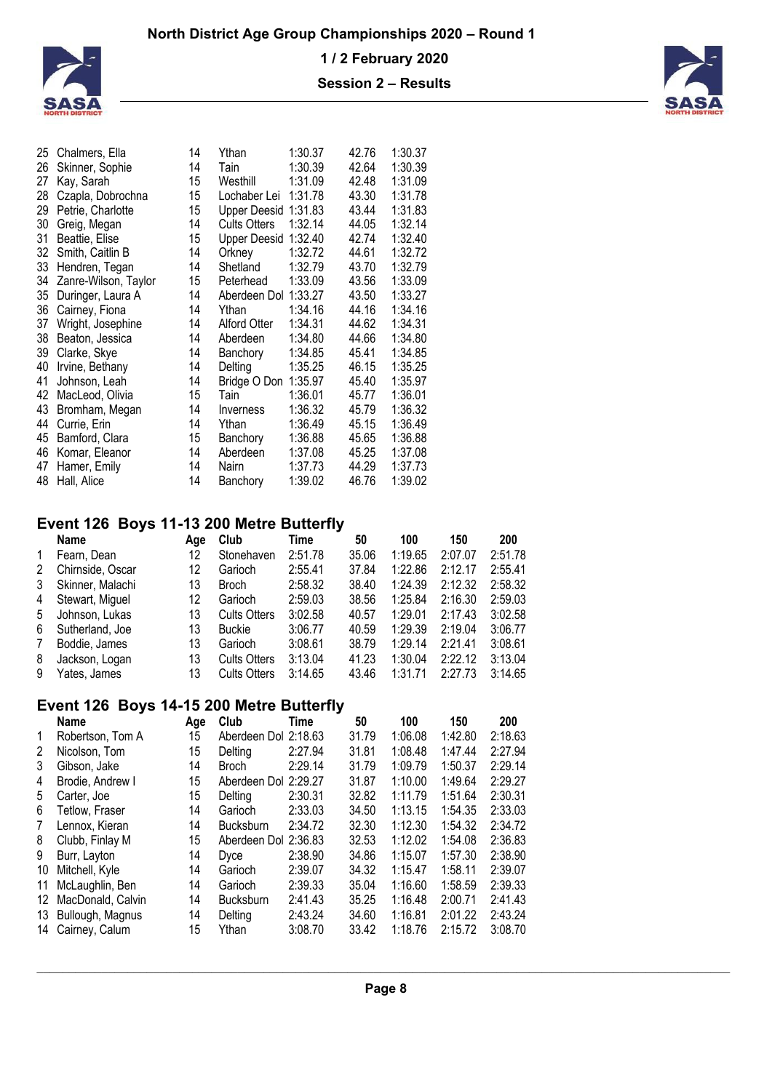



| 25 | Chalmers, Ella       | 14 | Ythan               | 1:30.37 | 42.76 | 1:30.37 |
|----|----------------------|----|---------------------|---------|-------|---------|
| 26 | Skinner, Sophie      | 14 | Tain                | 1:30.39 | 42.64 | 1:30.39 |
| 27 | Kay, Sarah           | 15 | Westhill            | 1:31.09 | 42.48 | 1:31.09 |
| 28 | Czapla, Dobrochna    | 15 | Lochaber Lei        | 1:31.78 | 43.30 | 1:31.78 |
| 29 | Petrie, Charlotte    | 15 | <b>Upper Deesid</b> | 1:31.83 | 43.44 | 1:31.83 |
| 30 | Greig, Megan         | 14 | <b>Cults Otters</b> | 1:32.14 | 44.05 | 1:32.14 |
| 31 | Beattie, Elise       | 15 | <b>Upper Deesid</b> | 1:32.40 | 42.74 | 1:32.40 |
| 32 | Smith, Caitlin B     | 14 | Orkney              | 1:32.72 | 44.61 | 1:32.72 |
| 33 | Hendren, Tegan       | 14 | Shetland            | 1:32.79 | 43.70 | 1:32.79 |
| 34 | Zanre-Wilson, Taylor | 15 | Peterhead           | 1:33.09 | 43.56 | 1:33.09 |
| 35 | Duringer, Laura A    | 14 | Aberdeen Dol        | 1:33.27 | 43.50 | 1:33.27 |
| 36 | Cairney, Fiona       | 14 | Ythan               | 1:34.16 | 44.16 | 1:34.16 |
| 37 | Wright, Josephine    | 14 | Alford Otter        | 1:34.31 | 44.62 | 1:34.31 |
| 38 | Beaton, Jessica      | 14 | Aberdeen            | 1:34.80 | 44.66 | 1:34.80 |
| 39 | Clarke, Skye         | 14 | Banchory            | 1:34.85 | 45.41 | 1:34.85 |
| 40 | Irvine, Bethany      | 14 | Delting             | 1:35.25 | 46.15 | 1:35.25 |
| 41 | Johnson, Leah        | 14 | Bridge O Don        | 1:35.97 | 45.40 | 1:35.97 |
| 42 | MacLeod, Olivia      | 15 | Tain                | 1:36.01 | 45.77 | 1:36.01 |
| 43 | Bromham, Megan       | 14 | Inverness           | 1:36.32 | 45.79 | 1:36.32 |
| 44 | Currie, Erin         | 14 | Ythan               | 1:36.49 | 45.15 | 1:36.49 |
| 45 | Bamford, Clara       | 15 | Banchory            | 1:36.88 | 45.65 | 1:36.88 |
| 46 | Komar, Eleanor       | 14 | Aberdeen            | 1:37.08 | 45.25 | 1:37.08 |
| 47 | Hamer, Emily         | 14 | Nairn               | 1:37.73 | 44.29 | 1:37.73 |
| 48 | Hall, Alice          | 14 | Banchory            | 1:39.02 | 46.76 | 1:39.02 |

# **Event 126 Boys 11-13 200 Metre Butterfly**

|   | <b>Name</b>      | Aae | Club                | Time    | 50    | 100     | 150     | 200     |
|---|------------------|-----|---------------------|---------|-------|---------|---------|---------|
| 1 | Fearn, Dean      | 12  | Stonehaven          | 2:51.78 | 35.06 | 1:19.65 | 2:07.07 | 2:51.78 |
| 2 | Chirnside, Oscar | 12  | Garioch             | 2:55.41 | 37.84 | 1:22.86 | 2:12.17 | 2:55.41 |
| 3 | Skinner, Malachi | 13  | <b>Broch</b>        | 2:58.32 | 38.40 | 1:24.39 | 2:12.32 | 2:58.32 |
| 4 | Stewart, Miguel  | 12  | Garioch             | 2:59.03 | 38.56 | 1:25.84 | 2:16.30 | 2:59.03 |
| 5 | Johnson, Lukas   | 13  | <b>Cults Otters</b> | 3:02.58 | 40.57 | 1:29.01 | 2:17.43 | 3:02.58 |
| 6 | Sutherland, Joe  | 13  | <b>Buckie</b>       | 3:06.77 | 40.59 | 1:29.39 | 2:19.04 | 3:06.77 |
| 7 | Boddie, James    | 13  | Garioch             | 3:08.61 | 38.79 | 1:29.14 | 2:21.41 | 3:08.61 |
| 8 | Jackson, Logan   | 13  | <b>Cults Otters</b> | 3:13.04 | 41.23 | 1:30.04 | 2:22.12 | 3:13.04 |
| 9 | Yates, James     | 13  | <b>Cults Otters</b> | 3:14.65 | 43.46 | 1:31.71 | 2:27.73 | 3:14.65 |

# **Event 126 Boys 14-15 200 Metre Butterfly**

|    | <b>Name</b>       | Age | Club                 | Time    | 50    | 100     | 150     | 200     |
|----|-------------------|-----|----------------------|---------|-------|---------|---------|---------|
|    | Robertson, Tom A  | 15  | Aberdeen Dol 2:18.63 |         | 31.79 | 1:06.08 | 1:42.80 | 2:18.63 |
| 2  | Nicolson, Tom     | 15  | Delting              | 2:27.94 | 31.81 | 1:08.48 | 1:47.44 | 2:27.94 |
| 3  | Gibson, Jake      | 14  | <b>Broch</b>         | 2:29.14 | 31.79 | 1:09.79 | 1:50.37 | 2:29.14 |
| 4  | Brodie, Andrew I  | 15  | Aberdeen Dol 2:29.27 |         | 31.87 | 1:10.00 | 1:49.64 | 2:29.27 |
| 5  | Carter, Joe       | 15  | Delting              | 2:30.31 | 32.82 | 1:11.79 | 1:51.64 | 2:30.31 |
| 6  | Tetlow, Fraser    | 14  | Garioch              | 2:33.03 | 34.50 | 1:13.15 | 1:54.35 | 2:33.03 |
| 7  | Lennox, Kieran    | 14  | <b>Bucksburn</b>     | 2:34.72 | 32.30 | 1:12.30 | 1:54.32 | 2:34.72 |
| 8  | Clubb, Finlay M   | 15  | Aberdeen Dol 2:36.83 |         | 32.53 | 1:12.02 | 1:54.08 | 2:36.83 |
| 9  | Burr, Layton      | 14  | Dyce                 | 2:38.90 | 34.86 | 1:15.07 | 1:57.30 | 2:38.90 |
| 10 | Mitchell, Kyle    | 14  | Garioch              | 2:39.07 | 34.32 | 1:15.47 | 1:58.11 | 2:39.07 |
| 11 | McLaughlin, Ben   | 14  | Garioch              | 2:39.33 | 35.04 | 1:16.60 | 1:58.59 | 2:39.33 |
| 12 | MacDonald, Calvin | 14  | <b>Bucksburn</b>     | 2:41.43 | 35.25 | 1:16.48 | 2:00.71 | 2:41.43 |
| 13 | Bullough, Magnus  | 14  | Delting              | 2:43.24 | 34.60 | 1:16.81 | 2:01.22 | 2:43.24 |
| 14 | Cairney, Calum    | 15  | Ythan                | 3:08.70 | 33.42 | 1:18.76 | 2:15.72 | 3:08.70 |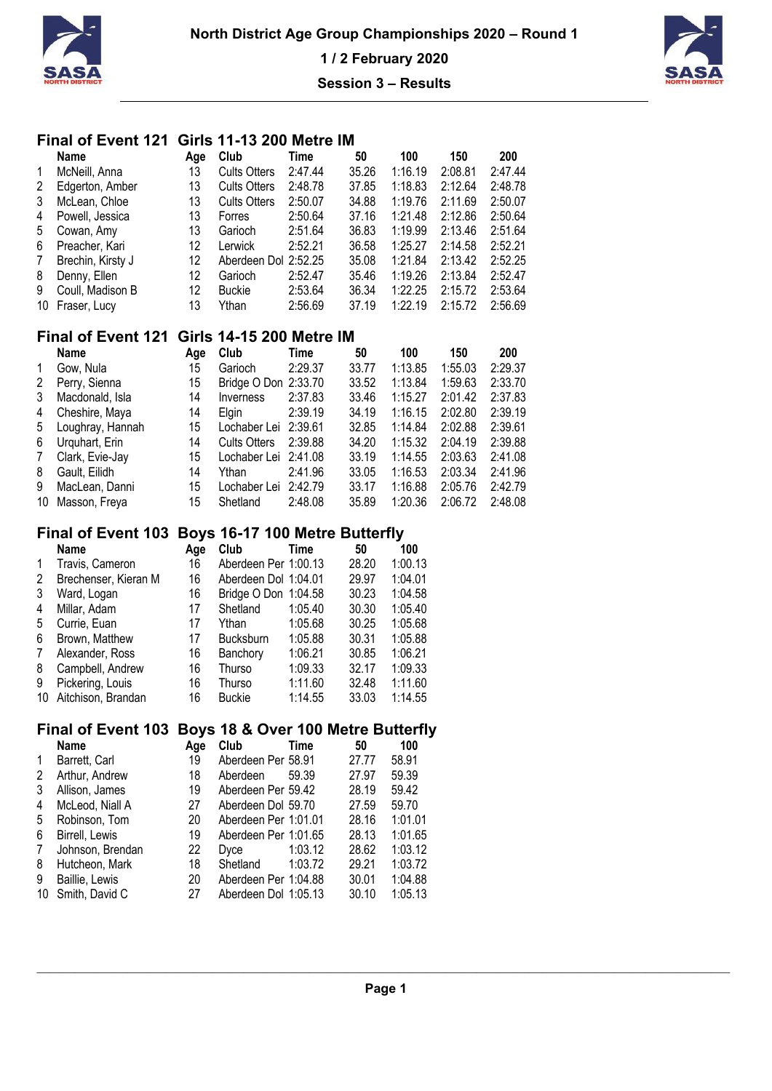



# **Final of Event 121 Girls 11-13 200 Metre IM**

|    | Name              | Age | Club                 | Time    | 50    | 100     | 150     | 200     |
|----|-------------------|-----|----------------------|---------|-------|---------|---------|---------|
|    | McNeill, Anna     | 13  | <b>Cults Otters</b>  | 2:47.44 | 35.26 | 1:16.19 | 2:08.81 | 2:47.44 |
| 2  | Edgerton, Amber   | 13  | <b>Cults Otters</b>  | 2:48.78 | 37.85 | 1:18.83 | 2:12.64 | 2:48.78 |
| 3  | McLean, Chloe     | 13  | <b>Cults Otters</b>  | 2:50.07 | 34.88 | 1:19.76 | 2:11.69 | 2:50.07 |
| 4  | Powell, Jessica   | 13  | Forres               | 2:50.64 | 37.16 | 1:21.48 | 2:12.86 | 2:50.64 |
| 5  | Cowan, Amy        | 13  | Garioch              | 2:51.64 | 36.83 | 1:19.99 | 2:13.46 | 2:51.64 |
| 6  | Preacher, Kari    | 12  | Lerwick              | 2:52.21 | 36.58 | 1:25.27 | 2:14.58 | 2:52.21 |
| 7  | Brechin, Kirsty J | 12  | Aberdeen Dol 2:52.25 |         | 35.08 | 1:21.84 | 2:13.42 | 2:52.25 |
| 8  | Denny, Ellen      | 12  | Garioch              | 2:52.47 | 35.46 | 1:19.26 | 2:13.84 | 2:52.47 |
| 9  | Coull, Madison B  | 12  | <b>Buckie</b>        | 2:53.64 | 36.34 | 1:22.25 | 2:15.72 | 2:53.64 |
| 10 | Fraser, Lucy      | 13  | Ythan                | 2:56.69 | 37.19 | 1:22.19 | 2:15.72 | 2:56.69 |

# **Final of Event 121 Girls 14-15 200 Metre IM**

|              | <b>Name</b>      | Age | Club                 | Time    | 50    | 100     | 150     | 200     |
|--------------|------------------|-----|----------------------|---------|-------|---------|---------|---------|
| $\mathbf{1}$ | Gow, Nula        | 15  | Garioch              | 2:29.37 | 33.77 | 1:13.85 | 1:55.03 | 2:29.37 |
| 2            | Perry, Sienna    | 15  | Bridge O Don 2:33.70 |         | 33.52 | 1:13.84 | 1:59.63 | 2:33.70 |
| 3            | Macdonald, Isla  | 14  | Inverness            | 2:37.83 | 33.46 | 1:15.27 | 2:01.42 | 2:37.83 |
| 4            | Cheshire, Maya   | 14  | Elain                | 2:39.19 | 34.19 | 1:16.15 | 2:02.80 | 2:39.19 |
| 5            | Loughray, Hannah | 15  | Lochaber Lei 2:39.61 |         | 32.85 | 1:14.84 | 2:02.88 | 2:39.61 |
| 6            | Urquhart, Erin   | 14  | <b>Cults Otters</b>  | 2:39.88 | 34.20 | 1:15.32 | 2:04.19 | 2:39.88 |
| 7            | Clark, Evie-Jay  | 15  | Lochaber Lei 2:41.08 |         | 33.19 | 1:14.55 | 2:03.63 | 2:41.08 |
| 8            | Gault, Eilidh    | 14  | Ythan                | 2:41.96 | 33.05 | 1:16.53 | 2:03.34 | 2:41.96 |
| 9            | MacLean, Danni   | 15  | Lochaber Lei         | 2:42.79 | 33.17 | 1:16.88 | 2:05.76 | 2:42.79 |
| 10           | Masson, Freya    | 15  | Shetland             | 2:48.08 | 35.89 | 1:20.36 | 2:06.72 | 2:48.08 |

# **Final of Event 103 Boys 16-17 100 Metre Butterfly**

|    | Name                 | Age | <b>Club</b>          | Time    | 50    | 100     |
|----|----------------------|-----|----------------------|---------|-------|---------|
|    | Travis, Cameron      | 16  | Aberdeen Per 1:00.13 |         | 28.20 | 1:00.13 |
| 2  | Brechenser, Kieran M | 16  | Aberdeen Dol 1:04.01 |         | 29.97 | 1:04.01 |
| 3  | Ward, Logan          | 16  | Bridge O Don 1:04.58 |         | 30.23 | 1:04.58 |
| 4  | Millar, Adam         | 17  | Shetland             | 1:05.40 | 30.30 | 1:05.40 |
| 5  | Currie, Euan         | 17  | Ythan                | 1:05.68 | 30.25 | 1:05.68 |
| 6  | Brown, Matthew       | 17  | <b>Bucksburn</b>     | 1:05.88 | 30.31 | 1:05.88 |
| 7  | Alexander, Ross      | 16  | Banchory             | 1:06.21 | 30.85 | 1:06.21 |
| 8  | Campbell, Andrew     | 16  | Thurso               | 1:09.33 | 32.17 | 1:09.33 |
| 9  | Pickering, Louis     | 16  | Thurso               | 1:11.60 | 32.48 | 1:11.60 |
| 10 | Aitchison, Brandan   | 16  | <b>Buckie</b>        | 1:14.55 | 33.03 | 1:14.55 |

#### **Final of Event 103 Boys 18 & Over 100 Metre Butterfly**

|    | <b>Name</b>      | Age | Club                 | Time    | 50    | 100     |
|----|------------------|-----|----------------------|---------|-------|---------|
|    | Barrett, Carl    | 19  | Aberdeen Per 58.91   |         | 27.77 | 58.91   |
| 2  | Arthur, Andrew   | 18  | Aberdeen             | 59.39   | 27.97 | 59.39   |
| 3  | Allison, James   | 19  | Aberdeen Per 59.42   |         | 28.19 | 59.42   |
| 4  | McLeod, Niall A  | 27  | Aberdeen Dol 59.70   |         | 27.59 | 59.70   |
| 5  | Robinson, Tom    | 20  | Aberdeen Per 1:01.01 |         | 28.16 | 1:01.01 |
| 6  | Birrell, Lewis   | 19  | Aberdeen Per 1:01.65 |         | 28.13 | 1:01.65 |
| 7  | Johnson, Brendan | 22  | Dvce                 | 1:03.12 | 28.62 | 1:03.12 |
| 8  | Hutcheon, Mark   | 18  | Shetland             | 1:03.72 | 29.21 | 1:03.72 |
| 9  | Baillie, Lewis   | 20  | Aberdeen Per 1:04.88 |         | 30.01 | 1:04.88 |
| 10 | Smith, David C   | 27  | Aberdeen Dol 1:05.13 |         | 30.10 | 1:05.13 |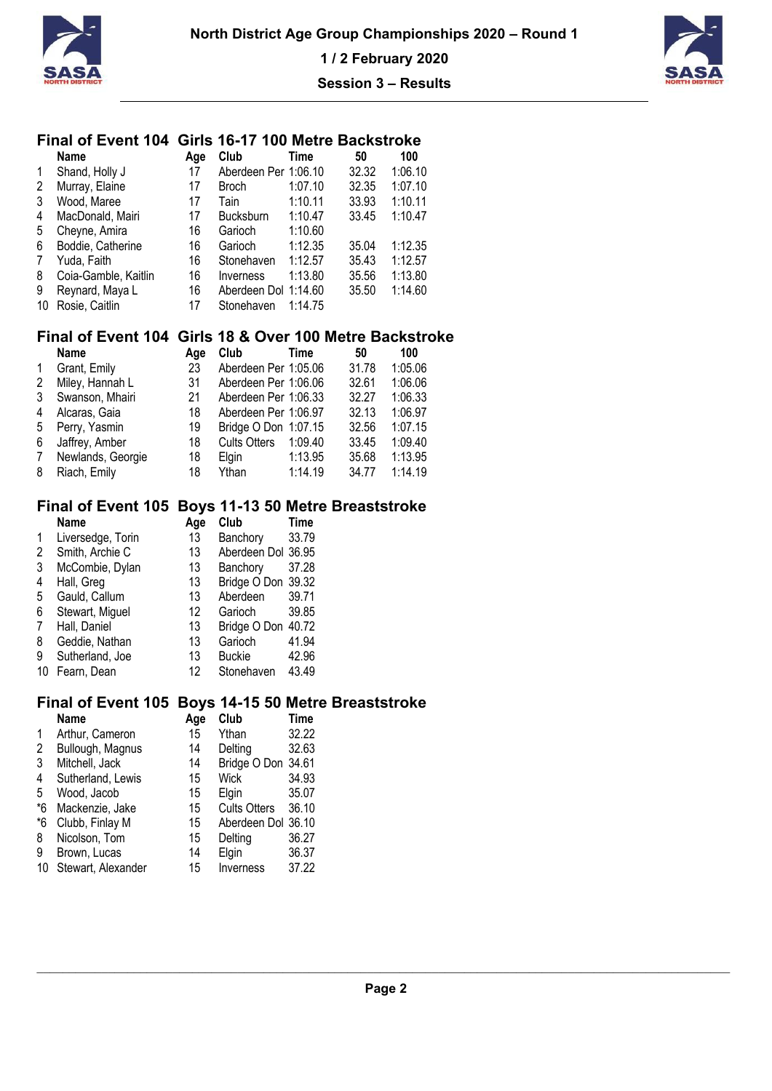



# **Final of Event 104 Girls 16-17 100 Metre Backstroke**

|    | <b>Name</b>          | Age | Club                 | Time    | 50    | 100     |
|----|----------------------|-----|----------------------|---------|-------|---------|
| 1  | Shand, Holly J       | 17  | Aberdeen Per 1:06.10 |         | 32.32 | 1:06.10 |
| 2  | Murray, Elaine       | 17  | <b>Broch</b>         | 1:07.10 | 32.35 | 1:07.10 |
| 3  | Wood, Maree          | 17  | Tain                 | 1:10.11 | 33.93 | 1:10.11 |
| 4  | MacDonald, Mairi     | 17  | <b>Bucksburn</b>     | 1:10.47 | 33.45 | 1:10.47 |
| 5  | Cheyne, Amira        | 16  | Garioch              | 1:10.60 |       |         |
| 6  | Boddie, Catherine    | 16  | Garioch              | 1:12.35 | 35.04 | 1:12.35 |
| 7  | Yuda, Faith          | 16  | Stonehaven           | 1:12.57 | 35.43 | 1:12.57 |
| 8  | Coia-Gamble, Kaitlin | 16  | Inverness            | 1:13.80 | 35.56 | 1:13.80 |
| 9  | Reynard, Maya L      | 16  | Aberdeen Dol 1:14.60 |         | 35.50 | 1:14.60 |
| 10 | Rosie, Caitlin       | 17  | Stonehaven           | 1:14.75 |       |         |

# **Final of Event 104 Girls 18 & Over 100 Metre Backstroke**

|              | <b>Name</b>       | Age | Club                 | Time    | 50    | 100     |
|--------------|-------------------|-----|----------------------|---------|-------|---------|
| $\mathbf{1}$ | Grant, Emily      | 23  | Aberdeen Per 1:05.06 |         | 31.78 | 1:05.06 |
| 2            | Miley, Hannah L   | 31  | Aberdeen Per 1:06.06 |         | 32.61 | 1:06.06 |
| 3            | Swanson, Mhairi   | 21  | Aberdeen Per 1:06.33 |         | 32.27 | 1:06.33 |
| 4            | Alcaras, Gaia     | 18  | Aberdeen Per 1:06.97 |         | 32.13 | 1:06.97 |
| 5            | Perry, Yasmin     | 19  | Bridge O Don 1:07.15 |         | 32.56 | 1:07.15 |
| 6            | Jaffrey, Amber    | 18  | <b>Cults Otters</b>  | 1:09.40 | 33.45 | 1:09.40 |
| 7            | Newlands, Georgie | 18  | <b>Elain</b>         | 1:13.95 | 35.68 | 1:13.95 |
| 8            | Riach, Emily      | 18  | Ythan                | 1:14.19 | 34.77 | 1:14.19 |

# **Final of Event 105 Boys 11-13 50 Metre Breaststroke**

|              | <b>Name</b>       | Age | Club               | Time  |
|--------------|-------------------|-----|--------------------|-------|
| $\mathbf{1}$ | Liversedge, Torin | 13  | Banchory           | 33.79 |
| 2            | Smith, Archie C   | 13  | Aberdeen Dol 36.95 |       |
| 3            | McCombie, Dylan   | 13  | Banchory           | 37.28 |
| 4            | Hall, Greg        | 13  | Bridge O Don 39.32 |       |
| 5            | Gauld, Callum     | 13  | Aberdeen           | 39.71 |
| 6            | Stewart, Miguel   | 12  | Garioch            | 39.85 |
| 7            | Hall, Daniel      | 13  | Bridge O Don 40.72 |       |
| 8            | Geddie, Nathan    | 13  | Garioch            | 41.94 |
| 9            | Sutherland, Joe   | 13  | <b>Buckie</b>      | 42.96 |
| 10           | Fearn, Dean       | 12  | Stonehaven         | 43.49 |

### **Final of Event 105 Boys 14-15 50 Metre Breaststroke**

|      | Name               | Age | Club                | <b>Time</b> |
|------|--------------------|-----|---------------------|-------------|
| 1    | Arthur, Cameron    | 15  | Ythan               | 32.22       |
| 2    | Bullough, Magnus   | 14  | Delting             | 32.63       |
| 3    | Mitchell, Jack     | 14  | Bridge O Don 34.61  |             |
| 4    | Sutherland, Lewis  | 15  | <b>Wick</b>         | 34.93       |
| 5    | Wood, Jacob        | 15  | Elgin               | 35.07       |
| $*6$ | Mackenzie, Jake    | 15  | <b>Cults Otters</b> | 36.10       |
| $*6$ | Clubb, Finlay M    | 15  | Aberdeen Dol 36.10  |             |
| 8    | Nicolson, Tom      | 15  | Delting             | 36.27       |
| 9    | Brown, Lucas       | 14  | Elgin               | 36.37       |
| 10   | Stewart, Alexander | 15  | Inverness           | 37.22       |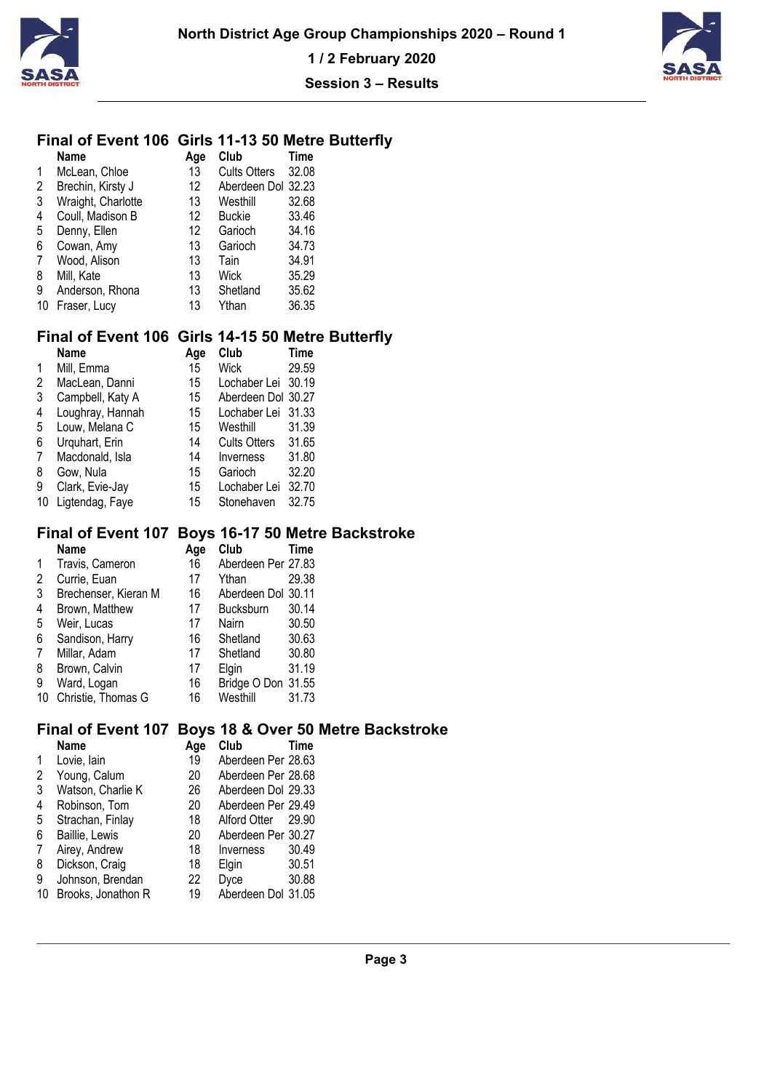



# **Final of Event 106 Girls 11-13 50 Metre Butterfly**

|    | Name               | Age | Club                | Time  |
|----|--------------------|-----|---------------------|-------|
| 1  | McLean, Chloe      | 13  | <b>Cults Otters</b> | 32.08 |
| 2  | Brechin, Kirsty J  | 12  | Aberdeen Dol 32.23  |       |
| 3  | Wraight, Charlotte | 13  | Westhill            | 32.68 |
| 4  | Coull, Madison B   | 12  | <b>Buckie</b>       | 33.46 |
| 5  | Denny, Ellen       | 12  | Garioch             | 34.16 |
| 6  | Cowan, Amy         | 13  | Garioch             | 34.73 |
| 7  | Wood, Alison       | 13  | Tain                | 34.91 |
| 8  | Mill, Kate         | 13  | Wick                | 35.29 |
| 9  | Anderson, Rhona    | 13  | Shetland            | 35.62 |
| 10 | Fraser, Lucy       | 13  | Ythan               | 36.35 |

# **Final of Event 106 Girls 14-15 50 Metre Butterfly**

|    | <b>Name</b>      | Age | Club                | Time  |
|----|------------------|-----|---------------------|-------|
| 1  | Mill, Emma       | 15  | Wick                | 29.59 |
| 2  | MacLean, Danni   | 15  | Lochaber Lei 30.19  |       |
| 3  | Campbell, Katy A | 15  | Aberdeen Dol 30.27  |       |
| 4  | Loughray, Hannah | 15  | Lochaber Lei 31.33  |       |
| 5  | Louw, Melana C   | 15  | Westhill            | 31.39 |
| 6  | Urquhart, Erin   | 14  | <b>Cults Otters</b> | 31.65 |
| 7  | Macdonald, Isla  | 14  | Inverness           | 31.80 |
| 8  | Gow, Nula        | 15  | Garioch             | 32.20 |
| 9  | Clark, Evie-Jay  | 15  | Lochaber Lei        | 32.70 |
| 10 | Ligtendag, Faye  | 15  | Stonehaven          | 32.75 |

# **Final of Event 107 Boys 16-17 50 Metre Backstroke**

|    | <b>Name</b>          | Age | Club               | Time  |
|----|----------------------|-----|--------------------|-------|
| 1  | Travis, Cameron      | 16  | Aberdeen Per 27.83 |       |
| 2  | Currie, Euan         | 17  | Ythan              | 29.38 |
| 3  | Brechenser, Kieran M | 16  | Aberdeen Dol 30.11 |       |
| 4  | Brown, Matthew       | 17  | <b>Bucksburn</b>   | 30.14 |
| 5  | Weir, Lucas          | 17  | Nairn              | 30.50 |
| 6  | Sandison, Harry      | 16  | Shetland           | 30.63 |
| 7  | Millar, Adam         | 17  | Shetland           | 30.80 |
| 8  | Brown, Calvin        | 17  | Elgin              | 31.19 |
| 9  | Ward, Logan          | 16  | Bridge O Don 31.55 |       |
| 10 | Christie, Thomas G   | 16  | Westhill           | 31.73 |

#### **Final of Event 107 Boys 18 & Over 50 Metre Backstroke**

|    | <b>Name</b>        | Age | Club               | Time  |
|----|--------------------|-----|--------------------|-------|
| 1  | Lovie, lain        | 19  | Aberdeen Per 28.63 |       |
| 2  | Young, Calum       | 20  | Aberdeen Per 28.68 |       |
| 3  | Watson, Charlie K  | 26  | Aberdeen Dol 29.33 |       |
| 4  | Robinson, Tom      | 20  | Aberdeen Per 29.49 |       |
| 5  | Strachan, Finlay   | 18  | Alford Otter       | 29.90 |
| 6  | Baillie, Lewis     | 20  | Aberdeen Per 30.27 |       |
| 7  | Airey, Andrew      | 18  | Inverness          | 30.49 |
| 8  | Dickson, Craig     | 18  | Elgin              | 30.51 |
| 9  | Johnson, Brendan   | 22  | Dyce               | 30.88 |
| 10 | Brooks, Jonathon R | 19  | Aberdeen Dol 31.05 |       |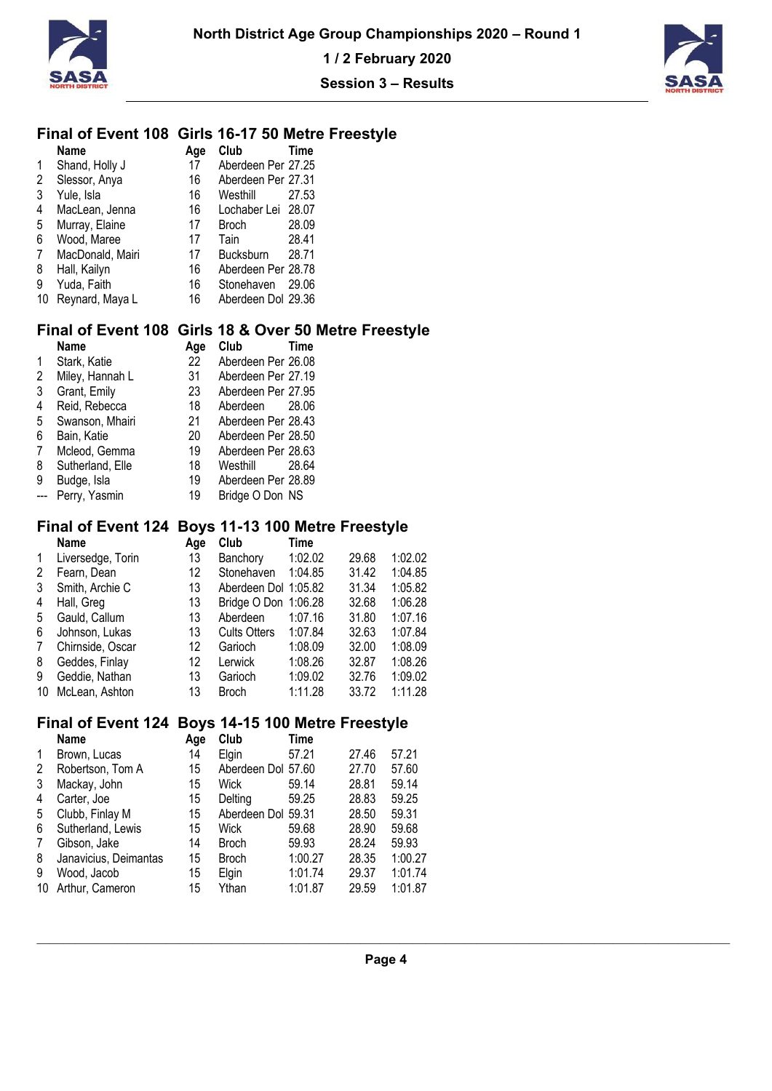



### **Final of Event 108 Girls 16-17 50 Metre Freestyle**

|    | <b>Name</b>      | Age | Club               | Time  |
|----|------------------|-----|--------------------|-------|
| 1  | Shand, Holly J   | 17  | Aberdeen Per 27.25 |       |
| 2  | Slessor, Anya    | 16  | Aberdeen Per 27.31 |       |
| 3  | Yule, Isla       | 16  | Westhill           | 27.53 |
| 4  | MacLean, Jenna   | 16  | Lochaber Lei 28.07 |       |
| 5  | Murray, Elaine   | 17  | <b>Broch</b>       | 28.09 |
| 6  | Wood, Maree      | 17  | Tain               | 28.41 |
| 7  | MacDonald, Mairi | 17  | <b>Bucksburn</b>   | 28.71 |
| 8  | Hall, Kailyn     | 16  | Aberdeen Per 28.78 |       |
| 9  | Yuda, Faith      | 16  | Stonehaven         | 29.06 |
| 10 | Reynard, Maya L  | 16  | Aberdeen Dol 29.36 |       |

# **Final of Event 108 Girls 18 & Over 50 Metre Freestyle**

|   | Name             | Age | Club<br>Time       |
|---|------------------|-----|--------------------|
| 1 | Stark, Katie     | 22  | Aberdeen Per 26.08 |
| 2 | Miley, Hannah L  | 31  | Aberdeen Per 27.19 |
| 3 | Grant, Emily     | 23  | Aberdeen Per 27.95 |
| 4 | Reid, Rebecca    | 18  | 28.06<br>Aberdeen  |
| 5 | Swanson, Mhairi  | 21  | Aberdeen Per 28.43 |
| 6 | Bain, Katie      | 20  | Aberdeen Per 28.50 |
| 7 | Mcleod, Gemma    | 19  | Aberdeen Per 28.63 |
| 8 | Sutherland, Elle | 18  | Westhill<br>28.64  |
| 9 | Budge, Isla      | 19  | Aberdeen Per 28.89 |
|   | Perry, Yasmin    | 19  | Bridge O Don NS    |
|   |                  |     |                    |

# **Final of Event 124 Boys 11-13 100 Metre Freestyle**

|              | Name              | Age | Club                 | Time    |       |         |
|--------------|-------------------|-----|----------------------|---------|-------|---------|
| $\mathbf{1}$ | Liversedge, Torin | 13  | Banchory             | 1:02.02 | 29.68 | 1:02.02 |
| 2            | Fearn, Dean       | 12  | Stonehaven           | 1:04.85 | 31.42 | 1:04.85 |
| 3            | Smith, Archie C   | 13  | Aberdeen Dol 1:05.82 |         | 31.34 | 1:05.82 |
| 4            | Hall, Greg        | 13  | Bridge O Don 1:06.28 |         | 32.68 | 1:06.28 |
| 5            | Gauld, Callum     | 13  | Aberdeen             | 1:07.16 | 31.80 | 1:07.16 |
| 6            | Johnson, Lukas    | 13  | <b>Cults Otters</b>  | 1:07.84 | 32.63 | 1:07.84 |
| 7            | Chirnside, Oscar  | 12  | Garioch              | 1:08.09 | 32.00 | 1:08.09 |
| 8            | Geddes, Finlay    | 12  | Lerwick              | 1:08.26 | 32.87 | 1:08.26 |
| 9            | Geddie, Nathan    | 13  | Garioch              | 1:09.02 | 32.76 | 1:09.02 |
| 10           | McLean, Ashton    | 13  | <b>Broch</b>         | 1:11.28 | 33.72 | 1:11.28 |

# **Final of Event 124 Boys 14-15 100 Metre Freestyle**

|    | Name                  | Age | Club               | Time    |       |         |
|----|-----------------------|-----|--------------------|---------|-------|---------|
| 1  | Brown, Lucas          | 14  | Elgin              | 57.21   | 27.46 | 57.21   |
| 2  | Robertson, Tom A      | 15  | Aberdeen Dol 57.60 |         | 27.70 | 57.60   |
| 3  | Mackay, John          | 15  | Wick               | 59.14   | 28.81 | 59.14   |
| 4  | Carter, Joe           | 15  | Delting            | 59.25   | 28.83 | 59.25   |
| 5  | Clubb, Finlay M       | 15  | Aberdeen Dol 59.31 |         | 28.50 | 59.31   |
| 6  | Sutherland, Lewis     | 15  | Wick               | 59.68   | 28.90 | 59.68   |
| 7  | Gibson, Jake          | 14  | <b>Broch</b>       | 59.93   | 28.24 | 59.93   |
| 8  | Janavicius, Deimantas | 15  | <b>Broch</b>       | 1:00.27 | 28.35 | 1:00.27 |
| 9  | Wood, Jacob           | 15  | Elgin              | 1:01.74 | 29.37 | 1:01.74 |
| 10 | Arthur, Cameron       | 15  | Ythan              | 1:01.87 | 29.59 | 1:01.87 |
|    |                       |     |                    |         |       |         |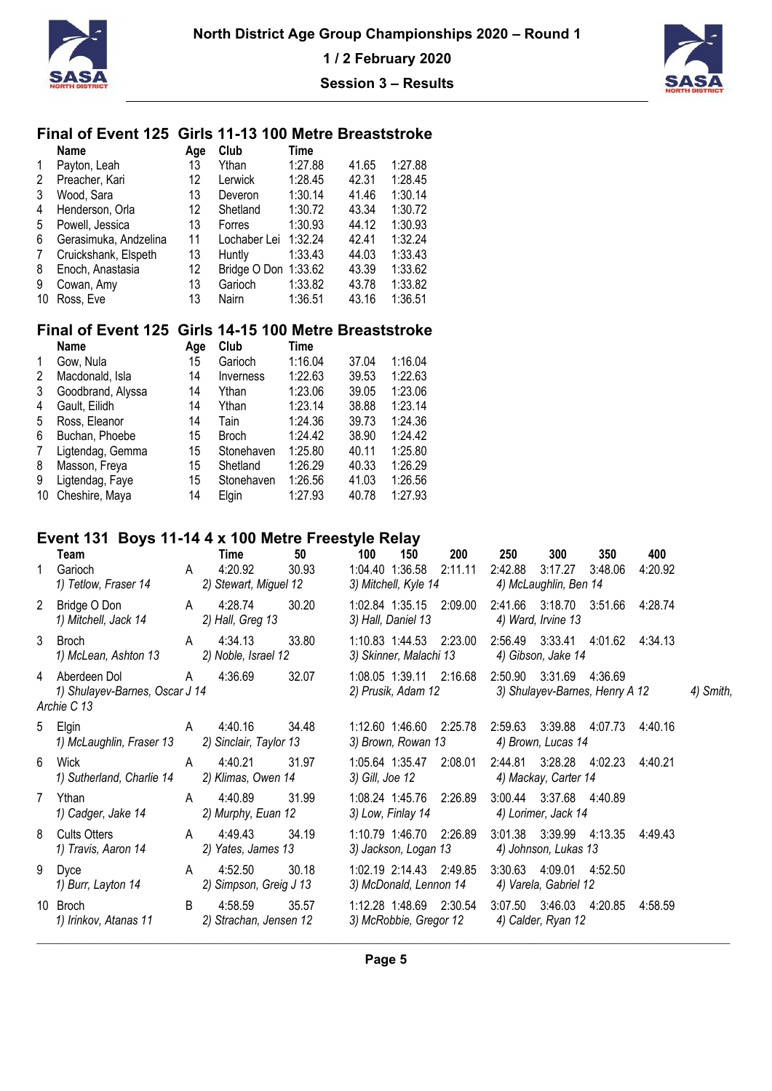



# **Final of Event 125 Girls 11-13 100 Metre Breaststroke**

|    | Name                  | Age | Club                 | Time    |       |         |
|----|-----------------------|-----|----------------------|---------|-------|---------|
| 1  | Payton, Leah          | 13  | Ythan                | 1:27.88 | 41.65 | 1:27.88 |
| 2  | Preacher, Kari        | 12  | Lerwick              | 1:28.45 | 42.31 | 1:28.45 |
| 3  | Wood, Sara            | 13  | Deveron              | 1:30.14 | 41.46 | 1:30.14 |
| 4  | Henderson, Orla       | 12  | Shetland             | 1:30.72 | 43.34 | 1:30.72 |
| 5  | Powell, Jessica       | 13  | Forres               | 1:30.93 | 44.12 | 1:30.93 |
| 6  | Gerasimuka, Andzelina | 11  | Lochaber Lei         | 1:32.24 | 42.41 | 1:32.24 |
| 7  | Cruickshank, Elspeth  | 13  | Huntly               | 1:33.43 | 44.03 | 1:33.43 |
| 8  | Enoch, Anastasia      | 12  | Bridge O Don 1:33.62 |         | 43.39 | 1:33.62 |
| 9  | Cowan, Amy            | 13  | Garioch              | 1:33.82 | 43.78 | 1:33.82 |
| 10 | Ross, Eve             | 13  | Nairn                | 1:36.51 | 43.16 | 1:36.51 |

# **Final of Event 125 Girls 14-15 100 Metre Breaststroke**

|    | Name              | Age | Club         | Time    |       |         |
|----|-------------------|-----|--------------|---------|-------|---------|
| 1  | Gow, Nula         | 15  | Garioch      | 1:16.04 | 37.04 | 1:16.04 |
| 2  | Macdonald, Isla   | 14  | Inverness    | 1:22.63 | 39.53 | 1:22.63 |
| 3  | Goodbrand, Alyssa | 14  | Ythan        | 1:23.06 | 39.05 | 1:23.06 |
| 4  | Gault, Eilidh     | 14  | Ythan        | 1:23.14 | 38.88 | 1:23.14 |
| 5  | Ross, Eleanor     | 14  | Tain         | 1:24.36 | 39.73 | 1:24.36 |
| 6  | Buchan, Phoebe    | 15  | <b>Broch</b> | 1:24.42 | 38.90 | 1:24.42 |
| 7  | Ligtendag, Gemma  | 15  | Stonehaven   | 1:25.80 | 40.11 | 1:25.80 |
| 8  | Masson, Freya     | 15  | Shetland     | 1:26.29 | 40.33 | 1:26.29 |
| 9  | Ligtendag, Faye   | 15  | Stonehaven   | 1:26.56 | 41.03 | 1:26.56 |
| 10 | Cheshire, Maya    | 14  | Elgin        | 1:27.93 | 40.78 | 1:27.93 |
|    |                   |     |              |         |       |         |

# **Event 131 Boys 11-14 4 x 100 Metre Freestyle Relay**

|                | Team<br>Garioch<br>1) Tetlow, Fraser 14                       | A | Time<br>4:20.92<br>2) Stewart, Miguel 12 | 50<br>30.93 | 100<br>1:04.40 1:36.58             | 150<br>3) Mitchell, Kyle 14                       | 200<br>2:11.11 | 250<br>2:42.88  | 300<br>3:17.27<br>4) McLaughlin, Ben 14          | 350<br>3:48.06                 | 400<br>4:20.92 |           |
|----------------|---------------------------------------------------------------|---|------------------------------------------|-------------|------------------------------------|---------------------------------------------------|----------------|-----------------|--------------------------------------------------|--------------------------------|----------------|-----------|
| $\overline{2}$ | Bridge O Don<br>1) Mitchell, Jack 14                          | A | 4:28.74<br>2) Hall, Greg 13              | 30.20       | 1:02.84 1:35.15                    | 3) Hall, Daniel 13                                | 2:09.00        | 2:41.66 3:18.70 | 4) Ward, Irvine 13                               | 3:51.66                        | 4:28.74        |           |
| 3              | <b>Broch</b><br>1) McLean, Ashton 13                          | A | 4:34.13<br>2) Noble, Israel 12           | 33.80       |                                    | 1:10.83 1:44.53 2:23.00<br>3) Skinner, Malachi 13 |                |                 | 2:56.49 3:33.41<br>4) Gibson, Jake 14            | 4:01.62 4:34.13                |                |           |
| 4              | Aberdeen Dol<br>1) Shulayev-Barnes, Oscar J 14<br>Archie C 13 | A | 4:36.69                                  | 32.07       |                                    | 1:08.05 1:39.11 2:16.68<br>2) Prusik, Adam 12     |                |                 | 2:50.90 3:31.69 4:36.69                          | 3) Shulayev-Barnes, Henry A 12 |                | 4) Smith, |
|                | 5 Elgin<br>1) McLaughlin, Fraser 13                           | A | 4:40.16<br>2) Sinclair, Taylor 13        | 34.48       | 1:12.60 1:46.60                    | 3) Brown, Rowan 13                                | 2:25.78        |                 | 2:59.63 3:39.88 4:07.73<br>4) Brown, Lucas 14    |                                | 4:40.16        |           |
| 6              | Wick<br>1) Sutherland, Charlie 14                             | A | 4:40.21<br>2) Klimas, Owen 14            | 31.97       | 1:05.64 1:35.47<br>3) Gill, Joe 12 |                                                   | 2:08.01        |                 | 2:44.81 3:28.28 4:02.23<br>4) Mackay, Carter 14  |                                | 4:40.21        |           |
| 7              | Ythan<br>1) Cadger, Jake 14                                   | A | 4:40.89<br>2) Murphy, Euan 12            | 31.99       |                                    | 1:08.24 1:45.76 2:26.89<br>3) Low, Finlay 14      |                |                 | 3:00.44 3:37.68 4:40.89<br>4) Lorimer, Jack 14   |                                |                |           |
| 8              | <b>Cults Otters</b><br>1) Travis, Aaron 14                    | A | 4:49.43<br>2) Yates, James 13            | 34.19       |                                    | 1:10.79 1:46.70<br>3) Jackson, Logan 13           | 2:26.89        | 3:01.38         | 3:39.99 4:13.35<br>4) Johnson, Lukas 13          |                                | 4:49.43        |           |
| 9              | Dyce<br>1) Burr, Layton 14                                    | A | 4:52.50<br>2) Simpson, Greig J 13        | 30.18       |                                    | 1:02.19 2:14.43 2:49.85<br>3) McDonald, Lennon 14 |                |                 | 3:30.63 4:09.01 4:52.50<br>4) Varela, Gabriel 12 |                                |                |           |
|                | 10 Broch<br>1) Irinkov, Atanas 11                             | B | 4:58.59<br>2) Strachan, Jensen 12        | 35.57       |                                    | 1:12.28 1:48.69 2:30.54<br>3) McRobbie, Gregor 12 |                |                 | 3:07.50 3:46.03 4:20.85<br>4) Calder, Ryan 12    |                                | 4:58.59        |           |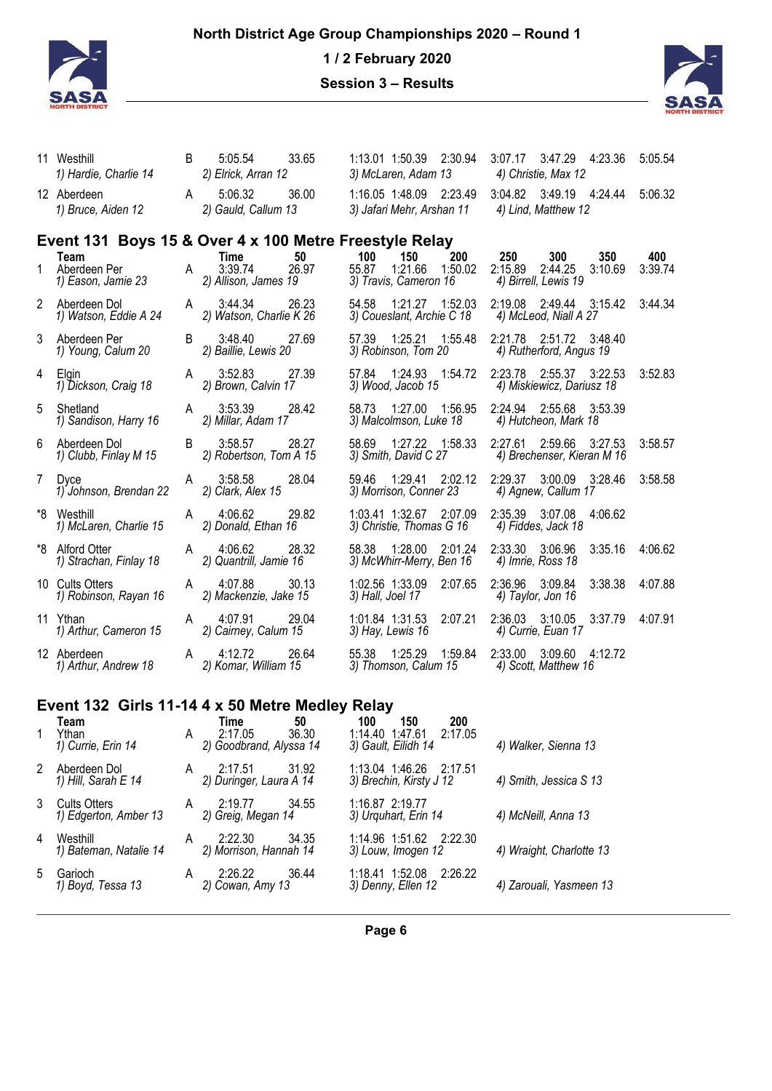

**Session 3 – Results**



|                            | 11 Westhill<br>1) Hardie, Charlie 14       | B  | 5:05.54<br>33.65<br>2) Elrick, Arran 12                | 1:13.01 1:50.39 2:30.94<br>3) McLaren, Adam 13                            | 3:07.17 3:47.29 4:23.36<br>4) Christie, Max 12                             | 5:05.54        |
|----------------------------|--------------------------------------------|----|--------------------------------------------------------|---------------------------------------------------------------------------|----------------------------------------------------------------------------|----------------|
|                            | 12 Aberdeen<br>1) Bruce, Aiden 12          | A  | 5:06.32<br>36.00<br>2) Gauld, Callum 13                | 1:16.05 1:48.09 2:23.49<br>3) Jafari Mehr, Arshan 11                      | 3:04.82 3:49.19 4:24.44 5:06.32<br>4) Lind, Matthew 12                     |                |
|                            |                                            |    | Event 131 Boys 15 & Over 4 x 100 Metre Freestyle Relay |                                                                           |                                                                            |                |
| 1 $\overline{\phantom{a}}$ | Team<br>Aberdeen Per<br>1) Eason, Jamie 23 | A  | 50<br>Time<br>26.97<br>3:39.74<br>2) Allison, James 19 | 100<br>200<br>150<br>55.87<br>1:21.66<br>1:50.02<br>3) Travis, Cameron 16 | 300<br>350<br>250<br>2:15.89 2:44.25<br>3:10.69<br>4) Birrell, Lewis 19    | 400<br>3:39.74 |
| 2                          | Aberdeen Dol<br>1) Watson, Eddie A 24      | A  | 26.23<br>3:44.34<br>2) Watson, Charlie K 26            | 54.58  1:21.27  1:52.03<br>3) Coueslant, Archie C 18                      | 2:19.08 2:49.44 3:15.42<br>4) McLeod, Niall A 27                           | 3:44.34        |
| 3                          | Aberdeen Per<br>1) Young, Calum 20         | B. | 3:48.40<br>27.69<br>2) Baillie, Lewis 20               | 57.39  1:25.21  1:55.48<br>3) Robinson, Tom 20                            | 2:21.78 2:51.72 3:48.40<br>4) Rutherford, Angus 19                         |                |
| 4                          | <b>Elain</b><br>1) Dickson, Craig 18       | A  | 3:52.83<br>27.39<br>2) Brown, Calvin 17                | 57.84  1:24.93  1:54.72<br>3) Wood, Jacob 15                              | 2:23.78 2:55.37 3:22.53<br>4) Miskiewicz, Dariusz 18                       | 3:52.83        |
| 5                          | Shetland<br>1) Sandison, Harry 16          | A  | 3:53.39<br>28.42<br>2) Millar, Adam 17                 | 58.73  1:27.00  1:56.95<br>3) Malcolmson, Luke 18                         | 2:24.94 2:55.68 3:53.39<br>4) Hutcheon, Mark 18                            |                |
| 6                          | Aberdeen Dol<br>1) Clubb, Finlay M 15      | B  | 3:58.57<br>28.27<br>2) Robertson, Tom A 15             | 58.69  1:27.22  1:58.33<br>3) Smith, David C 27                           | 2:27.61 2:59.66 3:27.53<br>4) Brechenser, Kieran M 16                      | 3:58.57        |
| 7                          | Dyce<br>1) Johnson, Brendan 22             | A  | 3:58.58<br>28.04<br>2) Clark, Alex 15                  | 59.46  1:29.41  2:02.12<br>3) Morrison, Conner 23                         | 2:29.37 3:00.09 3:28.46<br>4) Agnew, Callum 17                             | 3:58.58        |
|                            | *8 Westhill<br>1) McLaren, Charlie 15      | A  | 4:06.62<br>29.82<br>2) Donald, Ethan 16                | 1:03.41 1:32.67 2:07.09<br>3) Christie, Thomas G 16                       | 2:35.39<br>3:07.08 4:06.62<br>4) Fiddes, Jack 18                           |                |
| *8                         | Alford Otter<br>1) Strachan, Finlay 18     | A  | 4:06.62<br>28.32<br>2) Quantrill, Jamie 16             | 58.38  1:28.00  2:01.24<br>3) McWhirr-Merry, Ben 16                       | 2:33.30 3:06.96<br>3:35.16<br>4) Imrie, Ross 18                            | 4:06.62        |
|                            | 10 Cults Otters<br>1) Robinson, Rayan 16   | A  | 4:07.88<br>30.13<br>2) Mackenzie, Jake 15              | 1:02.56 1:33.09 2:07.65<br>3) Hall, Joel 17                               | 2:36.96 3:09.84<br>3:38.38<br>4) Taylor, Jon 16                            | 4:07.88        |
|                            | 11 Ythan<br>1) Arthur, Cameron 15          | A  | 4:07.91<br>29.04<br>2) Cairney, Calum 15               | 2:07.21<br>1:01.84 1:31.53<br>3) Hay, Lewis 16                            | 2:36.03 3:10.05 3:37.79<br>4) Currie, Euan 17                              | 4:07.91        |
|                            | 12 Aberdeen<br>1) Arthur, Andrew 18        | A  | 26.64<br>4:12.72<br>2) Komar, William 15               | 3) Thomson, Calum 15                                                      | 55.38  1:25.29  1:59.84  2:33.00  3:09.60  4:12.72<br>4) Scott, Matthew 16 |                |
|                            |                                            |    |                                                        |                                                                           |                                                                            |                |

# **Event 132 Girls 11-14 4 x 50 Metre Medley Relay**

|    | Team<br>Ythan<br>1) Currie, Erin 14          | A | 50<br>Time<br>36.30<br>2:17.05<br>2) Goodbrand, Alyssa 14 | 200<br>100<br>150<br>1:14.40 1:47.61 2:17.05<br>3) Gault, Eilidh 14 | 4) Walker, Sienna 13     |
|----|----------------------------------------------|---|-----------------------------------------------------------|---------------------------------------------------------------------|--------------------------|
| 2  | Aberdeen Dol<br>1) Hill, Sarah E 14          | A | 31.92<br>2:17.51<br>2) Duringer, Laura A 14               | 1:13.04 1:46.26<br>2:17.51<br>3) Brechin, Kirsty J 12               | 4) Smith, Jessica S 13   |
| 3  | <b>Cults Otters</b><br>1) Edgerton, Amber 13 | A | 34.55<br>2:19.77<br>2) Greig, Megan 14                    | 1:16.87 2:19.77<br>3) Urguhart, Erin 14                             | 4) McNeill, Anna 13      |
| 4  | Westhill<br>1) Bateman, Natalie 14           | A | 2:22.30<br>34.35<br>2) Morrison, Hannah 14                | 1:14.96 1:51.62 2:22.30<br>3) Louw, Imogen 12                       | 4) Wraight, Charlotte 13 |
| 5. | Garioch<br>1) Boyd, Tessa 13                 | A | 2:26.22<br>36.44<br>2) Cowan, Amy 13                      | 1:18.41 1:52.08<br>2:26.22<br>3) Denny, Ellen 12                    | 4) Zarouali, Yasmeen 13  |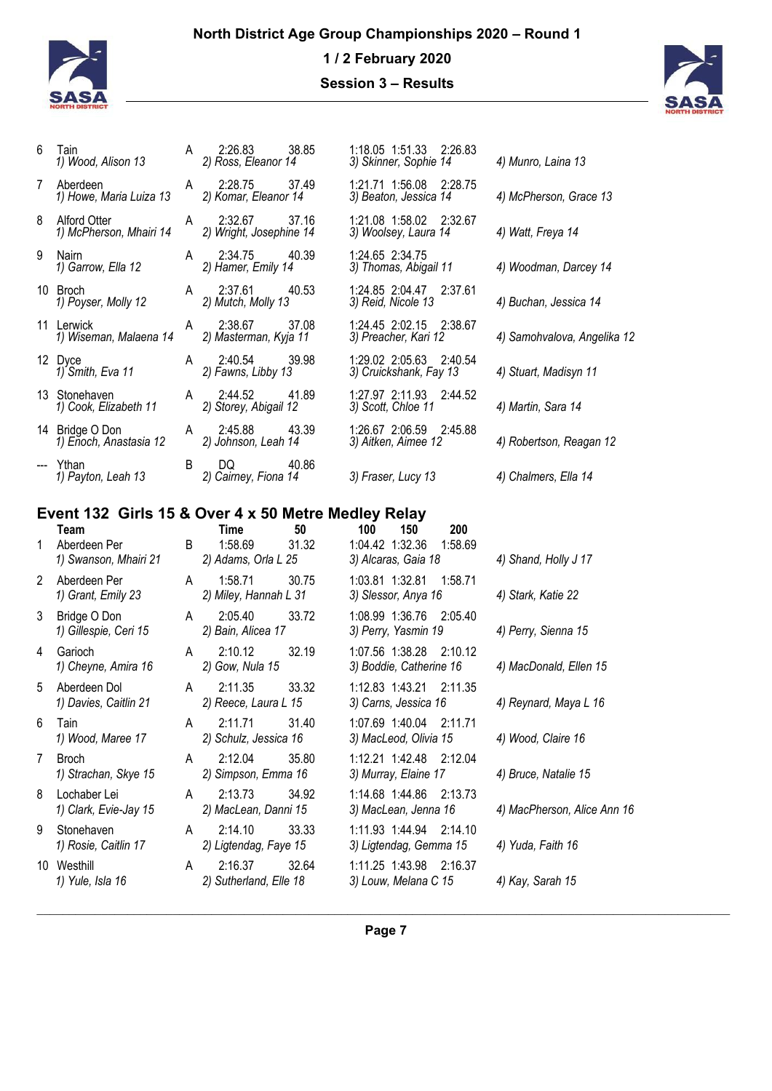

**North District Age Group Championships 2020 – Round 1**

**1 / 2 February 2020**

#### **Session 3 – Results**



| 6   | Tain<br>1) Wood, Alison 13                | A 2:26.83 38.85<br>2) Ross, Eleanor 14        | $1:18.05$ 1:51.33 2:26.83<br>3) Skinner, Sophie 14 | 4) Munro, Laina 13          |
|-----|-------------------------------------------|-----------------------------------------------|----------------------------------------------------|-----------------------------|
|     | 1) Howe, Maria Luiza 13                   | 2) Komar, Eleanor 14                          | 1:21.71 1:56.08 2:28.75<br>3) Beaton, Jessica 14   | 4) McPherson, Grace 13      |
| 8   | Alford Otter<br>1) McPherson, Mhairi 14   | A 2:32.67<br>37.16<br>2) Wright, Josephine 14 | 1:21.08 1:58.02 2:32.67<br>3) Woolsey, Laura 14    | 4) Watt, Freya 14           |
| 9   | <b>Nairn</b><br>1) Garrow, Ella 12        | A 2:34.75 40.39<br>2) Hamer, Emily 14         | 1:24.65 2:34.75<br>3) Thomas, Abigail 11           | 4) Woodman, Darcey 14       |
|     | 10 Broch<br>1) Poyser, Molly 12           | A 2:37.61 40.53<br>2) Mutch, Molly 13         | 1:24.85 2:04.47 2:37.61<br>3) Reid, Nicole 13      | 4) Buchan, Jessica 14       |
|     | 11 Lerwick<br>1) Wiseman, Malaena 14      | A 2:38.67 37.08<br>2) Masterman, Kyja 11      | 1:24.45 2:02.15 2:38.67<br>3) Preacher, Kari 12    | 4) Samohvalova, Angelika 12 |
|     | 12 Dyce<br>1) Smith, Eva 11               | A 2:40.54 39.98<br>2) Fawns, Libby 13         | 1:29.02 2:05.63 2:40.54<br>3) Cruickshank, Fay 13  | 4) Stuart, Madisyn 11       |
|     | 13 Stonehaven<br>1) Cook, Elizabeth 11    | A 2:44.52 41.89<br>2) Storey, Abigail 12      | 1:27.97 2:11.93 2:44.52<br>3) Scott, Chloe 11      | 4) Martin, Sara 14          |
|     | 14 Bridge O Don<br>1) Eñoch, Anastasia 12 | A 2:45.88 43.39<br>2) Johnson, Leah 14        | 1:26.67 2:06.59 2:45.88<br>3) Aitken, Aimee 12     | 4) Robertson, Reagan 12     |
| --- | Ythan<br>1) Payton, Leah 13               | B.<br>40.86<br>DQ.<br>2) Cairney, Fiona 14    | 3) Fraser, Lucy 13                                 | 4) Chalmers, Ella 14        |

# **Event 132 Girls 15 & Over 4 x 50 Metre Medley Relay**

|                | Team                                  |   | T A JV<br>50<br>Time                       | u i v y<br>100<br>150<br>200                          |                             |
|----------------|---------------------------------------|---|--------------------------------------------|-------------------------------------------------------|-----------------------------|
|                | Aberdeen Per<br>1) Swanson, Mhairi 21 | B | 1:58.69<br>31.32<br>2) Adams, Orla L 25    | 1:04.42 1:32.36<br>1:58.69<br>3) Alcaras, Gaia 18     | 4) Shand, Holly J 17        |
| 2              | Aberdeen Per<br>1) Grant, Emily 23    | A | 1:58.71<br>30.75<br>2) Miley, Hannah L 31  | 1:03.81 1:32.81<br>1:58.71<br>3) Slessor, Anya 16     | 4) Stark, Katie 22          |
| 3              | Bridge O Don<br>1) Gillespie, Ceri 15 | A | 2:05.40<br>33.72<br>2) Bain, Alicea 17     | 1:08.99 1:36.76 2:05.40<br>3) Perry, Yasmin 19        | 4) Perry, Sienna 15         |
| 4              | Garioch<br>1) Cheyne, Amira 16        | A | 2:10.12<br>32.19<br>2) Gow, Nula 15        | 1:07.56 1:38.28<br>2:10.12<br>3) Boddie, Catherine 16 | 4) MacDonald, Ellen 15      |
| 5              | Aberdeen Dol<br>1) Davies, Caitlin 21 | A | 2:11.35<br>33.32<br>2) Reece, Laura L 15   | 1:12.83  1:43.21<br>2:11.35<br>3) Carns, Jessica 16   | 4) Reynard, Maya L 16       |
| 6              | Tain<br>1) Wood, Maree 17             | A | 2:11.71<br>31.40<br>2) Schulz, Jessica 16  | 1:07.69 1:40.04<br>2:11.71<br>3) MacLeod, Olivia 15   | 4) Wood, Claire 16          |
| $\overline{7}$ | <b>Broch</b><br>1) Strachan, Skye 15  | A | 2:12.04<br>35.80<br>2) Simpson, Emma 16    | 1:12.21 1:42.48 2:12.04<br>3) Murray, Elaine 17       | 4) Bruce, Natalie 15        |
| 8              | Lochaber Lei<br>1) Clark, Evie-Jay 15 | A | 2:13.73<br>34.92<br>2) MacLean, Danni 15   | 1:14.68 1:44.86 2:13.73<br>3) MacLean, Jenna 16       | 4) MacPherson, Alice Ann 16 |
| 9              | Stonehaven<br>1) Rosie, Caitlin 17    | A | 2:14.10<br>33.33<br>2) Ligtendag, Faye 15  | 1:11.93 1:44.94 2:14.10<br>3) Ligtendag, Gemma 15     | 4) Yuda, Faith 16           |
| 10             | Westhill<br>1) Yule, Isla 16          | A | 2:16.37<br>32.64<br>2) Sutherland, Elle 18 | 1:11.25 1:43.98 2:16.37<br>3) Louw, Melana C 15       | 4) Kay, Sarah 15            |
|                |                                       |   |                                            |                                                       |                             |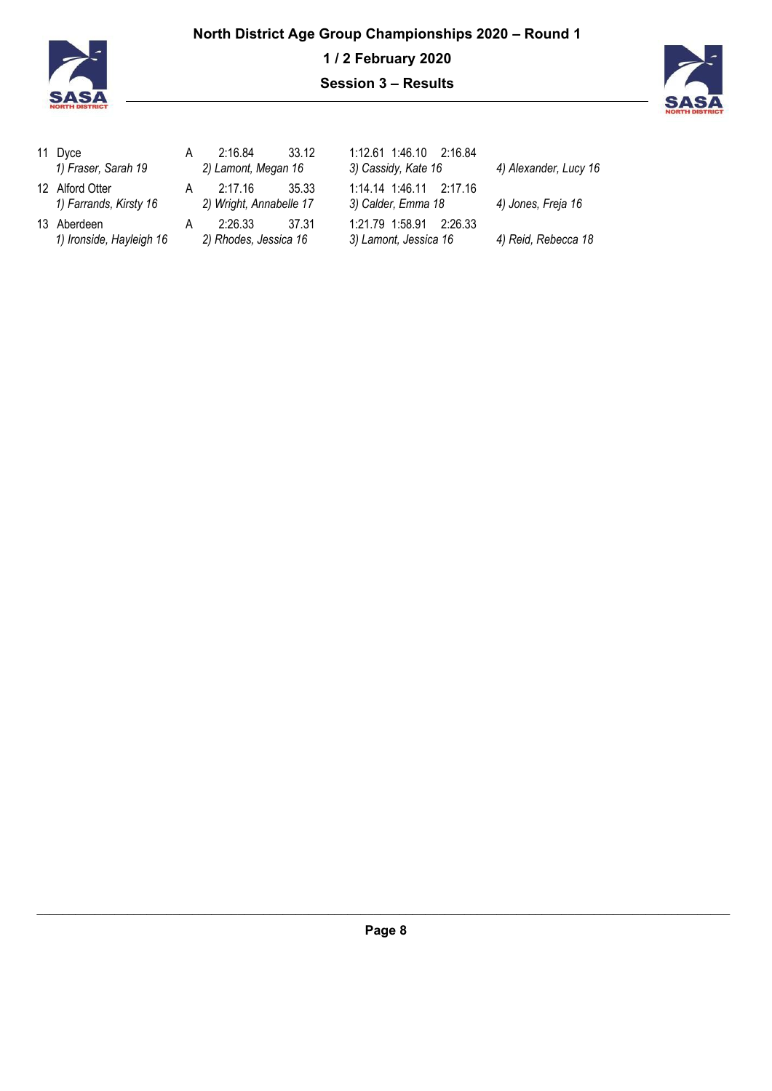

**Session 3 – Results**



| 11 Dyce<br>1) Fraser, Sarah 19            |   | 2:16.84<br>2) Lamont, Megan 16     | 33.12   | 1:12.61 1:46.10 2:16.84<br>3) Cassidy, Kate 16      | 4) Alexander, Lucy 16 |
|-------------------------------------------|---|------------------------------------|---------|-----------------------------------------------------|-----------------------|
| 12 Alford Otter<br>1) Farrands, Kirsty 16 | А | 2:17.16<br>2) Wright, Annabelle 17 | 35.33   | $1:14.14$ $1:46.11$ $2:17.16$<br>3) Calder, Emma 18 | 4) Jones, Freja 16    |
| 13 Aberdeen<br>1) Ironside, Hayleigh 16   | Α | 2:26.33<br>2) Rhodes, Jessica 16   | - 37.31 | 1:21.79 1:58.91 2:26.33<br>3) Lamont, Jessica 16    | 4) Reid, Rebecca 18   |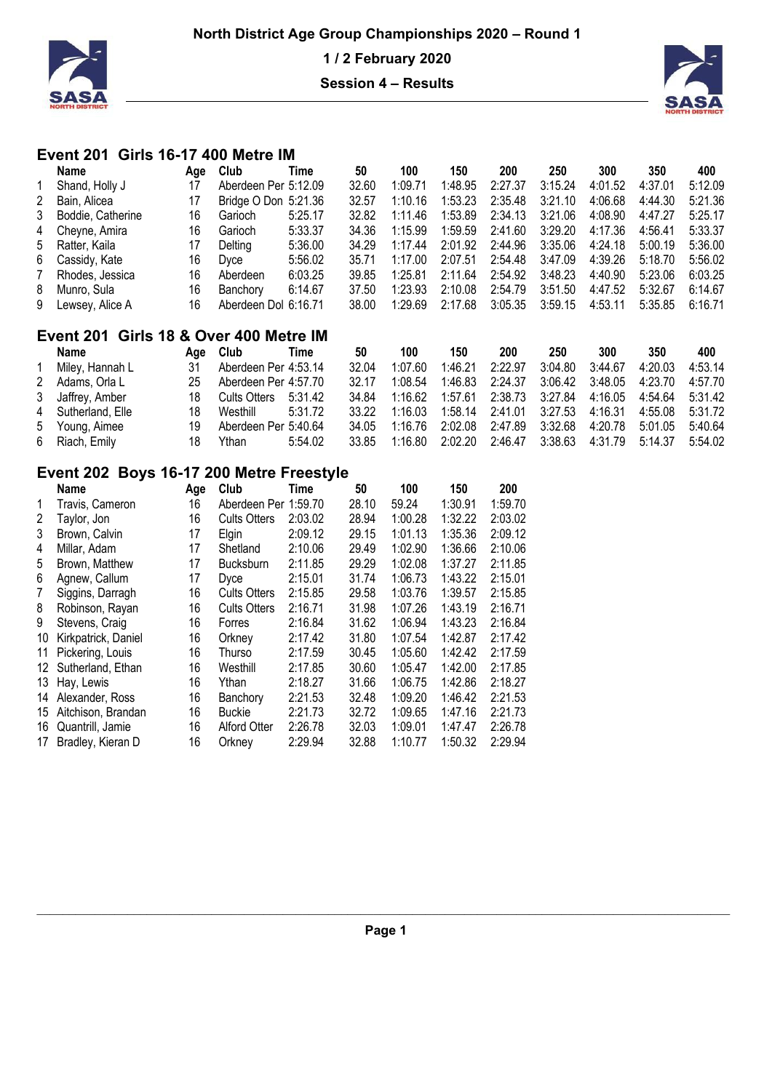



# **Event 201 Girls 16-17 400 Metre IM**

|              | Name                                   | Age | Club                 | Time    | 50    | 100     | 150     | 200     | 250     | 300     | 350     | 400     |  |
|--------------|----------------------------------------|-----|----------------------|---------|-------|---------|---------|---------|---------|---------|---------|---------|--|
|              | Shand, Holly J                         | 17  | Aberdeen Per 5:12.09 |         | 32.60 | 1:09.71 | 1:48.95 | 2:27.37 | 3:15.24 | 4:01.52 | 4:37.01 | 5:12.09 |  |
| $\mathbf{2}$ | Bain, Alicea                           | 17  | Bridge O Don 5:21.36 |         | 32.57 | 1:10.16 | 1:53.23 | 2:35.48 | 3:21.10 | 4:06.68 | 4:44.30 | 5:21.36 |  |
| 3            | Boddie, Catherine                      | 16  | Garioch              | 5:25.17 | 32.82 | 1:11.46 | 1:53.89 | 2:34.13 | 3:21.06 | 4:08.90 | 4:47.27 | 5:25.17 |  |
| 4            | Cheyne, Amira                          | 16  | Garioch              | 5:33.37 | 34.36 | 1:15.99 | 1:59.59 | 2:41.60 | 3:29.20 | 4:17.36 | 4:56.41 | 5:33.37 |  |
|              | 5 Ratter, Kaila                        | 17  | Delting              | 5:36.00 | 34.29 | 1:17.44 | 2:01.92 | 2:44.96 | 3:35.06 | 4:24.18 | 5:00.19 | 5:36.00 |  |
| 6            | Cassidy, Kate                          | 16  | Dvce                 | 5:56.02 | 35.71 | 1:17.00 | 2:07.51 | 2:54.48 | 3:47.09 | 4:39.26 | 5:18.70 | 5:56.02 |  |
| 7            | Rhodes, Jessica                        | 16  | Aberdeen             | 6:03.25 | 39.85 | 1:25.81 | 2:11.64 | 2:54.92 | 3:48.23 | 4:40.90 | 5:23.06 | 6:03.25 |  |
| 8            | Munro, Sula                            | 16  | Banchory             | 6:14.67 | 37.50 | 1:23.93 | 2:10.08 | 2:54.79 | 3:51.50 | 4:47.52 | 5:32.67 | 6:14.67 |  |
| 9            | Lewsey, Alice A                        | 16  | Aberdeen Dol 6:16.71 |         | 38.00 | 1:29.69 | 2:17.68 | 3:05.35 | 3:59.15 | 4:53.11 | 5:35.85 | 6:16.71 |  |
|              | Event 201 Girls 18 & Over 400 Metre IM |     |                      |         |       |         |         |         |         |         |         |         |  |

|   | Name               | Aae | Club                 | Time    | 50    | 100     | 150     | 200     | 250     | 300     | 350     | 400     |
|---|--------------------|-----|----------------------|---------|-------|---------|---------|---------|---------|---------|---------|---------|
|   | Miley, Hannah L    |     | Aberdeen Per 4:53.14 |         | 32.04 | 1:07.60 | 1:46.21 | 2:22.97 | 3:04.80 | 3:44.67 | 4:20.03 | 4:53.14 |
| 2 | Adams, Orla L      | 25  | Aberdeen Per 4:57.70 |         | 32.17 | 1:08.54 | 1:46.83 | 2:24.37 | 3:06.42 | 3:48.05 | 4:23.70 | 4:57.70 |
|   | 3 Jaffrey, Amber   | 18  | Cults Otters         | 5:31.42 | 34.84 | 1:16.62 | 1:57.61 | 2:38.73 | 3:27.84 | 4:16.05 | 4:54.64 | 5:31.42 |
|   | 4 Sutherland, Elle | 18  | Westhill             | 5:31.72 | 33.22 | 1:16.03 | 1:58.14 | 2:41.01 | 3:27.53 | 4:16.31 | 4:55.08 | 5:31.72 |
|   | 5 Young, Aimee     | 19  | Aberdeen Per 5:40.64 |         | 34.05 | 1:16.76 | 2:02.08 | 2:47.89 | 3:32.68 | 4:20.78 | 5:01.05 | 5:40.64 |
| 6 | Riach, Emily       | 18  | Ythan                | 5:54.02 | 33.85 | 1:16.80 | 2:02.20 | 2:46.47 | 3:38.63 | 4:31.79 | 5:14.37 | 5:54.02 |

# **Event 202 Boys 16-17 200 Metre Freestyle**

|    | Name                | Age | Club                 | Time    | 50    | 100     | 150     | 200     |
|----|---------------------|-----|----------------------|---------|-------|---------|---------|---------|
| 1  | Travis, Cameron     | 16  | Aberdeen Per 1:59.70 |         | 28.10 | 59.24   | 1:30.91 | 1:59.70 |
| 2  | Taylor, Jon         | 16  | <b>Cults Otters</b>  | 2:03.02 | 28.94 | 1:00.28 | 1:32.22 | 2:03.02 |
| 3  | Brown, Calvin       | 17  | Elgin                | 2:09.12 | 29.15 | 1:01.13 | 1:35.36 | 2:09.12 |
| 4  | Millar, Adam        | 17  | Shetland             | 2:10.06 | 29.49 | 1:02.90 | 1:36.66 | 2:10.06 |
| 5  | Brown, Matthew      | 17  | <b>Bucksburn</b>     | 2:11.85 | 29.29 | 1:02.08 | 1:37.27 | 2:11.85 |
| 6  | Agnew, Callum       | 17  | Dyce                 | 2:15.01 | 31.74 | 1:06.73 | 1:43.22 | 2:15.01 |
| 7  | Siggins, Darragh    | 16  | <b>Cults Otters</b>  | 2:15.85 | 29.58 | 1:03.76 | 1:39.57 | 2:15.85 |
| 8  | Robinson, Rayan     | 16  | <b>Cults Otters</b>  | 2:16.71 | 31.98 | 1:07.26 | 1:43.19 | 2:16.71 |
| 9  | Stevens, Craig      | 16  | Forres               | 2:16.84 | 31.62 | 1:06.94 | 1:43.23 | 2:16.84 |
| 10 | Kirkpatrick, Daniel | 16  | Orkney               | 2:17.42 | 31.80 | 1:07.54 | 1:42.87 | 2:17.42 |
| 11 | Pickering, Louis    | 16  | Thurso               | 2:17.59 | 30.45 | 1:05.60 | 1:42.42 | 2:17.59 |
| 12 | Sutherland, Ethan   | 16  | Westhill             | 2:17.85 | 30.60 | 1:05.47 | 1:42.00 | 2:17.85 |
| 13 | Hay, Lewis          | 16  | Ythan                | 2:18.27 | 31.66 | 1:06.75 | 1:42.86 | 2:18.27 |
| 14 | Alexander, Ross     | 16  | Banchory             | 2:21.53 | 32.48 | 1:09.20 | 1:46.42 | 2:21.53 |
| 15 | Aitchison, Brandan  | 16  | <b>Buckie</b>        | 2:21.73 | 32.72 | 1:09.65 | 1:47.16 | 2:21.73 |
| 16 | Quantrill, Jamie    | 16  | <b>Alford Otter</b>  | 2:26.78 | 32.03 | 1:09.01 | 1:47.47 | 2:26.78 |
| 17 | Bradley, Kieran D   | 16  | Orkney               | 2:29.94 | 32.88 | 1:10.77 | 1:50.32 | 2:29.94 |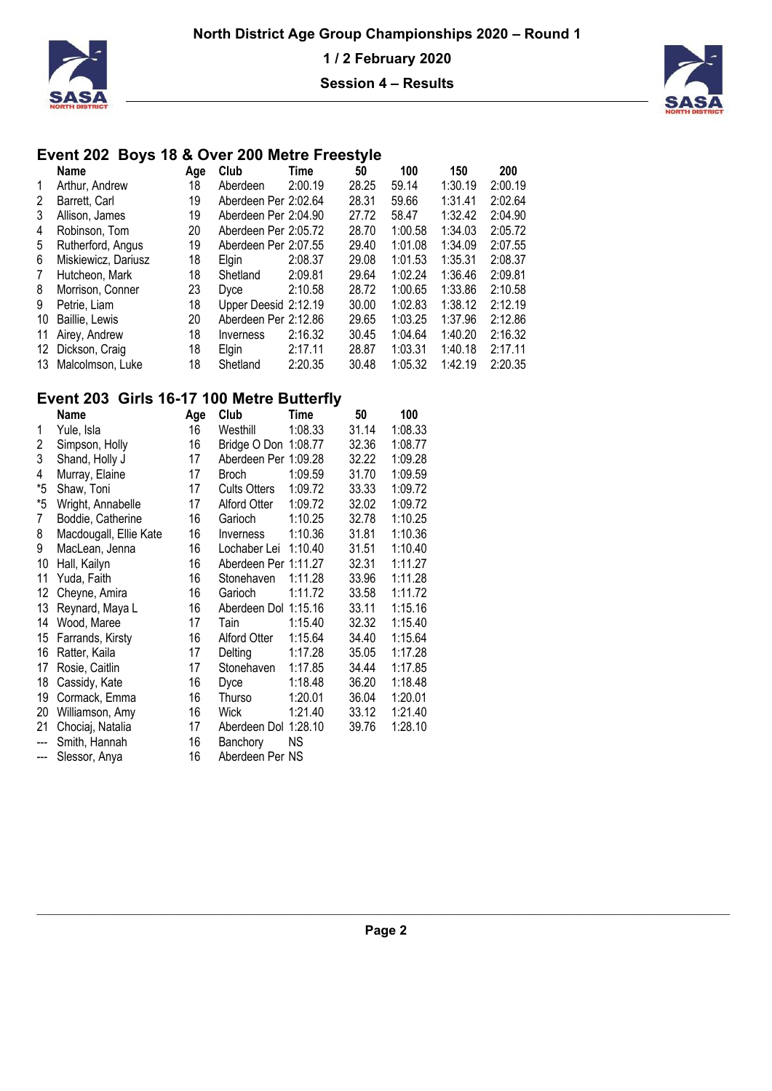

**Session 4 – Results**



#### **Event 202 Boys 18 & Over 200 Metre Freestyle**

| <b>Name</b>         | Age | Club         | Time    | 50                                                                                                                                           | 100     | 150     | 200     |
|---------------------|-----|--------------|---------|----------------------------------------------------------------------------------------------------------------------------------------------|---------|---------|---------|
| Arthur, Andrew      | 18  | Aberdeen     | 2:00.19 | 28.25                                                                                                                                        | 59.14   | 1:30.19 | 2:00.19 |
| Barrett, Carl       | 19  |              |         | 28.31                                                                                                                                        | 59.66   | 1:31.41 | 2:02.64 |
| Allison, James      | 19  |              |         | 27.72                                                                                                                                        | 58.47   | 1:32.42 | 2:04.90 |
| Robinson, Tom       | 20  |              |         | 28.70                                                                                                                                        | 1:00.58 | 1:34.03 | 2:05.72 |
| Rutherford, Angus   | 19  |              |         | 29.40                                                                                                                                        | 1:01.08 | 1:34.09 | 2:07.55 |
| Miskiewicz, Dariusz | 18  | <b>Elain</b> | 2:08.37 | 29.08                                                                                                                                        | 1:01.53 | 1:35.31 | 2:08.37 |
| Hutcheon, Mark      | 18  | Shetland     | 2:09.81 | 29.64                                                                                                                                        | 1:02.24 | 1:36.46 | 2:09.81 |
| Morrison, Conner    | 23  | Dyce         | 2:10.58 | 28.72                                                                                                                                        | 1:00.65 | 1:33.86 | 2:10.58 |
| Petrie, Liam        | 18  |              |         | 30.00                                                                                                                                        | 1:02.83 | 1:38.12 | 2:12.19 |
| Baillie, Lewis      | 20  |              |         | 29.65                                                                                                                                        | 1:03.25 | 1:37.96 | 2:12.86 |
| Airey, Andrew       | 18  | Inverness    | 2:16.32 | 30.45                                                                                                                                        | 1:04.64 | 1:40.20 | 2:16.32 |
| Dickson, Craig      | 18  | Elgin        | 2:17.11 | 28.87                                                                                                                                        | 1:03.31 | 1:40.18 | 2:17.11 |
| Malcolmson, Luke    | 18  | Shetland     | 2:20.35 | 30.48                                                                                                                                        | 1:05.32 | 1:42.19 | 2:20.35 |
|                     |     |              |         | Aberdeen Per 2:02.64<br>Aberdeen Per 2:04.90<br>Aberdeen Per 2:05.72<br>Aberdeen Per 2:07.55<br>Upper Deesid 2:12.19<br>Aberdeen Per 2:12.86 |         |         |         |

# **Event 203 Girls 16-17 100 Metre Butterfly**

|                   | <b>Name</b>            | Age | Club                 | Time    | 50    | 100     |
|-------------------|------------------------|-----|----------------------|---------|-------|---------|
| 1                 | Yule, Isla             | 16  | Westhill             | 1:08.33 | 31.14 | 1:08.33 |
| 2                 | Simpson, Holly         | 16  | Bridge O Don 1:08.77 |         | 32.36 | 1:08.77 |
| 3                 | Shand, Holly J         | 17  | Aberdeen Per 1:09.28 |         | 32.22 | 1:09.28 |
| 4                 | Murray, Elaine         | 17  | Broch                | 1:09.59 | 31.70 | 1:09.59 |
| *5                | Shaw, Toni             | 17  | <b>Cults Otters</b>  | 1:09.72 | 33.33 | 1:09.72 |
| *5                | Wright, Annabelle      | 17  | <b>Alford Otter</b>  | 1:09.72 | 32.02 | 1:09.72 |
| 7                 | Boddie, Catherine      | 16  | Garioch              | 1:10.25 | 32.78 | 1:10.25 |
| 8                 | Macdougall, Ellie Kate | 16  | Inverness            | 1:10.36 | 31.81 | 1:10.36 |
| 9                 | MacLean, Jenna         | 16  | Lochaber Lei         | 1:10.40 | 31.51 | 1:10.40 |
| 10                | Hall, Kailyn           | 16  | Aberdeen Per 1:11.27 |         | 32.31 | 1:11.27 |
| 11                | Yuda, Faith            | 16  | Stonehaven           | 1:11.28 | 33.96 | 1:11.28 |
| 12                | Cheyne, Amira          | 16  | Garioch              | 1:11.72 | 33.58 | 1:11.72 |
| 13                | Reynard, Maya L        | 16  | Aberdeen Dol 1:15.16 |         | 33.11 | 1:15.16 |
| 14                | Wood, Maree            | 17  | Tain                 | 1:15.40 | 32.32 | 1:15.40 |
| 15                | Farrands, Kirsty       | 16  | Alford Otter         | 1:15.64 | 34.40 | 1:15.64 |
| 16                | Ratter, Kaila          | 17  | Delting              | 1:17.28 | 35.05 | 1:17.28 |
| 17                | Rosie, Caitlin         | 17  | Stonehaven           | 1:17.85 | 34.44 | 1:17.85 |
| 18                | Cassidy, Kate          | 16  | Dyce                 | 1:18.48 | 36.20 | 1:18.48 |
| 19                | Cormack, Emma          | 16  | Thurso               | 1:20.01 | 36.04 | 1:20.01 |
| 20                | Williamson, Amy        | 16  | Wick                 | 1:21.40 | 33.12 | 1:21.40 |
| 21                | Chociaj, Natalia       | 17  | Aberdeen Dol 1:28.10 |         | 39.76 | 1:28.10 |
| ---               | Smith, Hannah          | 16  | Banchory             | ΝS      |       |         |
| $\hspace{0.05cm}$ | Slessor, Anya          | 16  | Aberdeen Per NS      |         |       |         |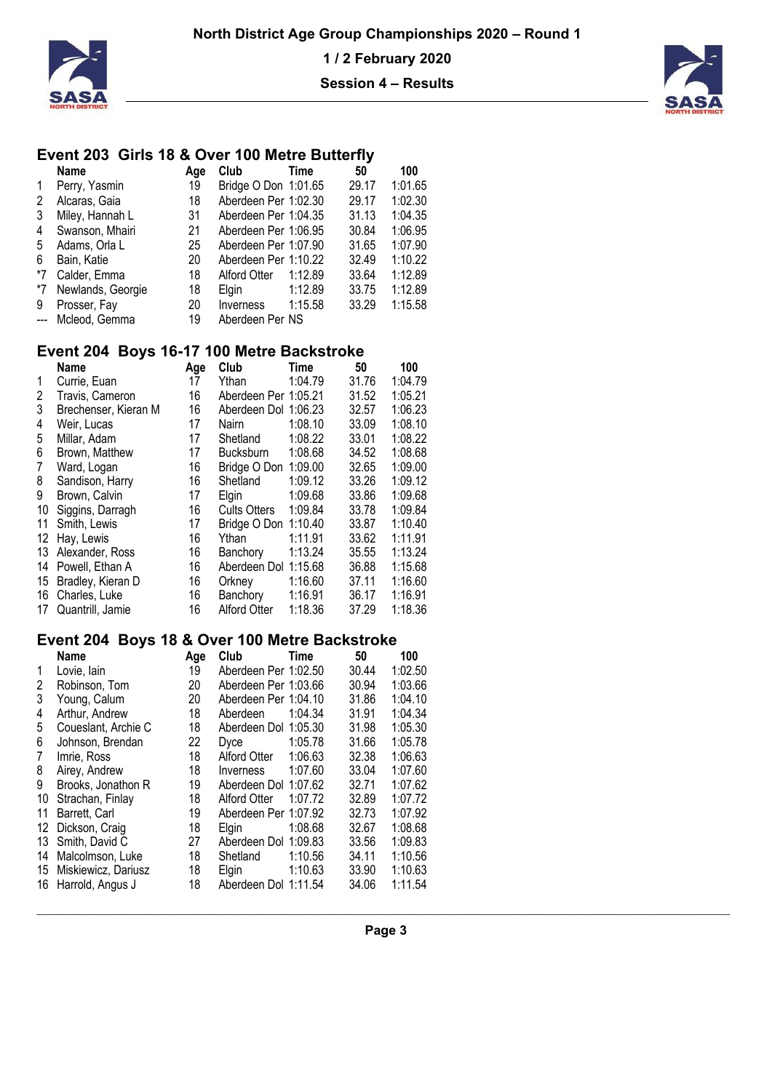



# **Event 203 Girls 18 & Over 100 Metre Butterfly**

|                | Name              | Age | Club                 | Time    | 50    | 100     |
|----------------|-------------------|-----|----------------------|---------|-------|---------|
| 1              | Perry, Yasmin     | 19  | Bridge O Don 1:01.65 |         | 29.17 | 1:01.65 |
| 2              | Alcaras, Gaia     | 18  | Aberdeen Per 1:02.30 |         | 29.17 | 1:02.30 |
| 3              | Miley, Hannah L   | 31  | Aberdeen Per 1:04.35 |         | 31.13 | 1:04.35 |
| 4              | Swanson, Mhairi   | 21  | Aberdeen Per 1:06.95 |         | 30.84 | 1:06.95 |
| 5              | Adams, Orla L     | 25  | Aberdeen Per 1:07.90 |         | 31.65 | 1:07.90 |
| 6              | Bain, Katie       | 20  | Aberdeen Per 1:10.22 |         | 32.49 | 1:10.22 |
| *7             | Calder, Emma      | 18  | <b>Alford Otter</b>  | 1:12.89 | 33.64 | 1:12.89 |
| *7             | Newlands, Georgie | 18  | Elgin                | 1:12.89 | 33.75 | 1:12.89 |
| 9              | Prosser, Fay      | 20  | Inverness            | 1:15.58 | 33.29 | 1:15.58 |
| $\overline{a}$ | Mcleod, Gemma     | 19  | Aberdeen Per NS      |         |       |         |

# **Event 204 Boys 16-17 100 Metre Backstroke**

|    | Name                 | Age | Club                 | Time    | 50    | 100     |
|----|----------------------|-----|----------------------|---------|-------|---------|
| 1  | Currie, Euan         | 17  | Ythan                | 1:04.79 | 31.76 | 1:04.79 |
| 2  | Travis. Cameron      | 16  | Aberdeen Per 1:05.21 |         | 31.52 | 1:05.21 |
| 3  | Brechenser, Kieran M | 16  | Aberdeen Dol 1:06.23 |         | 32.57 | 1:06.23 |
| 4  | Weir. Lucas          | 17  | Nairn                | 1:08.10 | 33.09 | 1:08.10 |
| 5  | Millar, Adam         | 17  | Shetland             | 1:08.22 | 33.01 | 1:08.22 |
| 6  | Brown, Matthew       | 17  | <b>Bucksburn</b>     | 1:08.68 | 34.52 | 1:08.68 |
| 7  | Ward, Logan          | 16  | Bridge O Don         | 1:09.00 | 32.65 | 1:09.00 |
| 8  | Sandison, Harry      | 16  | Shetland             | 1:09.12 | 33.26 | 1:09.12 |
| 9  | Brown, Calvin        | 17  | Elgin                | 1:09.68 | 33.86 | 1:09.68 |
| 10 | Siggins, Darragh     | 16  | <b>Cults Otters</b>  | 1:09.84 | 33.78 | 1:09.84 |
| 11 | Smith, Lewis         | 17  | Bridge O Don         | 1:10.40 | 33.87 | 1:10.40 |
| 12 | Hay, Lewis           | 16  | Ythan                | 1:11.91 | 33.62 | 1:11.91 |
| 13 | Alexander, Ross      | 16  | Banchory             | 1:13.24 | 35.55 | 1:13.24 |
| 14 | Powell, Ethan A      | 16  | Aberdeen Dol 1:15.68 |         | 36.88 | 1:15.68 |
| 15 | Bradley, Kieran D    | 16  | Orkney               | 1:16.60 | 37.11 | 1:16.60 |
| 16 | Charles, Luke        | 16  | Banchory             | 1:16.91 | 36.17 | 1:16.91 |
| 17 | Quantrill, Jamie     | 16  | <b>Alford Otter</b>  | 1:18.36 | 37.29 | 1:18.36 |

#### **Event 204 Boys 18 & Over 100 Metre Backstroke**

|    | <b>Name</b>         | Age | Club                 | Time    | 50    | 100     |
|----|---------------------|-----|----------------------|---------|-------|---------|
| 1  | Lovie, lain         | 19  | Aberdeen Per 1:02.50 |         | 30.44 | 1:02.50 |
| 2  | Robinson, Tom       | 20  | Aberdeen Per 1:03.66 |         | 30.94 | 1:03.66 |
| 3  | Young, Calum        | 20  | Aberdeen Per 1:04.10 |         | 31.86 | 1:04.10 |
| 4  | Arthur, Andrew      | 18  | Aberdeen             | 1:04.34 | 31.91 | 1:04.34 |
| 5  | Coueslant, Archie C | 18  | Aberdeen Dol 1:05.30 |         | 31.98 | 1:05.30 |
| 6  | Johnson, Brendan    | 22  | Dyce                 | 1:05.78 | 31.66 | 1:05.78 |
| 7  | Imrie, Ross         | 18  | Alford Otter         | 1:06.63 | 32.38 | 1:06.63 |
| 8  | Airey, Andrew       | 18  | Inverness            | 1:07.60 | 33.04 | 1:07.60 |
| 9  | Brooks, Jonathon R  | 19  | Aberdeen Dol 1:07.62 |         | 32.71 | 1:07.62 |
| 10 | Strachan, Finlay    | 18  | Alford Otter         | 1:07.72 | 32.89 | 1:07.72 |
| 11 | Barrett, Carl       | 19  | Aberdeen Per 1:07.92 |         | 32.73 | 1:07.92 |
| 12 | Dickson, Craig      | 18  | Elgin                | 1:08.68 | 32.67 | 1:08.68 |
| 13 | Smith, David C      | 27  | Aberdeen Dol 1:09.83 |         | 33.56 | 1:09.83 |
| 14 | Malcolmson, Luke    | 18  | Shetland             | 1:10.56 | 34.11 | 1:10.56 |
| 15 | Miskiewicz, Dariusz | 18  | Elgin                | 1:10.63 | 33.90 | 1:10.63 |
| 16 | Harrold, Angus J    | 18  | Aberdeen Dol 1:11.54 |         | 34.06 | 1:11.54 |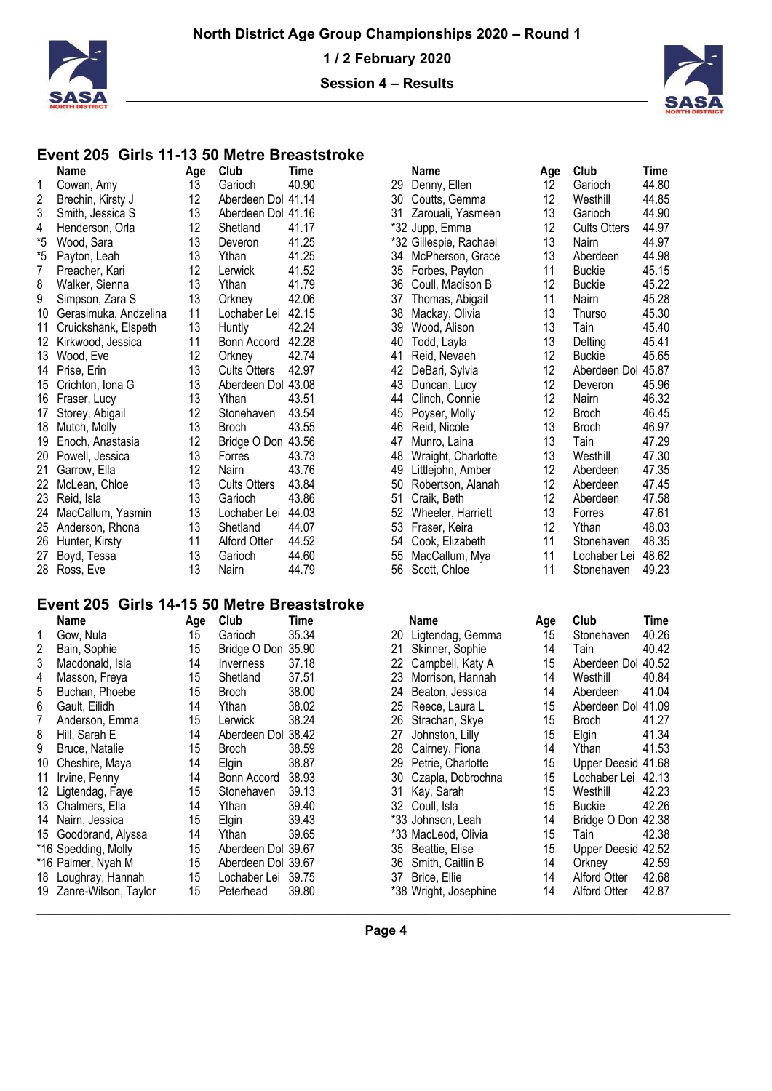



#### **Event 205 Girls 11-13 50 Metre Breaststroke**

|    | Name                  | Age | Club                | Time  |    | Name                   | Age             | Club                | Time  |
|----|-----------------------|-----|---------------------|-------|----|------------------------|-----------------|---------------------|-------|
| 1  | Cowan, Amy            | 13  | Garioch             | 40.90 | 29 | Denny, Ellen           | 12 <sup>°</sup> | Garioch             | 44.80 |
| 2  | Brechin, Kirsty J     | 12  | Aberdeen Dol 41.14  |       | 30 | Coutts, Gemma          | 12              | Westhill            | 44.85 |
| 3  | Smith, Jessica S      | 13  | Aberdeen Dol 41.16  |       | 31 | Zarouali, Yasmeen      | 13              | Garioch             | 44.90 |
| 4  | Henderson, Orla       | 12  | Shetland            | 41.17 |    | *32 Jupp, Emma         | 12              | <b>Cults Otters</b> | 44.97 |
| *5 | Wood, Sara            | 13  | Deveron             | 41.25 |    | *32 Gillespie, Rachael | 13              | Nairn               | 44.97 |
| *5 | Payton, Leah          | 13  | Ythan               | 41.25 | 34 | McPherson, Grace       | 13              | Aberdeen            | 44.98 |
| 7  | Preacher, Kari        | 12  | Lerwick             | 41.52 | 35 | Forbes, Payton         | 11              | <b>Buckie</b>       | 45.1  |
| 8  | Walker, Sienna        | 13  | Ythan               | 41.79 | 36 | Coull, Madison B       | 12              | <b>Buckie</b>       | 45.22 |
| 9  | Simpson, Zara S       | 13  | Orkney              | 42.06 | 37 | Thomas, Abigail        | 11              | Nairn               | 45.28 |
| 10 | Gerasimuka, Andzelina | 11  | Lochaber Lei        | 42.15 | 38 | Mackay, Olivia         | 13              | Thurso              | 45.30 |
| 11 | Cruickshank, Elspeth  | 13  | Huntly              | 42.24 | 39 | Wood, Alison           | 13              | Tain                | 45.40 |
| 12 | Kirkwood, Jessica     | 11  | <b>Bonn Accord</b>  | 42.28 | 40 | Todd, Layla            | 13              | Delting             | 45.4' |
| 13 | Wood, Eve             | 12  | Orknev              | 42.74 | 41 | Reid. Nevaeh           | 12              | <b>Buckie</b>       | 45.65 |
| 14 | Prise, Erin           | 13  | <b>Cults Otters</b> | 42.97 | 42 | DeBari, Sylvia         | 12              | Aberdeen Dol        | 45.87 |
| 15 | Crichton, Iona G      | 13  | Aberdeen Dol 43.08  |       | 43 | Duncan, Lucy           | 12              | Deveron             | 45.96 |
| 16 | Fraser, Lucy          | 13  | Ythan               | 43.51 | 44 | Clinch, Connie         | 12              | Nairn               | 46.32 |
| 17 | Storey, Abigail       | 12  | Stonehaven          | 43.54 | 45 | Poyser, Molly          | 12              | <b>Broch</b>        | 46.4  |
| 18 | Mutch, Molly          | 13  | <b>Broch</b>        | 43.55 | 46 | Reid, Nicole           | 13              | <b>Broch</b>        | 46.97 |
| 19 | Enoch, Anastasia      | 12  | Bridge O Don 43.56  |       | 47 | Munro, Laina           | 13              | Tain                | 47.29 |
| 20 | Powell, Jessica       | 13  | Forres              | 43.73 | 48 | Wraight, Charlotte     | 13              | Westhill            | 47.30 |
| 21 | Garrow, Ella          | 12  | Nairn               | 43.76 | 49 | Littlejohn, Amber      | 12              | Aberdeen            | 47.35 |
| 22 | McLean, Chloe         | 13  | <b>Cults Otters</b> | 43.84 | 50 | Robertson, Alanah      | 12              | Aberdeen            | 47.45 |
| 23 | Reid. Isla            | 13  | Garioch             | 43.86 | 51 | Craik, Beth            | 12              | Aberdeen            | 47.58 |
| 24 | MacCallum, Yasmin     | 13  | Lochaber Lei        | 44.03 | 52 | Wheeler, Harriett      | 13              | Forres              | 47.6' |
| 25 | Anderson, Rhona       | 13  | Shetland            | 44.07 | 53 | Fraser, Keira          | 12              | Ythan               | 48.03 |
| 26 | Hunter, Kirsty        | 11  | <b>Alford Otter</b> | 44.52 | 54 | Cook, Elizabeth        | 11              | Stonehaven          | 48.35 |
| 27 | Boyd, Tessa           | 13  | Garioch             | 44.60 | 55 | MacCallum, Mya         | 11              | Lochaber Lei        | 48.62 |
|    | 28 Ross, Eve          | 13  | Nairn               | 44.79 | 56 | Scott, Chloe           | 11              | Stonehaven          | 49.23 |

# **Event 205 Girls 14-15 50 Metre Breaststroke**

|    | Name                    | Age | Club               | Time  |    | Name                  | Age | Club               | Time  |
|----|-------------------------|-----|--------------------|-------|----|-----------------------|-----|--------------------|-------|
|    | Gow. Nula               | 15  | Garioch            | 35.34 | 20 | Ligtendag, Gemma      | 15  | Stonehaven         | 40.26 |
| 2  | Bain, Sophie            | 15  | Bridge O Don       | 35.90 | 21 | Skinner, Sophie       | 14  | Tain               | 40.42 |
| 3  | Macdonald, Isla         | 14  | Inverness          | 37.18 | 22 | Campbell, Katy A      | 15  | Aberdeen Dol       | 40.52 |
| 4  | Masson, Freya           | 15  | Shetland           | 37.51 | 23 | Morrison, Hannah      | 14  | Westhill           | 40.84 |
| 5  | Buchan, Phoebe          | 15  | <b>Broch</b>       | 38.00 | 24 | Beaton, Jessica       | 14  | Aberdeen           | 41.04 |
| 6  | Gault, Eilidh           | 14  | Ythan              | 38.02 | 25 | Reece, Laura L        | 15  | Aberdeen Dol       | 41.09 |
| 7  | Anderson, Emma          | 15  | Lerwick            | 38.24 | 26 | Strachan, Skye        | 15  | Broch              | 41.27 |
| 8  | Hill, Sarah E           | 14  | Aberdeen Dol       | 38.42 | 27 | Johnston, Lilly       | 15  | Elgin              | 41.34 |
| 9  | Bruce, Natalie          | 15  | <b>Broch</b>       | 38.59 | 28 | Cairney, Fiona        | 14  | Ythan              | 41.53 |
| 10 | Cheshire, Maya          | 14  | Elgin              | 38.87 | 29 | Petrie, Charlotte     | 15  | Upper Deesid 41.68 |       |
| 11 | Irvine, Penny           | 14  | Bonn Accord        | 38.93 | 30 | Czapla, Dobrochna     | 15  | Lochaber Lei       | 42.13 |
|    | 12 Ligtendag, Faye      | 15  | Stonehaven         | 39.13 |    | 31 Kay, Sarah         | 15  | Westhill           | 42.23 |
|    | 13 Chalmers, Ella       | 14  | Ythan              | 39.40 |    | 32 Coull, Isla        | 15  | <b>Buckie</b>      | 42.26 |
| 14 | Nairn, Jessica          | 15  | Elgin              | 39.43 |    | *33 Johnson, Leah     | 14  | Bridge O Don 42.38 |       |
|    | 15 Goodbrand, Alyssa    | 14  | Ythan              | 39.65 |    | *33 MacLeod, Olivia   | 15  | Tain               | 42.38 |
|    | *16 Spedding, Molly     | 15  | Aberdeen Dol 39.67 |       | 35 | Beattie, Elise        | 15  | Upper Deesid 42.52 |       |
|    | *16 Palmer, Nyah M      | 15  | Aberdeen Dol 39.67 |       | 36 | Smith, Caitlin B      | 14  | Orkney             | 42.59 |
|    | 18 Loughray, Hannah     | 15  | Lochaber Lei       | 39.75 | 37 | Brice, Ellie          | 14  | Alford Otter       | 42.68 |
|    | 19 Zanre-Wilson, Taylor | 15  | Peterhead          | 39.80 |    | *38 Wright, Josephine | 14  | Alford Otter       | 42.87 |

|     | Name                        | Age             | Club                | <b>Time</b> |
|-----|-----------------------------|-----------------|---------------------|-------------|
| 29  | Denny, Ellen                | 12              | Garioch             | 44.80       |
|     | 30 Coutts, Gemma            | 12              | Westhill            | 44.85       |
| 31  | Zarouali, Yasmeen           | 13              | Garioch             | 44.90       |
|     | *32 Jupp, Emma              | 12 <sup>°</sup> | <b>Cults Otters</b> | 44.97       |
|     | *32 Gillespie, Rachael      | 13              | Nairn               | 44.97       |
| 34  | McPherson, Grace            | 13              | Aberdeen            | 44.98       |
| 35  | Forbes, Payton              | 11              | <b>Buckie</b>       | 45.15       |
| 36  | Coull, Madison B            | 12 <sup>°</sup> | Buckie              | 45.22       |
| 37  | Thomas, Abigail             | 11              | Nairn               | 45.28       |
| 38  | Mackay, Olivia              | 13              | Thurso              | 45.30       |
| 39  | Wood, Alison                | 13              | Tain                | 45.40       |
| 40  | Todd, Layla                 | 13              | Delting             | 45.41       |
| 41  | Reid, Nevaeh                | 12 <sup>°</sup> | <b>Buckie</b>       | 45.65       |
| 42  | DeBari, Sylvia              | 12 <sup>°</sup> | Aberdeen Dol 45.87  |             |
| 43  | Duncan, Lucy                | 12 <sup>°</sup> | Deveron             | 45.96       |
| 44  | Clinch, Connie              | 12 <sup>°</sup> | Nairn               | 46.32       |
| 45  | Poyser, Molly               | 12              | Broch               | 46.45       |
| 46  | Reid, Nicole                | 13              | Broch               | 46.97       |
| 47  | Munro, Laina                | 13              | Tain                | 47.29       |
| 48  | Wraight, Charlotte          | 13              | Westhill            | 47.30       |
| 49  | Littlejohn, Amber           | 12 <sup>°</sup> | Aberdeen            | 47.35       |
| 50  | Robertson, Alanah           | 12              | Aberdeen            | 47.45       |
| 51  | Craik, Beth                 | 12 <sup>°</sup> | Aberdeen            | 47.58       |
| 52  | Wheeler, Harriett           | 13              | Forres              | 47.61       |
| 53  | Fraser, Keira               | 12              | Ythan               | 48.03       |
| 54  | Cook, Elizabeth             | 11              | Stonehaven          | 48.35       |
| 55  | MacCallum, Mya              | 11              | Lochaber Lei        | 48.62       |
| r c | $\sim$ $\sim$ $\sim$ $\sim$ | A A             |                     |             |

|    | Name                  | Age              | Club               | Time  |
|----|-----------------------|------------------|--------------------|-------|
| 20 | Ligtendag, Gemma      | 15 <sub>15</sub> | Stonehaven         | 40.26 |
|    | 21 Skinner, Sophie    | 14               | Tain               | 40.42 |
|    | 22 Campbell, Katy A   | 15               | Aberdeen Dol 40.52 |       |
| 23 | Morrison, Hannah      | 14               | Westhill           | 40.84 |
| 24 | Beaton, Jessica       | 14               | Aberdeen           | 41.04 |
| 25 | Reece, Laura L        | 15               | Aberdeen Dol 41.09 |       |
| 26 | Strachan, Skye        | 15               | Broch              | 41.27 |
| 27 | Johnston, Lilly       | 15               | Elgin              | 41.34 |
|    | 28 Cairney, Fiona     | 14               | Ythan              | 41.53 |
|    | 29 Petrie, Charlotte  | 15               | Upper Deesid 41.68 |       |
|    | 30 Czapla, Dobrochna  | 15               | Lochaber Lei       | 42.13 |
| 31 | Kay, Sarah            | 15               | Westhill           | 42.23 |
|    | 32 Coull, Isla        | 15               | Buckie             | 42.26 |
|    | *33 Johnson, Leah     | 14               | Bridge O Don 42.38 |       |
|    | *33 MacLeod, Olivia   | 15               | Tain               | 42.38 |
|    | 35 Beattie, Elise     | 15               | Upper Deesid 42.52 |       |
|    | 36 Smith, Caitlin B   | 14               | Orkney             | 42.59 |
|    | 37 Brice, Ellie       | 14               | Alford Otter       | 42.68 |
|    | *38 Wright, Josephine | 14               | Alford Otter       | 42.87 |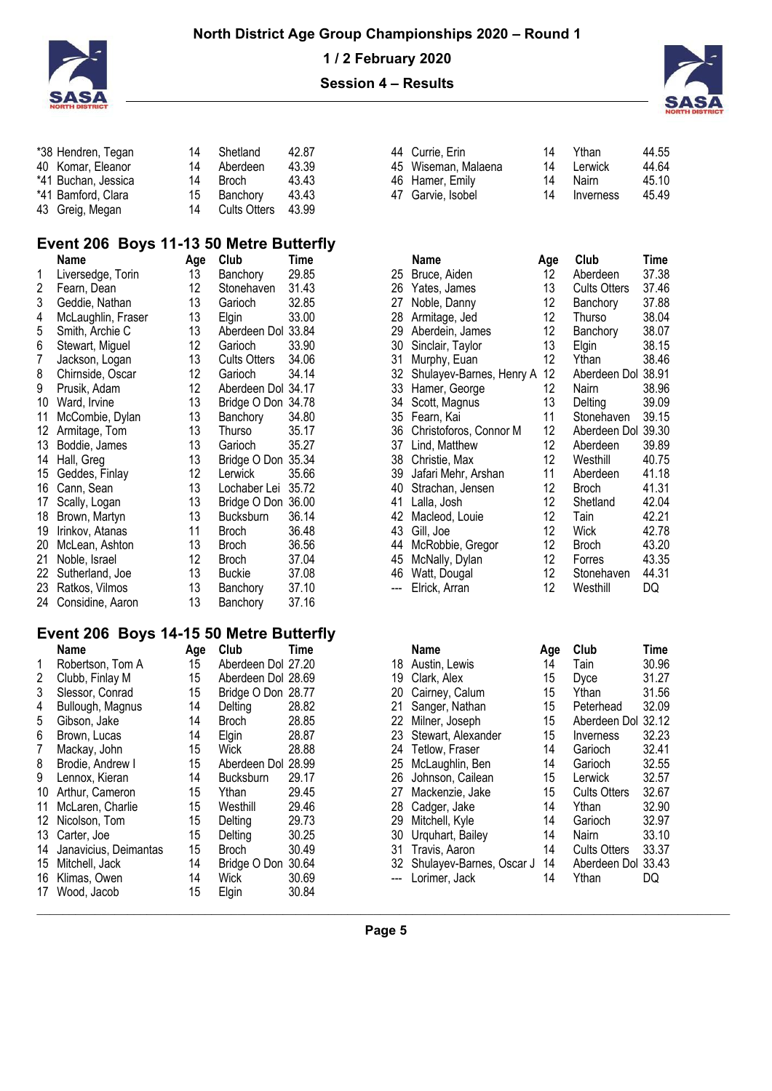

**Session 4 – Results**



| *38 Hendren, Tegan  | 14 | Shetland            | 42.87 |
|---------------------|----|---------------------|-------|
| 40 Komar, Eleanor   | 14 | Aberdeen            | 43.39 |
| *41 Buchan, Jessica | 14 | <b>Broch</b>        | 43.43 |
| *41 Bamford, Clara  | 15 | Banchory            | 43.43 |
| 43 Greig, Megan     | 14 | <b>Cults Otters</b> | 43.99 |

# **Event 206 Boys 11-13 50 Metre Butterfly**

|    | Name               | Age             | Club                | Time  |
|----|--------------------|-----------------|---------------------|-------|
| 1  | Liversedge, Torin  | 13              | Banchory            | 29.85 |
| 2  | Fearn, Dean        | 12              | Stonehaven          | 31.43 |
| 3  | Geddie, Nathan     | 13              | Garioch             | 32.85 |
| 4  | McLaughlin, Fraser | 13              | Elgin               | 33.00 |
| 5  | Smith, Archie C    | 13              | Aberdeen Dol        | 33.84 |
| 6  | Stewart, Miguel    | 12 <sup>°</sup> | Garioch             | 33.90 |
| 7  | Jackson, Logan     | 13              | <b>Cults Otters</b> | 34.06 |
| 8  | Chirnside, Oscar   | 12              | Garioch             | 34.14 |
| 9  | Prusik, Adam       | 12              | Aberdeen Dol 34.17  |       |
| 10 | Ward, Irvine       | 13              | Bridge O Don 34.78  |       |
| 11 | McCombie, Dylan    | 13              | Banchory            | 34.80 |
| 12 | Armitage, Tom      | 13              | Thurso              | 35.17 |
| 13 | Boddie, James      | 13              | Garioch             | 35.27 |
| 14 | Hall, Greg         | 13              | Bridge O Don        | 35.34 |
| 15 | Geddes, Finlay     | 12 <sup>°</sup> | Lerwick             | 35.66 |
| 16 | Cann, Sean         | 13              | Lochaber Lei        | 35.72 |
| 17 | Scally, Logan      | 13              | Bridge O Don        | 36.00 |
| 18 | Brown, Martyn      | 13              | <b>Bucksburn</b>    | 36.14 |
| 19 | Irinkov, Atanas    | 11              | Broch               | 36.48 |
| 20 | McLean, Ashton     | 13              | Broch               | 36.56 |
| 21 | Noble, Israel      | 12              | Broch               | 37.04 |
| 22 | Sutherland, Joe    | 13              | Buckie              | 37.08 |
| 23 | Ratkos, Vilmos     | 13              | Banchory            | 37.10 |
| 24 | Considine, Aaron   | 13              | Banchory            | 37.16 |

# **Event 206 Boys 14-15 50 Metre Butterfly**

|    | <b>Name</b>           | Age | Club               | Time  |
|----|-----------------------|-----|--------------------|-------|
| 1  | Robertson, Tom A      | 15  | Aberdeen Dol 27.20 |       |
| 2  | Clubb, Finlay M       | 15  | Aberdeen Dol 28.69 |       |
| 3  | Slessor, Conrad       | 15  | Bridge O Don 28.77 |       |
| 4  | Bullough, Magnus      | 14  | Delting            | 28.82 |
| 5  | Gibson, Jake          | 14  | <b>Broch</b>       | 28.85 |
| 6  | Brown, Lucas          | 14  | Elgin              | 28.87 |
| 7  | Mackay, John          | 15  | Wick               | 28.88 |
| 8  | Brodie, Andrew I      | 15  | Aberdeen Dol 28.99 |       |
| 9  | Lennox, Kieran        | 14  | Bucksburn          | 29.17 |
| 10 | Arthur, Cameron       | 15  | Ythan              | 29.45 |
| 11 | McLaren, Charlie      | 15  | Westhill           | 29.46 |
| 12 | Nicolson, Tom         | 15  | Delting            | 29.73 |
| 13 | Carter, Joe           | 15  | Delting            | 30.25 |
| 14 | Janavicius, Deimantas | 15  | <b>Broch</b>       | 30.49 |
| 15 | Mitchell, Jack        | 14  | Bridge O Don 30.64 |       |
| 16 | Klimas, Owen          | 14  | <b>Wick</b>        | 30.69 |
| 17 | Wood, Jacob           | 15  | Elgin              | 30.84 |

| 44 Currie, Erin     | 14 | Ythan     | 44.55 |
|---------------------|----|-----------|-------|
| 45 Wiseman, Malaena | 14 | Lerwick   | 44.64 |
| 46 Hamer, Emily     | 14 | Nairn     | 45.10 |
| 47 Garvie, Isobel   | 14 | Inverness | 45.49 |

| Name               | Age | Club                | Time  |     | Name                     | Age | Club                | Time  |
|--------------------|-----|---------------------|-------|-----|--------------------------|-----|---------------------|-------|
| Liversedge, Torin  | 13  | Banchory            | 29.85 | 25  | Bruce, Aiden             | 12  | Aberdeen            | 37.38 |
| Fearn, Dean        | 12  | Stonehaven          | 31.43 | 26  | Yates, James             | 13  | <b>Cults Otters</b> | 37.46 |
| Geddie, Nathan     | 13  | Garioch             | 32.85 | 27  | Noble, Danny             | 12  | <b>Banchory</b>     | 37.88 |
| McLaughlin, Fraser | 13  | Elgin               | 33.00 | 28  | Armitage, Jed            | 12  | Thurso              | 38.04 |
| Smith, Archie C    | 13  | Aberdeen Dol        | 33.84 | 29  | Aberdein, James          | 12  | Banchory            | 38.07 |
| Stewart, Miguel    | 12  | Garioch             | 33.90 | 30  | Sinclair, Taylor         | 13  | Elgin               | 38.15 |
| Jackson, Logan     | 13  | <b>Cults Otters</b> | 34.06 | 31  | Murphy, Euan             | 12  | Ythan               | 38.46 |
| Chirnside, Oscar   | 12  | Garioch             | 34.14 | 32  | Shulayev-Barnes, Henry A | 12  | Aberdeen Dol 38.91  |       |
| Prusik, Adam       | 12  | Aberdeen Dol 34.17  |       | 33  | Hamer, George            | 12  | <b>Nairn</b>        | 38.96 |
| Ward, Irvine       | 13  | Bridge O Don 34.78  |       | 34  | Scott, Magnus            | 13  | Delting             | 39.09 |
| McCombie, Dylan    | 13  | <b>Banchory</b>     | 34.80 | 35  | Fearn, Kai               | 11  | Stonehaven          | 39.15 |
| Armitage, Tom      | 13  | Thurso              | 35.17 | 36  | Christoforos, Connor M   | 12  | Aberdeen Dol 39.30  |       |
| Boddie, James      | 13  | Garioch             | 35.27 | 37  | Lind, Matthew            | 12  | Aberdeen            | 39.89 |
| Hall, Greg         | 13  | Bridge O Don 35.34  |       | 38  | Christie, Max            | 12  | Westhill            | 40.75 |
| Geddes, Finlay     | 12  | Lerwick             | 35.66 | 39  | Jafari Mehr, Arshan      | 11  | Aberdeen            | 41.18 |
| Cann, Sean         | 13  | Lochaber Lei        | 35.72 | 40  | Strachan, Jensen         | 12  | <b>Broch</b>        | 41.31 |
| Scally, Logan      | 13  | Bridge O Don 36.00  |       | 41  | Lalla, Josh              | 12  | Shetland            | 42.04 |
| Brown, Martyn      | 13  | <b>Bucksburn</b>    | 36.14 | 42  | Macleod, Louie           | 12  | Tain                | 42.21 |
| Irinkov, Atanas    | 11  | Broch               | 36.48 | 43  | Gill, Joe                | 12  | <b>Wick</b>         | 42.78 |
| McLean, Ashton     | 13  | <b>Broch</b>        | 36.56 | 44  | McRobbie, Gregor         | 12  | <b>Broch</b>        | 43.20 |
| Noble, Israel      | 12  | <b>Broch</b>        | 37.04 | 45  | McNally, Dylan           | 12  | Forres              | 43.35 |
| Sutherland, Joe    | 13  | <b>Buckie</b>       | 37.08 | 46  | Watt, Dougal             | 12  | Stonehaven          | 44.31 |
| Ratkos, Vilmos     | 13  | Banchory            | 37.10 | --- | Elrick, Arran            | 12  | Westhill            | DQ    |

| <b>Name</b>           | Age | Club               | Time  |               | <b>Name</b>              | Age | Club                | Time  |
|-----------------------|-----|--------------------|-------|---------------|--------------------------|-----|---------------------|-------|
| Robertson, Tom A      | 15  | Aberdeen Dol 27.20 |       | 18            | Austin, Lewis            | 14  | Tain                | 30.96 |
| Clubb, Finlay M       | 15  | Aberdeen Dol 28.69 |       | 19            | Clark, Alex              | 15  | Dyce                | 31.27 |
| Slessor, Conrad       | 15  | Bridge O Don 28.77 |       | 20            | Cairney, Calum           | 15  | Ythan               | 31.56 |
| Bullough, Magnus      | 14  | Delting            | 28.82 | 21            | Sanger, Nathan           | 15  | Peterhead           | 32.09 |
| Gibson, Jake          | 14  | <b>Broch</b>       | 28.85 | 22            | Milner, Joseph           | 15  | Aberdeen Dol        | 32.12 |
| Brown, Lucas          | 14  | Elgin              | 28.87 | 23.           | Stewart, Alexander       | 15  | Inverness           | 32.23 |
| Mackay, John          | 15  | Wick               | 28.88 | 24            | Tetlow. Fraser           | 14  | Garioch             | 32.41 |
| Brodie, Andrew I      | 15  | Aberdeen Dol 28.99 |       | 25            | McLaughlin, Ben          | 14  | Garioch             | 32.55 |
| Lennox. Kieran        | 14  | <b>Bucksburn</b>   | 29.17 | 26            | Johnson, Cailean         | 15  | Lerwick             | 32.57 |
| Arthur, Cameron       | 15  | Ythan              | 29.45 | 27            | Mackenzie, Jake          | 15  | <b>Cults Otters</b> | 32.67 |
| McLaren, Charlie      | 15  | Westhill           | 29.46 | 28            | Cadger, Jake             | 14  | Ythan               | 32.90 |
| Nicolson. Tom         | 15  | Delting            | 29.73 | 29            | Mitchell, Kyle           | 14  | Garioch             | 32.97 |
| Carter, Joe           | 15  | Delting            | 30.25 | 30            | Urquhart, Bailey         | 14  | Nairn               | 33.10 |
| Janavicius, Deimantas | 15  | <b>Broch</b>       | 30.49 | 31            | Travis, Aaron            | 14  | <b>Cults Otters</b> | 33.37 |
| Mitchell, Jack        | 14  | Bridge O Don 30.64 |       | 32            | Shulayev-Barnes, Oscar J | 14  | Aberdeen Dol 33.43  |       |
| Klimas, Owen          | 14  | Wick               | 30.69 | $\sim$ $\sim$ | Lorimer, Jack            | 14  | Ythan               | DQ    |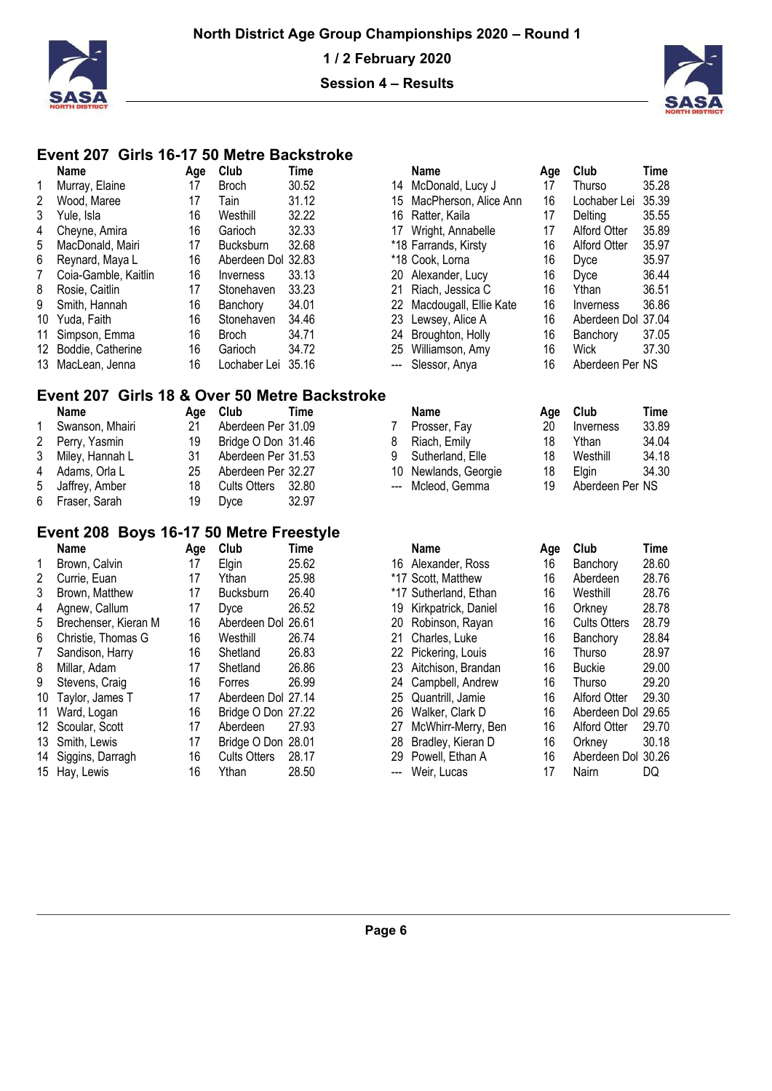

#### **Event 207 Girls 16-17 50 Metre Backstroke**

|    | <b>Name</b>          | Age | Club               | Time  |     | <b>Name</b>            | Age | Club                | Time  |
|----|----------------------|-----|--------------------|-------|-----|------------------------|-----|---------------------|-------|
| 1  | Murray, Elaine       | 17  | <b>Broch</b>       | 30.52 |     | 14 McDonald, Lucy J    |     | Thurso              | 35.28 |
| 2  | Wood, Maree          |     | Tain               | 31.12 | 15. | MacPherson, Alice Ann  | 16  | Lochaber Lei        | 35.39 |
| 3  | Yule, Isla           | 16  | Westhill           | 32.22 | 16. | Ratter, Kaila          | 17  | Delting             | 35.55 |
| 4  | Cheyne, Amira        | 16  | Garioch            | 32.33 |     | Wright, Annabelle      | 17  | <b>Alford Otter</b> | 35.89 |
| 5  | MacDonald, Mairi     | 17  | <b>Bucksburn</b>   | 32.68 |     | *18 Farrands, Kirsty   | 16  | Alford Otter        | 35.97 |
| 6  | Reynard, Maya L      | 16  | Aberdeen Dol 32.83 |       |     | *18 Cook, Lorna        | 16  | Dyce                | 35.97 |
| 7  | Coia-Gamble, Kaitlin | 16  | Inverness          | 33.13 | 20  | Alexander, Lucy        | 16  | Dyce                | 36.44 |
| 8  | Rosie, Caitlin       | 17  | Stonehaven         | 33.23 | 21  | Riach, Jessica C       | 16  | Ythan               | 36.5' |
| 9  | Smith, Hannah        | 16  | Banchory           | 34.01 | 22. | Macdougall, Ellie Kate | 16  | Inverness           | 36.86 |
| 10 | Yuda, Faith          | 16  | Stonehaven         | 34.46 | 23  | Lewsey, Alice A        | 16  | Aberdeen Dol 37.04  |       |
|    | 11 Simpson, Emma     | 16  | <b>Broch</b>       | 34.71 | 24  | Broughton, Holly       | 16  | Banchory            | 37.05 |
|    | 12 Boddie, Catherine | 16  | Garioch            | 34.72 | 25  | Williamson, Amy        | 16  | <b>Wick</b>         | 37.3( |
|    | 13 MacLean, Jenna    | 16  | Lochaber Lei 35.16 |       |     | Slessor, Anya          | 16  | Aberdeen Per NS     |       |
|    |                      |     |                    |       |     |                        |     |                     |       |

### **Event 207 Girls 18 & Over 50 Metre Backstrong**

|              | Name            | Aae | Club               | Time  |
|--------------|-----------------|-----|--------------------|-------|
| $\mathbf{1}$ | Swanson, Mhairi | 21  | Aberdeen Per 31.09 |       |
| 2            | Perry, Yasmin   | 19  | Bridge O Don 31.46 |       |
| 3            | Miley, Hannah L | 31  | Aberdeen Per 31.53 |       |
| 4            | Adams, Orla L   | 25  | Aberdeen Per 32.27 |       |
| 5            | Jaffrey, Amber  | 18  | Cults Otters 32.80 |       |
| 6            | Fraser, Sarah   | 19  | Dyce               | 32.97 |

### **Event 208 Boys 16-17 50 Metre Freestyle**

|    | Name                 | Age | Club                | <b>Time</b> |
|----|----------------------|-----|---------------------|-------------|
| 1  | Brown, Calvin        | 17  | Elgin               | 25.62       |
| 2  | Currie, Euan         | 17  | Ythan               | 25.98       |
| 3  | Brown, Matthew       | 17  | Bucksburn           | 26.40       |
| 4  | Agnew, Callum        | 17  | Dyce                | 26.52       |
| 5  | Brechenser, Kieran M | 16  | Aberdeen Dol 26.61  |             |
| 6  | Christie, Thomas G   | 16  | Westhill            | 26.74       |
| 7  | Sandison, Harry      | 16  | Shetland            | 26.83       |
| 8  | Millar, Adam         | 17  | Shetland            | 26.86       |
| 9  | Stevens, Craig       | 16  | Forres              | 26.99       |
| 10 | Taylor, James T      | 17  | Aberdeen Dol 27.14  |             |
| 11 | Ward, Logan          | 16  | Bridge O Don 27.22  |             |
| 12 | Scoular, Scott       | 17  | Aberdeen            | 27.93       |
| 13 | Smith, Lewis         | 17  | Bridge O Don 28.01  |             |
| 14 | Siggins, Darragh     | 16  | <b>Cults Otters</b> | 28.17       |
| 15 | Hay, Lewis           | 16  | Ythan               | 28.50       |

| Yule, Isla                                   | 16       | Westhill            | 32.22       |     | 16 Ratter, Kaila       | 17  | Delting             | 35.55       |
|----------------------------------------------|----------|---------------------|-------------|-----|------------------------|-----|---------------------|-------------|
| Cheyne, Amira                                | 16       | Garioch             | 32.33       |     | 17 Wright, Annabelle   | 17  | <b>Alford Otter</b> | 35.89       |
| MacDonald, Mairi                             | 17       | <b>Bucksburn</b>    | 32.68       |     | *18 Farrands, Kirsty   | 16  | <b>Alford Otter</b> | 35.97       |
| Reynard, Maya L                              | 16       | Aberdeen Dol 32.83  |             |     | *18 Cook, Lorna        | 16  | Dyce                | 35.97       |
| Coia-Gamble, Kaitlin                         | 16       | Inverness           | 33.13       | 20  | Alexander, Lucy        | 16  | Dyce                | 36.44       |
| Rosie, Caitlin                               | 17       | Stonehaven          | 33.23       | 21  | Riach, Jessica C       | 16  | Ythan               | 36.51       |
| Smith, Hannah                                | 16       | Banchory            | 34.01       | 22  | Macdougall, Ellie Kate | 16  | Inverness           | 36.86       |
| Yuda, Faith                                  | 16       | Stonehaven          | 34.46       | 23  | Lewsey, Alice A        | 16  | Aberdeen Dol        | 37.04       |
| Simpson, Emma                                | 16       | <b>Broch</b>        | 34.71       | 24  | Broughton, Holly       | 16  | Banchory            | 37.05       |
| Boddie, Catherine                            | 16       | Garioch             | 34.72       | 25  | Williamson, Amy        | 16  | Wick                | 37.30       |
| MacLean, Jenna                               | 16       | Lochaber Lei 35.16  |             | --- | Slessor, Anya          | 16  | Aberdeen Per NS     |             |
| ent 207  Girls 18 & Over 50 Metre Backstroke |          |                     |             |     |                        |     |                     |             |
| <b>Name</b>                                  | Age      | Club                | <b>Time</b> |     | <b>Name</b>            | Age | Club                | <b>Time</b> |
| Swanson, Mhairi                              | 21       | Aberdeen Per 31.09  |             | 7   | Prosser, Fay           | 20  | Inverness           | 33.89       |
| Perry, Yasmin                                | 19       | Bridge O Don 31.46  |             | 8   | Riach, Emily           | 18  | Ythan               | 34.04       |
| Miley, Hannah L                              | 31       | Aberdeen Per 31.53  |             | 9   | Sutherland, Elle       | 18  | Westhill            | 34.18       |
| Adams, Orla L                                | 25       | Aberdeen Per 32.27  |             | 10  | Newlands, Georgie      | 18  | Elgin               | 34.30       |
| Jaffrey, Amber                               | 18       | <b>Cults Otters</b> | 32.80       | --- | Mcleod, Gemma          | 19  | Aberdeen Per NS     |             |
| Fraser, Sarah                                | 19       | Dyce                | 32.97       |     |                        |     |                     |             |
| ent 208 Boys 16-17 50 Metre Freestyle        |          |                     |             |     |                        |     |                     |             |
| Name                                         | Age Club |                     | <b>Time</b> |     | <b>Name</b>            | Age | Club                | <b>Time</b> |
| Brown, Calvin                                | 17       | Elgin               | 25.62       |     | 16 Alexander, Ross     | 16  | Banchory            | 28.60       |
| Currie, Euan                                 | 17       | Ythan               | 25.98       |     | *17 Scott, Matthew     | 16  | Aberdeen            | 28.76       |
| Brown, Matthew                               | 17       | <b>Bucksburn</b>    | 26.40       |     | *17 Sutherland, Ethan  | 16  | Westhill            | 28.76       |
| Agnew, Callum                                | 17       | Dyce                | 26.52       | 19  | Kirkpatrick, Daniel    | 16  | Orkney              | 28.78       |
| Brechenser, Kieran M                         | 16       | Aberdeen Dol 26.61  |             | 20  | Robinson, Rayan        | 16  | <b>Cults Otters</b> | 28.79       |
| Christie, Thomas G                           | 16       | Westhill            | 26.74       | 21  | Charles, Luke          | 16  | Banchory            | 28.84       |
| Sandison, Harry                              | 16       | Shetland            | 26.83       |     | 22 Pickering, Louis    | 16  | Thurso              | 28.97       |
| Millar, Adam                                 | 17       | Shetland            | 26.86       | 23  | Aitchison, Brandan     | 16  | <b>Buckie</b>       | 29.00       |
| Stevens, Craig                               | 16       | Forres              | 26.99       | 24  | Campbell, Andrew       | 16  | Thurso              | 29.20       |
| Taylor, James T                              | 17       | Aberdeen Dol 27.14  |             | 25  | Quantrill, Jamie       | 16  | <b>Alford Otter</b> | 29.30       |
| Ward, Logan                                  | 16       | Bridge O Don 27.22  |             | 26  | Walker, Clark D        | 16  | Aberdeen Dol 29.65  |             |
| Scoular, Scott                               | 17       | Aberdeen            | 27.93       | 27  | McWhirr-Merry, Ben     | 16  | <b>Alford Otter</b> | 29.70       |
| Smith, Lewis                                 | 17       | Bridge O Don 28.01  |             | 28  | Bradley, Kieran D      | 16  | Orkney              | 30.18       |
| Siggins, Darragh                             | 16       | <b>Cults Otters</b> | 28.17       | 29  | Powell, Ethan A        | 16  | Aberdeen Dol 30.26  |             |
| Hay, Lewis                                   | 16       | Ythan               | 28.50       | --- | Weir, Lucas            | 17  | Nairn               | DQ          |

--- Weir, Lucas 17 Nairn DQ

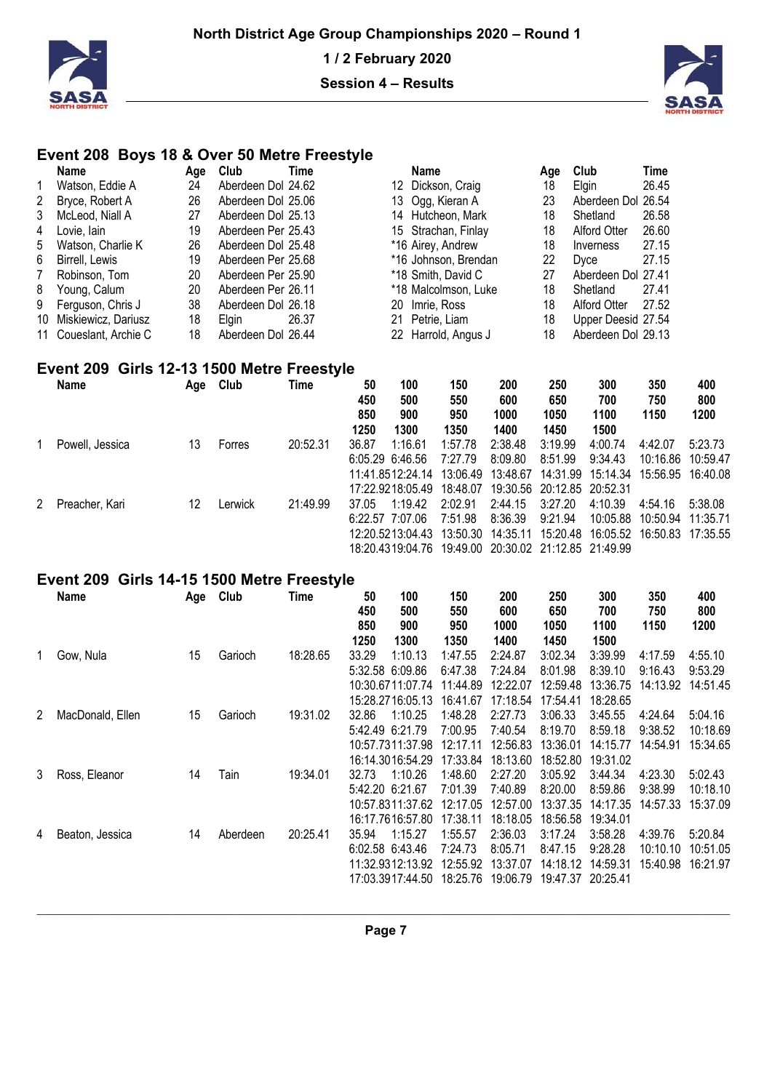



# **Event 208 Boys 18 & Over 50 Metre Freestyle**

|   | Name                   | Age | Club               | Time  | <b>Name</b>          | Age | Club                | <b>Time</b> |
|---|------------------------|-----|--------------------|-------|----------------------|-----|---------------------|-------------|
|   | Watson, Eddie A        | 24  | Aberdeen Dol 24.62 |       | 12 Dickson, Craig    | 18  | Elgin               | 26.45       |
| 2 | Bryce, Robert A        | 26  | Aberdeen Dol 25.06 |       | 13 Ogg, Kieran A     | 23  | Aberdeen Dol 26.54  |             |
| 3 | McLeod, Niall A        | 27  | Aberdeen Dol 25.13 |       | 14 Hutcheon, Mark    | 18  | Shetland            | 26.58       |
| 4 | Lovie, lain            | 19  | Aberdeen Per 25.43 |       | 15 Strachan, Finlay  | 18  | <b>Alford Otter</b> | 26.60       |
| 5 | Watson, Charlie K      | 26  | Aberdeen Dol 25.48 |       | *16 Airey, Andrew    | 18  | Inverness           | 27.15       |
| 6 | Birrell, Lewis         | 19  | Aberdeen Per 25.68 |       | *16 Johnson, Brendan | 22  | Dvce                | 27.15       |
|   | Robinson, Tom          | 20  | Aberdeen Per 25.90 |       | *18 Smith, David C   | 27  | Aberdeen Dol 27.41  |             |
| 8 | Young, Calum           | 20  | Aberdeen Per 26.11 |       | *18 Malcolmson, Luke | 18  | Shetland            | 27.41       |
| 9 | Ferguson, Chris J      | 38  | Aberdeen Dol 26.18 |       | 20 Imrie, Ross       | 18  | Alford Otter        | 27.52       |
|   | 10 Miskiewicz, Dariusz | 18  | <b>Elain</b>       | 26.37 | 21 Petrie, Liam      | 18  | Upper Deesid 27.54  |             |
|   | 11 Coueslant, Archie C | 18  | Aberdeen Dol 26.44 |       | 22 Harrold, Angus J  | 18  | Aberdeen Dol 29.13  |             |

# **Event 209 Girls 12-13 1500 Metre Freestyle**

|   | <b>Name</b>     | Age | Club    | Time     | 50    | 100              | 150      | 200                                 | 250                        | 300                                    | 350      | 400      |
|---|-----------------|-----|---------|----------|-------|------------------|----------|-------------------------------------|----------------------------|----------------------------------------|----------|----------|
|   |                 |     |         |          | 450   | 500              | 550      | 600                                 | 650                        | 700                                    | 750      | 800      |
|   |                 |     |         |          | 850   | 900              | 950      | 1000                                | 1050                       | 1100                                   | 1150     | 1200     |
|   |                 |     |         |          | 1250  | 1300             | 1350     | 1400                                | 1450                       | 1500                                   |          |          |
|   | Powell, Jessica | 13  | Forres  | 20:52.31 | 36.87 | 1:16.61          | 1:57.78  | 2:38.48                             | 3:19.99                    | 4:00.74                                | 4:42.07  | 5:23.73  |
|   |                 |     |         |          |       | 6:05.29 6:46.56  | 7:27.79  | 8:09.80                             | 8:51.99                    | 9:34.43                                | 10:16.86 | 10:59.47 |
|   |                 |     |         |          |       | 11:41.8512:24.14 | 13:06.49 | 13:48.67                            |                            | 14:31.99  15:14.34  15:56.95  16:40.08 |          |          |
|   |                 |     |         |          |       | 17:22.9218:05.49 | 18:48.07 |                                     | 19:30.56 20:12.85 20:52.31 |                                        |          |          |
| 2 | Preacher, Kari  | 12  | Lerwick | 21:49.99 | 37.05 | 1:19.42          | 2:02.91  | 2:44.15                             | 3:27.20                    | 4:10.39                                | 4:54.16  | 5:38.08  |
|   |                 |     |         |          |       | 6:22.57 7:07.06  | 7:51.98  | 8:36.39                             | 9:21.94                    | 10:05.88                               | 10:50.94 | 11:35.71 |
|   |                 |     |         |          |       | 12:20.5213:04.43 |          | 13:50.30 14:35.11                   |                            | 15:20.48  16:05.52  16:50.83  17:35.55 |          |          |
|   |                 |     |         |          |       | 18:20.4319:04.76 |          | 19:49.00 20:30.02 21:12.85 21:49.99 |                            |                                        |          |          |

#### **Event 209 Girls 14-15 1500 Metre Freestyle**

|   | Name             | Age | Club     | <b>Time</b> | 50<br>450<br>850 | 100<br>500<br>900 | 150<br>550<br>950 | 200<br>600<br>1000 | 250<br>650<br>1050 | 300<br>700<br>1100 | 350<br>750<br>1150 | 400<br>800<br>1200 |
|---|------------------|-----|----------|-------------|------------------|-------------------|-------------------|--------------------|--------------------|--------------------|--------------------|--------------------|
|   |                  |     |          |             | 1250             | 1300              | 1350              | 1400               | 1450               | 1500               |                    |                    |
|   | Gow, Nula        | 15  | Garioch  | 18:28.65    | 33.29            | 1:10.13           | 1:47.55           | 2:24.87            | 3:02.34            | 3:39.99            | 4:17.59            | 4:55.10            |
|   |                  |     |          |             | 5:32.58          | 6:09.86           | 6:47.38           | 7:24.84            | 8:01.98            | 8:39.10            | 9:16.43            | 9:53.29            |
|   |                  |     |          |             |                  | 10:30.6711:07.74  | 11:44.89          | 12:22.07           | 12:59.48           | 13:36.75           | 14:13.92           | 14:51.45           |
|   |                  |     |          |             |                  | 15:28.2716:05.13  | 16:41.67          | 17:18.54           | 17:54.41           | 18:28.65           |                    |                    |
| 2 | MacDonald, Ellen | 15  | Garioch  | 19:31.02    | 32.86            | 1:10.25           | 1:48.28           | 2:27.73            | 3:06.33            | 3:45.55            | 4:24.64            | 5:04.16            |
|   |                  |     |          |             | 5:42.49          | 6:21.79           | 7:00.95           | 7:40.54            | 8:19.70            | 8:59.18            | 9:38.52            | 10:18.69           |
|   |                  |     |          |             |                  | 10:57.7311:37.98  | 12:17.11          | 12:56.83           | 13:36.01           | 14:15.77           | 14:54.91           | 15:34.65           |
|   |                  |     |          |             |                  | 16:14.3016:54.29  | 17:33.84          | 18:13.60           | 18:52.80           | 19:31.02           |                    |                    |
| 3 | Ross, Eleanor    | 14  | Tain     | 19:34.01    | 32.73            | 1:10.26           | 1:48.60           | 2:27.20            | 3:05.92            | 3:44.34            | 4:23.30            | 5:02.43            |
|   |                  |     |          |             |                  | 5.42.20 6.21.67   | 7:01.39           | 7:40.89            | 8:20.00            | 8:59.86            | 9:38.99            | 10:18.10           |
|   |                  |     |          |             |                  | 10:57.8311:37.62  | 12:17.05          | 12:57.00           | 13:37.35           | 14:17.35           | 14:57.33           | 15:37.09           |
|   |                  |     |          |             |                  | 16:17.7616:57.80  | 17:38.11          | 18:18.05           | 18:56.58           | 19:34.01           |                    |                    |
| 4 | Beaton, Jessica  | 14  | Aberdeen | 20:25.41    | 35.94            | 1:15.27           | 1:55.57           | 2:36.03            | 3:17.24            | 3:58.28            | 4:39.76            | 5:20.84            |
|   |                  |     |          |             | 6:02.58          | 6:43.46           | 7:24.73           | 8:05.71            | 8:47.15            | 9:28.28            | 10:10.10           | 10:51.05           |
|   |                  |     |          |             |                  | 11:32.9312:13.92  | 12:55.92          | 13:37.07           | 14:18.12           | 14:59.31           | 15:40.98           | 16:21.97           |
|   |                  |     |          |             |                  | 17:03.3917:44.50  | 18:25.76          | 19:06.79           | 19:47.37           | 20:25.41           |                    |                    |
|   |                  |     |          |             |                  |                   |                   |                    |                    |                    |                    |                    |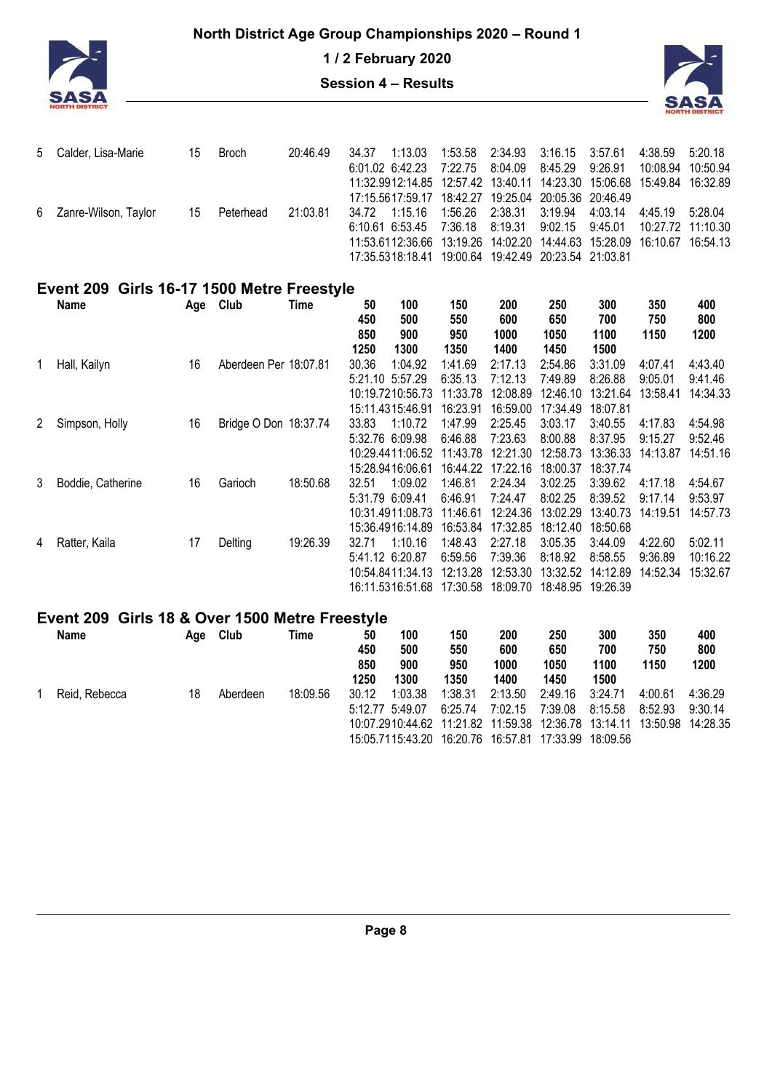

**Session 4 – Results**



| 5 Calder, Lisa-Marie   | 15 | Broch        | 20:46.49 | 34.37 | 6:01.02 6:42.23 7:22.75 8:04.09 8:45.29 9:26.91<br>17:15.5617:59.17  18:42.27  19:25.04  20:05.36  20:46.49 |  | 1:13.03  1:53.58  2:34.93  3:16.15  3:57.61  4:38.59<br>11:32.9912:14.85  12:57.42  13:40.11  14:23.30  15:06.68  15:49.84  16:32.89                                                                                | 10:08.94 10:50.94 | 5:20.18 |
|------------------------|----|--------------|----------|-------|-------------------------------------------------------------------------------------------------------------|--|---------------------------------------------------------------------------------------------------------------------------------------------------------------------------------------------------------------------|-------------------|---------|
| 6 Zanre-Wilson, Taylor |    | 15 Peterhead | 21:03.81 |       |                                                                                                             |  | 34.72  1:15.16  1:56.26  2:38.31  3:19.94  4:03.14  4:45.19  5:28.04<br>6.10.61 6.53.45 7.36.18 8.19.31 9.02.15 9.45.01 10.27.72 11:10.30<br>11:53.6112:36.66 13:19.26 14:02.20 14:44.63 15:28.09 16:10.67 16:54.13 |                   |         |

### **Event 209 Girls 16-17 1500 Metre Freestyle**

|   | <b>Name</b>       | Age | Club                  | Time     | 50<br>450       | 100<br>500       | 150<br>550 | 200<br>600 | 250<br>650 | 300<br>700 | 350<br>750 | 400<br>800 |
|---|-------------------|-----|-----------------------|----------|-----------------|------------------|------------|------------|------------|------------|------------|------------|
|   |                   |     |                       |          | 850             | 900              | 950        | 1000       | 1050       | 1100       | 1150       | 1200       |
|   |                   |     |                       |          | 1250            | 1300             | 1350       | 1400       | 1450       | 1500       |            |            |
|   | Hall, Kailyn      | 16  | Aberdeen Per 18:07.81 |          | 30.36           | 1:04.92          | 1:41.69    | 2:17.13    | 2:54.86    | 3:31.09    | 4:07.41    | 4:43.40    |
|   |                   |     |                       |          |                 | 5:21.10 5:57.29  | 6:35.13    | 7:12.13    | 7:49.89    | 8:26.88    | 9:05.01    | 9:41.46    |
|   |                   |     |                       |          |                 | 10:19.7210:56.73 | 11:33.78   | 12:08.89   | 12:46.10   | 13:21.64   | 13:58.41   | 14:34.33   |
|   |                   |     |                       |          |                 | 15:11.4315:46.91 | 16:23.91   | 16:59.00   | 17:34.49   | 18:07.81   |            |            |
| 2 | Simpson, Holly    | 16  | Bridge O Don 18:37.74 |          | 33.83           | 1:10.72          | 1:47.99    | 2:25.45    | 3:03.17    | 3:40.55    | 4:17.83    | 4:54.98    |
|   |                   |     |                       |          |                 | 5:32.76 6:09.98  | 6:46.88    | 7:23.63    | 8:00.88    | 8:37.95    | 9:15.27    | 9:52.46    |
|   |                   |     |                       |          |                 | 10:29.4411:06.52 | 11:43.78   | 12:21.30   | 12:58.73   | 13:36.33   | 14:13.87   | 14:51.16   |
|   |                   |     |                       |          |                 | 15:28.9416:06.61 | 16:44.22   | 17:22.16   | 18:00.37   | 18:37.74   |            |            |
| 3 | Boddie, Catherine | 16  | Garioch               | 18:50.68 | 32.51           | 1:09.02          | 1:46.81    | 2:24.34    | 3:02.25    | 3:39.62    | 4:17.18    | 4:54.67    |
|   |                   |     |                       |          | 5:31.79         | 6:09.41          | 6:46.91    | 7:24.47    | 8:02.25    | 8:39.52    | 9:17.14    | 9:53.97    |
|   |                   |     |                       |          |                 | 10:31.4911:08.73 | 11:46.61   | 12:24.36   | 13:02.29   | 13:40.73   | 14:19.51   | 14:57.73   |
|   |                   |     |                       |          |                 | 15:36.4916:14.89 | 16:53.84   | 17:32.85   | 18:12.40   | 18:50.68   |            |            |
| 4 | Ratter, Kaila     | 17  | Delting               | 19:26.39 | 32.71           | 1:10.16          | 1:48.43    | 2:27.18    | 3:05.35    | 3:44.09    | 4:22.60    | 5:02.11    |
|   |                   |     |                       |          | 5:41.12 6:20.87 |                  | 6:59.56    | 7:39.36    | 8:18.92    | 8:58.55    | 9:36.89    | 10:16.22   |
|   |                   |     |                       |          |                 | 10:54.8411:34.13 | 12:13.28   | 12:53.30   | 13:32.52   | 14:12.89   | 14:52.34   | 15:32.67   |
|   |                   |     |                       |          |                 | 16:11.5316:51.68 | 17:30.58   | 18:09.70   | 18:48.95   | 19:26.39   |            |            |

# **Event 209 Girls 18 & Over 1500 Metre Freestyle**

| <b>Name</b>   | Age | Club     | Time     | 50<br>450<br>850<br>1250 | 100<br>500<br>900<br>1300                                          | 150<br>550<br>950<br>1350      | 200<br>600<br>1000<br>1400                                                                   | 250<br>650<br>1050<br>1450     | 300<br>700<br>1100<br>1500     | 350<br>750<br>1150 | 400<br>800<br>1200 |
|---------------|-----|----------|----------|--------------------------|--------------------------------------------------------------------|--------------------------------|----------------------------------------------------------------------------------------------|--------------------------------|--------------------------------|--------------------|--------------------|
| Reid, Rebecca | 18  | Aberdeen | 18:09.56 | 30.12                    | 1:03.38<br>5:12.77 5:49.07<br>10:07.2910:44.62<br>15:05.7115:43.20 | 1:38.31<br>6:25.74<br>16:20.76 | 2:13.50<br>7:02.15<br>11:21.82  11:59.38  12:36.78  13:14.11  13:50.98  14:28.35<br>16:57.81 | 2:49.16<br>7:39.08<br>17:33.99 | 3:24.71<br>8:15.58<br>18:09.56 | 4:00.61<br>8:52.93 | 4:36.29<br>9:30.14 |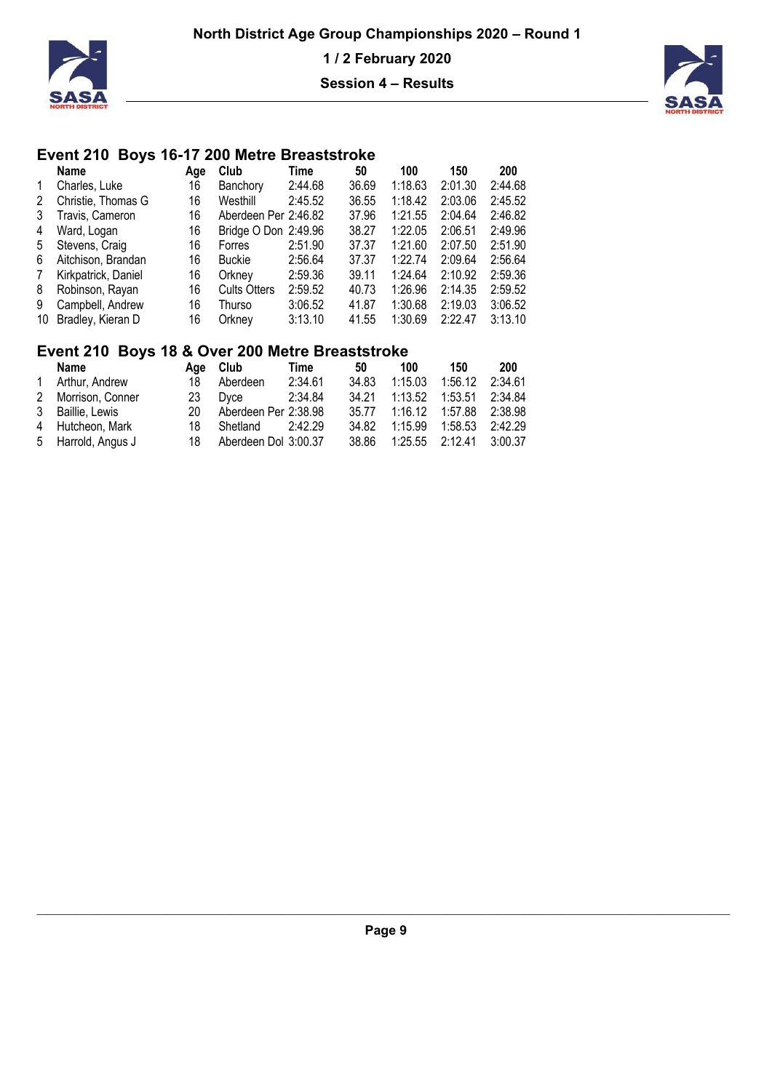



#### **Event 210 Boys 16-17 200 Metre Breaststroke**

|                | Name                | Age | Club                 | Time    | 50    | 100     | 150     | 200     |
|----------------|---------------------|-----|----------------------|---------|-------|---------|---------|---------|
|                | Charles, Luke       | 16  | Banchory             | 2:44.68 | 36.69 | 1:18.63 | 2:01.30 | 2:44.68 |
| 2              | Christie, Thomas G  | 16  | Westhill             | 2:45.52 | 36.55 | 1:18.42 | 2:03.06 | 2:45.52 |
| 3              | Travis, Cameron     | 16  | Aberdeen Per 2:46.82 |         | 37.96 | 1:21.55 | 2:04.64 | 2:46.82 |
| $\overline{4}$ | Ward, Logan         | 16  | Bridge O Don 2:49.96 |         | 38.27 | 1:22.05 | 2:06.51 | 2:49.96 |
| 5              | Stevens, Craig      | 16  | Forres               | 2:51.90 | 37.37 | 1:21.60 | 2:07.50 | 2:51.90 |
| 6              | Aitchison, Brandan  | 16  | <b>Buckie</b>        | 2:56.64 | 37.37 | 1:22.74 | 2:09.64 | 2:56.64 |
| 7              | Kirkpatrick, Daniel | 16  | Orkney               | 2:59.36 | 39.11 | 1:24.64 | 2:10.92 | 2:59.36 |
| 8              | Robinson, Rayan     | 16  | <b>Cults Otters</b>  | 2:59.52 | 40.73 | 1:26.96 | 2:14.35 | 2:59.52 |
| 9              | Campbell, Andrew    | 16  | Thurso               | 3:06.52 | 41.87 | 1:30.68 | 2:19.03 | 3:06.52 |
| 10             | Bradley, Kieran D   | 16  | Orkney               | 3:13.10 | 41.55 | 1:30.69 | 2:22.47 | 3:13.10 |

# **Event 210 Boys 18 & Over 200 Metre Breaststroke**

| Name               |     | Age Club                | Time    | 50    | 100     | 150                       | 200 |
|--------------------|-----|-------------------------|---------|-------|---------|---------------------------|-----|
| 1 Arthur, Andrew   | 18  | Aberdeen                | 2:34.61 | 34.83 | 1:15.03 | $1:56.12$ $2:34.61$       |     |
| 2 Morrison, Conner | 23  | Dvce                    | 2:34.84 | 34.21 | 1:13.52 | 1:53.51 2:34.84           |     |
| 3 Baillie, Lewis   | 20. | Aberdeen Per 2:38.98    |         | 35.77 | 1:16.12 | 1:57.88 2:38.98           |     |
| 4 Hutcheon, Mark   | 18  | Shetland                | 2:42.29 | 34.82 | 1:15.99 | 1:58.53 2:42.29           |     |
| 5 Harrold, Angus J |     | 18 Aberdeen Dol 3:00.37 |         | 38.86 |         | 1:25.55  2:12.41  3:00.37 |     |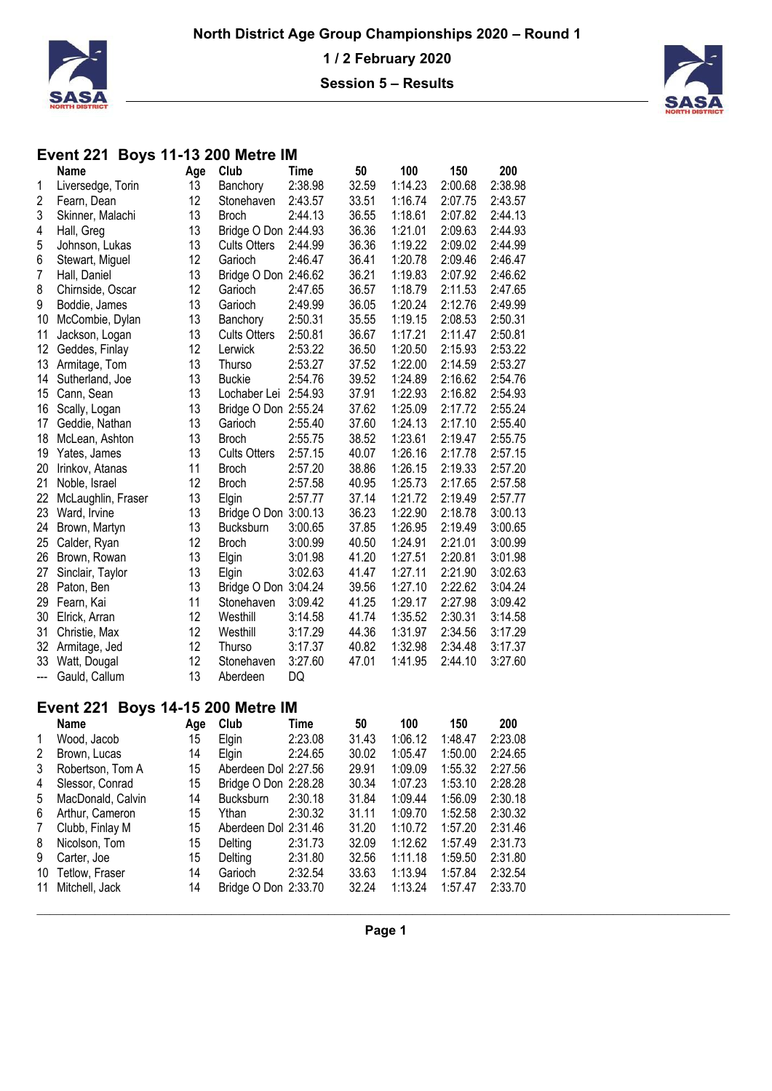

# **Event 221 Boys 11-13 200 Metre IM**

|                | <b>Name</b>        | Age | Club                           | <b>Time</b> | 50    | 100     | 150     | 200     |
|----------------|--------------------|-----|--------------------------------|-------------|-------|---------|---------|---------|
| 1              | Liversedge, Torin  | 13  | Banchory                       | 2:38.98     | 32.59 | 1:14.23 | 2:00.68 | 2:38.98 |
| $\overline{2}$ | Fearn, Dean        | 12  | Stonehaven                     | 2:43.57     | 33.51 | 1:16.74 | 2:07.75 | 2:43.57 |
| 3              | Skinner, Malachi   | 13  | <b>Broch</b>                   | 2:44.13     | 36.55 | 1:18.61 | 2:07.82 | 2:44.13 |
| 4              | Hall, Greg         | 13  | Bridge O Don 2:44.93           |             | 36.36 | 1:21.01 | 2:09.63 | 2:44.93 |
| 5              | Johnson, Lukas     | 13  | <b>Cults Otters</b>            | 2:44.99     | 36.36 | 1:19.22 | 2:09.02 | 2:44.99 |
| 6              | Stewart, Miguel    | 12  | Garioch                        | 2:46.47     | 36.41 | 1:20.78 | 2:09.46 | 2:46.47 |
| 7              | Hall, Daniel       | 13  | Bridge O Don 2:46.62           |             | 36.21 | 1:19.83 | 2:07.92 | 2:46.62 |
| 8              | Chirnside, Oscar   | 12  | Garioch                        | 2:47.65     | 36.57 | 1:18.79 | 2:11.53 | 2:47.65 |
| 9              | Boddie, James      | 13  | Garioch                        | 2:49.99     | 36.05 | 1:20.24 | 2:12.76 | 2:49.99 |
| 10             | McCombie, Dylan    | 13  | Banchory                       | 2:50.31     | 35.55 | 1:19.15 | 2:08.53 | 2:50.31 |
| 11             | Jackson, Logan     | 13  | <b>Cults Otters</b>            | 2:50.81     | 36.67 | 1:17.21 | 2:11.47 | 2:50.81 |
| 12             | Geddes, Finlay     | 12  | Lerwick                        | 2:53.22     | 36.50 | 1:20.50 | 2:15.93 | 2:53.22 |
| 13             | Armitage, Tom      | 13  | Thurso                         | 2:53.27     | 37.52 | 1:22.00 | 2:14.59 | 2:53.27 |
| 14             | Sutherland, Joe    | 13  | <b>Buckie</b>                  | 2:54.76     | 39.52 | 1:24.89 | 2:16.62 | 2:54.76 |
| 15             | Cann, Sean         | 13  | Lochaber Lei 2:54.93           |             | 37.91 | 1:22.93 | 2:16.82 | 2:54.93 |
| 16             | Scally, Logan      | 13  | Bridge O Don 2:55.24           |             | 37.62 | 1:25.09 | 2:17.72 | 2:55.24 |
| 17             | Geddie, Nathan     | 13  | Garioch                        | 2:55.40     | 37.60 | 1:24.13 | 2:17.10 | 2:55.40 |
| 18             | McLean, Ashton     | 13  | <b>Broch</b>                   | 2:55.75     | 38.52 | 1:23.61 | 2:19.47 | 2:55.75 |
| 19             | Yates, James       | 13  | <b>Cults Otters</b>            | 2:57.15     | 40.07 | 1:26.16 | 2:17.78 | 2:57.15 |
| 20             | Irinkov, Atanas    | 11  | <b>Broch</b>                   | 2:57.20     | 38.86 | 1:26.15 | 2:19.33 | 2:57.20 |
| 21             | Noble, Israel      | 12  | <b>Broch</b>                   | 2:57.58     | 40.95 | 1:25.73 | 2:17.65 | 2:57.58 |
| 22             | McLaughlin, Fraser | 13  | Elgin                          | 2:57.77     | 37.14 | 1:21.72 | 2:19.49 | 2:57.77 |
| 23             | Ward, Irvine       | 13  | Bridge O Don 3:00.13           |             | 36.23 | 1:22.90 | 2:18.78 | 3:00.13 |
| 24             | Brown, Martyn      | 13  | Bucksburn                      | 3:00.65     | 37.85 | 1:26.95 | 2:19.49 | 3:00.65 |
| 25             | Calder, Ryan       | 12  | <b>Broch</b>                   | 3:00.99     | 40.50 | 1:24.91 | 2:21.01 | 3:00.99 |
| 26             | Brown, Rowan       | 13  | Elgin                          | 3:01.98     | 41.20 | 1:27.51 | 2:20.81 | 3:01.98 |
| 27             | Sinclair, Taylor   | 13  | Elgin                          | 3:02.63     | 41.47 | 1:27.11 | 2:21.90 | 3:02.63 |
| 28             | Paton, Ben         | 13  | Bridge O Don 3:04.24           |             | 39.56 | 1:27.10 | 2:22.62 | 3:04.24 |
| 29             | Fearn, Kai         | 11  | Stonehaven                     | 3:09.42     | 41.25 | 1:29.17 | 2:27.98 | 3:09.42 |
| 30             | Elrick, Arran      | 12  | Westhill                       | 3:14.58     | 41.74 | 1:35.52 | 2:30.31 | 3:14.58 |
| 31             | Christie, Max      | 12  | Westhill                       | 3:17.29     | 44.36 | 1:31.97 | 2:34.56 | 3:17.29 |
| 32             | Armitage, Jed      | 12  | Thurso                         | 3:17.37     | 40.82 | 1:32.98 | 2:34.48 | 3:17.37 |
| 33             | Watt, Dougal       | 12  | Stonehaven                     | 3:27.60     | 47.01 | 1:41.95 | 2:44.10 | 3:27.60 |
| ---            | Gauld, Callum      | 13  | Aberdeen                       | DQ          |       |         |         |         |
|                |                    |     |                                |             |       |         |         |         |
|                | Event 221          |     | <b>Boys 14-15 200 Metre IM</b> |             |       |         |         |         |
|                | <b>Name</b>        | Age | Club                           | <b>Time</b> | 50    | 100     | 150     | 200     |
| 1              | Wood, Jacob        | 15  | Elgin                          | 2:23.08     | 31.43 | 1:06.12 | 1:48.47 | 2:23.08 |
| $\overline{2}$ | Brown, Lucas       | 14  | Elgin                          | 2:24.65     | 30.02 | 1:05.47 | 1:50.00 | 2:24.65 |
| 3              | Robertson, Tom A   | 15  | Aberdeen Dol 2:27.56           |             | 29.91 | 1:09.09 | 1:55.32 | 2:27.56 |
| 4              | Slessor, Conrad    | 15  | Bridge O Don 2:28.28           |             | 30.34 | 1:07.23 | 1:53.10 | 2:28.28 |
| 5              | MacDonald, Calvin  | 14  | Bucksburn                      | 2:30.18     | 31.84 | 1:09.44 | 1:56.09 | 2:30.18 |
| 6              | Arthur, Cameron    | 15  | Ythan                          | 2:30.32     | 31.11 | 1:09.70 | 1:52.58 | 2:30.32 |
| 7              | Clubb, Finlay M    | 15  | Aberdeen Dol 2:31.46           |             | 31.20 | 1:10.72 | 1:57.20 | 2:31.46 |
| 8              | Nicolson, Tom      | 15  | Delting                        | 2:31.73     | 32.09 | 1:12.62 | 1:57.49 | 2:31.73 |
| 9              | Carter, Joe        | 15  | Delting                        | 2:31.80     | 32.56 | 1:11.18 | 1:59.50 | 2:31.80 |
| 10             | Tetlow, Fraser     | 14  | Garioch                        | 2:32.54     | 33.63 | 1:13.94 | 1:57.84 | 2:32.54 |
| 11             | Mitchell, Jack     | 14  | Bridge O Don 2:33.70           |             | 32.24 | 1:13.24 | 1:57.47 | 2:33.70 |
|                |                    |     |                                |             |       |         |         |         |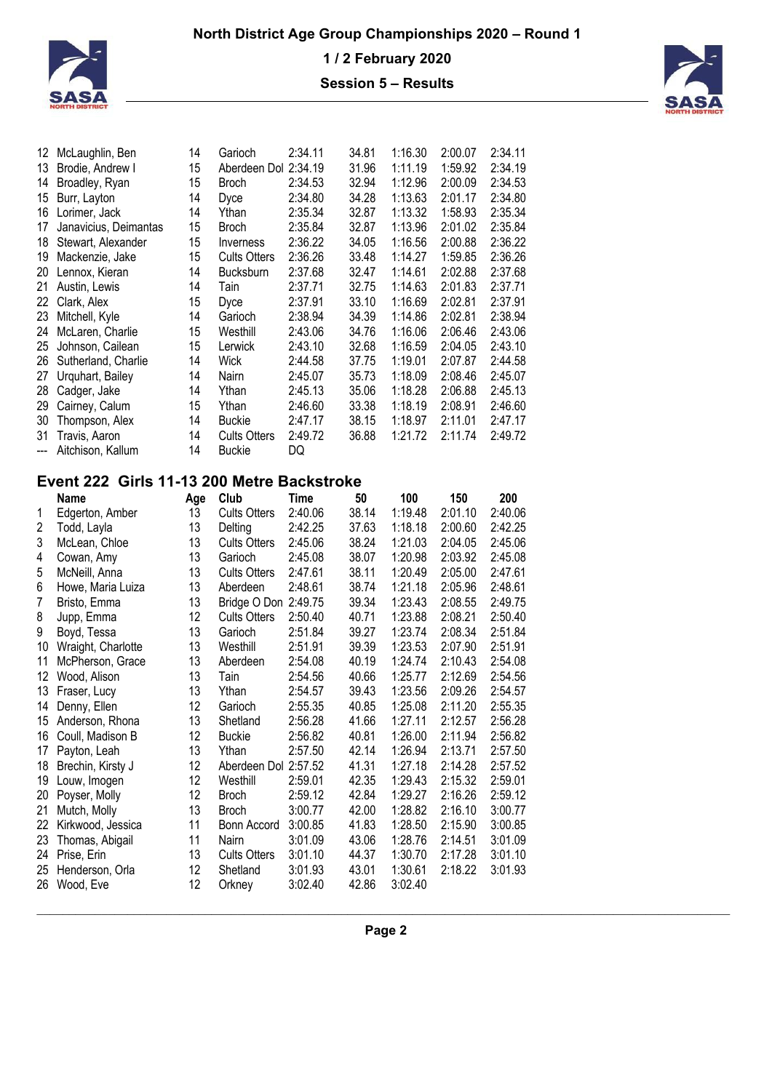



**Session 5 – Results**

| 12             | McLaughlin, Ben       | 14 | Garioch              | 2:34.11 | 34.81 | 1:16.30 | 2:00.07 | 2:34.11 |
|----------------|-----------------------|----|----------------------|---------|-------|---------|---------|---------|
| 13             | Brodie, Andrew I      | 15 | Aberdeen Dol 2:34.19 |         | 31.96 | 1:11.19 | 1:59.92 | 2:34.19 |
| 14             | Broadley, Ryan        | 15 | <b>Broch</b>         | 2:34.53 | 32.94 | 1:12.96 | 2:00.09 | 2:34.53 |
| 15             | Burr, Layton          | 14 | Dyce                 | 2:34.80 | 34.28 | 1:13.63 | 2:01.17 | 2:34.80 |
| 16             | Lorimer, Jack         | 14 | Ythan                | 2:35.34 | 32.87 | 1:13.32 | 1:58.93 | 2:35.34 |
| 17             | Janavicius, Deimantas | 15 | <b>Broch</b>         | 2:35.84 | 32.87 | 1:13.96 | 2:01.02 | 2:35.84 |
| 18             | Stewart, Alexander    | 15 | Inverness            | 2:36.22 | 34.05 | 1:16.56 | 2:00.88 | 2:36.22 |
| 19             | Mackenzie, Jake       | 15 | <b>Cults Otters</b>  | 2:36.26 | 33.48 | 1:14.27 | 1:59.85 | 2:36.26 |
| 20             | Lennox, Kieran        | 14 | <b>Bucksburn</b>     | 2:37.68 | 32.47 | 1:14.61 | 2:02.88 | 2:37.68 |
| 21             | Austin, Lewis         | 14 | Tain                 | 2:37.71 | 32.75 | 1:14.63 | 2:01.83 | 2:37.71 |
| 22             | Clark, Alex           | 15 | Dyce                 | 2:37.91 | 33.10 | 1:16.69 | 2:02.81 | 2:37.91 |
| 23             | Mitchell, Kyle        | 14 | Garioch              | 2:38.94 | 34.39 | 1:14.86 | 2:02.81 | 2:38.94 |
| 24             | McLaren, Charlie      | 15 | Westhill             | 2:43.06 | 34.76 | 1:16.06 | 2:06.46 | 2:43.06 |
| 25             | Johnson, Cailean      | 15 | Lerwick              | 2:43.10 | 32.68 | 1:16.59 | 2:04.05 | 2:43.10 |
| 26             | Sutherland, Charlie   | 14 | Wick                 | 2:44.58 | 37.75 | 1:19.01 | 2:07.87 | 2:44.58 |
| 27             | Urquhart, Bailey      | 14 | Nairn                | 2:45.07 | 35.73 | 1:18.09 | 2:08.46 | 2:45.07 |
| 28             | Cadger, Jake          | 14 | Ythan                | 2:45.13 | 35.06 | 1:18.28 | 2:06.88 | 2:45.13 |
| 29             | Cairney, Calum        | 15 | Ythan                | 2:46.60 | 33.38 | 1:18.19 | 2:08.91 | 2:46.60 |
| 30             | Thompson, Alex        | 14 | <b>Buckie</b>        | 2:47.17 | 38.15 | 1:18.97 | 2:11.01 | 2:47.17 |
| 31             | Travis, Aaron         | 14 | <b>Cults Otters</b>  | 2:49.72 | 36.88 | 1:21.72 | 2:11.74 | 2:49.72 |
| $\overline{a}$ | Aitchison, Kallum     | 14 | <b>Buckie</b>        | DQ      |       |         |         |         |

# **Event 222 Girls 11-13 200 Metre Backstroke**

|    | <b>Name</b>        | Age | Club                 | Time    | 50    | 100     | 150     | 200     |
|----|--------------------|-----|----------------------|---------|-------|---------|---------|---------|
| 1  | Edgerton, Amber    | 13  | <b>Cults Otters</b>  | 2:40.06 | 38.14 | 1:19.48 | 2:01.10 | 2:40.06 |
| 2  | Todd, Layla        | 13  | Delting              | 2:42.25 | 37.63 | 1:18.18 | 2:00.60 | 2:42.25 |
| 3  | McLean, Chloe      | 13  | <b>Cults Otters</b>  | 2:45.06 | 38.24 | 1:21.03 | 2:04.05 | 2:45.06 |
| 4  | Cowan, Amy         | 13  | Garioch              | 2:45.08 | 38.07 | 1:20.98 | 2:03.92 | 2:45.08 |
| 5  | McNeill, Anna      | 13  | <b>Cults Otters</b>  | 2:47.61 | 38.11 | 1:20.49 | 2:05.00 | 2:47.61 |
| 6  | Howe, Maria Luiza  | 13  | Aberdeen             | 2:48.61 | 38.74 | 1:21.18 | 2:05.96 | 2:48.61 |
| 7  | Bristo, Emma       | 13  | Bridge O Don 2:49.75 |         | 39.34 | 1:23.43 | 2:08.55 | 2:49.75 |
| 8  | Jupp, Emma         | 12  | <b>Cults Otters</b>  | 2:50.40 | 40.71 | 1:23.88 | 2:08.21 | 2:50.40 |
| 9  | Boyd, Tessa        | 13  | Garioch              | 2:51.84 | 39.27 | 1:23.74 | 2:08.34 | 2:51.84 |
| 10 | Wraight, Charlotte | 13  | Westhill             | 2:51.91 | 39.39 | 1:23.53 | 2:07.90 | 2:51.91 |
| 11 | McPherson, Grace   | 13  | Aberdeen             | 2:54.08 | 40.19 | 1:24.74 | 2:10.43 | 2:54.08 |
| 12 | Wood, Alison       | 13  | Tain                 | 2:54.56 | 40.66 | 1:25.77 | 2:12.69 | 2:54.56 |
| 13 | Fraser, Lucy       | 13  | Ythan                | 2:54.57 | 39.43 | 1:23.56 | 2:09.26 | 2:54.57 |
| 14 | Denny, Ellen       | 12  | Garioch              | 2:55.35 | 40.85 | 1:25.08 | 2:11.20 | 2:55.35 |
| 15 | Anderson, Rhona    | 13  | Shetland             | 2:56.28 | 41.66 | 1:27.11 | 2:12.57 | 2:56.28 |
| 16 | Coull, Madison B   | 12  | <b>Buckie</b>        | 2:56.82 | 40.81 | 1:26.00 | 2:11.94 | 2:56.82 |
| 17 | Payton, Leah       | 13  | Ythan                | 2:57.50 | 42.14 | 1:26.94 | 2:13.71 | 2:57.50 |
| 18 | Brechin, Kirsty J  | 12  | Aberdeen Dol 2:57.52 |         | 41.31 | 1:27.18 | 2:14.28 | 2:57.52 |
| 19 | Louw, Imogen       | 12  | Westhill             | 2:59.01 | 42.35 | 1:29.43 | 2:15.32 | 2:59.01 |
| 20 | Poyser, Molly      | 12  | <b>Broch</b>         | 2:59.12 | 42.84 | 1:29.27 | 2:16.26 | 2:59.12 |
| 21 | Mutch, Molly       | 13  | <b>Broch</b>         | 3:00.77 | 42.00 | 1:28.82 | 2:16.10 | 3:00.77 |
| 22 | Kirkwood, Jessica  | 11  | Bonn Accord          | 3:00.85 | 41.83 | 1:28.50 | 2:15.90 | 3:00.85 |
| 23 | Thomas, Abigail    | 11  | Nairn                | 3:01.09 | 43.06 | 1:28.76 | 2:14.51 | 3:01.09 |
| 24 | Prise, Erin        | 13  | <b>Cults Otters</b>  | 3:01.10 | 44.37 | 1:30.70 | 2:17.28 | 3:01.10 |
| 25 | Henderson, Orla    | 12  | Shetland             | 3:01.93 | 43.01 | 1:30.61 | 2:18.22 | 3:01.93 |
| 26 | Wood, Eve          | 12  | Orkney               | 3:02.40 | 42.86 | 3:02.40 |         |         |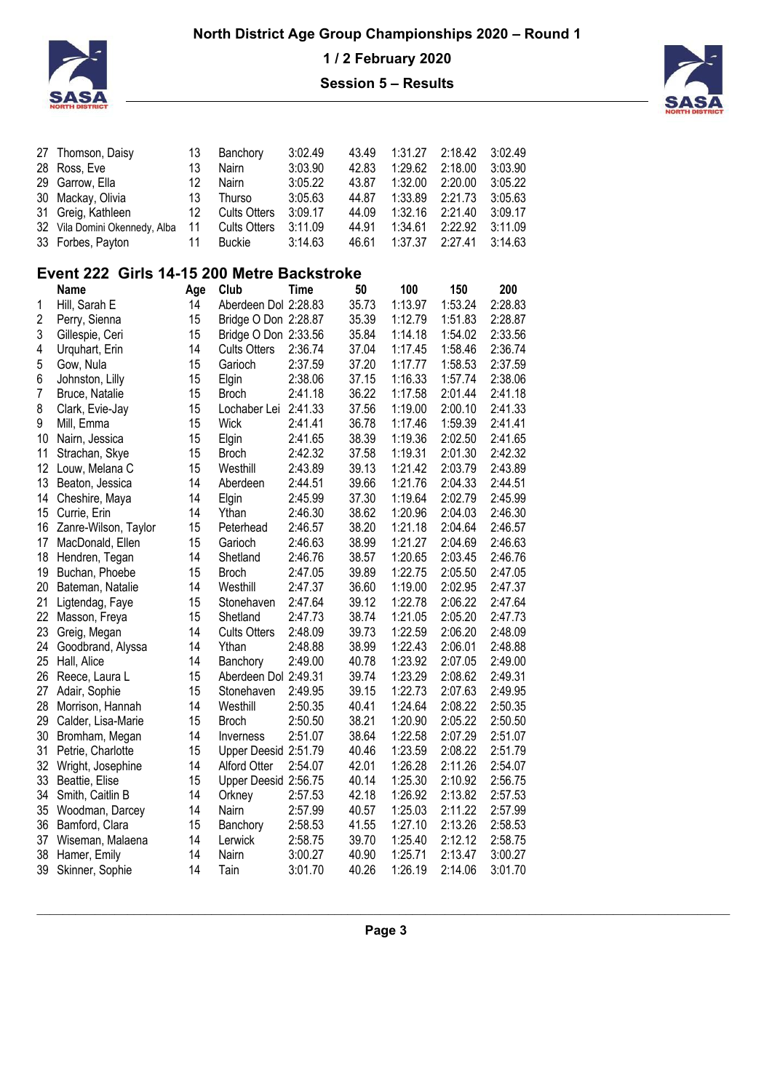

**Session 5 – Results**



| 27 Thomson, Daisy             | 13  | Banchory            | 3:02.49 |       |         | 43.49  1:31.27  2:18.42  3:02.49 |  |
|-------------------------------|-----|---------------------|---------|-------|---------|----------------------------------|--|
| 28 Ross, Eve                  | 13  | Nairn               | 3:03.90 | 42.83 |         | 1:29.62 2:18.00 3:03.90          |  |
| 29 Garrow, Ella               | 12. | Nairn               | 3:05.22 | 43.87 | 1:32.00 | 2:20.00 3:05.22                  |  |
| 30 Mackay, Olivia             | 13  | Thurso              | 3:05.63 | 44.87 |         | 1:33.89  2:21.73  3:05.63        |  |
| 31 Greig, Kathleen            | 12  | <b>Cults Otters</b> | 3:09.17 | 44.09 |         | 1:32.16 2:21.40 3:09.17          |  |
| 32 Vila Domini Okennedy, Alba |     | 11 Cults Otters     | 3:11.09 | 44.91 |         | 1:34.61  2:22.92  3:11.09        |  |
| 33 Forbes, Payton             | 11  | Buckie              | 3:14.63 |       |         | 46.61 1:37.37 2:27.41 3:14.63    |  |

#### **Event 222 Girls 14-15 200 Metre Backstroke**

|                | Name                 | Age | Club                 | <b>Time</b> | 50    | 100     | 150     | 200     |
|----------------|----------------------|-----|----------------------|-------------|-------|---------|---------|---------|
| 1              | Hill, Sarah E        | 14  | Aberdeen Dol 2:28.83 |             | 35.73 | 1:13.97 | 1:53.24 | 2:28.83 |
| $\overline{2}$ | Perry, Sienna        | 15  | Bridge O Don 2:28.87 |             | 35.39 | 1:12.79 | 1:51.83 | 2:28.87 |
| 3              | Gillespie, Ceri      | 15  | Bridge O Don 2:33.56 |             | 35.84 | 1:14.18 | 1:54.02 | 2:33.56 |
| 4              | Urquhart, Erin       | 14  | <b>Cults Otters</b>  | 2:36.74     | 37.04 | 1:17.45 | 1:58.46 | 2:36.74 |
| 5              | Gow, Nula            | 15  | Garioch              | 2:37.59     | 37.20 | 1:17.77 | 1:58.53 | 2:37.59 |
| 6              | Johnston, Lilly      | 15  | Elgin                | 2:38.06     | 37.15 | 1:16.33 | 1:57.74 | 2:38.06 |
| $\overline{7}$ | Bruce, Natalie       | 15  | <b>Broch</b>         | 2:41.18     | 36.22 | 1:17.58 | 2:01.44 | 2:41.18 |
| 8              | Clark, Evie-Jay      | 15  | Lochaber Lei         | 2:41.33     | 37.56 | 1:19.00 | 2:00.10 | 2:41.33 |
| 9              | Mill, Emma           | 15  | Wick                 | 2:41.41     | 36.78 | 1:17.46 | 1:59.39 | 2:41.41 |
| 10             | Nairn, Jessica       | 15  | Elgin                | 2:41.65     | 38.39 | 1:19.36 | 2:02.50 | 2:41.65 |
| 11             | Strachan, Skye       | 15  | <b>Broch</b>         | 2:42.32     | 37.58 | 1:19.31 | 2:01.30 | 2:42.32 |
| 12             | Louw, Melana C       | 15  | Westhill             | 2:43.89     | 39.13 | 1:21.42 | 2:03.79 | 2:43.89 |
| 13             | Beaton, Jessica      | 14  | Aberdeen             | 2:44.51     | 39.66 | 1:21.76 | 2:04.33 | 2:44.51 |
| 14             | Cheshire, Maya       | 14  | Elgin                | 2:45.99     | 37.30 | 1:19.64 | 2:02.79 | 2:45.99 |
| 15             | Currie, Erin         | 14  | Ythan                | 2:46.30     | 38.62 | 1:20.96 | 2:04.03 | 2:46.30 |
| 16             | Zanre-Wilson, Taylor | 15  | Peterhead            | 2:46.57     | 38.20 | 1:21.18 | 2:04.64 | 2:46.57 |
| 17             | MacDonald, Ellen     | 15  | Garioch              | 2:46.63     | 38.99 | 1:21.27 | 2:04.69 | 2:46.63 |
| 18             | Hendren, Tegan       | 14  | Shetland             | 2:46.76     | 38.57 | 1:20.65 | 2:03.45 | 2:46.76 |
| 19             | Buchan, Phoebe       | 15  | <b>Broch</b>         | 2:47.05     | 39.89 | 1:22.75 | 2:05.50 | 2:47.05 |
| 20             | Bateman, Natalie     | 14  | Westhill             | 2:47.37     | 36.60 | 1:19.00 | 2:02.95 | 2:47.37 |
| 21             | Ligtendag, Faye      | 15  | Stonehaven           | 2:47.64     | 39.12 | 1:22.78 | 2:06.22 | 2:47.64 |
| 22             | Masson, Freya        | 15  | Shetland             | 2:47.73     | 38.74 | 1:21.05 | 2:05.20 | 2:47.73 |
| 23             | Greig, Megan         | 14  | <b>Cults Otters</b>  | 2:48.09     | 39.73 | 1:22.59 | 2:06.20 | 2:48.09 |
| 24             | Goodbrand, Alyssa    | 14  | Ythan                | 2:48.88     | 38.99 | 1:22.43 | 2:06.01 | 2:48.88 |
| 25             | Hall, Alice          | 14  | Banchory             | 2:49.00     | 40.78 | 1:23.92 | 2:07.05 | 2:49.00 |
| 26             | Reece, Laura L       | 15  | Aberdeen Dol 2:49.31 |             | 39.74 | 1:23.29 | 2:08.62 | 2:49.31 |
| 27             | Adair, Sophie        | 15  | Stonehaven           | 2:49.95     | 39.15 | 1:22.73 | 2:07.63 | 2:49.95 |
| 28             | Morrison, Hannah     | 14  | Westhill             | 2:50.35     | 40.41 | 1:24.64 | 2:08.22 | 2:50.35 |
| 29             | Calder, Lisa-Marie   | 15  | <b>Broch</b>         | 2:50.50     | 38.21 | 1:20.90 | 2:05.22 | 2:50.50 |
| 30             | Bromham, Megan       | 14  | Inverness            | 2:51.07     | 38.64 | 1:22.58 | 2:07.29 | 2:51.07 |
| 31             | Petrie, Charlotte    | 15  | Upper Deesid 2:51.79 |             | 40.46 | 1:23.59 | 2:08.22 | 2:51.79 |
| 32             | Wright, Josephine    | 14  | <b>Alford Otter</b>  | 2:54.07     | 42.01 | 1:26.28 | 2:11.26 | 2:54.07 |
| 33             | Beattie, Elise       | 15  | Upper Deesid 2:56.75 |             | 40.14 | 1:25.30 | 2:10.92 | 2:56.75 |
| 34             | Smith, Caitlin B     | 14  | Orkney               | 2:57.53     | 42.18 | 1:26.92 | 2:13.82 | 2:57.53 |
| 35             | Woodman, Darcey      | 14  | Nairn                | 2:57.99     | 40.57 | 1:25.03 | 2:11.22 | 2:57.99 |
| 36             | Bamford, Clara       | 15  | Banchory             | 2:58.53     | 41.55 | 1:27.10 | 2:13.26 | 2:58.53 |
| 37             | Wiseman, Malaena     | 14  | Lerwick              | 2:58.75     | 39.70 | 1:25.40 | 2:12.12 | 2:58.75 |
| 38             | Hamer, Emily         | 14  | Nairn                | 3:00.27     | 40.90 | 1:25.71 | 2:13.47 | 3:00.27 |
| 39             | Skinner, Sophie      | 14  | Tain                 | 3:01.70     | 40.26 | 1:26.19 | 2:14.06 | 3:01.70 |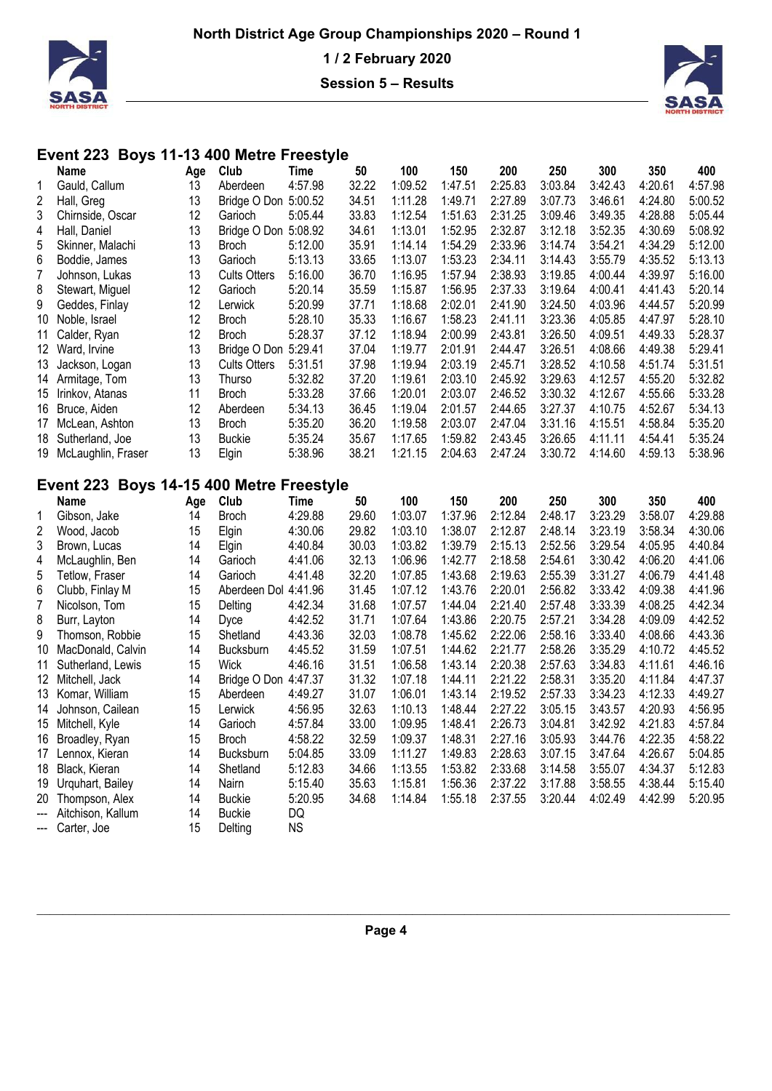



### **Event 223 Boys 11-13 400 Metre Freestyle**

|                | <b>Name</b>                              | Age | Club                 | <b>Time</b> | 50    | 100     | 150     | 200     | 250     | 300     | 350     | 400     |
|----------------|------------------------------------------|-----|----------------------|-------------|-------|---------|---------|---------|---------|---------|---------|---------|
| 1              | Gauld, Callum                            | 13  | Aberdeen             | 4:57.98     | 32.22 | 1:09.52 | 1:47.51 | 2:25.83 | 3:03.84 | 3:42.43 | 4:20.61 | 4:57.98 |
| $\overline{2}$ | Hall, Greg                               | 13  | Bridge O Don 5:00.52 |             | 34.51 | 1:11.28 | 1:49.71 | 2:27.89 | 3:07.73 | 3:46.61 | 4:24.80 | 5:00.52 |
| 3              | Chirnside, Oscar                         | 12  | Garioch              | 5:05.44     | 33.83 | 1:12.54 | 1:51.63 | 2:31.25 | 3:09.46 | 3:49.35 | 4:28.88 | 5:05.44 |
| $\overline{4}$ | Hall, Daniel                             | 13  | Bridge O Don 5:08.92 |             | 34.61 | 1:13.01 | 1:52.95 | 2:32.87 | 3:12.18 | 3:52.35 | 4:30.69 | 5:08.92 |
| 5              | Skinner, Malachi                         | 13  | <b>Broch</b>         | 5:12.00     | 35.91 | 1:14.14 | 1:54.29 | 2:33.96 | 3:14.74 | 3:54.21 | 4:34.29 | 5:12.00 |
| 6              | Boddie, James                            | 13  | Garioch              | 5:13.13     | 33.65 | 1:13.07 | 1:53.23 | 2:34.11 | 3:14.43 | 3:55.79 | 4:35.52 | 5:13.13 |
| $\overline{7}$ | Johnson, Lukas                           | 13  | <b>Cults Otters</b>  | 5:16.00     | 36.70 | 1:16.95 | 1:57.94 | 2:38.93 | 3:19.85 | 4:00.44 | 4:39.97 | 5:16.00 |
| 8              | Stewart, Miguel                          | 12  | Garioch              | 5:20.14     | 35.59 | 1:15.87 | 1:56.95 | 2:37.33 | 3:19.64 | 4:00.41 | 4:41.43 | 5:20.14 |
| 9              | Geddes, Finlay                           | 12  | Lerwick              | 5:20.99     | 37.71 | 1:18.68 | 2:02.01 | 2:41.90 | 3:24.50 | 4:03.96 | 4:44.57 | 5:20.99 |
| 10             | Noble, Israel                            | 12  | <b>Broch</b>         | 5:28.10     | 35.33 | 1:16.67 | 1:58.23 | 2:41.11 | 3:23.36 | 4:05.85 | 4:47.97 | 5:28.10 |
| 11             | Calder, Ryan                             | 12  | <b>Broch</b>         | 5:28.37     | 37.12 | 1:18.94 | 2:00.99 | 2:43.81 | 3:26.50 | 4:09.51 | 4:49.33 | 5:28.37 |
| 12             | Ward, Irvine                             | 13  | Bridge O Don 5:29.41 |             | 37.04 | 1:19.77 | 2:01.91 | 2:44.47 | 3:26.51 | 4:08.66 | 4:49.38 | 5:29.41 |
| 13             | Jackson, Logan                           | 13  | <b>Cults Otters</b>  | 5:31.51     | 37.98 | 1:19.94 | 2:03.19 | 2:45.71 | 3:28.52 | 4:10.58 | 4:51.74 | 5:31.51 |
| 14             | Armitage, Tom                            | 13  | Thurso               | 5:32.82     | 37.20 | 1:19.61 | 2:03.10 | 2:45.92 | 3:29.63 | 4:12.57 | 4:55.20 | 5:32.82 |
| 15             | Irinkov, Atanas                          | 11  | <b>Broch</b>         | 5:33.28     | 37.66 | 1:20.01 | 2:03.07 | 2:46.52 | 3:30.32 | 4:12.67 | 4:55.66 | 5:33.28 |
| 16             | Bruce, Aiden                             | 12  | Aberdeen             | 5:34.13     | 36.45 | 1:19.04 | 2:01.57 | 2:44.65 | 3:27.37 | 4:10.75 | 4:52.67 | 5:34.13 |
| 17             | McLean, Ashton                           | 13  | <b>Broch</b>         | 5:35.20     | 36.20 | 1:19.58 | 2:03.07 | 2:47.04 | 3:31.16 | 4:15.51 | 4:58.84 | 5:35.20 |
| 18             | Sutherland, Joe                          | 13  | <b>Buckie</b>        | 5:35.24     | 35.67 | 1:17.65 | 1:59.82 | 2:43.45 | 3:26.65 | 4:11.11 | 4:54.41 | 5:35.24 |
| 19             | McLaughlin, Fraser                       | 13  | Elgin                | 5:38.96     | 38.21 | 1:21.15 | 2:04.63 | 2:47.24 | 3:30.72 | 4:14.60 | 4:59.13 | 5:38.96 |
|                | Event 223 Boys 14-15 400 Metre Freestyle |     |                      |             |       |         |         |         |         |         |         |         |
|                | <b>Name</b>                              | Age | Club                 | Time        | 50    | 100     | 150     | 200     | 250     | 300     | 350     | 400     |
| 1              | Gibson, Jake                             | 14  | <b>Broch</b>         | 4:29.88     | 29.60 | 1:03.07 | 1:37.96 | 2:12.84 | 2:48.17 | 3:23.29 | 3:58.07 | 4:29.88 |
| $\overline{2}$ | Wood, Jacob                              | 15  | Elgin                | 4:30.06     | 29.82 | 1:03.10 | 1:38.07 | 2:12.87 | 2:48.14 | 3:23.19 | 3:58.34 | 4:30.06 |
| 3              | Brown, Lucas                             | 14  | Elgin                | 4:40.84     | 30.03 | 1:03.82 | 1:39.79 | 2:15.13 | 2:52.56 | 3:29.54 | 4:05.95 | 4:40.84 |
| 4              | McLaughlin, Ben                          | 14  | Garioch              | 4:41.06     | 32.13 | 1:06.96 | 1:42.77 | 2:18.58 | 2:54.61 | 3:30.42 | 4:06.20 | 4:41.06 |
| 5              | Tetlow, Fraser                           | 14  | Garioch              | 4:41.48     | 32.20 | 1:07.85 | 1:43.68 | 2:19.63 | 2:55.39 | 3:31.27 | 4:06.79 | 4:41.48 |
| 6              | Clubb, Finlay M                          | 15  | Aberdeen Dol 4:41.96 |             | 31.45 | 1:07.12 | 1:43.76 | 2:20.01 | 2:56.82 | 3:33.42 | 4:09.38 | 4:41.96 |
| $\overline{7}$ | Nicolson, Tom                            | 15  | Delting              | 4:42.34     | 31.68 | 1:07.57 | 1:44.04 | 2:21.40 | 2:57.48 | 3:33.39 | 4:08.25 | 4:42.34 |
| 8              | Burr, Layton                             | 14  | Dyce                 | 4:42.52     | 31.71 | 1:07.64 | 1:43.86 | 2:20.75 | 2:57.21 | 3:34.28 | 4:09.09 | 4:42.52 |
| 9              | Thomson, Robbie                          | 15  | Shetland             | 4:43.36     | 32.03 | 1:08.78 | 1:45.62 | 2:22.06 | 2:58.16 | 3:33.40 | 4:08.66 | 4:43.36 |
| 10             | MacDonald, Calvin                        | 14  | Bucksburn            | 4:45.52     | 31.59 | 1:07.51 | 1:44.62 | 2:21.77 | 2:58.26 | 3:35.29 | 4:10.72 | 4:45.52 |
| 11             | Sutherland, Lewis                        | 15  | Wick                 | 4:46.16     | 31.51 | 1:06.58 | 1:43.14 | 2:20.38 | 2:57.63 | 3:34.83 | 4:11.61 | 4:46.16 |
| 12             | Mitchell, Jack                           | 14  | Bridge O Don 4:47.37 |             | 31.32 | 1:07.18 | 1:44.11 | 2:21.22 | 2:58.31 | 3:35.20 | 4:11.84 | 4:47.37 |
| 13.            | Komar, William                           | 15  | Aberdeen             | 4:49.27     | 31.07 | 1:06.01 | 1:43.14 | 2:19.52 | 2:57.33 | 3:34.23 | 4:12.33 | 4:49.27 |
| 14             | Johnson, Cailean                         | 15  | Lerwick              | 4:56.95     | 32.63 | 1:10.13 | 1:48.44 | 2:27.22 | 3:05.15 | 3:43.57 | 4:20.93 | 4:56.95 |
| 15             | Mitchell, Kyle                           | 14  | Garioch              | 4:57.84     | 33.00 | 1:09.95 | 1:48.41 | 2:26.73 | 3:04.81 | 3:42.92 | 4:21.83 | 4:57.84 |
| 16             | Broadley, Ryan                           | 15  | <b>Broch</b>         | 4:58.22     | 32.59 | 1:09.37 | 1:48.31 | 2:27.16 | 3:05.93 | 3:44.76 | 4:22.35 | 4:58.22 |
| 17             | Lennox, Kieran                           | 14  | Bucksburn            | 5:04.85     | 33.09 | 1:11.27 | 1:49.83 | 2:28.63 | 3:07.15 | 3:47.64 | 4:26.67 | 5:04.85 |
| 18             | Black, Kieran                            | 14  | Shetland             | 5:12.83     | 34.66 | 1:13.55 | 1:53.82 | 2:33.68 | 3:14.58 | 3:55.07 | 4:34.37 | 5:12.83 |
| 19             | Urquhart, Bailey                         | 14  | Nairn                | 5:15.40     | 35.63 | 1:15.81 | 1:56.36 | 2:37.22 | 3:17.88 | 3:58.55 | 4:38.44 | 5:15.40 |
| 20             | Thompson, Alex                           | 14  | <b>Buckie</b>        | 5:20.95     | 34.68 | 1:14.84 | 1:55.18 | 2:37.55 | 3:20.44 | 4:02.49 | 4:42.99 | 5:20.95 |
| ---            | Aitchison, Kallum                        | 14  | <b>Buckie</b>        | DQ          |       |         |         |         |         |         |         |         |
| ---            | Carter, Joe                              | 15  | Delting              | <b>NS</b>   |       |         |         |         |         |         |         |         |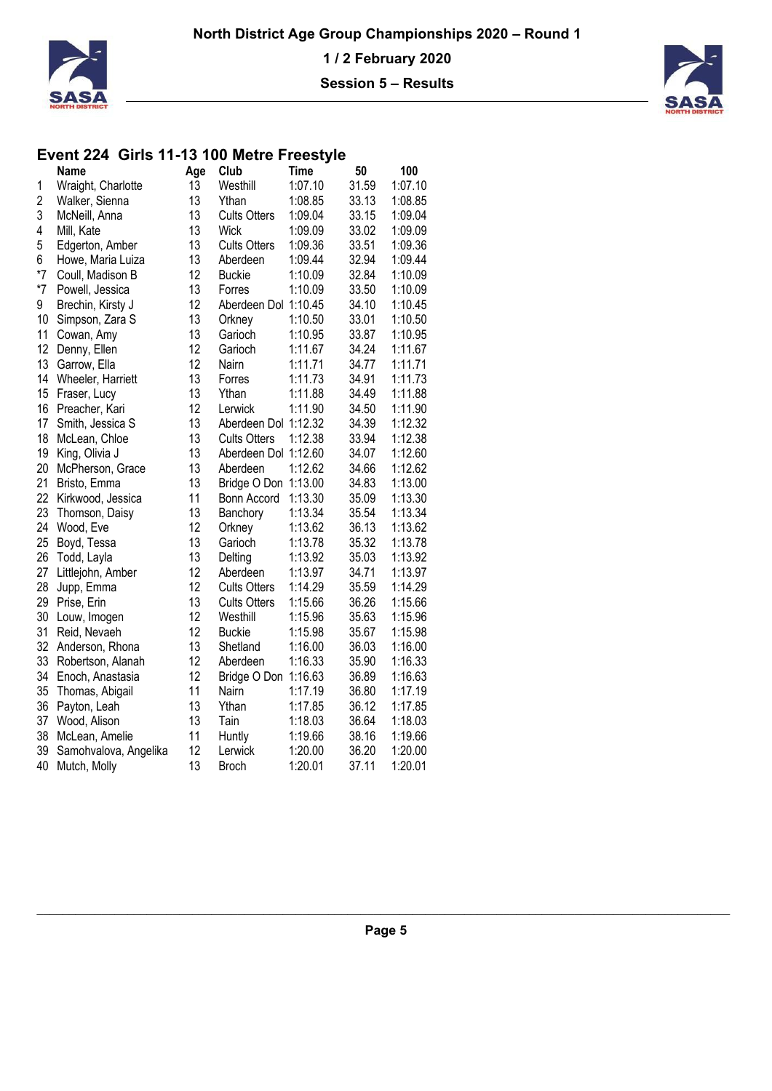



# **Event 224 Girls 11-13 100 Metre Freestyle**

|                         | Name                  | Age | Club                 | ,,,,<br><b>Time</b> | 50    | 100     |
|-------------------------|-----------------------|-----|----------------------|---------------------|-------|---------|
| 1                       | Wraight, Charlotte    | 13  | Westhill             | 1:07.10             | 31.59 | 1:07.10 |
| $\overline{\mathbf{c}}$ | Walker, Sienna        | 13  | Ythan                | 1:08.85             | 33.13 | 1:08.85 |
| 3                       | McNeill, Anna         | 13  | <b>Cults Otters</b>  | 1:09.04             | 33.15 | 1:09.04 |
| 4                       | Mill, Kate            | 13  | Wick                 | 1:09.09             | 33.02 | 1:09.09 |
| 5                       | Edgerton, Amber       | 13  | <b>Cults Otters</b>  | 1:09.36             | 33.51 | 1:09.36 |
| 6                       | Howe, Maria Luiza     | 13  | Aberdeen             | 1:09.44             | 32.94 | 1:09.44 |
| $*7$                    | Coull, Madison B      | 12  | <b>Buckie</b>        | 1:10.09             | 32.84 | 1:10.09 |
| $*7$                    | Powell, Jessica       | 13  | Forres               | 1:10.09             | 33.50 | 1:10.09 |
| 9                       | Brechin, Kirsty J     | 12  | Aberdeen Dol 1:10.45 |                     | 34.10 | 1:10.45 |
| 10                      | Simpson, Zara S       | 13  | Orkney               | 1:10.50             | 33.01 | 1:10.50 |
| 11                      | Cowan, Amy            | 13  | Garioch              | 1:10.95             | 33.87 | 1:10.95 |
| 12                      | Denny, Ellen          | 12  | Garioch              | 1:11.67             | 34.24 | 1:11.67 |
| 13                      | Garrow, Ella          | 12  | Nairn                | 1:11.71             | 34.77 | 1:11.71 |
| 14                      | Wheeler, Harriett     | 13  | Forres               | 1:11.73             | 34.91 | 1:11.73 |
| 15                      | Fraser, Lucy          | 13  | Ythan                | 1:11.88             | 34.49 | 1:11.88 |
| 16                      | Preacher, Kari        | 12  | Lerwick              | 1:11.90             | 34.50 | 1:11.90 |
| 17                      | Smith, Jessica S      | 13  | Aberdeen Dol 1:12.32 |                     | 34.39 | 1:12.32 |
| 18                      | McLean, Chloe         | 13  | <b>Cults Otters</b>  | 1:12.38             | 33.94 | 1:12.38 |
| 19                      | King, Olivia J        | 13  | Aberdeen Dol 1:12.60 |                     | 34.07 | 1:12.60 |
| 20                      | McPherson, Grace      | 13  | Aberdeen             | 1:12.62             | 34.66 | 1:12.62 |
| 21                      | Bristo, Emma          | 13  | Bridge O Don 1:13.00 |                     | 34.83 | 1:13.00 |
| 22                      | Kirkwood, Jessica     | 11  | Bonn Accord          | 1:13.30             | 35.09 | 1:13.30 |
| 23                      | Thomson, Daisy        | 13  | Banchory             | 1:13.34             | 35.54 | 1:13.34 |
| 24                      | Wood, Eve             | 12  | Orkney               | 1:13.62             | 36.13 | 1:13.62 |
| 25                      | Boyd, Tessa           | 13  | Garioch              | 1:13.78             | 35.32 | 1:13.78 |
| 26                      | Todd, Layla           | 13  | Delting              | 1:13.92             | 35.03 | 1:13.92 |
| 27                      | Littlejohn, Amber     | 12  | Aberdeen             | 1:13.97             | 34.71 | 1:13.97 |
| 28                      | Jupp, Emma            | 12  | <b>Cults Otters</b>  | 1:14.29             | 35.59 | 1:14.29 |
| 29                      | Prise, Erin           | 13  | <b>Cults Otters</b>  | 1:15.66             | 36.26 | 1:15.66 |
| 30                      | Louw, Imogen          | 12  | Westhill             | 1:15.96             | 35.63 | 1:15.96 |
| 31                      | Reid, Nevaeh          | 12  | <b>Buckie</b>        | 1:15.98             | 35.67 | 1:15.98 |
| 32                      | Anderson, Rhona       | 13  | Shetland             | 1:16.00             | 36.03 | 1:16.00 |
| 33                      | Robertson, Alanah     | 12  | Aberdeen             | 1:16.33             | 35.90 | 1:16.33 |
| 34                      | Enoch, Anastasia      | 12  | Bridge O Don         | 1:16.63             | 36.89 | 1:16.63 |
| 35                      | Thomas, Abigail       | 11  | Nairn                | 1:17.19             | 36.80 | 1:17.19 |
| 36                      | Payton, Leah          | 13  | Ythan                | 1:17.85             | 36.12 | 1:17.85 |
| 37                      | Wood, Alison          | 13  | Tain                 | 1:18.03             | 36.64 | 1:18.03 |
| 38                      | McLean, Amelie        | 11  | Huntly               | 1:19.66             | 38.16 | 1:19.66 |
| 39                      | Samohvalova, Angelika | 12  | Lerwick              | 1:20.00             | 36.20 | 1:20.00 |
| 40                      | Mutch, Molly          | 13  | <b>Broch</b>         | 1:20.01             | 37.11 | 1:20.01 |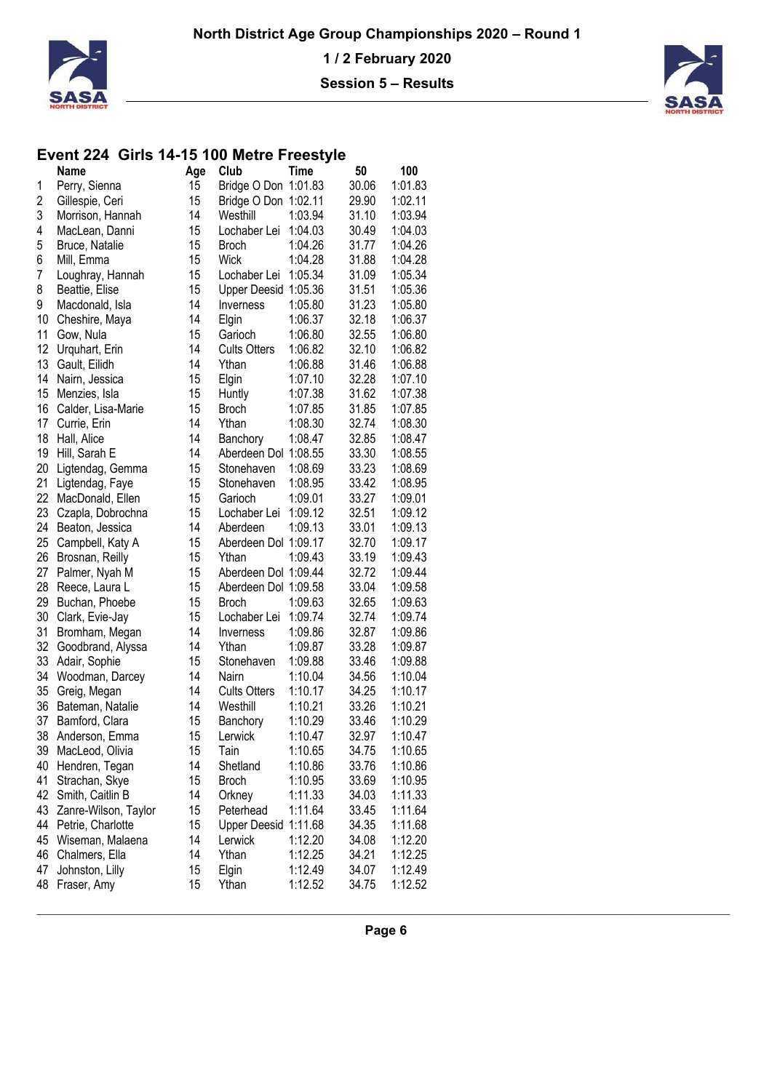



# **Event 224 Girls 14-15 100 Metre Freestyle**

|    | Event 224 Girls 14-15 100 Metre Freestyle |                  |                      |         |       |         |  |  |  |  |  |
|----|-------------------------------------------|------------------|----------------------|---------|-------|---------|--|--|--|--|--|
|    | <b>Name</b>                               | Age              | Club                 | Time    | 50    | 100     |  |  |  |  |  |
| 1  | Perry, Sienna                             | 15               | Bridge O Don 1:01.83 |         | 30.06 | 1:01.83 |  |  |  |  |  |
| 2  | Gillespie, Ceri                           | 15               | Bridge O Don 1:02.11 |         | 29.90 | 1:02.11 |  |  |  |  |  |
| 3  | Morrison, Hannah                          | 14               | Westhill             | 1:03.94 | 31.10 | 1:03.94 |  |  |  |  |  |
| 4  | MacLean, Danni                            | 15               | Lochaber Lei 1:04.03 |         | 30.49 | 1:04.03 |  |  |  |  |  |
| 5  | Bruce, Natalie                            | 15               | <b>Broch</b>         | 1:04.26 | 31.77 | 1:04.26 |  |  |  |  |  |
| 6  | Mill, Emma                                | 15               | <b>Wick</b>          | 1:04.28 | 31.88 | 1:04.28 |  |  |  |  |  |
| 7  | Loughray, Hannah                          | 15               | Lochaber Lei 1:05.34 |         | 31.09 | 1:05.34 |  |  |  |  |  |
| 8  | Beattie, Elise                            | 15               | Upper Deesid 1:05.36 |         | 31.51 | 1:05.36 |  |  |  |  |  |
| 9  | Macdonald, Isla                           | 14               | Inverness            | 1:05.80 | 31.23 | 1:05.80 |  |  |  |  |  |
| 10 | Cheshire, Maya                            | 14               | Elgin                | 1:06.37 | 32.18 | 1:06.37 |  |  |  |  |  |
| 11 | Gow, Nula                                 | 15               | Garioch              | 1:06.80 | 32.55 | 1:06.80 |  |  |  |  |  |
| 12 | Urquhart, Erin                            | 14               | <b>Cults Otters</b>  | 1:06.82 | 32.10 | 1:06.82 |  |  |  |  |  |
| 13 | Gault, Eilidh                             | 14               | Ythan                | 1:06.88 | 31.46 | 1:06.88 |  |  |  |  |  |
| 14 | Nairn, Jessica                            | 15               | Elgin                | 1:07.10 | 32.28 | 1:07.10 |  |  |  |  |  |
| 15 | Menzies, Isla                             | 15               | Huntly               | 1:07.38 | 31.62 | 1:07.38 |  |  |  |  |  |
| 16 | Calder, Lisa-Marie                        | 15               | <b>Broch</b>         | 1:07.85 | 31.85 | 1:07.85 |  |  |  |  |  |
| 17 | Currie, Erin                              | 14               | Ythan                | 1:08.30 | 32.74 | 1:08.30 |  |  |  |  |  |
| 18 | Hall, Alice                               | 14               | Banchory             | 1:08.47 | 32.85 | 1:08.47 |  |  |  |  |  |
| 19 | Hill, Sarah E                             | 14               | Aberdeen Dol 1:08.55 |         | 33.30 | 1:08.55 |  |  |  |  |  |
| 20 | Ligtendag, Gemma                          | 15               | Stonehaven           | 1:08.69 | 33.23 | 1:08.69 |  |  |  |  |  |
| 21 | Ligtendag, Faye                           | 15               | Stonehaven           | 1:08.95 | 33.42 | 1:08.95 |  |  |  |  |  |
| 22 | MacDonald, Ellen                          | 15               | Garioch              | 1:09.01 | 33.27 | 1:09.01 |  |  |  |  |  |
| 23 | Czapla, Dobrochna                         | 15               | Lochaber Lei         | 1:09.12 | 32.51 | 1:09.12 |  |  |  |  |  |
| 24 | Beaton, Jessica                           | 14               | Aberdeen             | 1:09.13 | 33.01 | 1:09.13 |  |  |  |  |  |
| 25 | Campbell, Katy A                          | 15               | Aberdeen Dol 1:09.17 |         | 32.70 | 1:09.17 |  |  |  |  |  |
| 26 | Brosnan, Reilly                           | 15               | Ythan                | 1:09.43 | 33.19 | 1:09.43 |  |  |  |  |  |
| 27 | Palmer, Nyah M                            | 15               | Aberdeen Dol 1:09.44 |         | 32.72 | 1:09.44 |  |  |  |  |  |
| 28 | Reece, Laura L                            | 15               | Aberdeen Dol 1:09.58 |         | 33.04 | 1:09.58 |  |  |  |  |  |
| 29 | Buchan, Phoebe                            | 15               | <b>Broch</b>         | 1:09.63 | 32.65 | 1:09.63 |  |  |  |  |  |
| 30 | Clark, Evie-Jay                           | 15               | Lochaber Lei         | 1:09.74 | 32.74 | 1:09.74 |  |  |  |  |  |
| 31 | Bromham, Megan                            | 14               | Inverness            | 1:09.86 | 32.87 | 1:09.86 |  |  |  |  |  |
| 32 | Goodbrand, Alyssa                         | 14               | Ythan                | 1:09.87 | 33.28 | 1:09.87 |  |  |  |  |  |
| 33 | Adair, Sophie                             | 15               | Stonehaven           | 1:09.88 | 33.46 | 1:09.88 |  |  |  |  |  |
| 34 | Woodman, Darcey                           | 14               | Nairn                | 1:10.04 | 34.56 | 1:10.04 |  |  |  |  |  |
| 35 | Greig, Megan                              | 14               | <b>Cults Otters</b>  | 1:10.17 | 34.25 | 1:10.17 |  |  |  |  |  |
| 36 | Bateman, Natalie                          | 14               | Westhill             | 1:10.21 | 33.26 | 1:10.21 |  |  |  |  |  |
| 37 | Bamford, Clara                            | 15               | Banchory             | 1:10.29 | 33.46 | 1:10.29 |  |  |  |  |  |
| 38 | Anderson, Emma                            | 15 <sub>15</sub> | Lerwick              | 1:10.47 | 32.97 | 1:10.47 |  |  |  |  |  |
| 39 | MacLeod, Olivia                           | 15               | Tain                 | 1:10.65 | 34.75 | 1:10.65 |  |  |  |  |  |
| 40 | Hendren, Tegan                            | 14               | Shetland             | 1:10.86 | 33.76 | 1:10.86 |  |  |  |  |  |
| 41 | Strachan, Skye                            | 15               | <b>Broch</b>         | 1:10.95 | 33.69 | 1:10.95 |  |  |  |  |  |
| 42 | Smith, Caitlin B                          | 14               | Orkney               | 1:11.33 | 34.03 | 1:11.33 |  |  |  |  |  |
| 43 | Zanre-Wilson, Taylor                      | 15               | Peterhead            | 1:11.64 | 33.45 | 1:11.64 |  |  |  |  |  |
| 44 | Petrie, Charlotte                         | 15               | Upper Deesid 1:11.68 |         | 34.35 | 1:11.68 |  |  |  |  |  |
| 45 | Wiseman, Malaena                          | 14               | Lerwick              | 1:12.20 | 34.08 | 1:12.20 |  |  |  |  |  |
| 46 | Chalmers, Ella                            | 14               | Ythan                | 1:12.25 | 34.21 | 1:12.25 |  |  |  |  |  |
| 47 | Johnston, Lilly                           | 15               | Elgin                | 1:12.49 | 34.07 | 1:12.49 |  |  |  |  |  |
| 48 | Fraser, Amy                               | 15               | Ythan                | 1:12.52 | 34.75 | 1:12.52 |  |  |  |  |  |
|    |                                           |                  |                      |         |       |         |  |  |  |  |  |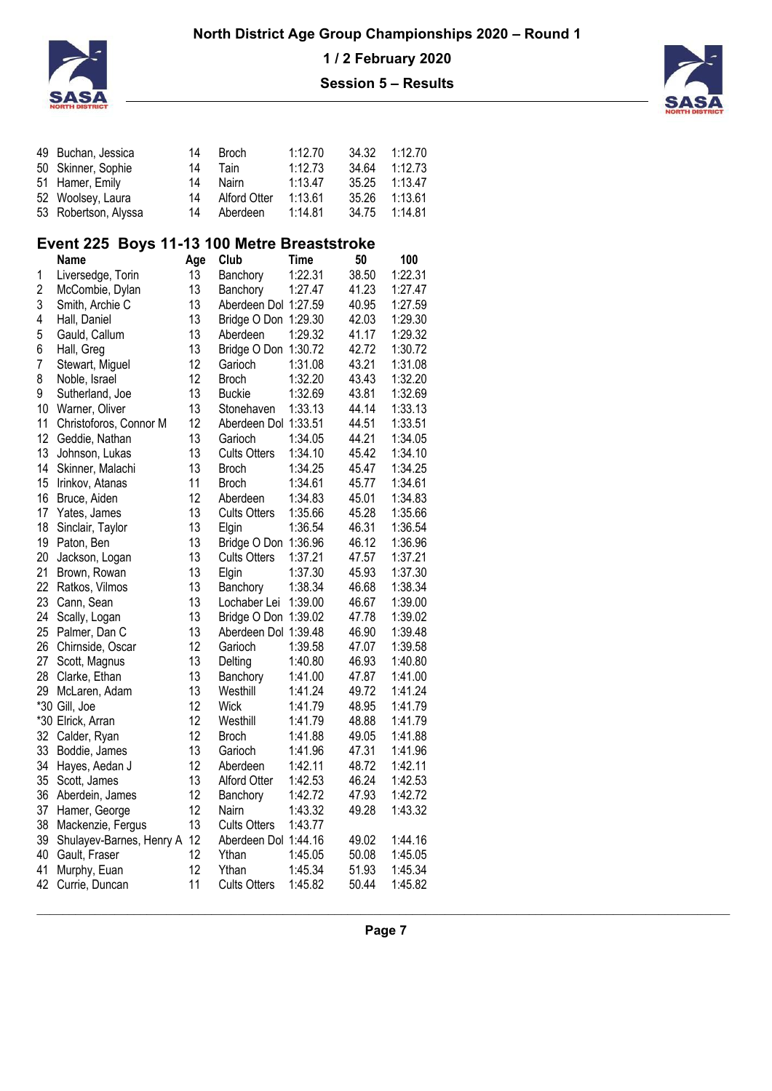

**Session 5 – Results**



| 49 Buchan, Jessica   | 14 | <b>Broch</b>    | 1:12.70 |       | 34.32 1:12.70 |
|----------------------|----|-----------------|---------|-------|---------------|
| 50 Skinner, Sophie   | 14 | Tain            | 1:12.73 | 34.64 | 1:12.73       |
| 51 Hamer, Emily      | 14 | Nairn           | 1:13.47 |       | 35.25 1:13.47 |
| 52 Woolsey, Laura    |    | 14 Alford Otter | 1:13.61 |       | 35.26 1:13.61 |
| 53 Robertson, Alyssa | 14 | Aberdeen        | 1:14.81 |       | 34.75 1:14.81 |

# **Event 225 Boys 11-13 100 Metre Breaststroke**

|                         | <b>Name</b>              | Age | Club                 | Time    | 50    | 100     |
|-------------------------|--------------------------|-----|----------------------|---------|-------|---------|
| 1                       | Liversedge, Torin        | 13  | Banchory             | 1:22.31 | 38.50 | 1:22.31 |
| $\overline{\mathbf{c}}$ | McCombie, Dylan          | 13  | Banchory             | 1:27.47 | 41.23 | 1:27.47 |
| 3                       | Smith, Archie C          | 13  | Aberdeen Dol 1:27.59 |         | 40.95 | 1:27.59 |
| 4                       | Hall, Daniel             | 13  | Bridge O Don 1:29.30 |         | 42.03 | 1:29.30 |
| 5                       | Gauld, Callum            | 13  | Aberdeen             | 1:29.32 | 41.17 | 1:29.32 |
| 6                       | Hall, Greg               | 13  | Bridge O Don 1:30.72 |         | 42.72 | 1:30.72 |
| $\overline{7}$          | Stewart, Miguel          | 12  | Garioch              | 1:31.08 | 43.21 | 1:31.08 |
| 8                       | Noble, Israel            | 12  | <b>Broch</b>         | 1:32.20 | 43.43 | 1:32.20 |
| 9                       | Sutherland, Joe          | 13  | <b>Buckie</b>        | 1:32.69 | 43.81 | 1:32.69 |
| 10                      | Warner, Oliver           | 13  | Stonehaven           | 1:33.13 | 44.14 | 1:33.13 |
| 11                      | Christoforos, Connor M   | 12  | Aberdeen Dol 1:33.51 |         | 44.51 | 1:33.51 |
| 12                      | Geddie, Nathan           | 13  | Garioch              | 1:34.05 | 44.21 | 1:34.05 |
| 13                      | Johnson, Lukas           | 13  | <b>Cults Otters</b>  | 1:34.10 | 45.42 | 1:34.10 |
| 14                      | Skinner, Malachi         | 13  | <b>Broch</b>         | 1:34.25 | 45.47 | 1:34.25 |
| 15                      | Irinkov, Atanas          | 11  | <b>Broch</b>         | 1:34.61 | 45.77 | 1:34.61 |
| 16                      | Bruce, Aiden             | 12  | Aberdeen             | 1:34.83 | 45.01 | 1:34.83 |
| 17                      | Yates, James             | 13  | <b>Cults Otters</b>  | 1:35.66 | 45.28 | 1:35.66 |
| 18                      | Sinclair, Taylor         | 13  | Elgin                | 1:36.54 | 46.31 | 1:36.54 |
| 19                      | Paton, Ben               | 13  | Bridge O Don         | 1:36.96 | 46.12 | 1:36.96 |
| 20                      | Jackson, Logan           | 13  | <b>Cults Otters</b>  | 1:37.21 | 47.57 | 1:37.21 |
| 21                      | Brown, Rowan             | 13  | Elgin                | 1:37.30 | 45.93 | 1:37.30 |
| 22                      | Ratkos, Vilmos           | 13  | Banchory             | 1:38.34 | 46.68 | 1:38.34 |
| 23                      | Cann, Sean               | 13  | Lochaber Lei         | 1:39.00 | 46.67 | 1:39.00 |
| 24                      | Scally, Logan            | 13  | Bridge O Don 1:39.02 |         | 47.78 | 1:39.02 |
| 25                      | Palmer, Dan C            | 13  | Aberdeen Dol 1:39.48 |         | 46.90 | 1:39.48 |
| 26                      | Chirnside, Oscar         | 12  | Garioch              | 1:39.58 | 47.07 | 1:39.58 |
| 27                      | Scott, Magnus            | 13  | Delting              | 1:40.80 | 46.93 | 1:40.80 |
| 28                      | Clarke, Ethan            | 13  | Banchory             | 1:41.00 | 47.87 | 1:41.00 |
| 29                      | McLaren, Adam            | 13  | Westhill             | 1:41.24 | 49.72 | 1:41.24 |
|                         | *30 Gill, Joe            | 12  | Wick                 | 1:41.79 | 48.95 | 1:41.79 |
|                         | *30 Elrick, Arran        | 12  | Westhill             | 1:41.79 | 48.88 | 1:41.79 |
| 32                      | Calder, Ryan             | 12  | <b>Broch</b>         | 1:41.88 | 49.05 | 1:41.88 |
| 33                      | Boddie, James            | 13  | Garioch              | 1:41.96 | 47.31 | 1:41.96 |
| 34                      | Hayes, Aedan J           | 12  | Aberdeen             | 1:42.11 | 48.72 | 1:42.11 |
| 35                      | Scott, James             | 13  | <b>Alford Otter</b>  | 1:42.53 | 46.24 | 1:42.53 |
| 36                      | Aberdein, James          | 12  | Banchory             | 1:42.72 | 47.93 | 1:42.72 |
| 37                      | Hamer, George            | 12  | Nairn                | 1:43.32 | 49.28 | 1:43.32 |
| 38                      | Mackenzie, Fergus        | 13  | <b>Cults Otters</b>  | 1:43.77 |       |         |
| 39                      | Shulayev-Barnes, Henry A | 12  | Aberdeen Dol 1:44.16 |         | 49.02 | 1:44.16 |
| 40                      | Gault, Fraser            | 12  | Ythan                | 1:45.05 | 50.08 | 1:45.05 |
| 41                      | Murphy, Euan             | 12  | Ythan                | 1:45.34 | 51.93 | 1:45.34 |
| 42                      | Currie, Duncan           | 11  | <b>Cults Otters</b>  | 1:45.82 | 50.44 | 1:45.82 |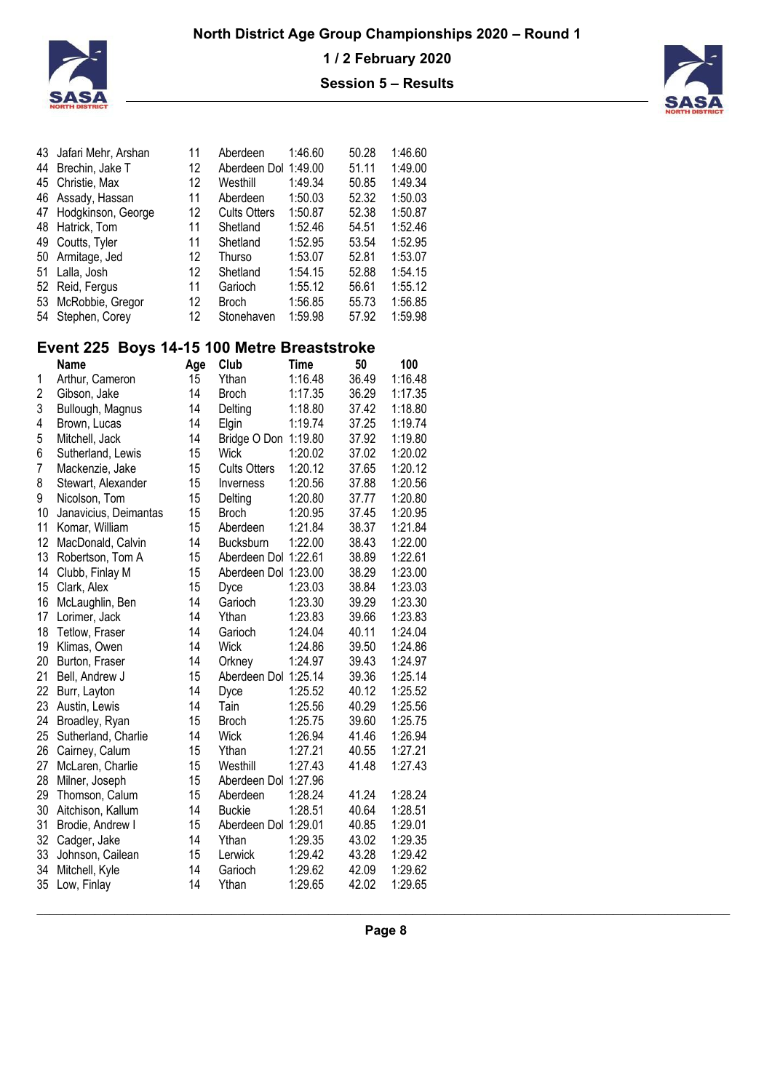**Session 5 – Results**



|    | 43 Jafari Mehr, Arshan | 11 | Aberdeen             | 1:46.60 | 50.28 | 1:46.60 |
|----|------------------------|----|----------------------|---------|-------|---------|
| 44 | Brechin, Jake T        | 12 | Aberdeen Dol 1:49.00 |         | 51.11 | 1:49.00 |
|    | 45 Christie, Max       | 12 | Westhill             | 1:49.34 | 50.85 | 1:49.34 |
| 46 | Assady, Hassan         | 11 | Aberdeen             | 1:50.03 | 52.32 | 1:50.03 |
|    | 47 Hodgkinson, George  | 12 | <b>Cults Otters</b>  | 1:50.87 | 52.38 | 1:50.87 |
| 48 | Hatrick, Tom           | 11 | Shetland             | 1:52.46 | 54.51 | 1:52.46 |
| 49 | Coutts, Tyler          | 11 | Shetland             | 1:52.95 | 53.54 | 1:52.95 |
| 50 | Armitage, Jed          | 12 | Thurso               | 1:53.07 | 52.81 | 1:53.07 |
| 51 | Lalla, Josh            | 12 | Shetland             | 1:54.15 | 52.88 | 1:54.15 |
| 52 | Reid, Fergus           | 11 | Garioch              | 1:55.12 | 56.61 | 1:55.12 |
|    | 53 McRobbie, Gregor    | 12 | <b>Broch</b>         | 1:56.85 | 55.73 | 1:56.85 |
| 54 | Stephen, Corey         | 12 | Stonehaven           | 1:59.98 | 57.92 | 1:59.98 |
|    |                        |    |                      |         |       |         |

### **Event 225 Boys 14-15 100 Metre Breaststroke**

|                         | Name                  | Age | Club                 | Time    | 50    | 100     |
|-------------------------|-----------------------|-----|----------------------|---------|-------|---------|
| 1                       | Arthur, Cameron       | 15  | Ythan                | 1:16.48 | 36.49 | 1:16.48 |
| $\overline{\mathbf{c}}$ | Gibson, Jake          | 14  | <b>Broch</b>         | 1:17.35 | 36.29 | 1:17.35 |
| 3                       | Bullough, Magnus      | 14  | Delting              | 1:18.80 | 37.42 | 1:18.80 |
| 4                       | Brown, Lucas          | 14  | Elgin                | 1:19.74 | 37.25 | 1:19.74 |
| 5                       | Mitchell, Jack        | 14  | Bridge O Don         | 1:19.80 | 37.92 | 1:19.80 |
| 6                       | Sutherland, Lewis     | 15  | Wick                 | 1:20.02 | 37.02 | 1:20.02 |
| 7                       | Mackenzie, Jake       | 15  | <b>Cults Otters</b>  | 1:20.12 | 37.65 | 1:20.12 |
| 8                       | Stewart, Alexander    | 15  | Inverness            | 1:20.56 | 37.88 | 1:20.56 |
| 9                       | Nicolson, Tom         | 15  | Delting              | 1:20.80 | 37.77 | 1:20.80 |
| 10                      | Janavicius, Deimantas | 15  | <b>Broch</b>         | 1:20.95 | 37.45 | 1:20.95 |
| 11                      | Komar, William        | 15  | Aberdeen             | 1:21.84 | 38.37 | 1:21.84 |
| 12                      | MacDonald, Calvin     | 14  | Bucksburn            | 1:22.00 | 38.43 | 1:22.00 |
| 13                      | Robertson, Tom A      | 15  | Aberdeen Dol         | 1:22.61 | 38.89 | 1:22.61 |
| 14                      | Clubb, Finlay M       | 15  | Aberdeen Dol 1:23.00 |         | 38.29 | 1:23.00 |
| 15                      | Clark, Alex           | 15  | Dyce                 | 1:23.03 | 38.84 | 1:23.03 |
| 16                      | McLaughlin, Ben       | 14  | Garioch              | 1:23.30 | 39.29 | 1:23.30 |
| 17                      | Lorimer, Jack         | 14  | Ythan                | 1:23.83 | 39.66 | 1:23.83 |
| 18                      | Tetlow, Fraser        | 14  | Garioch              | 1:24.04 | 40.11 | 1:24.04 |
| 19                      | Klimas, Owen          | 14  | Wick                 | 1:24.86 | 39.50 | 1:24.86 |
| 20                      | Burton, Fraser        | 14  | Orkney               | 1:24.97 | 39.43 | 1:24.97 |
| 21                      | Bell, Andrew J        | 15  | Aberdeen Dol 1:25.14 |         | 39.36 | 1:25.14 |
| 22                      | Burr, Layton          | 14  | Dyce                 | 1:25.52 | 40.12 | 1:25.52 |
| 23                      | Austin, Lewis         | 14  | Tain                 | 1:25.56 | 40.29 | 1:25.56 |
| 24                      | Broadley, Ryan        | 15  | <b>Broch</b>         | 1:25.75 | 39.60 | 1:25.75 |
| 25                      | Sutherland, Charlie   | 14  | Wick                 | 1:26.94 | 41.46 | 1:26.94 |
| 26                      | Cairney, Calum        | 15  | Ythan                | 1:27.21 | 40.55 | 1:27.21 |
| 27                      | McLaren, Charlie      | 15  | Westhill             | 1:27.43 | 41.48 | 1:27.43 |
| 28                      | Milner, Joseph        | 15  | Aberdeen Dol         | 1:27.96 |       |         |
| 29                      | Thomson, Calum        | 15  | Aberdeen             | 1:28.24 | 41.24 | 1:28.24 |
| 30                      | Aitchison, Kallum     | 14  | <b>Buckie</b>        | 1:28.51 | 40.64 | 1:28.51 |
| 31                      | Brodie, Andrew I      | 15  | Aberdeen Dol         | 1:29.01 | 40.85 | 1:29.01 |
| 32                      | Cadger, Jake          | 14  | Ythan                | 1:29.35 | 43.02 | 1:29.35 |
| 33                      | Johnson, Cailean      | 15  | Lerwick              | 1:29.42 | 43.28 | 1:29.42 |
| 34                      | Mitchell, Kyle        | 14  | Garioch              | 1:29.62 | 42.09 | 1:29.62 |
| 35                      | Low, Finlay           | 14  | Ythan                | 1:29.65 | 42.02 | 1:29.65 |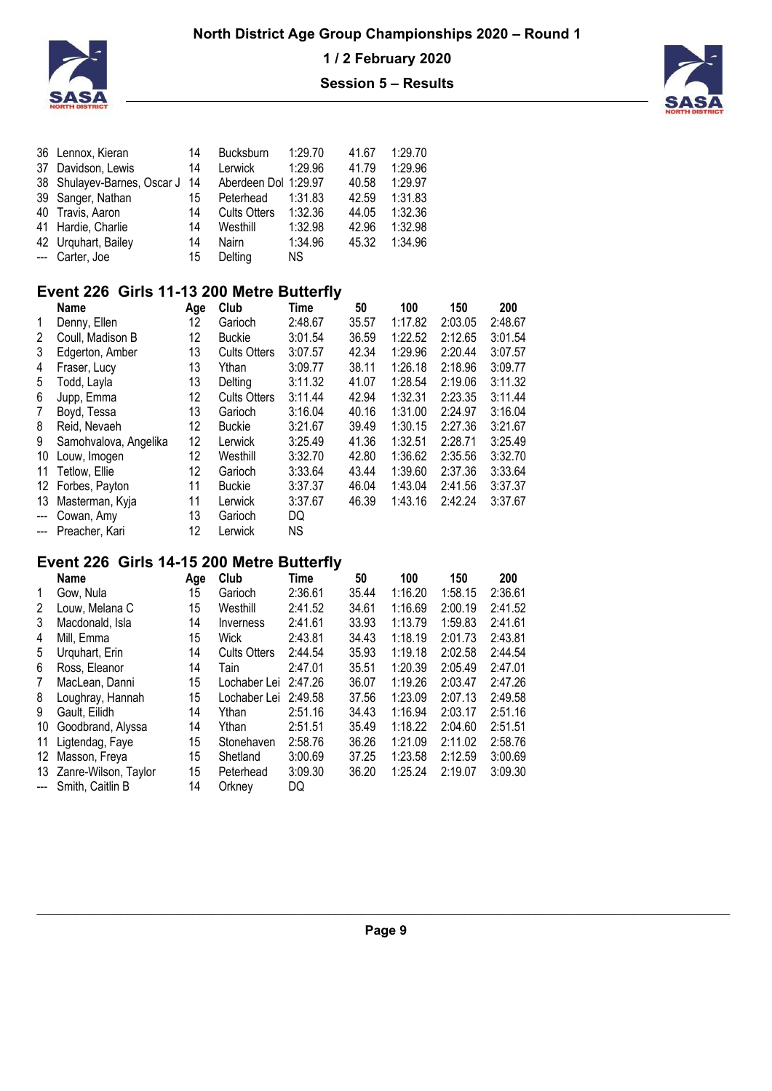

**Session 5 – Results**



| 36 Lennox, Kieran           | 14 | <b>Bucksburn</b>     | 1:29.70 | 41.67 | 1:29.70 |
|-----------------------------|----|----------------------|---------|-------|---------|
| 37 Davidson, Lewis          | 14 | Lerwick              | 1:29.96 | 41.79 | 1:29.96 |
| 38 Shulayev-Barnes, Oscar J | 14 | Aberdeen Dol 1:29.97 |         | 40.58 | 1:29.97 |
| 39 Sanger, Nathan           | 15 | Peterhead            | 1:31.83 | 42.59 | 1:31.83 |
| 40 Travis, Aaron            | 14 | <b>Cults Otters</b>  | 1:32.36 | 44.05 | 1:32.36 |
| 41 Hardie, Charlie          | 14 | Westhill             | 1:32.98 | 42.96 | 1:32.98 |
| 42 Urguhart, Bailey         | 14 | Nairn                | 1:34.96 | 45.32 | 1:34.96 |
| --- Carter, Joe             | 15 | Delting              | NS.     |       |         |

### **Event 226 Girls 11-13 200 Metre Butterfly**

|                          | Name                  | Age | Club                | Time    | 50    | 100     | 150     | 200     |
|--------------------------|-----------------------|-----|---------------------|---------|-------|---------|---------|---------|
|                          | Denny, Ellen          | 12  | Garioch             | 2:48.67 | 35.57 | 1:17.82 | 2:03.05 | 2:48.67 |
| 2                        | Coull, Madison B      | 12  | <b>Buckie</b>       | 3:01.54 | 36.59 | 1:22.52 | 2:12.65 | 3:01.54 |
| 3                        | Edgerton, Amber       | 13  | <b>Cults Otters</b> | 3:07.57 | 42.34 | 1:29.96 | 2:20.44 | 3:07.57 |
| 4                        | Fraser, Lucy          | 13  | Ythan               | 3:09.77 | 38.11 | 1:26.18 | 2:18.96 | 3:09.77 |
| 5                        | Todd, Layla           | 13  | Delting             | 3:11.32 | 41.07 | 1:28.54 | 2:19.06 | 3:11.32 |
| 6                        | Jupp, Emma            | 12  | <b>Cults Otters</b> | 3:11.44 | 42.94 | 1:32.31 | 2:23.35 | 3:11.44 |
| 7                        | Boyd, Tessa           | 13  | Garioch             | 3:16.04 | 40.16 | 1:31.00 | 2:24.97 | 3:16.04 |
| 8                        | Reid, Nevaeh          | 12  | <b>Buckie</b>       | 3:21.67 | 39.49 | 1:30.15 | 2:27.36 | 3:21.67 |
| 9                        | Samohvalova, Angelika | 12  | Lerwick             | 3:25.49 | 41.36 | 1:32.51 | 2:28.71 | 3:25.49 |
| 10                       | Louw, Imogen          | 12  | Westhill            | 3:32.70 | 42.80 | 1:36.62 | 2:35.56 | 3:32.70 |
| 11                       | Tetlow. Ellie         | 12  | Garioch             | 3:33.64 | 43.44 | 1:39.60 | 2:37.36 | 3:33.64 |
| 12                       | Forbes, Payton        | 11  | <b>Buckie</b>       | 3:37.37 | 46.04 | 1:43.04 | 2:41.56 | 3:37.37 |
| 13                       | Masterman, Kyja       | 11  | Lerwick             | 3:37.67 | 46.39 | 1:43.16 | 2:42.24 | 3:37.67 |
| $\overline{\phantom{a}}$ | Cowan, Amy            | 13  | Garioch             | DQ      |       |         |         |         |
| $\frac{1}{2}$            | Preacher, Kari        | 12  | Lerwick             | ΝS      |       |         |         |         |

# **Event 226 Girls 14-15 200 Metre Butterfly**

|     | <b>Name</b>          | Age | Club                 | Time    | 50    | 100     | 150     | 200     |
|-----|----------------------|-----|----------------------|---------|-------|---------|---------|---------|
|     | Gow. Nula            | 15  | Garioch              | 2:36.61 | 35.44 | 1:16.20 | 1:58.15 | 2:36.61 |
| 2   | Louw. Melana C       | 15  | Westhill             | 2:41.52 | 34.61 | 1:16.69 | 2:00.19 | 2:41.52 |
| 3   | Macdonald, Isla      | 14  | Inverness            | 2:41.61 | 33.93 | 1:13.79 | 1:59.83 | 2:41.61 |
| 4   | Mill. Emma           | 15  | Wick                 | 2:43.81 | 34.43 | 1:18.19 | 2:01.73 | 2:43.81 |
| 5   | Urguhart, Erin       | 14  | <b>Cults Otters</b>  | 2:44.54 | 35.93 | 1:19.18 | 2:02.58 | 2:44.54 |
| 6   | Ross, Eleanor        | 14  | Tain                 | 2:47.01 | 35.51 | 1:20.39 | 2:05.49 | 2:47.01 |
| 7   | MacLean, Danni       | 15  | Lochaber Lei         | 2:47.26 | 36.07 | 1:19.26 | 2:03.47 | 2:47.26 |
| 8   | Loughray, Hannah     | 15  | Lochaber Lei 2:49.58 |         | 37.56 | 1:23.09 | 2:07.13 | 2:49.58 |
| 9   | Gault, Eilidh        | 14  | Ythan                | 2:51.16 | 34.43 | 1:16.94 | 2:03.17 | 2:51.16 |
| 10  | Goodbrand, Alyssa    | 14  | Ythan                | 2:51.51 | 35.49 | 1:18.22 | 2:04.60 | 2:51.51 |
| 11  | Ligtendag, Faye      | 15  | Stonehaven           | 2:58.76 | 36.26 | 1:21.09 | 2:11.02 | 2:58.76 |
| 12  | Masson, Freya        | 15  | Shetland             | 3:00.69 | 37.25 | 1:23.58 | 2:12.59 | 3:00.69 |
| 13. | Zanre-Wilson, Taylor | 15  | Peterhead            | 3:09.30 | 36.20 | 1:25.24 | 2:19.07 | 3:09.30 |
|     | Smith, Caitlin B     | 14  | Orknev               | DQ      |       |         |         |         |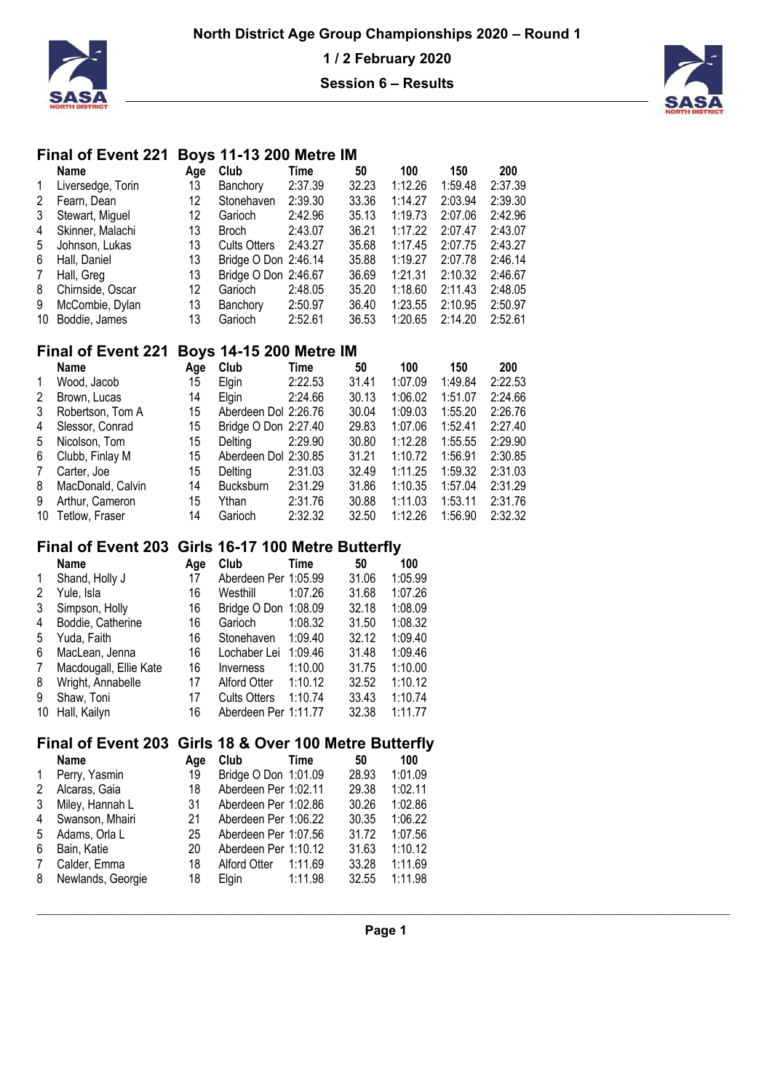



### **Final of Event 221 Boys 11-13 200 Metre IM**

|              | Name              | Age | Club                 | Time    | 50    | 100     | 150     | 200     |
|--------------|-------------------|-----|----------------------|---------|-------|---------|---------|---------|
| $\mathbf{1}$ | Liversedge, Torin | 13  | Banchory             | 2:37.39 | 32.23 | 1:12.26 | 1:59.48 | 2:37.39 |
| 2            | Fearn, Dean       | 12  | Stonehaven           | 2:39.30 | 33.36 | 1:14.27 | 2:03.94 | 2:39.30 |
| 3            | Stewart, Miguel   | 12  | Garioch              | 2:42.96 | 35.13 | 1:19.73 | 2:07.06 | 2:42.96 |
| 4            | Skinner, Malachi  | 13  | Broch                | 2:43.07 | 36.21 | 1:17.22 | 2:07.47 | 2:43.07 |
| 5            | Johnson, Lukas    | 13  | <b>Cults Otters</b>  | 2:43.27 | 35.68 | 1:17.45 | 2:07.75 | 2:43.27 |
| 6            | Hall, Daniel      | 13  | Bridge O Don 2:46.14 |         | 35.88 | 1:19.27 | 2:07.78 | 2:46.14 |
| 7            | Hall, Greg        | 13  | Bridge O Don 2:46.67 |         | 36.69 | 1:21.31 | 2:10.32 | 2:46.67 |
| 8            | Chirnside, Oscar  | 12  | Garioch              | 2:48.05 | 35.20 | 1:18.60 | 2:11.43 | 2:48.05 |
| 9            | McCombie, Dylan   | 13  | Banchory             | 2:50.97 | 36.40 | 1:23.55 | 2:10.95 | 2:50.97 |
| 10           | Boddie, James     | 13  | Garioch              | 2:52.61 | 36.53 | 1:20.65 | 2:14.20 | 2:52.61 |

# **Final of Event 221 Boys 14-15 200 Metre IM**

|                      | <b>Name</b>       | Age | Club                 | Time    | 50    | 100     | 150     | 200     |
|----------------------|-------------------|-----|----------------------|---------|-------|---------|---------|---------|
| $\mathbf 1$          | Wood, Jacob       | 15  | Elgin                | 2:22.53 | 31.41 | 1:07.09 | 1:49.84 | 2:22.53 |
| $\mathbf{2}^{\circ}$ | Brown, Lucas      | 14  | Elgin                | 2:24.66 | 30.13 | 1:06.02 | 1:51.07 | 2:24.66 |
| 3                    | Robertson, Tom A  | 15  | Aberdeen Dol 2:26.76 |         | 30.04 | 1:09.03 | 1:55.20 | 2:26.76 |
| 4                    | Slessor, Conrad   | 15  | Bridge O Don 2:27.40 |         | 29.83 | 1:07.06 | 1:52.41 | 2:27.40 |
| 5                    | Nicolson, Tom     | 15  | Delting              | 2:29.90 | 30.80 | 1:12.28 | 1:55.55 | 2:29.90 |
| 6                    | Clubb, Finlay M   | 15  | Aberdeen Dol 2:30.85 |         | 31.21 | 1:10.72 | 1:56.91 | 2:30.85 |
| 7                    | Carter, Joe       | 15  | Delting              | 2:31.03 | 32.49 | 1:11.25 | 1:59.32 | 2:31.03 |
| 8                    | MacDonald, Calvin | 14  | <b>Bucksburn</b>     | 2:31.29 | 31.86 | 1:10.35 | 1:57.04 | 2:31.29 |
| 9                    | Arthur, Cameron   | 15  | Ythan                | 2:31.76 | 30.88 | 1:11.03 | 1:53.11 | 2:31.76 |
| 10                   | Tetlow, Fraser    | 14  | Garioch              | 2:32.32 | 32.50 | 1:12.26 | 1:56.90 | 2:32.32 |

### **Final of Event 203 Girls 16-17 100 Metre Butterfly**

|             | <b>Name</b>            | Age | Club                 | Time    | 50    | 100     |
|-------------|------------------------|-----|----------------------|---------|-------|---------|
| $\mathbf 1$ | Shand, Holly J         | 17  | Aberdeen Per 1:05.99 |         | 31.06 | 1:05.99 |
| 2           | Yule, Isla             | 16  | Westhill             | 1:07.26 | 31.68 | 1:07.26 |
| 3           | Simpson, Holly         | 16  | Bridge O Don 1:08.09 |         | 32.18 | 1:08.09 |
| 4           | Boddie, Catherine      | 16  | Garioch              | 1:08.32 | 31.50 | 1:08.32 |
| 5           | Yuda, Faith            | 16  | Stonehaven           | 1:09.40 | 32.12 | 1:09.40 |
| 6           | MacLean, Jenna         | 16  | Lochaber Lei         | 1:09.46 | 31.48 | 1:09.46 |
| 7           | Macdougall, Ellie Kate | 16  | Inverness            | 1:10.00 | 31.75 | 1:10.00 |
| 8           | Wright, Annabelle      | 17  | Alford Otter         | 1:10.12 | 32.52 | 1:10.12 |
| 9           | Shaw, Toni             | 17  | <b>Cults Otters</b>  | 1:10.74 | 33.43 | 1:10.74 |
| 10          | Hall, Kailyn           | 16  | Aberdeen Per 1:11.77 |         | 32.38 | 1:11.77 |

### **Final of Event 203 Girls 18 & Over 100 Metre Butterfly**

|              | <b>Name</b>       | Aae | Club                 | Time    | 50    | 100     |
|--------------|-------------------|-----|----------------------|---------|-------|---------|
| $\mathbf{1}$ | Perry, Yasmin     | 19  | Bridge O Don 1:01.09 |         | 28.93 | 1:01.09 |
| 2            | Alcaras, Gaia     | 18  | Aberdeen Per 1:02.11 |         | 29.38 | 1:02.11 |
| 3            | Miley, Hannah L   | 31  | Aberdeen Per 1:02.86 |         | 30.26 | 1:02.86 |
| 4            | Swanson, Mhairi   | 21  | Aberdeen Per 1:06.22 |         | 30.35 | 1:06.22 |
| .5           | Adams, Orla L     | 25  | Aberdeen Per 1:07.56 |         | 31.72 | 1:07.56 |
| 6            | Bain, Katie       | 20  | Aberdeen Per 1:10.12 |         | 31.63 | 1:10.12 |
| 7            | Calder, Emma      | 18  | Alford Otter         | 1:11.69 | 33.28 | 1:11.69 |
| 8            | Newlands, Georgie | 18  | Elain                | 1:11.98 | 32.55 | 1:11.98 |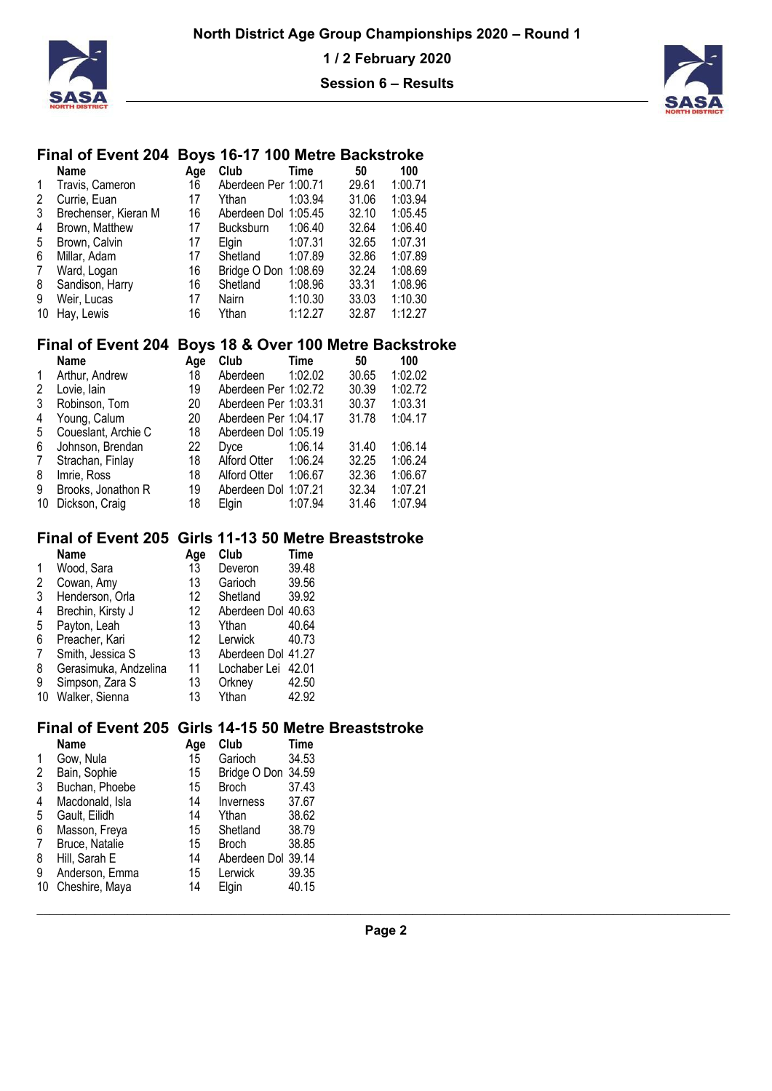



### **Final of Event 204 Boys 16-17 100 Metre Backstroke**

|             | <b>Name</b>          | Age | Club                 | Time    | 50    | 100     |
|-------------|----------------------|-----|----------------------|---------|-------|---------|
| $\mathbf 1$ | Travis, Cameron      | 16  | Aberdeen Per 1:00.71 |         | 29.61 | 1:00.71 |
| 2           | Currie, Euan         | 17  | Ythan                | 1:03.94 | 31.06 | 1:03.94 |
| 3           | Brechenser, Kieran M | 16  | Aberdeen Dol 1:05.45 |         | 32.10 | 1:05.45 |
| 4           | Brown, Matthew       | 17  | <b>Bucksburn</b>     | 1:06.40 | 32.64 | 1:06.40 |
| 5           | Brown, Calvin        | 17  | Elgin                | 1:07.31 | 32.65 | 1:07.31 |
| 6           | Millar, Adam         | 17  | Shetland             | 1:07.89 | 32.86 | 1:07.89 |
| 7           | Ward, Logan          | 16  | Bridge O Don 1:08.69 |         | 32.24 | 1:08.69 |
| 8           | Sandison, Harry      | 16  | Shetland             | 1:08.96 | 33.31 | 1:08.96 |
| 9           | Weir, Lucas          | 17  | Nairn                | 1:10.30 | 33.03 | 1:10.30 |
| 10          | Hay, Lewis           | 16  | Ythan                | 1:12.27 | 32.87 | 1:12.27 |

# **Final of Event 204 Boys 18 & Over 100 Metre Backstroke**

|              | Name                | Age | Club                 | Time    | 50    | 100     |
|--------------|---------------------|-----|----------------------|---------|-------|---------|
| $\mathbf{1}$ | Arthur, Andrew      | 18  | Aberdeen             | 1:02.02 | 30.65 | 1:02.02 |
| 2            | Lovie, lain         | 19  | Aberdeen Per 1:02.72 |         | 30.39 | 1:02.72 |
| 3            | Robinson, Tom       | 20  | Aberdeen Per 1:03.31 |         | 30.37 | 1:03.31 |
| 4            | Young, Calum        | 20  | Aberdeen Per 1:04.17 |         | 31.78 | 1:04.17 |
| 5            | Coueslant, Archie C | 18  | Aberdeen Dol 1:05.19 |         |       |         |
| 6            | Johnson, Brendan    | 22  | Dvce                 | 1:06.14 | 31.40 | 1:06.14 |
| 7            | Strachan, Finlay    | 18  | Alford Otter 1:06.24 |         | 32.25 | 1:06.24 |
| 8            | Imrie, Ross         | 18  | Alford Otter         | 1:06.67 | 32.36 | 1:06.67 |
| 9            | Brooks, Jonathon R  | 19  | Aberdeen Dol 1:07.21 |         | 32.34 | 1:07.21 |
| 10           | Dickson, Craig      | 18  | Elgin                | 1:07.94 | 31.46 | 1:07.94 |

# **Final of Event 205 Girls 11-13 50 Metre Breaststroke**

|    | Name                  | Age | Club               | Time  |
|----|-----------------------|-----|--------------------|-------|
| 1  | Wood, Sara            | 13  | Deveron            | 39.48 |
| 2  | Cowan, Amy            | 13  | Garioch            | 39.56 |
| 3  | Henderson, Orla       | 12  | Shetland           | 39.92 |
| 4  | Brechin, Kirsty J     | 12  | Aberdeen Dol 40.63 |       |
| 5  | Payton, Leah          | 13  | Ythan              | 40.64 |
| 6  | Preacher, Kari        | 12  | Lerwick            | 40.73 |
| 7  | Smith, Jessica S      | 13  | Aberdeen Dol 41.27 |       |
| 8  | Gerasimuka, Andzelina | 11  | Lochaber Lei       | 42.01 |
| 9  | Simpson, Zara S       | 13  | Orkney             | 42.50 |
| 10 | Walker, Sienna        | 13  | Ythan              | 42.92 |

# **Final of Event 205 Girls 14-15 50 Metre Breaststroke**

|    | <b>Name</b>     | Age | Club               | Time  |
|----|-----------------|-----|--------------------|-------|
| 1  | Gow, Nula       | 15  | Garioch            | 34.53 |
| 2  | Bain, Sophie    | 15  | Bridge O Don 34.59 |       |
| 3  | Buchan, Phoebe  | 15  | <b>Broch</b>       | 37.43 |
| 4  | Macdonald, Isla | 14  | Inverness          | 37.67 |
| 5  | Gault, Eilidh   | 14  | Ythan              | 38.62 |
| 6  | Masson, Freya   | 15  | Shetland           | 38.79 |
| 7  | Bruce, Natalie  | 15  | <b>Broch</b>       | 38.85 |
| 8  | Hill, Sarah E   | 14  | Aberdeen Dol 39.14 |       |
| 9  | Anderson, Emma  | 15  | Lerwick            | 39.35 |
| 10 | Cheshire, Maya  | 14  | Elgin              | 40.15 |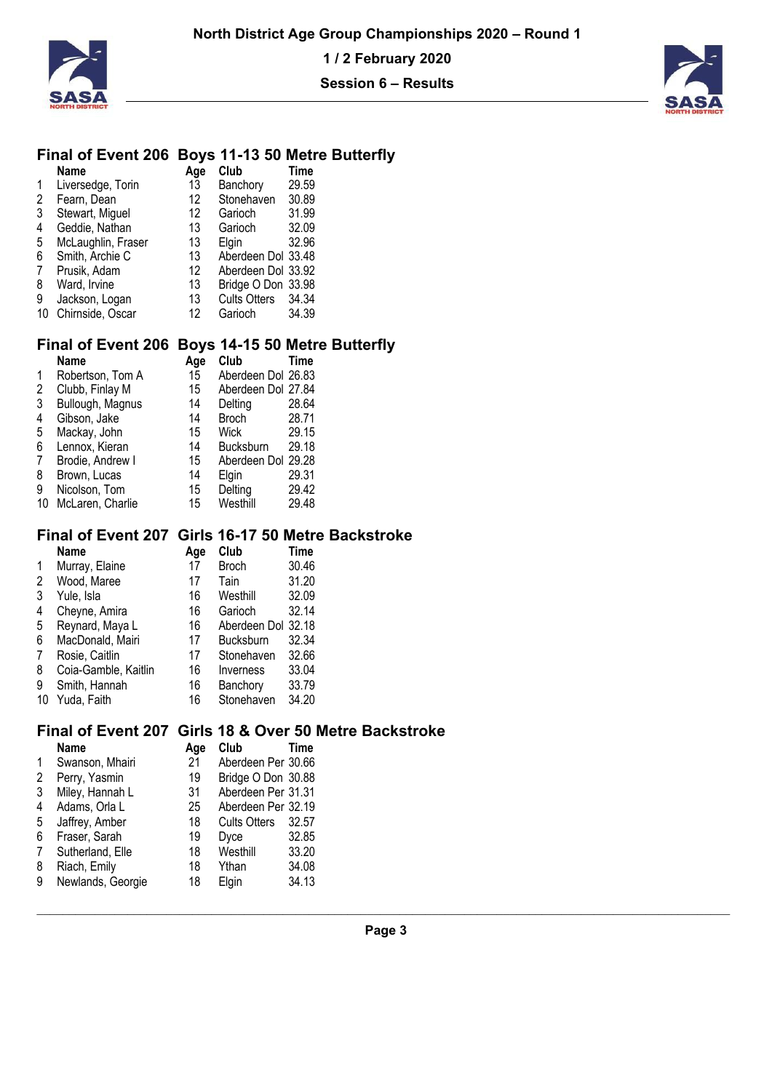



# **Final of Event 206 Boys 11-13 50 Metre Butterfly**

|    | Name               | Age | Club               | Time  |
|----|--------------------|-----|--------------------|-------|
| 1  | Liversedge, Torin  | 13  | Banchory           | 29.59 |
| 2  | Fearn, Dean        | 12  | Stonehaven         | 30.89 |
| 3  | Stewart, Miguel    | 12  | Garioch            | 31.99 |
| 4  | Geddie, Nathan     | 13  | Garioch            | 32.09 |
| 5  | McLaughlin, Fraser | 13  | Elgin              | 32.96 |
| 6  | Smith, Archie C    | 13  | Aberdeen Dol 33.48 |       |
| 7  | Prusik, Adam       | 12  | Aberdeen Dol 33.92 |       |
| 8  | Ward, Irvine       | 13  | Bridge O Don 33.98 |       |
| 9  | Jackson, Logan     | 13  | Cults Otters 34.34 |       |
| 10 | Chirnside, Oscar   | 12  | Garioch            | 34.39 |

# **Final of Event 206 Boys 14-15 50 Metre Butterfly**

|    | Name             | Age | Club               | Time  |
|----|------------------|-----|--------------------|-------|
| 1  | Robertson, Tom A | 15  | Aberdeen Dol 26.83 |       |
| 2  | Clubb, Finlay M  | 15  | Aberdeen Dol 27.84 |       |
| 3  | Bullough, Magnus | 14  | Delting            | 28.64 |
| 4  | Gibson, Jake     | 14  | <b>Broch</b>       | 28.71 |
| 5  | Mackay, John     | 15  | Wick               | 29.15 |
| 6  | Lennox, Kieran   | 14  | Bucksburn          | 29.18 |
| 7  | Brodie, Andrew I | 15  | Aberdeen Dol 29.28 |       |
| 8  | Brown, Lucas     | 14  | Elgin              | 29.31 |
| 9  | Nicolson, Tom    | 15  | Delting            | 29.42 |
| 10 | McLaren, Charlie | 15  | Westhill           | 29.48 |

# **Final of Event 207 Girls 16-17 50 Metre Backstroke**

|             | Name                 | Age | Club               | Time  |
|-------------|----------------------|-----|--------------------|-------|
| $\mathbf 1$ | Murray, Elaine       | 17  | <b>Broch</b>       | 30.46 |
| 2           | Wood, Maree          | 17  | Tain               | 31.20 |
| 3           | Yule, Isla           | 16  | Westhill           | 32.09 |
| 4           | Cheyne, Amira        | 16  | Garioch            | 32.14 |
| 5           | Reynard, Maya L      | 16  | Aberdeen Dol 32.18 |       |
| 6           | MacDonald, Mairi     | 17  | Bucksburn          | 32.34 |
| 7           | Rosie, Caitlin       | 17  | Stonehaven         | 32.66 |
| 8           | Coia-Gamble, Kaitlin | 16  | Inverness          | 33.04 |
| 9           | Smith, Hannah        | 16  | Banchory           | 33.79 |
| 10          | Yuda, Faith          | 16  | Stonehaven         | 34.20 |

#### **Final of Event 207 Girls 18 & Over 50 Metre Backstroke**

|   | <b>Name</b>       | Age | Club                | Time  |
|---|-------------------|-----|---------------------|-------|
| 1 | Swanson, Mhairi   | 21  | Aberdeen Per 30.66  |       |
| 2 | Perry, Yasmin     | 19  | Bridge O Don 30.88  |       |
| 3 | Miley, Hannah L   | 31  | Aberdeen Per 31.31  |       |
| 4 | Adams, Orla L     | 25  | Aberdeen Per 32.19  |       |
| 5 | Jaffrey, Amber    | 18  | <b>Cults Otters</b> | 32.57 |
| 6 | Fraser, Sarah     | 19  | Dyce                | 32.85 |
| 7 | Sutherland, Elle  | 18  | Westhill            | 33.20 |
| 8 | Riach, Emily      | 18  | Ythan               | 34.08 |
| 9 | Newlands, Georgie | 18  | Elgin               | 34.13 |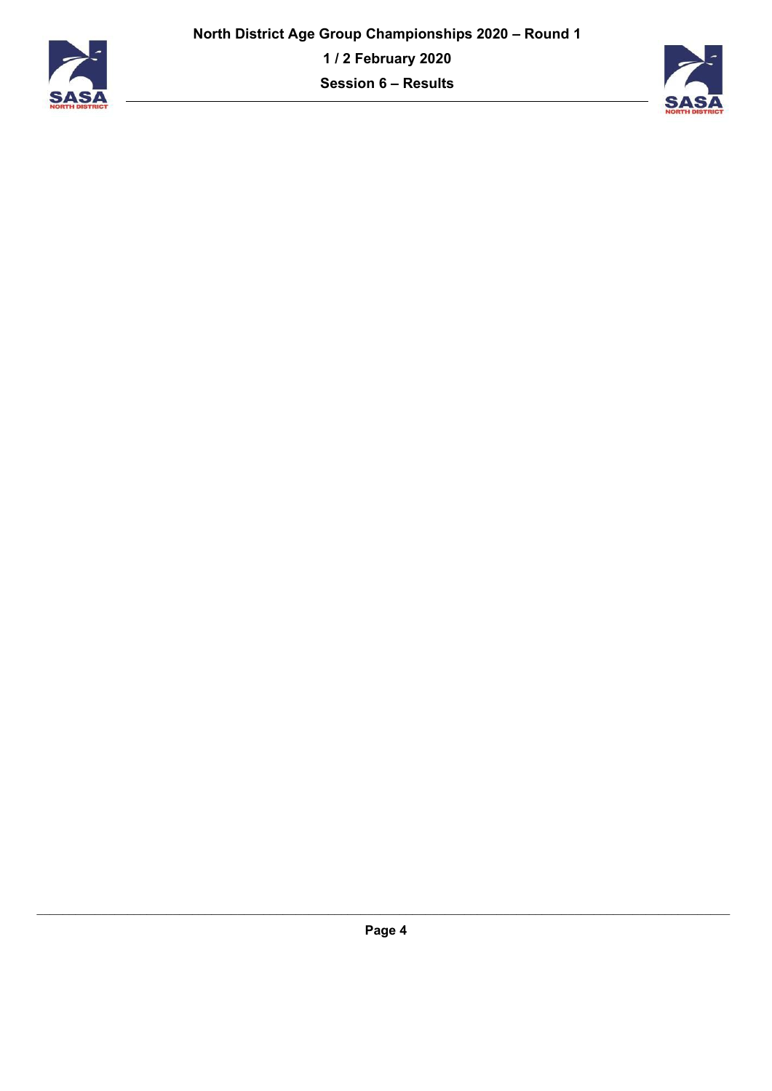

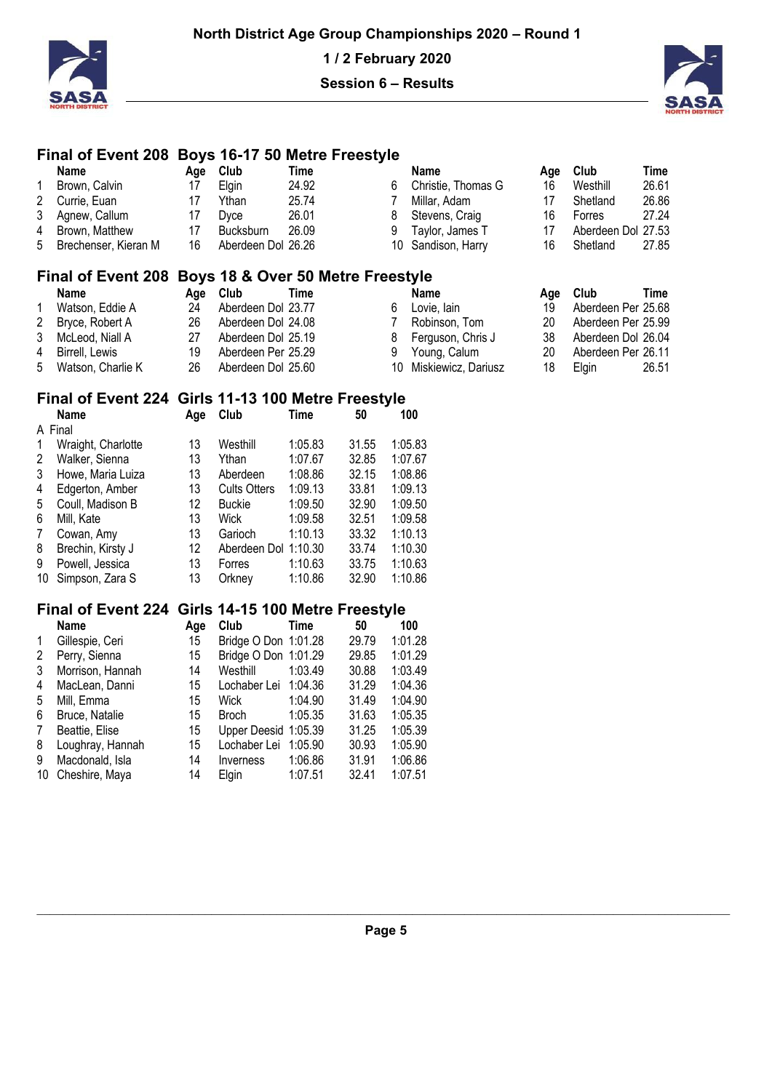

**Session 6 – Results**



# **Final of Event 208 Boys 16-17 50 Metre Freestyle**

|                | <b>Name</b>                                                    | Age | Club               | Time  |   | Name               | Age | Club               | Time  |  |  |
|----------------|----------------------------------------------------------------|-----|--------------------|-------|---|--------------------|-----|--------------------|-------|--|--|
| $\overline{1}$ | Brown, Calvin                                                  | 17  | Elgin              | 24.92 | 6 | Christie, Thomas G | 16  | Westhill           | 26.61 |  |  |
| 2              | Currie, Euan                                                   | 17  | Ythan              | 25.74 |   | Millar, Adam       | 17  | Shetland           | 26.86 |  |  |
| 3              | Agnew, Callum                                                  | 17  | Dyce               | 26.01 | 8 | Stevens, Craig     | 16  | Forres             | 27.24 |  |  |
| 4              | Brown, Matthew                                                 | 17  | <b>Bucksburn</b>   | 26.09 | 9 | Taylor, James T    | 17  | Aberdeen Dol 27.53 |       |  |  |
| 5              | Brechenser, Kieran M                                           | 16  | Aberdeen Dol 26.26 |       |   | 10 Sandison, Harry | 16  | Shetland           | 27.85 |  |  |
|                | Boys 18 & Over 50 Metre Freestyle<br><b>Final of Event 208</b> |     |                    |       |   |                    |     |                    |       |  |  |
|                | <b>Name</b>                                                    | Age | Club               | Time  |   | <b>Name</b>        | Age | Club               | Time  |  |  |
|                | Watson, Eddie A                                                | 24  | Aberdeen Dol 23.77 |       | 6 | Lovie, lain        | 19  | Aberdeen Per 25.68 |       |  |  |
| $2^{\circ}$    | Bryce, Robert A                                                | 26  | Aberdeen Dol 24.08 |       |   | Robinson, Tom      | 20  | Aberdeen Per 25.99 |       |  |  |
| 3              | McLeod, Niall A                                                | 27  | Aberdeen Dol 25.19 |       | 8 | Ferguson, Chris J  | 38  | Aberdeen Dol 26.04 |       |  |  |
|                |                                                                |     |                    |       |   |                    |     |                    |       |  |  |

Miskiewicz, Dariusz 18 Elgin 26.51

#### Watson, Charlie K 26 Aberdeen Dol 25.60

### **Final of Event 224 Girls 11-13 100 Metre Freestyle**

|    | Name               | Age | Club                | Time    | 50    | 100     |
|----|--------------------|-----|---------------------|---------|-------|---------|
|    | A Final            |     |                     |         |       |         |
| 1  | Wraight, Charlotte | 13  | Westhill            | 1:05.83 | 31.55 | 1:05.83 |
| 2  | Walker, Sienna     | 13  | Ythan               | 1:07.67 | 32.85 | 1:07.67 |
| 3  | Howe, Maria Luiza  | 13  | Aberdeen            | 1:08.86 | 32.15 | 1:08.86 |
| 4  | Edgerton, Amber    | 13  | <b>Cults Otters</b> | 1:09.13 | 33.81 | 1:09.13 |
| 5  | Coull, Madison B   | 12  | <b>Buckie</b>       | 1:09.50 | 32.90 | 1:09.50 |
| 6  | Mill, Kate         | 13  | Wick                | 1:09.58 | 32.51 | 1:09.58 |
| 7  | Cowan, Amy         | 13  | Garioch             | 1:10.13 | 33.32 | 1:10.13 |
| 8  | Brechin, Kirsty J  | 12  | Aberdeen Dol        | 1:10.30 | 33.74 | 1:10.30 |
| 9  | Powell, Jessica    | 13  | Forres              | 1:10.63 | 33.75 | 1:10.63 |
| 10 | Simpson, Zara S    | 13  | Orknev              | 1:10.86 | 32.90 | 1:10.86 |

### **Final of Event 224 Girls 14-15 100 Metre Freestyle**

|    | <b>Name</b>      | Age | Club                 | Time    | 50    | 100     |
|----|------------------|-----|----------------------|---------|-------|---------|
| 1  | Gillespie, Ceri  | 15  | Bridge O Don 1:01.28 |         | 29.79 | 1:01.28 |
| 2  | Perry, Sienna    | 15  | Bridge O Don 1:01.29 |         | 29.85 | 1:01.29 |
| 3  | Morrison, Hannah | 14  | Westhill             | 1:03.49 | 30.88 | 1:03.49 |
| 4  | MacLean, Danni   | 15  | Lochaber Lei         | 1:04.36 | 31.29 | 1:04.36 |
| 5  | Mill, Emma       | 15  | Wick                 | 1:04.90 | 31.49 | 1:04.90 |
| 6  | Bruce, Natalie   | 15  | <b>Broch</b>         | 1:05.35 | 31.63 | 1:05.35 |
| 7  | Beattie, Elise   | 15  | Upper Deesid 1:05.39 |         | 31.25 | 1:05.39 |
| 8  | Loughray, Hannah | 15  | Lochaber Lei         | 1:05.90 | 30.93 | 1:05.90 |
| 9  | Macdonald, Isla  | 14  | Inverness            | 1:06.86 | 31.91 | 1:06.86 |
| 10 | Cheshire, Maya   | 14  | Elgin                | 1:07.51 | 32.41 | 1:07.51 |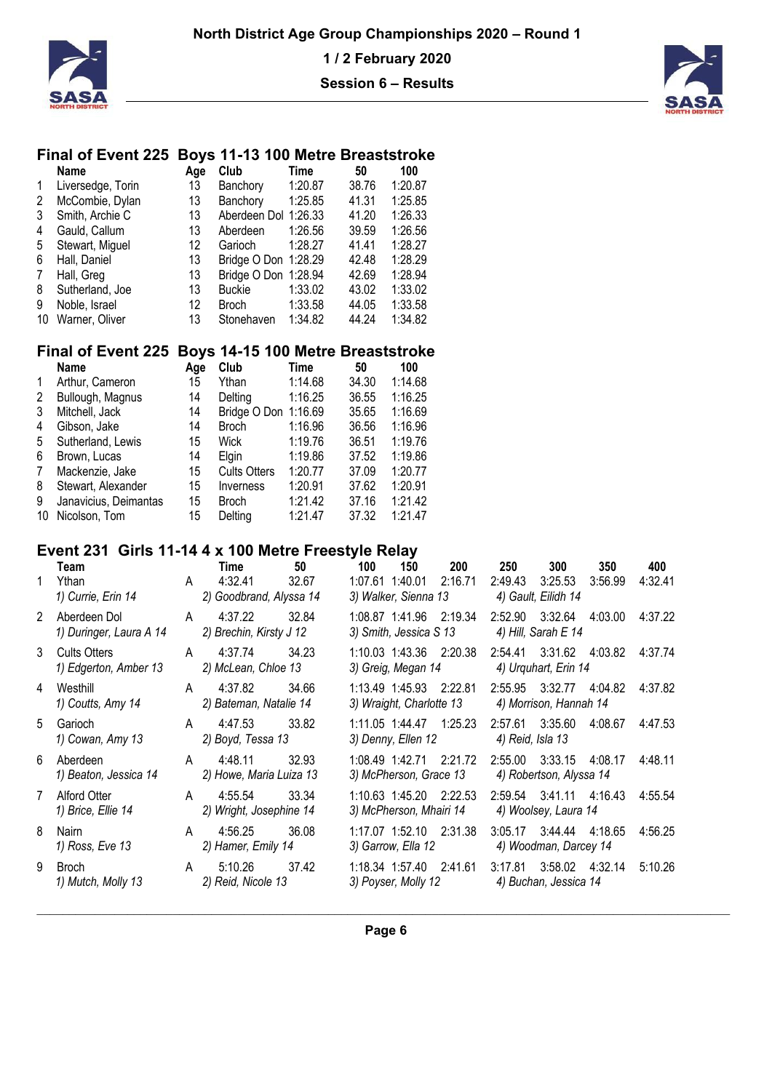



# **Final of Event 225 Boys 11-13 100 Metre Breaststroke**

| <b>Name</b>       | Age | Club          | Time    | 50                                                                   | 100     |
|-------------------|-----|---------------|---------|----------------------------------------------------------------------|---------|
| Liversedge, Torin | 13  | Banchory      | 1:20.87 | 38.76                                                                | 1:20.87 |
| McCombie, Dylan   | 13  | Banchory      | 1:25.85 | 41.31                                                                | 1:25.85 |
| Smith, Archie C   | 13  |               |         | 41.20                                                                | 1:26.33 |
| Gauld, Callum     | 13  | Aberdeen      | 1:26.56 | 39.59                                                                | 1:26.56 |
| Stewart, Miguel   | 12  | Garioch       | 1:28.27 | 41.41                                                                | 1:28.27 |
| Hall, Daniel      | 13  |               |         | 42.48                                                                | 1:28.29 |
| Hall, Greg        | 13  |               |         | 42.69                                                                | 1:28.94 |
| Sutherland, Joe   | 13  | <b>Buckie</b> | 1:33.02 | 43.02                                                                | 1:33.02 |
| Noble, Israel     | 12  | <b>Broch</b>  | 1:33.58 | 44.05                                                                | 1:33.58 |
| Warner, Oliver    | 13  | Stonehaven    | 1:34.82 | 44.24                                                                | 1:34.82 |
|                   |     |               |         | Aberdeen Dol 1:26.33<br>Bridge O Don 1:28.29<br>Bridge O Don 1:28.94 |         |

# **Final of Event 225 Boys 14-15 100 Metre Breaststroke**

|    | Name                  | Age | Club                 | Time    | 50    | 100     |
|----|-----------------------|-----|----------------------|---------|-------|---------|
|    | Arthur, Cameron       | 15  | Ythan                | 1:14.68 | 34.30 | 1:14.68 |
| 2  | Bullough, Magnus      | 14  | Delting              | 1:16.25 | 36.55 | 1:16.25 |
| 3  | Mitchell, Jack        | 14  | Bridge O Don 1:16.69 |         | 35.65 | 1:16.69 |
| 4  | Gibson, Jake          | 14  | <b>Broch</b>         | 1:16.96 | 36.56 | 1:16.96 |
| 5  | Sutherland, Lewis     | 15  | Wick                 | 1:19.76 | 36.51 | 1:19.76 |
| 6  | Brown, Lucas          | 14  | Elgin                | 1:19.86 | 37.52 | 1:19.86 |
| 7  | Mackenzie, Jake       | 15  | <b>Cults Otters</b>  | 1:20.77 | 37.09 | 1:20.77 |
| 8  | Stewart, Alexander    | 15  | Inverness            | 1:20.91 | 37.62 | 1:20.91 |
| 9  | Janavicius, Deimantas | 15  | <b>Broch</b>         | 1:21.42 | 37.16 | 1:21.42 |
| 10 | Nicolson, Tom         | 15  | Delting              | 1:21.47 | 37.32 | 1:21.47 |

# **Event 231 Girls 11-14 4 x 100 Metre Freestyle Relay**

|   | Team<br>Ythan<br>1) Currie, Erin 14          | A | 50<br>Time<br>4:32.41<br>32.67<br>2) Goodbrand, Alyssa 14 | 100<br>150<br>1:40.01<br>1:07.61<br>3) Walker, Sienna 13 | 200<br>2:16.71 | 250<br>2:49.43              | 300<br>3:25.53<br>4) Gault, Eilidh 14 | 350<br>3:56.99 | 400<br>4:32.41 |
|---|----------------------------------------------|---|-----------------------------------------------------------|----------------------------------------------------------|----------------|-----------------------------|---------------------------------------|----------------|----------------|
| 2 | Aberdeen Dol<br>1) Duringer, Laura A 14      | A | 4:37.22<br>32.84<br>2) Brechin, Kirsty J 12               | 1:08.87 1:41.96 2:19.34<br>3) Smith, Jessica S 13        |                | 2:52.90                     | 3:32.64<br>4) Hill, Sarah E 14        | 4:03.00        | 4:37.22        |
| 3 | <b>Cults Otters</b><br>1) Edgerton, Amber 13 | A | 4:37.74<br>34.23<br>2) McLean, Chloe 13                   | 1:10.03 1:43.36 2:20.38<br>3) Greig, Megan 14            |                | 2:54.41                     | 3:31.62<br>4) Urguhart, Erin 14       | 4:03.82        | 4:37.74        |
| 4 | Westhill<br>1) Coutts, Amy 14                | A | 4:37.82<br>34.66<br>2) Bateman, Natalie 14                | 1:13.49 1:45.93 2:22.81<br>3) Wraight, Charlotte 13      |                | 2:55.95                     | 3:32.77<br>4) Morrison, Hannah 14     | 4:04.82        | 4:37.82        |
| 5 | Garioch<br>1) Cowan, Amy 13                  | A | 4:47.53<br>33.82<br>2) Boyd, Tessa 13                     | 1:11.05  1:44.47  1:25.23<br>3) Denny, Ellen 12          |                | 2:57.61<br>4) Reid, Isla 13 | 3:35.60                               | 4:08.67        | 4:47.53        |
| 6 | Aberdeen<br>1) Beaton, Jessica 14            | A | 4:48.11<br>32.93<br>2) Howe, Maria Luiza 13               | 1:08.49 1:42.71 2:21.72<br>3) McPherson, Grace 13        |                | 2:55.00                     | 3:33.15<br>4) Robertson, Alyssa 14    | 4:08.17        | 4:48.11        |
| 7 | <b>Alford Otter</b><br>1) Brice, Ellie 14    | A | 4:55.54<br>33.34<br>2) Wright, Josephine 14               | 1:10.63 1:45.20 2:22.53<br>3) McPherson, Mhairi 14       |                | 2:59.54                     | 3:41.11<br>4) Woolsey, Laura 14       | 4:16.43        | 4:55.54        |
| 8 | Nairn<br>1) Ross, Eve 13                     | A | 36.08<br>4:56.25<br>2) Hamer, Emily 14                    | 1:17.07 1:52.10<br>3) Garrow, Ella 12                    | 2:31.38        | 3:05.17                     | 3:44.44<br>4) Woodman, Darcey 14      | 4:18.65        | 4:56.25        |
| 9 | <b>Broch</b><br>1) Mutch, Molly 13           | A | 5:10.26<br>37.42<br>2) Reid, Nicole 13                    | 1:18.34  1:57.40  2:41.61<br>3) Poyser, Molly 12         |                | 3:17.81                     | 3:58.02<br>4) Buchan, Jessica 14      | 4:32.14        | 5:10.26        |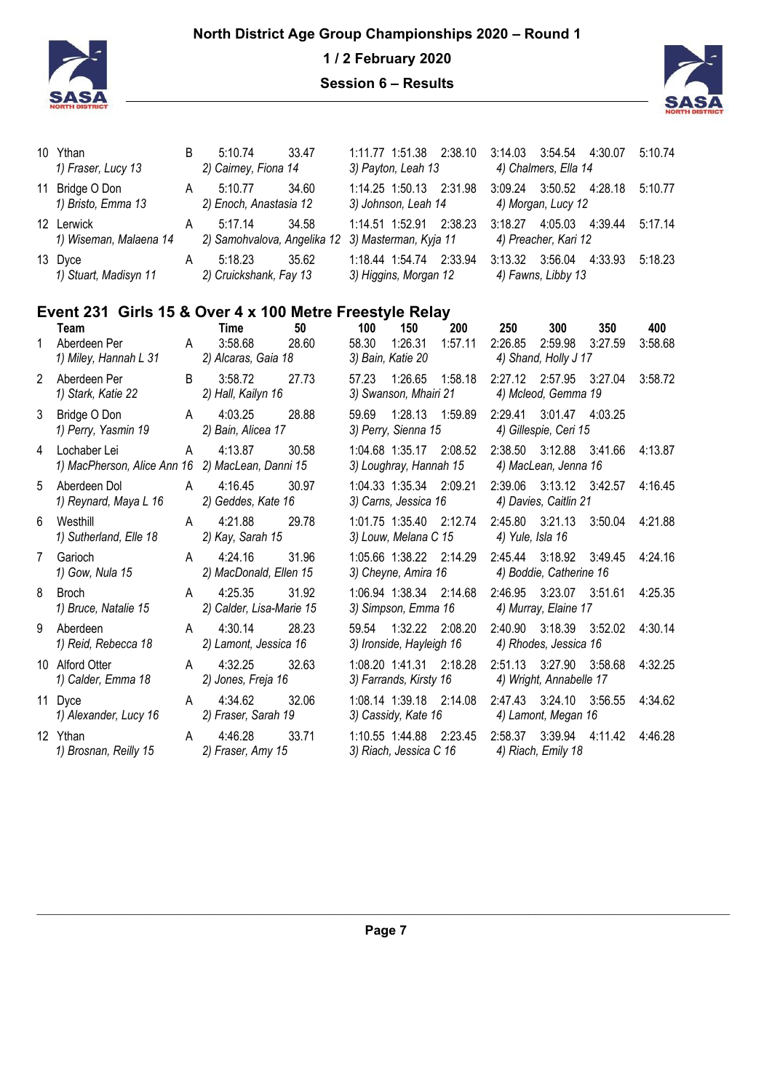





| 10 Ythan<br>1) Fraser, Lucy 13        | B | 33.47<br>5:10.74<br>2) Cairney, Fiona 14                              | 1:11.77 1:51.38 2:38.10<br>3) Payton, Leah 13  |         | 3:14.03 | 3:54.54<br>4) Chalmers, Ella 14       | 4:30.07 | 5:10.74 |
|---------------------------------------|---|-----------------------------------------------------------------------|------------------------------------------------|---------|---------|---------------------------------------|---------|---------|
| 11 Bridge O Don<br>1) Bristo, Emma 13 | A | 34.60<br>5:10.77<br>2) Enoch, Anastasia 12                            | 1:14.25 1:50.13 2:31.98<br>3) Johnson, Leah 14 |         | 3:09.24 | 3:50.52 4:28.18<br>4) Morgan, Lucy 12 |         | 5:10.77 |
| 12 Lerwick<br>1) Wiseman, Malaena 14  | A | 34.58<br>5:17.14<br>2) Samohvalova, Angelika 12 3) Masterman, Kyja 11 | 1:14.51 1:52.91 2:38.23                        |         | 3:18.27 | 4:05.03<br>4) Preacher, Kari 12       | 4:39.44 | 5:17.14 |
| 13 Dyce<br>1) Stuart, Madisyn 11      | A | 35.62<br>5:18.23<br>2) Cruickshank, Fay 13                            | 3) Higgins, Morgan 12                          | 2:33.94 | 3:13.32 | 3:56.04<br>4) Fawns, Libby 13         | 4:33.93 | 5:18.23 |

# **Event 231 Girls 15 & Over 4 x 100 Metre Freestyle Relay**

|             | Team<br>Aberdeen Per<br>1) Miley, Hannah L 31                    | A | 50<br>Time<br>3:58.68<br>28.60<br>2) Alcaras, Gaia 18 | 200<br>150<br>100<br>1:26.31<br>58.30<br>1:57.11<br>3) Bain, Katie 20 | 250<br>300<br>350<br>2:26.85<br>2:59.98<br>3:27.59<br>4) Shand, Holly J 17 | 400<br>3:58.68 |
|-------------|------------------------------------------------------------------|---|-------------------------------------------------------|-----------------------------------------------------------------------|----------------------------------------------------------------------------|----------------|
| 2           | Aberdeen Per<br>1) Stark, Katie 22                               | B | 3:58.72<br>27.73<br>2) Hall, Kailyn 16                | 1:26.65<br>1:58.18<br>57.23<br>3) Swanson, Mhairi 21                  | 2:27.12<br>2:57.95<br>3:27.04<br>4) Mcleod, Gemma 19                       | 3:58.72        |
| 3           | Bridge O Don<br>1) Perry, Yasmin 19                              | A | 4:03.25<br>28.88<br>2) Bain, Alicea 17                | 1:28.13 1:59.89<br>59.69<br>3) Perry, Sienna 15                       | 2:29.41<br>3:01.47 4:03.25<br>4) Gillespie, Ceri 15                        |                |
| 4           | Lochaber Lei<br>1) MacPherson, Alice Ann 16 2) MacLean, Danni 15 | A | 4:13.87<br>30.58                                      | 1:04.68 1:35.17 2:08.52<br>3) Loughray, Hannah 15                     | 2:38.50<br>3:12.88 3:41.66<br>4) MacLean, Jenna 16                         | 4:13.87        |
| 5           | Aberdeen Dol<br>1) Reynard, Maya L 16                            | A | 4:16.45<br>30.97<br>2) Geddes, Kate 16                | 1:04.33 1:35.34 2:09.21<br>3) Carns, Jessica 16                       | 3:13.12 3:42.57<br>2:39.06<br>4) Davies, Caitlin 21                        | 4:16.45        |
| 6           | Westhill<br>1) Sutherland, Elle 18                               | A | 4:21.88<br>29.78<br>2) Kay, Sarah 15                  | 1:01.75 1:35.40 2:12.74<br>3) Louw, Melana C 15                       | 2:45.80<br>3:21.13<br>3:50.04<br>4) Yule, Isla 16                          | 4:21.88        |
| $7^{\circ}$ | Garioch<br>1) Gow, Nula 15                                       | A | 4:24.16<br>31.96<br>2) MacDonald, Ellen 15            | 1:05.66 1:38.22 2:14.29<br>3) Cheyne, Amira 16                        | 2:45.44<br>3:18.92 3:49.45<br>4) Boddie, Catherine 16                      | 4:24.16        |
| 8           | <b>Broch</b><br>1) Bruce, Natalie 15                             | A | 4:25.35<br>31.92<br>2) Calder, Lisa-Marie 15          | 1:06.94 1:38.34 2:14.68<br>3) Simpson, Emma 16                        | 3:23.07 3:51.61<br>2:46.95<br>4) Murray, Elaine 17                         | 4:25.35        |
| 9           | Aberdeen<br>1) Reid, Rebecca 18                                  | A | 4:30.14<br>28.23<br>2) Lamont, Jessica 16             | 1:32.22 2:08.20<br>59.54<br>3) Ironside, Hayleigh 16                  | 3:18.39 3:52.02<br>2:40.90<br>4) Rhodes, Jessica 16                        | 4:30.14        |
|             | 10 Alford Otter<br>1) Calder, Emma 18                            | A | 4:32.25<br>32.63<br>2) Jones, Freja 16                | 1:08.20 1:41.31<br>2:18.28<br>3) Farrands, Kirsty 16                  | 3:27.90<br>2:51.13<br>3:58.68<br>4) Wright, Annabelle 17                   | 4:32.25        |
|             | 11 Dyce<br>1) Alexander, Lucy 16                                 | A | 4:34.62<br>32.06<br>2) Fraser, Sarah 19               | 1:08.14 1:39.18 2:14.08<br>3) Cassidy, Kate 16                        | 2:47.43<br>3:24.10<br>3:56.55<br>4) Lamont, Megan 16                       | 4:34.62        |
|             | 12 Ythan<br>1) Brosnan, Reilly 15                                | A | 4:46.28<br>33.71<br>2) Fraser, Amy 15                 | 1:10.55 1:44.88 2:23.45<br>3) Riach, Jessica C 16                     | $3:39.94$ $4:11.42$<br>2:58.37<br>4) Riach, Emily 18                       | 4:46.28        |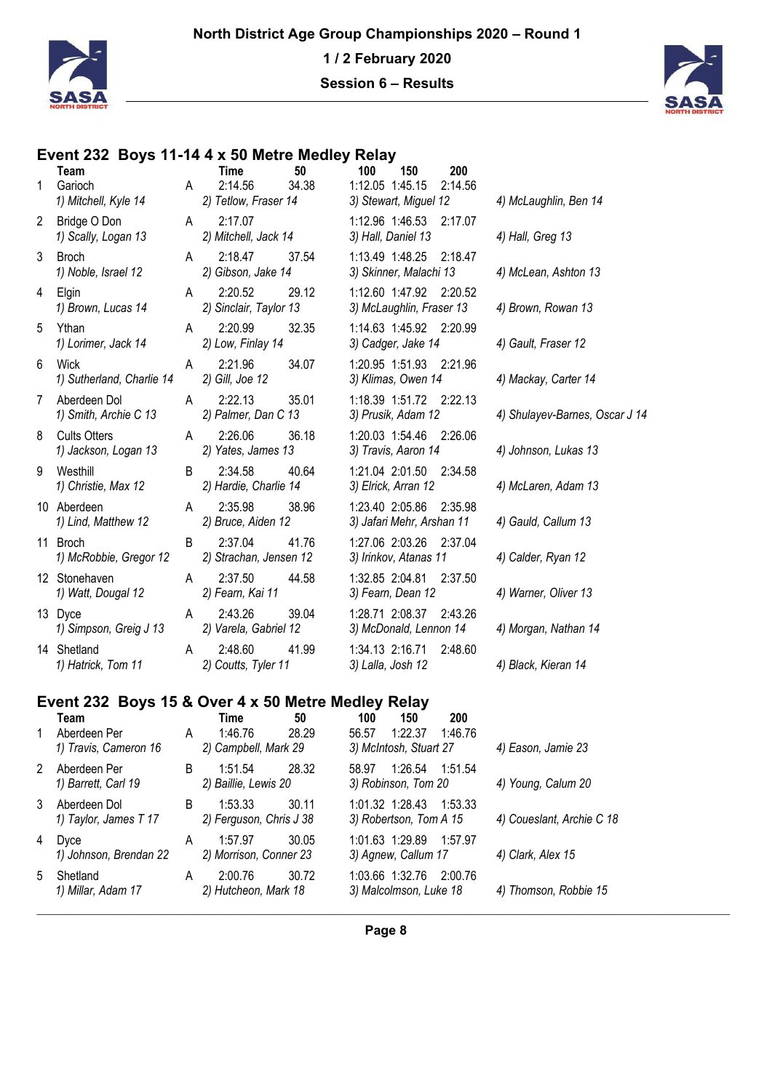



### **Event 232 Boys 11-14 4 x 50 Metre Medley Relay**

| 1              | Team<br>Garioch<br>1) Mitchell, Kyle 14                 | A | 50<br>Time<br>2:14.56<br>34.38<br>2) Tetlow, Fraser 14 | 150<br>200<br>100<br>1:12.05 1:45.15<br>2:14.56<br>3) Stewart, Miguel 12 | 4) McLaughlin, Ben 14            |
|----------------|---------------------------------------------------------|---|--------------------------------------------------------|--------------------------------------------------------------------------|----------------------------------|
| $\overline{2}$ | Bridge O Don<br>1) Scally, Logan 13                     | A | 2:17.07<br>2) Mitchell, Jack 14                        | 1:12.96 1:46.53 2:17.07<br>3) Hall, Daniel 13                            | 4) Hall, Greg 13                 |
| 3              | <b>Broch</b><br>1) Noble, Israel 12                     | A | 2:18.47<br>37.54<br>2) Gibson, Jake 14                 | 1:13.49 1:48.25<br>2:18.47<br>3) Skinner, Malachi 13                     | 4) McLean, Ashton 13             |
| 4              | Elgin<br>1) Brown, Lucas 14                             | A | 2:20.52<br>29.12<br>2) Sinclair, Taylor 13             | 1:12.60 1:47.92<br>2:20.52<br>3) McLaughlin, Fraser 13                   | 4) Brown, Rowan 13               |
| 5              | Ythan<br>1) Lorimer, Jack 14                            | A | 2:20.99<br>32.35<br>2) Low, Finlay 14                  | 1:14.63 1:45.92 2:20.99<br>3) Cadger, Jake 14                            | 4) Gault, Fraser 12              |
| 6              | Wick<br>1) Sutherland, Charlie 14                       | A | 2:21.96<br>34.07<br>2) Gill, Joe 12                    | 1:20.95 1:51.93 2:21.96<br>3) Klimas, Owen 14                            | 4) Mackay, Carter 14             |
| $\overline{7}$ | Aberdeen Dol<br>1) Smith, Archie C 13                   | A | 2:22.13<br>35.01<br>2) Palmer, Dan C 13                | 1:18.39 1:51.72 2:22.13<br>3) Prusik, Adam 12                            | 4) Shulayev-Barnes, C            |
| 8              | <b>Cults Otters</b><br>1) Jackson, Logan 13             | A | 2:26.06<br>36.18<br>2) Yates, James 13                 | 1:20.03 1:54.46 2:26.06<br>3) Travis, Aaron 14                           | 4) Johnson, Lukas 13             |
| 9              | Westhill<br>1) Christie, Max 12                         | B | 2:34.58<br>40.64<br>2) Hardie, Charlie 14              | 1:21.04 2:01.50 2:34.58<br>3) Elrick, Arran 12                           | 4) McLaren, Adam 13              |
|                | 10 Aberdeen<br>1) Lind, Matthew 12                      | A | 2:35.98<br>38.96<br>2) Bruce, Aiden 12                 | 1:23.40 2:05.86<br>2:35.98<br>3) Jafari Mehr, Arshan 11                  | 4) Gauld, Callum 13              |
|                | 11 Broch<br>1) McRobbie, Gregor 12                      | B | 2:37.04<br>41.76<br>2) Strachan, Jensen 12             | 1:27.06 2:03.26 2:37.04<br>3) Irinkov, Atanas 11                         | 4) Calder, Ryan 12               |
|                | 12 Stonehaven<br>1) Watt, Dougal 12                     | A | 2:37.50<br>44.58<br>2) Fearn, Kai 11                   | 1:32.85 2:04.81 2:37.50<br>3) Fearn, Dean 12                             | 4) Warner, Oliver 13             |
|                | 13 Dyce<br>1) Simpson, Greig J 13                       | A | 2:43.26<br>39.04<br>2) Varela, Gabriel 12              | 1:28.71 2:08.37<br>2:43.26<br>3) McDonald, Lennon 14                     | 4) Morgan, Nathan 14             |
|                | 14 Shetland<br>$\frac{1}{4}$ Hotricle Tam $\frac{1}{4}$ | A | 2:48.60<br>41.99<br>$2\sqrt{2}$                        | 1:34.13 2:16.71<br>2:48.60<br>$21 L$ alla Lach 12                        | $\Lambda$ Dlook <i>Vieron 11</i> |

| Α | 2:14.56<br>2) Tetlow, Fraser 14         | 34.38 |
|---|-----------------------------------------|-------|
| А | 2:17.07<br>2) Mitchell, Jack 14         |       |
| Α | 2:18.47<br>2) Gibson, Jake 14           | 37.54 |
| A | 2:20.52 29.12<br>2) Sinclair, Taylor 13 |       |
| Α | 2:20.99<br>2) Low, Finlay 14            | 32.35 |
| Α | 2:21.96<br>2) Gill, Joe 12              | 34.07 |
| Α | 2:22.13<br>2) Palmer, Dan C 13          | 35.01 |
| А | 2:26.06 36.18<br>2) Yates, James 13     |       |
| B | 2:34.58 40.64<br>2) Hardie, Charlie 14  |       |
| Α | 2:35.98 38.96<br>2) Bruce, Aiden 12     |       |
| B | 2:37.04 41.76<br>2) Strachan, Jensen 12 |       |
| Α | 2:37.50<br>2) Fearn, Kai 11             | 44.58 |
| А | 2:43.26<br>2) Varela, Gabriel 12        | 39.04 |
| Δ | $2.48$ 60 $41$ 99                       |       |

| i edili<br>Garioch<br>1) Mitchell, Kyle 14  | A | i ine<br>งบ<br>2:14.56<br>34.38<br>2) Tetlow, Fraser 14 | יטט טעו<br>ZUU<br>1:12.05 1:45.15<br>2:14.56<br>3) Stewart, Miguel 12 | 4) McLaughlin, Ben   |
|---------------------------------------------|---|---------------------------------------------------------|-----------------------------------------------------------------------|----------------------|
| Bridge O Don<br>1) Scally, Logan 13         | A | 2:17.07<br>2) Mitchell, Jack 14                         | 1:12.96 1:46.53<br>2:17.07<br>3) Hall, Daniel 13                      | 4) Hall, Greg 13     |
| <b>Broch</b><br>1) Noble, Israel 12         | A | 2:18.47<br>37.54<br>2) Gibson, Jake 14                  | 1:13.49 1:48.25 2:18.47<br>3) Skinner, Malachi 13                     | 4) McLean, Ashton    |
| Elgin<br>1) Brown, Lucas 14                 | A | 2:20.52<br>29.12<br>2) Sinclair, Taylor 13              | 1:12.60 1:47.92 2:20.52<br>3) McLaughlin, Fraser 13                   | 4) Brown, Rowan 13   |
| Ythan<br>1) Lorimer, Jack 14                | A | 2:20.99<br>32.35<br>2) Low, Finlay 14                   | 1:14.63 1:45.92 2:20.99<br>3) Cadger, Jake 14                         | 4) Gault, Fraser 12  |
| Wick<br>1) Sutherland, Charlie 14           | A | 2:21.96<br>34.07<br>2) Gill, Joe 12                     | 1:20.95 1:51.93 2:21.96<br>3) Klimas, Owen 14                         | 4) Mackay, Carter 1  |
| Aberdeen Dol<br>1) Smith, Archie C 13       | A | 2:22.13<br>35.01<br>2) Palmer, Dan C 13                 | 1:18.39 1:51.72 2:22.13<br>3) Prusik, Adam 12                         | 4) Shulayev-Barnes   |
| <b>Cults Otters</b><br>1) Jackson, Logan 13 | A | 2:26.06<br>36.18<br>2) Yates, James 13                  | 1:20.03 1:54.46 2:26.06<br>3) Travis, Aaron 14                        | 4) Johnson, Lukas 1  |
| Westhill<br>1) Christie, Max 12             | B | 2:34.58<br>40.64<br>2) Hardie, Charlie 14               | 1:21.04 2:01.50 2:34.58<br>3) Elrick, Arran 12                        | 4) McLaren, Adam     |
| Aberdeen<br>1) Lind, Matthew 12             | A | 2:35.98<br>38.96<br>2) Bruce, Aiden 12                  | 1:23.40 2:05.86<br>2:35.98<br>3) Jafari Mehr, Arshan 11               | 4) Gauld, Callum 13  |
| <b>Broch</b><br>1) McRobbie, Gregor 12      | B | 2:37.04<br>41.76<br>2) Strachan, Jensen 12              | 1:27.06 2:03.26 2:37.04<br>3) Irinkov, Atanas 11                      | 4) Calder, Ryan 12   |
| Stonehaven<br>1) Watt, Dougal 12            | A | 2:37.50<br>44.58<br>2) Fearn, Kai 11                    | 1:32.85 2:04.81<br>2:37.50<br>3) Fearn, Dean 12                       | 4) Warner, Oliver 1: |
| Dyce<br>1) Simpson, Greig J 13              | A | 2:43.26<br>39.04<br>2) Varela, Gabriel 12               | 1:28.71 2:08.37<br>2:43.26<br>3) McDonald, Lennon 14                  | 4) Morgan, Nathan    |
| Shetland<br>1) Hatrick, Tom 11              | A | 2:48.60<br>41.99<br>2) Coutts, Tyler 11                 | 1:34.13 2:16.71<br>2:48.60<br>3) Lalla, Josh 12                       | 4) Black, Kieran 14  |
|                                             |   |                                                         |                                                                       |                      |

| 1) Mitchell, Kyle 14                        |   | 2) Tetlow, Fraser 14                       | 3) Stewart, Miguel 12                                   | 4) McLaughlin, Ben 14          |
|---------------------------------------------|---|--------------------------------------------|---------------------------------------------------------|--------------------------------|
| Bridge O Don<br>1) Scally, Logan 13         | A | 2:17.07<br>2) Mitchell, Jack 14            | 1:12.96 1:46.53<br>2:17.07<br>3) Hall, Daniel 13        | 4) Hall, Greg 13               |
| <b>Broch</b><br>1) Noble, Israel 12         | A | 2:18.47<br>37.54<br>2) Gibson, Jake 14     | 1:13.49 1:48.25<br>2:18.47<br>3) Skinner, Malachi 13    | 4) McLean, Ashton 13           |
| Elgin<br>1) Brown, Lucas 14                 | A | 2:20.52<br>29.12<br>2) Sinclair, Taylor 13 | 1:12.60 1:47.92 2:20.52<br>3) McLaughlin, Fraser 13     | 4) Brown, Rowan 13             |
| Ythan<br>1) Lorimer, Jack 14                | A | 2:20.99<br>32.35<br>2) Low, Finlay 14      | 1:14.63 1:45.92 2:20.99<br>3) Cadger, Jake 14           | 4) Gault, Fraser 12            |
| Wick<br>1) Sutherland, Charlie 14           | A | 2:21.96<br>34.07<br>2) Gill, Joe 12        | 1:20.95 1:51.93 2:21.96<br>3) Klimas, Owen 14           | 4) Mackay, Carter 14           |
| Aberdeen Dol<br>1) Smith, Archie C 13       | A | 2:22.13<br>35.01<br>2) Palmer, Dan C 13    | 1:18.39 1:51.72 2:22.13<br>3) Prusik, Adam 12           | 4) Shulayev-Barnes, Oscar J 14 |
| <b>Cults Otters</b><br>1) Jackson, Logan 13 | A | 2:26.06<br>36.18<br>2) Yates, James 13     | 1:20.03 1:54.46 2:26.06<br>3) Travis, Aaron 14          | 4) Johnson, Lukas 13           |
| Westhill<br>1) Christie, Max 12             | B | 2:34.58<br>40.64<br>2) Hardie, Charlie 14  | 1:21.04 2:01.50 2:34.58<br>3) Elrick, Arran 12          | 4) McLaren, Adam 13            |
| Aberdeen<br>1) Lind, Matthew 12             | A | 2:35.98<br>38.96<br>2) Bruce, Aiden 12     | 1:23.40 2:05.86<br>2:35.98<br>3) Jafari Mehr, Arshan 11 | 4) Gauld, Callum 13            |
| <b>Broch</b><br>1) McRobbie, Gregor 12      | B | 2:37.04<br>41.76<br>2) Strachan, Jensen 12 | 1:27.06 2:03.26 2:37.04<br>3) Irinkov, Atanas 11        | 4) Calder, Ryan 12             |
| Stonehaven<br>1) Watt, Dougal 12            | A | 2:37.50<br>44.58<br>2) Fearn, Kai 11       | 1:32.85 2:04.81 2:37.50<br>3) Fearn, Dean 12            | 4) Warner, Oliver 13           |
| Dyce<br>1) Simpson, Greig J 13              | A | 2:43.26<br>39.04<br>2) Varela, Gabriel 12  | 1:28.71 2:08.37 2:43.26<br>3) McDonald, Lennon 14       | 4) Morgan, Nathan 14           |
| Chathend                                    |   | $0.10 \, \text{c} \Omega$ $11 \, \Omega$   | $1.21$ $12$ $0.10$ $71$ $0.10$ $0.0$                    |                                |

#### **Event 232 Boys 15 & Over 4 x 50 Metre Medley Relay**

| 1 | Team<br>Aberdeen Per                  | A | Time<br>50<br>28.29<br>1:46.76              | 100<br>150<br>200<br>1:22.37<br>1:46.76<br>56.57     |                           |
|---|---------------------------------------|---|---------------------------------------------|------------------------------------------------------|---------------------------|
|   | 1) Travis, Cameron 16                 |   | 2) Campbell, Mark 29                        | 3) McIntosh, Stuart 27                               | 4) Eason, Jamie 23        |
| 2 | Aberdeen Per<br>1) Barrett, Carl 19   | B | 28.32<br>1:51.54<br>2) Baillie, Lewis 20    | 1:26.54<br>1:51.54<br>58.97<br>3) Robinson, Tom 20   | 4) Young, Calum 20        |
| 3 | Aberdeen Dol<br>1) Taylor, James T 17 | B | 30.11<br>1:53.33<br>2) Ferguson, Chris J 38 | 1:01.32 1:28.43<br>1:53.33<br>3) Robertson, Tom A 15 | 4) Coueslant, Archie C 18 |
| 4 | Dyce<br>1) Johnson, Brendan 22        | A | 1:57.97<br>30.05<br>2) Morrison, Conner 23  | 1:01.63 1:29.89<br>1:57.97<br>3) Agnew, Callum 17    | 4) Clark, Alex 15         |
| 5 | Shetland<br>1) Millar, Adam 17        | A | 30.72<br>2:00.76<br>2) Hutcheon, Mark 18    | 1:03.66 1:32.76<br>2:00.76<br>3) Malcolmson, Luke 18 | 4) Thomson, Robbie 15     |